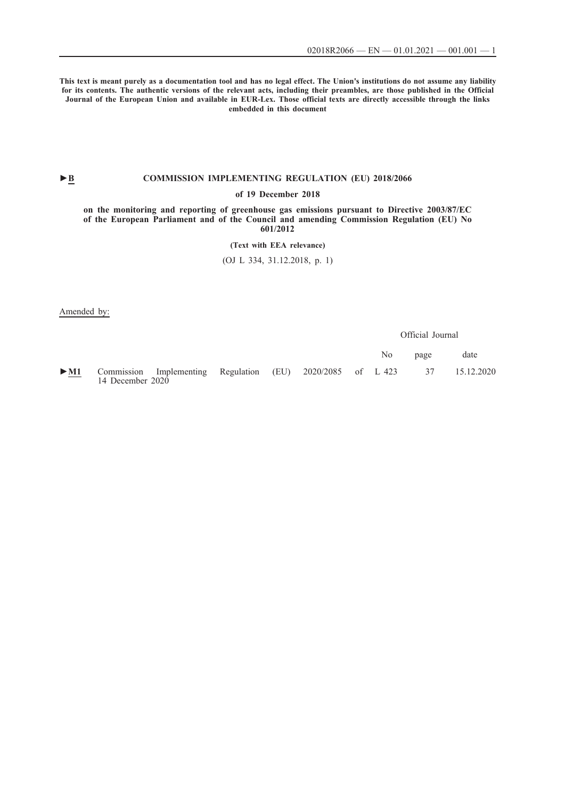**This text is meant purely as a documentation tool and has no legal effect. The Union's institutions do not assume any liability for its contents. The authentic versions of the relevant acts, including their preambles, are those published in the Official Journal of the European Union and available in EUR-Lex. Those official texts are directly accessible through the links embedded in this document**

## ►**B [COMMISSION IMPLEMENTING REGULATION \(EU\) 2018/2066](http://data.europa.eu/eli/reg_impl/2018/2066/oj/eng)**

### **[of 19 December 2018](http://data.europa.eu/eli/reg_impl/2018/2066/oj/eng)**

**[on the monitoring and reporting of greenhouse gas emissions pursuant to Directive 2003/87/EC](http://data.europa.eu/eli/reg_impl/2018/2066/oj/eng) [of the European Parliament and of the Council and amending Commission Regulation \(EU\) No](http://data.europa.eu/eli/reg_impl/2018/2066/oj/eng) [601/2012](http://data.europa.eu/eli/reg_impl/2018/2066/oj/eng)**

**[\(Text with EEA relevance\)](http://data.europa.eu/eli/reg_impl/2018/2066/oj/eng)**

[\(OJ L 334, 31.12.2018, p. 1\)](http://data.europa.eu/eli/reg_impl/2018/2066/oj/eng)

Amended by:

Official Journal

|                 |                                                                                                                       |  |  | No n | page | date |
|-----------------|-----------------------------------------------------------------------------------------------------------------------|--|--|------|------|------|
| $\qquad \qquad$ | $\blacktriangleright$ M1 Commission Implementing Regulation (EU) 2020/2085 of L 423 37 15.12.2020<br>14 December 2020 |  |  |      |      |      |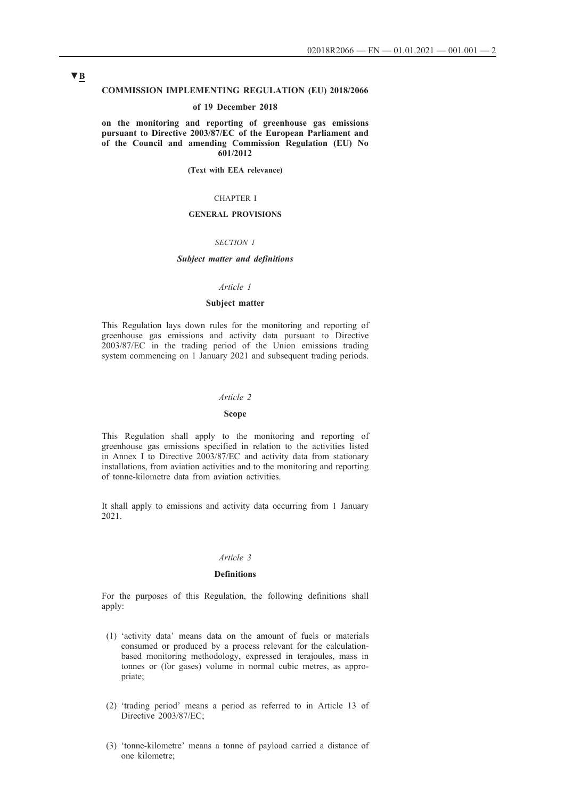### **COMMISSION IMPLEMENTING REGULATION (EU) 2018/2066**

### **of 19 December 2018**

**on the monitoring and reporting of greenhouse gas emissions pursuant to Directive 2003/87/EC of the European Parliament and of the Council and amending Commission Regulation (EU) No 601/2012**

**(Text with EEA relevance)**

### CHAPTER I

## **GENERAL PROVISIONS**

#### *SECTION 1*

### *Subject matter and definitions*

### *Article 1*

## **Subject matter**

This Regulation lays down rules for the monitoring and reporting of greenhouse gas emissions and activity data pursuant to Directive 2003/87/EC in the trading period of the Union emissions trading system commencing on 1 January 2021 and subsequent trading periods.

#### *Article 2*

### **Scope**

This Regulation shall apply to the monitoring and reporting of greenhouse gas emissions specified in relation to the activities listed in Annex I to Directive 2003/87/EC and activity data from stationary installations, from aviation activities and to the monitoring and reporting of tonne-kilometre data from aviation activities.

It shall apply to emissions and activity data occurring from 1 January 2021.

## *Article 3*

### **Definitions**

For the purposes of this Regulation, the following definitions shall apply:

- (1) 'activity data' means data on the amount of fuels or materials consumed or produced by a process relevant for the calculationbased monitoring methodology, expressed in terajoules, mass in tonnes or (for gases) volume in normal cubic metres, as appropriate;
- (2) 'trading period' means a period as referred to in Article 13 of Directive 2003/87/EC;
- (3) 'tonne-kilometre' means a tonne of payload carried a distance of one kilometre;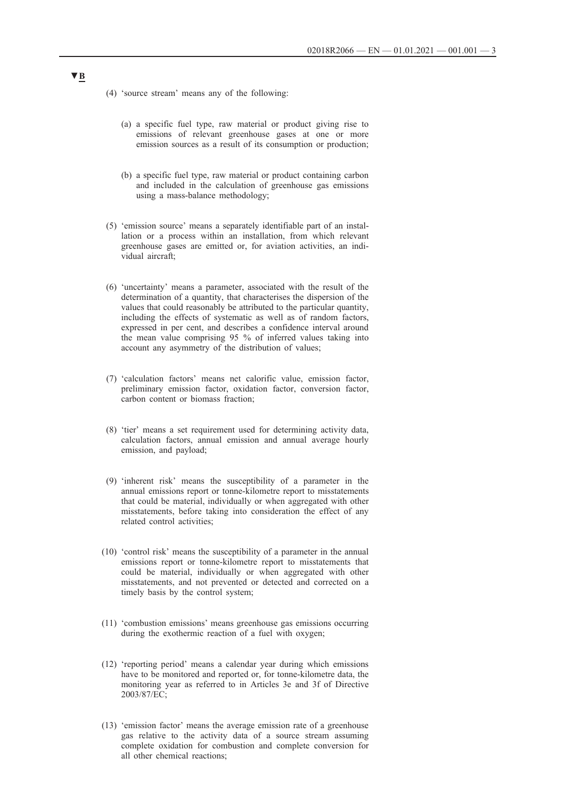- (4) 'source stream' means any of the following:
	- (a) a specific fuel type, raw material or product giving rise to emissions of relevant greenhouse gases at one or more emission sources as a result of its consumption or production;
	- (b) a specific fuel type, raw material or product containing carbon and included in the calculation of greenhouse gas emissions using a mass-balance methodology;
- (5) 'emission source' means a separately identifiable part of an installation or a process within an installation, from which relevant greenhouse gases are emitted or, for aviation activities, an individual aircraft;
- (6) 'uncertainty' means a parameter, associated with the result of the determination of a quantity, that characterises the dispersion of the values that could reasonably be attributed to the particular quantity, including the effects of systematic as well as of random factors, expressed in per cent, and describes a confidence interval around the mean value comprising 95 % of inferred values taking into account any asymmetry of the distribution of values;
- (7) 'calculation factors' means net calorific value, emission factor, preliminary emission factor, oxidation factor, conversion factor, carbon content or biomass fraction;
- (8) 'tier' means a set requirement used for determining activity data, calculation factors, annual emission and annual average hourly emission, and payload;
- (9) 'inherent risk' means the susceptibility of a parameter in the annual emissions report or tonne-kilometre report to misstatements that could be material, individually or when aggregated with other misstatements, before taking into consideration the effect of any related control activities;
- (10) 'control risk' means the susceptibility of a parameter in the annual emissions report or tonne-kilometre report to misstatements that could be material, individually or when aggregated with other misstatements, and not prevented or detected and corrected on a timely basis by the control system;
- (11) 'combustion emissions' means greenhouse gas emissions occurring during the exothermic reaction of a fuel with oxygen;
- (12) 'reporting period' means a calendar year during which emissions have to be monitored and reported or, for tonne-kilometre data, the monitoring year as referred to in Articles 3e and 3f of Directive 2003/87/EC;
- (13) 'emission factor' means the average emission rate of a greenhouse gas relative to the activity data of a source stream assuming complete oxidation for combustion and complete conversion for all other chemical reactions;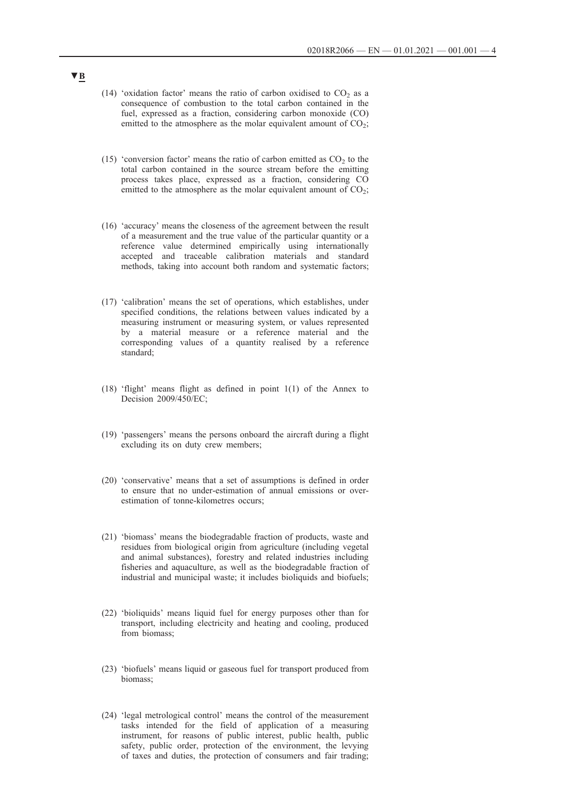- (14) 'oxidation factor' means the ratio of carbon oxidised to  $CO<sub>2</sub>$  as a consequence of combustion to the total carbon contained in the fuel, expressed as a fraction, considering carbon monoxide (CO) emitted to the atmosphere as the molar equivalent amount of  $CO<sub>2</sub>$ ;
- (15) 'conversion factor' means the ratio of carbon emitted as  $CO<sub>2</sub>$  to the total carbon contained in the source stream before the emitting process takes place, expressed as a fraction, considering CO emitted to the atmosphere as the molar equivalent amount of  $CO<sub>2</sub>$ ;
- (16) 'accuracy' means the closeness of the agreement between the result of a measurement and the true value of the particular quantity or a reference value determined empirically using internationally accepted and traceable calibration materials and standard methods, taking into account both random and systematic factors;
- (17) 'calibration' means the set of operations, which establishes, under specified conditions, the relations between values indicated by a measuring instrument or measuring system, or values represented by a material measure or a reference material and the corresponding values of a quantity realised by a reference standard;
- (18) 'flight' means flight as defined in point 1(1) of the Annex to Decision 2009/450/EC;
- (19) 'passengers' means the persons onboard the aircraft during a flight excluding its on duty crew members;
- (20) 'conservative' means that a set of assumptions is defined in order to ensure that no under-estimation of annual emissions or overestimation of tonne-kilometres occurs;
- (21) 'biomass' means the biodegradable fraction of products, waste and residues from biological origin from agriculture (including vegetal and animal substances), forestry and related industries including fisheries and aquaculture, as well as the biodegradable fraction of industrial and municipal waste; it includes bioliquids and biofuels;
- (22) 'bioliquids' means liquid fuel for energy purposes other than for transport, including electricity and heating and cooling, produced from biomass;
- (23) 'biofuels' means liquid or gaseous fuel for transport produced from biomass;
- (24) 'legal metrological control' means the control of the measurement tasks intended for the field of application of a measuring instrument, for reasons of public interest, public health, public safety, public order, protection of the environment, the levying of taxes and duties, the protection of consumers and fair trading;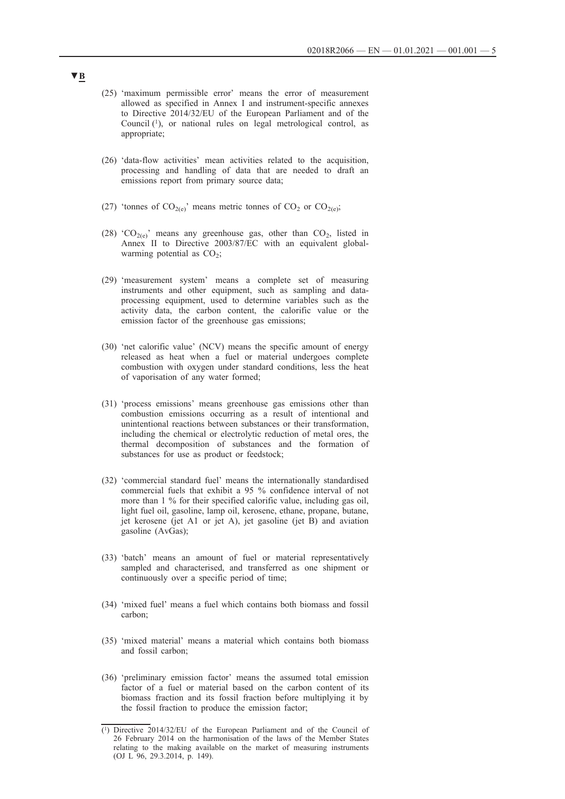- (25) 'maximum permissible error' means the error of measurement allowed as specified in Annex I and instrument-specific annexes to Directive 2014/32/EU of the European Parliament and of the Council (1), or national rules on legal metrological control, as appropriate;
- (26) 'data-flow activities' mean activities related to the acquisition, processing and handling of data that are needed to draft an emissions report from primary source data;
- (27) 'tonnes of  $CO_{2(e)}$ ' means metric tonnes of  $CO_2$  or  $CO_{2(e)}$ ;
- (28) 'CO<sub>2(e)</sub>' means any greenhouse gas, other than CO<sub>2</sub>, listed in Annex II to Directive 2003/87/EC with an equivalent globalwarming potential as  $CO<sub>2</sub>$ ;
- (29) 'measurement system' means a complete set of measuring instruments and other equipment, such as sampling and dataprocessing equipment, used to determine variables such as the activity data, the carbon content, the calorific value or the emission factor of the greenhouse gas emissions;
- (30) 'net calorific value' (NCV) means the specific amount of energy released as heat when a fuel or material undergoes complete combustion with oxygen under standard conditions, less the heat of vaporisation of any water formed;
- (31) 'process emissions' means greenhouse gas emissions other than combustion emissions occurring as a result of intentional and unintentional reactions between substances or their transformation, including the chemical or electrolytic reduction of metal ores, the thermal decomposition of substances and the formation of substances for use as product or feedstock;
- (32) 'commercial standard fuel' means the internationally standardised commercial fuels that exhibit a 95 % confidence interval of not more than 1 % for their specified calorific value, including gas oil, light fuel oil, gasoline, lamp oil, kerosene, ethane, propane, butane, jet kerosene (jet A1 or jet A), jet gasoline (jet B) and aviation gasoline (AvGas);
- (33) 'batch' means an amount of fuel or material representatively sampled and characterised, and transferred as one shipment or continuously over a specific period of time;
- (34) 'mixed fuel' means a fuel which contains both biomass and fossil carbon;
- (35) 'mixed material' means a material which contains both biomass and fossil carbon;
- (36) 'preliminary emission factor' means the assumed total emission factor of a fuel or material based on the carbon content of its biomass fraction and its fossil fraction before multiplying it by the fossil fraction to produce the emission factor;

<sup>(1)</sup> Directive 2014/32/EU of the European Parliament and of the Council of 26 February 2014 on the harmonisation of the laws of the Member States relating to the making available on the market of measuring instruments (OJ L 96, 29.3.2014, p. 149).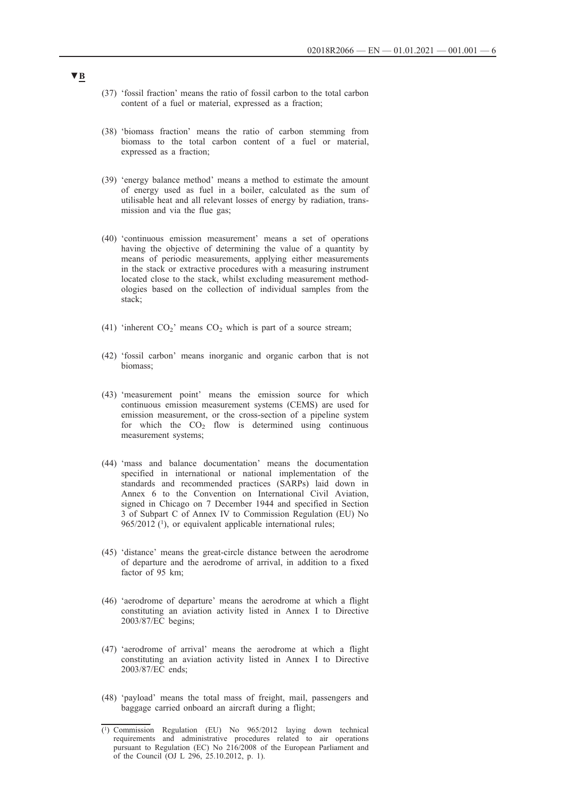- (37) 'fossil fraction' means the ratio of fossil carbon to the total carbon content of a fuel or material, expressed as a fraction;
- (38) 'biomass fraction' means the ratio of carbon stemming from biomass to the total carbon content of a fuel or material, expressed as a fraction;
- (39) 'energy balance method' means a method to estimate the amount of energy used as fuel in a boiler, calculated as the sum of utilisable heat and all relevant losses of energy by radiation, transmission and via the flue gas;
- (40) 'continuous emission measurement' means a set of operations having the objective of determining the value of a quantity by means of periodic measurements, applying either measurements in the stack or extractive procedures with a measuring instrument located close to the stack, whilst excluding measurement methodologies based on the collection of individual samples from the stack;
- (41) 'inherent  $CO<sub>2</sub>$ ' means  $CO<sub>2</sub>$  which is part of a source stream;
- (42) 'fossil carbon' means inorganic and organic carbon that is not biomass;
- (43) 'measurement point' means the emission source for which continuous emission measurement systems (CEMS) are used for emission measurement, or the cross-section of a pipeline system for which the  $CO<sub>2</sub>$  flow is determined using continuous measurement systems;
- (44) 'mass and balance documentation' means the documentation specified in international or national implementation of the standards and recommended practices (SARPs) laid down in Annex 6 to the Convention on International Civil Aviation, signed in Chicago on 7 December 1944 and specified in Section 3 of Subpart C of Annex IV to Commission Regulation (EU) No 965/2012 (1), or equivalent applicable international rules;
- (45) 'distance' means the great-circle distance between the aerodrome of departure and the aerodrome of arrival, in addition to a fixed factor of 95 km;
- (46) 'aerodrome of departure' means the aerodrome at which a flight constituting an aviation activity listed in Annex I to Directive 2003/87/EC begins;
- (47) 'aerodrome of arrival' means the aerodrome at which a flight constituting an aviation activity listed in Annex I to Directive 2003/87/EC ends;
- (48) 'payload' means the total mass of freight, mail, passengers and baggage carried onboard an aircraft during a flight;

<sup>(1)</sup> Commission Regulation (EU) No 965/2012 laying down technical requirements and administrative procedures related to air operations pursuant to Regulation (EC) No 216/2008 of the European Parliament and of the Council (OJ L 296, 25.10.2012, p. 1).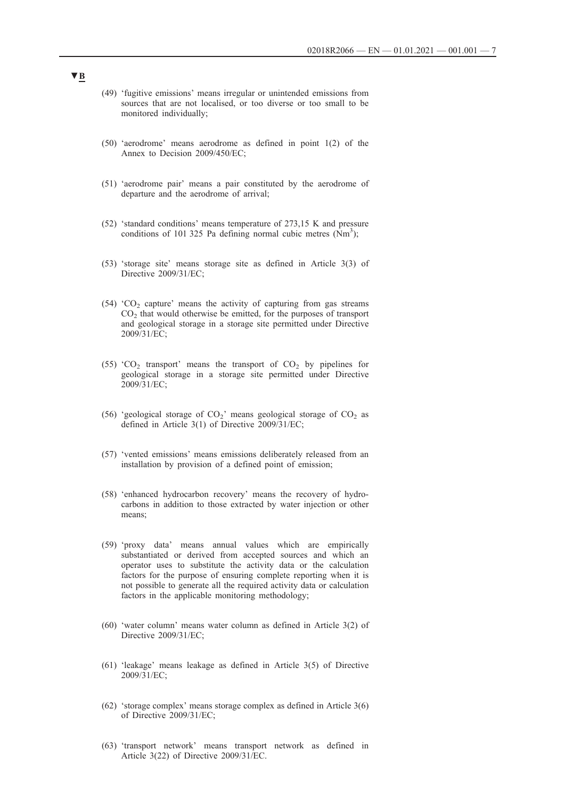- (49) 'fugitive emissions' means irregular or unintended emissions from sources that are not localised, or too diverse or too small to be monitored individually;
- (50) 'aerodrome' means aerodrome as defined in point 1(2) of the Annex to Decision 2009/450/EC;
- (51) 'aerodrome pair' means a pair constituted by the aerodrome of departure and the aerodrome of arrival;
- (52) 'standard conditions' means temperature of 273,15 K and pressure conditions of 101 325 Pa defining normal cubic metres  $(Nm^3)$ ;
- (53) 'storage site' means storage site as defined in Article 3(3) of Directive 2009/31/EC;
- (54) ' $CO<sub>2</sub>$  capture' means the activity of capturing from gas streams  $CO<sub>2</sub>$  that would otherwise be emitted, for the purposes of transport and geological storage in a storage site permitted under Directive 2009/31/EC;
- (55) 'CO<sub>2</sub> transport' means the transport of CO<sub>2</sub> by pipelines for geological storage in a storage site permitted under Directive 2009/31/EC;
- (56) 'geological storage of  $CO_2$ ' means geological storage of  $CO_2$  as defined in Article 3(1) of Directive 2009/31/EC;
- (57) 'vented emissions' means emissions deliberately released from an installation by provision of a defined point of emission;
- (58) 'enhanced hydrocarbon recovery' means the recovery of hydrocarbons in addition to those extracted by water injection or other means;
- (59) 'proxy data' means annual values which are empirically substantiated or derived from accepted sources and which an operator uses to substitute the activity data or the calculation factors for the purpose of ensuring complete reporting when it is not possible to generate all the required activity data or calculation factors in the applicable monitoring methodology;
- (60) 'water column' means water column as defined in Article 3(2) of Directive 2009/31/EC;
- (61) 'leakage' means leakage as defined in Article 3(5) of Directive 2009/31/EC;
- (62) 'storage complex' means storage complex as defined in Article 3(6) of Directive 2009/31/EC;
- (63) 'transport network' means transport network as defined in Article 3(22) of Directive 2009/31/EC.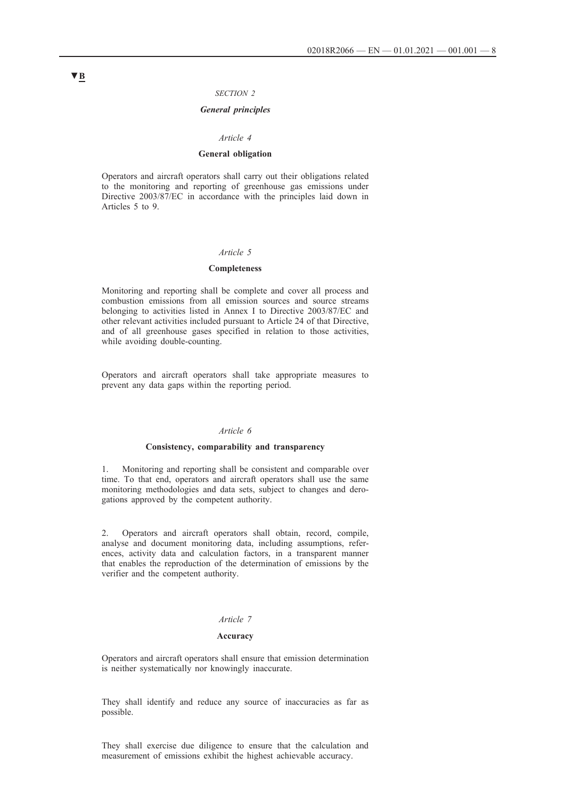### *SECTION 2*

## *General principles*

#### *Article 4*

### **General obligation**

Operators and aircraft operators shall carry out their obligations related to the monitoring and reporting of greenhouse gas emissions under Directive 2003/87/EC in accordance with the principles laid down in Articles 5 to 9.

### *Article 5*

### **Completeness**

Monitoring and reporting shall be complete and cover all process and combustion emissions from all emission sources and source streams belonging to activities listed in Annex I to Directive 2003/87/EC and other relevant activities included pursuant to Article 24 of that Directive, and of all greenhouse gases specified in relation to those activities, while avoiding double-counting.

Operators and aircraft operators shall take appropriate measures to prevent any data gaps within the reporting period.

#### *Article 6*

### **Consistency, comparability and transparency**

1. Monitoring and reporting shall be consistent and comparable over time. To that end, operators and aircraft operators shall use the same monitoring methodologies and data sets, subject to changes and derogations approved by the competent authority.

2. Operators and aircraft operators shall obtain, record, compile, analyse and document monitoring data, including assumptions, references, activity data and calculation factors, in a transparent manner that enables the reproduction of the determination of emissions by the verifier and the competent authority.

## *Article 7*

#### **Accuracy**

Operators and aircraft operators shall ensure that emission determination is neither systematically nor knowingly inaccurate.

They shall identify and reduce any source of inaccuracies as far as possible.

They shall exercise due diligence to ensure that the calculation and measurement of emissions exhibit the highest achievable accuracy.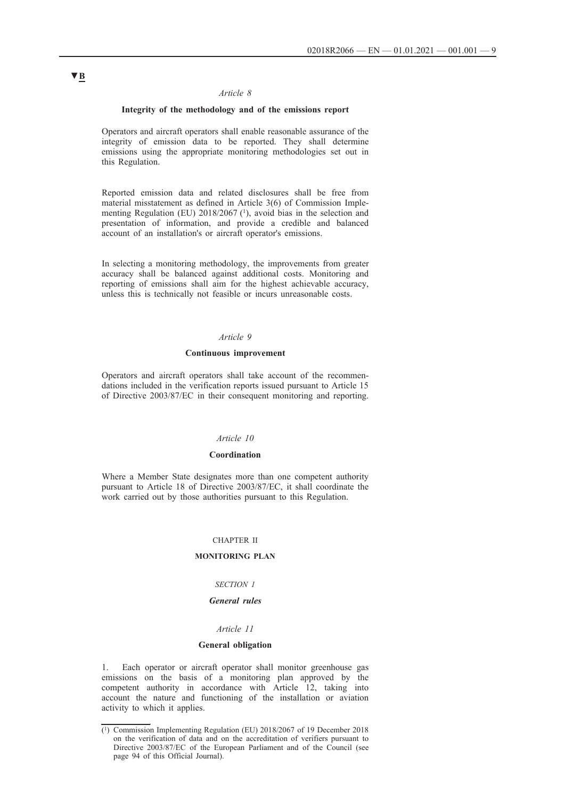### *Article 8*

## **Integrity of the methodology and of the emissions report**

Operators and aircraft operators shall enable reasonable assurance of the integrity of emission data to be reported. They shall determine emissions using the appropriate monitoring methodologies set out in this Regulation.

Reported emission data and related disclosures shall be free from material misstatement as defined in Article 3(6) of Commission Implementing Regulation (EU)  $2018/2067$  (<sup>1</sup>), avoid bias in the selection and presentation of information, and provide a credible and balanced account of an installation's or aircraft operator's emissions.

In selecting a monitoring methodology, the improvements from greater accuracy shall be balanced against additional costs. Monitoring and reporting of emissions shall aim for the highest achievable accuracy, unless this is technically not feasible or incurs unreasonable costs.

## *Article 9*

## **Continuous improvement**

Operators and aircraft operators shall take account of the recommendations included in the verification reports issued pursuant to Article 15 of Directive 2003/87/EC in their consequent monitoring and reporting.

### *Article 10*

### **Coordination**

Where a Member State designates more than one competent authority pursuant to Article 18 of Directive 2003/87/EC, it shall coordinate the work carried out by those authorities pursuant to this Regulation.

#### CHAPTER II

### **MONITORING PLAN**

### *SECTION 1*

## *General rules*

## *Article 11*

### **General obligation**

1. Each operator or aircraft operator shall monitor greenhouse gas emissions on the basis of a monitoring plan approved by the competent authority in accordance with Article 12, taking into account the nature and functioning of the installation or aviation activity to which it applies.

<sup>(1)</sup> Commission Implementing Regulation (EU) 2018/2067 of 19 December 2018 on the verification of data and on the accreditation of verifiers pursuant to Directive 2003/87/EC of the European Parliament and of the Council (see page 94 of this Official Journal).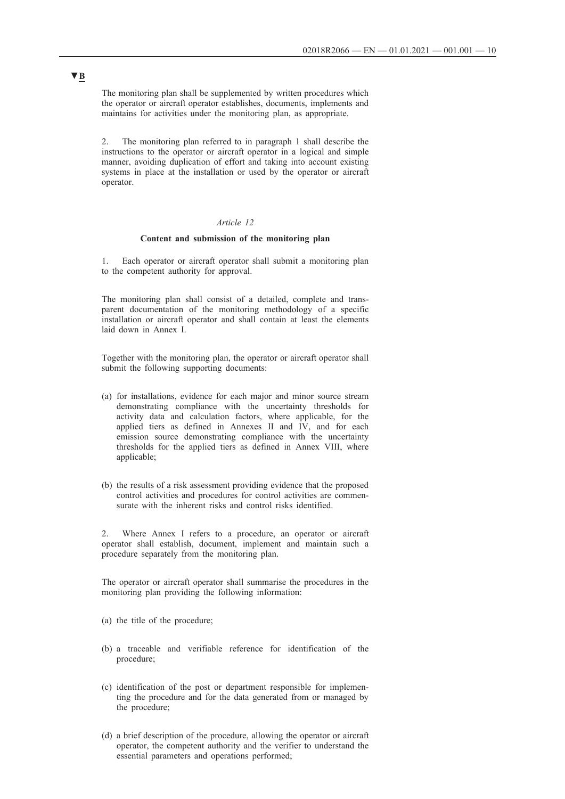The monitoring plan shall be supplemented by written procedures which the operator or aircraft operator establishes, documents, implements and maintains for activities under the monitoring plan, as appropriate.

2. The monitoring plan referred to in paragraph 1 shall describe the instructions to the operator or aircraft operator in a logical and simple manner, avoiding duplication of effort and taking into account existing systems in place at the installation or used by the operator or aircraft operator.

## *Article 12*

### **Content and submission of the monitoring plan**

1. Each operator or aircraft operator shall submit a monitoring plan to the competent authority for approval.

The monitoring plan shall consist of a detailed, complete and transparent documentation of the monitoring methodology of a specific installation or aircraft operator and shall contain at least the elements laid down in Annex I.

Together with the monitoring plan, the operator or aircraft operator shall submit the following supporting documents:

- (a) for installations, evidence for each major and minor source stream demonstrating compliance with the uncertainty thresholds for activity data and calculation factors, where applicable, for the applied tiers as defined in Annexes II and IV, and for each emission source demonstrating compliance with the uncertainty thresholds for the applied tiers as defined in Annex VIII, where applicable;
- (b) the results of a risk assessment providing evidence that the proposed control activities and procedures for control activities are commensurate with the inherent risks and control risks identified.

2. Where Annex I refers to a procedure, an operator or aircraft operator shall establish, document, implement and maintain such a procedure separately from the monitoring plan.

The operator or aircraft operator shall summarise the procedures in the monitoring plan providing the following information:

- (a) the title of the procedure;
- (b) a traceable and verifiable reference for identification of the procedure;
- (c) identification of the post or department responsible for implementing the procedure and for the data generated from or managed by the procedure;
- (d) a brief description of the procedure, allowing the operator or aircraft operator, the competent authority and the verifier to understand the essential parameters and operations performed;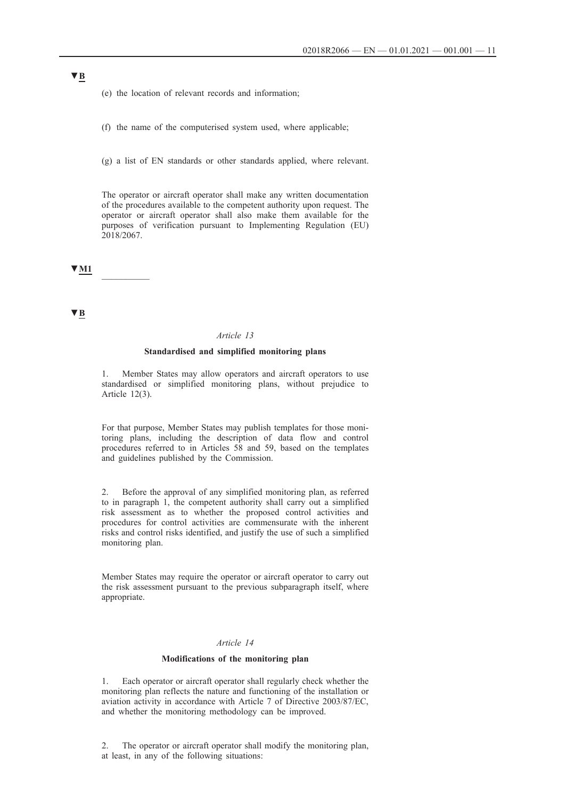(e) the location of relevant records and information;

(f) the name of the computerised system used, where applicable;

(g) a list of EN standards or other standards applied, where relevant.

The operator or aircraft operator shall make any written documentation of the procedures available to the competent authority upon request. The operator or aircraft operator shall also make them available for the purposes of verification pursuant to Implementing Regulation (EU)  $2018/2067$ .

**▼M1** \_\_\_\_\_\_\_\_\_\_

**▼B**

#### *Article 13*

### **Standardised and simplified monitoring plans**

1. Member States may allow operators and aircraft operators to use standardised or simplified monitoring plans, without prejudice to Article 12(3).

For that purpose, Member States may publish templates for those monitoring plans, including the description of data flow and control procedures referred to in Articles 58 and 59, based on the templates and guidelines published by the Commission.

2. Before the approval of any simplified monitoring plan, as referred to in paragraph 1, the competent authority shall carry out a simplified risk assessment as to whether the proposed control activities and procedures for control activities are commensurate with the inherent risks and control risks identified, and justify the use of such a simplified monitoring plan.

Member States may require the operator or aircraft operator to carry out the risk assessment pursuant to the previous subparagraph itself, where appropriate.

## *Article 14*

### **Modifications of the monitoring plan**

1. Each operator or aircraft operator shall regularly check whether the monitoring plan reflects the nature and functioning of the installation or aviation activity in accordance with Article 7 of Directive 2003/87/EC, and whether the monitoring methodology can be improved.

2. The operator or aircraft operator shall modify the monitoring plan, at least, in any of the following situations: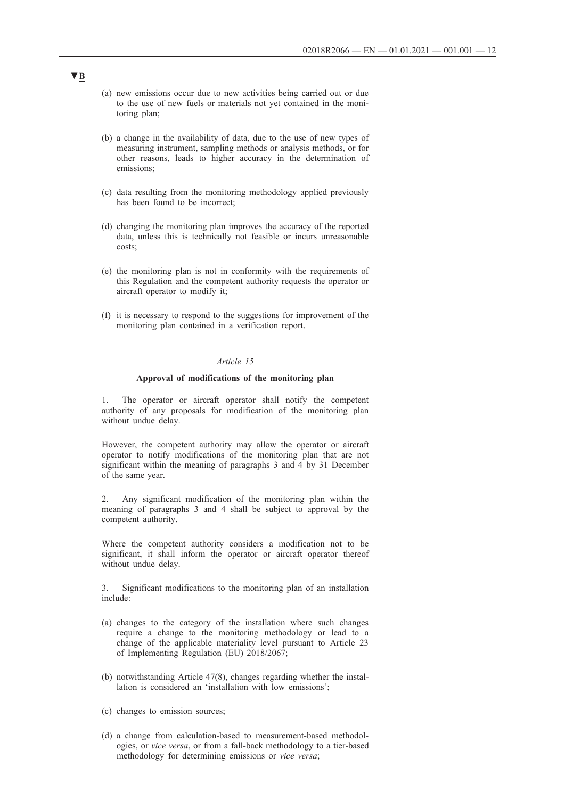- (a) new emissions occur due to new activities being carried out or due to the use of new fuels or materials not yet contained in the monitoring plan;
- (b) a change in the availability of data, due to the use of new types of measuring instrument, sampling methods or analysis methods, or for other reasons, leads to higher accuracy in the determination of emissions;
- (c) data resulting from the monitoring methodology applied previously has been found to be incorrect;
- (d) changing the monitoring plan improves the accuracy of the reported data, unless this is technically not feasible or incurs unreasonable costs;
- (e) the monitoring plan is not in conformity with the requirements of this Regulation and the competent authority requests the operator or aircraft operator to modify it;
- (f) it is necessary to respond to the suggestions for improvement of the monitoring plan contained in a verification report.

### *Article 15*

### **Approval of modifications of the monitoring plan**

1. The operator or aircraft operator shall notify the competent authority of any proposals for modification of the monitoring plan without undue delay.

However, the competent authority may allow the operator or aircraft operator to notify modifications of the monitoring plan that are not significant within the meaning of paragraphs 3 and 4 by 31 December of the same year.

2. Any significant modification of the monitoring plan within the meaning of paragraphs 3 and 4 shall be subject to approval by the competent authority.

Where the competent authority considers a modification not to be significant, it shall inform the operator or aircraft operator thereof without undue delay.

3. Significant modifications to the monitoring plan of an installation include:

- (a) changes to the category of the installation where such changes require a change to the monitoring methodology or lead to a change of the applicable materiality level pursuant to Article 23 of Implementing Regulation (EU) 2018/2067;
- (b) notwithstanding Article 47(8), changes regarding whether the installation is considered an 'installation with low emissions';
- (c) changes to emission sources;
- (d) a change from calculation-based to measurement-based methodologies, or *vice versa*, or from a fall-back methodology to a tier-based methodology for determining emissions or *vice versa*;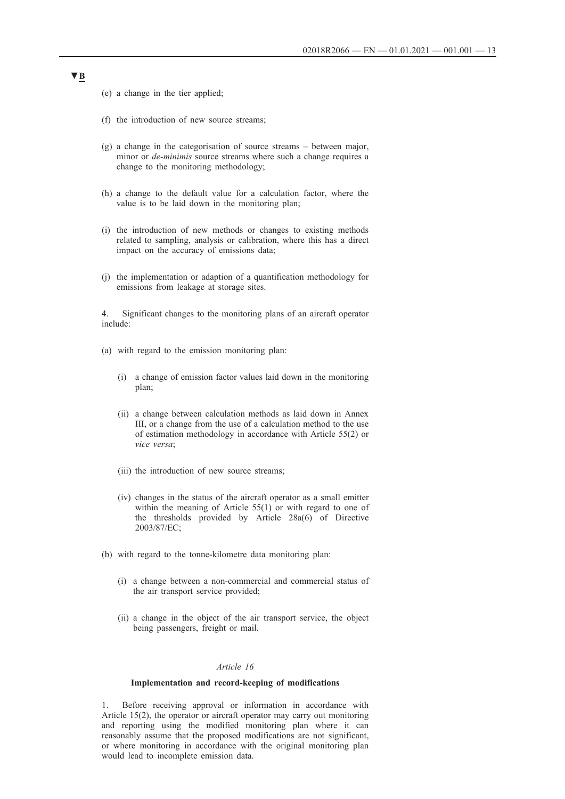(e) a change in the tier applied;

- (f) the introduction of new source streams;
- (g) a change in the categorisation of source streams between major, minor or *de-minimis* source streams where such a change requires a change to the monitoring methodology;
- (h) a change to the default value for a calculation factor, where the value is to be laid down in the monitoring plan;
- (i) the introduction of new methods or changes to existing methods related to sampling, analysis or calibration, where this has a direct impact on the accuracy of emissions data;
- (j) the implementation or adaption of a quantification methodology for emissions from leakage at storage sites.

4. Significant changes to the monitoring plans of an aircraft operator include:

- (a) with regard to the emission monitoring plan:
	- (i) a change of emission factor values laid down in the monitoring plan;
	- (ii) a change between calculation methods as laid down in Annex III, or a change from the use of a calculation method to the use of estimation methodology in accordance with Article 55(2) or *vice versa*;
	- (iii) the introduction of new source streams;
	- (iv) changes in the status of the aircraft operator as a small emitter within the meaning of Article 55(1) or with regard to one of the thresholds provided by Article 28a(6) of Directive 2003/87/EC;
- (b) with regard to the tonne-kilometre data monitoring plan:
	- (i) a change between a non-commercial and commercial status of the air transport service provided;
	- (ii) a change in the object of the air transport service, the object being passengers, freight or mail.

## *Article 16*

### **Implementation and record-keeping of modifications**

1. Before receiving approval or information in accordance with Article 15(2), the operator or aircraft operator may carry out monitoring and reporting using the modified monitoring plan where it can reasonably assume that the proposed modifications are not significant, or where monitoring in accordance with the original monitoring plan would lead to incomplete emission data.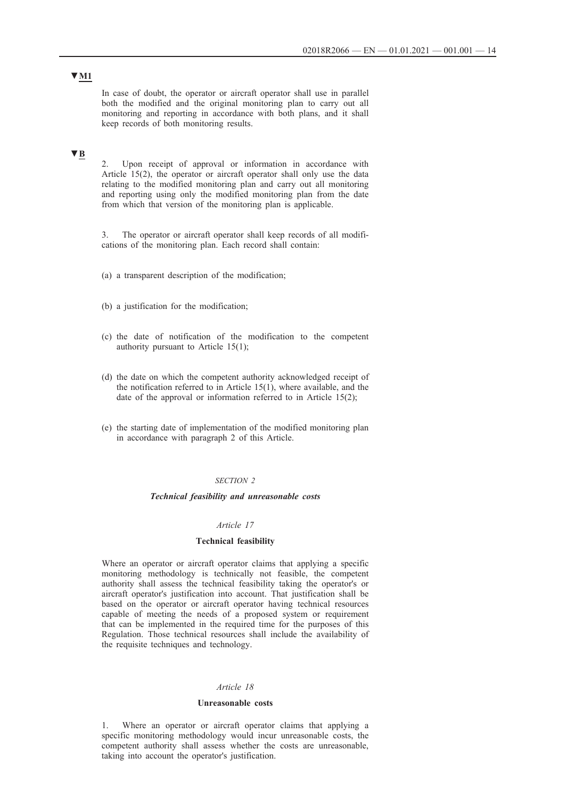In case of doubt, the operator or aircraft operator shall use in parallel both the modified and the original monitoring plan to carry out all monitoring and reporting in accordance with both plans, and it shall keep records of both monitoring results.

# **▼B**

2. Upon receipt of approval or information in accordance with Article 15(2), the operator or aircraft operator shall only use the data relating to the modified monitoring plan and carry out all monitoring and reporting using only the modified monitoring plan from the date from which that version of the monitoring plan is applicable.

3. The operator or aircraft operator shall keep records of all modifications of the monitoring plan. Each record shall contain:

(a) a transparent description of the modification;

- (b) a justification for the modification;
- (c) the date of notification of the modification to the competent authority pursuant to Article 15(1);
- (d) the date on which the competent authority acknowledged receipt of the notification referred to in Article 15(1), where available, and the date of the approval or information referred to in Article 15(2);
- (e) the starting date of implementation of the modified monitoring plan in accordance with paragraph 2 of this Article.

### *SECTION 2*

### *Technical feasibility and unreasonable costs*

## *Article 17*

### **Technical feasibility**

Where an operator or aircraft operator claims that applying a specific monitoring methodology is technically not feasible, the competent authority shall assess the technical feasibility taking the operator's or aircraft operator's justification into account. That justification shall be based on the operator or aircraft operator having technical resources capable of meeting the needs of a proposed system or requirement that can be implemented in the required time for the purposes of this Regulation. Those technical resources shall include the availability of the requisite techniques and technology.

### *Article 18*

### **Unreasonable costs**

1. Where an operator or aircraft operator claims that applying a specific monitoring methodology would incur unreasonable costs, the competent authority shall assess whether the costs are unreasonable, taking into account the operator's justification.

## **▼M1**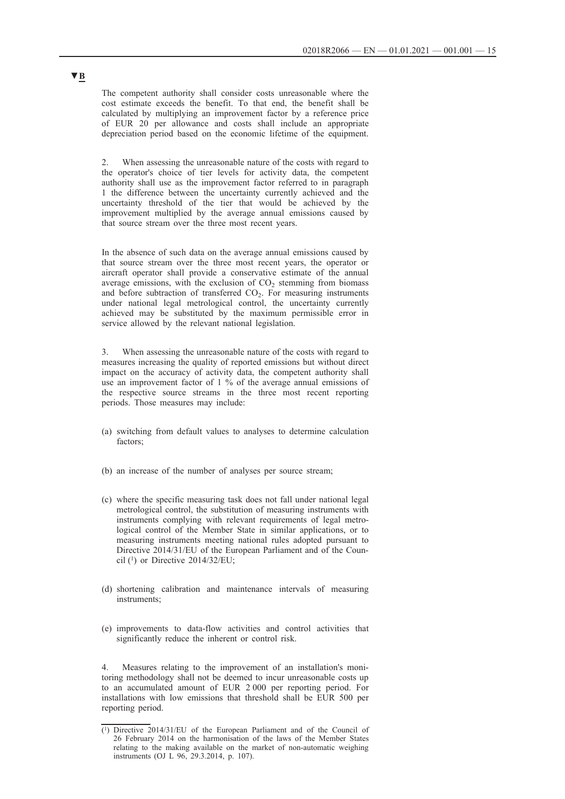The competent authority shall consider costs unreasonable where the cost estimate exceeds the benefit. To that end, the benefit shall be calculated by multiplying an improvement factor by a reference price of EUR 20 per allowance and costs shall include an appropriate depreciation period based on the economic lifetime of the equipment.

2. When assessing the unreasonable nature of the costs with regard to the operator's choice of tier levels for activity data, the competent authority shall use as the improvement factor referred to in paragraph 1 the difference between the uncertainty currently achieved and the uncertainty threshold of the tier that would be achieved by the improvement multiplied by the average annual emissions caused by that source stream over the three most recent years.

In the absence of such data on the average annual emissions caused by that source stream over the three most recent years, the operator or aircraft operator shall provide a conservative estimate of the annual average emissions, with the exclusion of  $CO<sub>2</sub>$  stemming from biomass and before subtraction of transferred  $CO<sub>2</sub>$ . For measuring instruments under national legal metrological control, the uncertainty currently achieved may be substituted by the maximum permissible error in service allowed by the relevant national legislation.

3. When assessing the unreasonable nature of the costs with regard to measures increasing the quality of reported emissions but without direct impact on the accuracy of activity data, the competent authority shall use an improvement factor of 1 % of the average annual emissions of the respective source streams in the three most recent reporting periods. Those measures may include:

- (a) switching from default values to analyses to determine calculation factors;
- (b) an increase of the number of analyses per source stream;
- (c) where the specific measuring task does not fall under national legal metrological control, the substitution of measuring instruments with instruments complying with relevant requirements of legal metrological control of the Member State in similar applications, or to measuring instruments meeting national rules adopted pursuant to Directive 2014/31/EU of the European Parliament and of the Council (1) or Directive 2014/32/EU;
- (d) shortening calibration and maintenance intervals of measuring instruments;
- (e) improvements to data-flow activities and control activities that significantly reduce the inherent or control risk.

4. Measures relating to the improvement of an installation's monitoring methodology shall not be deemed to incur unreasonable costs up to an accumulated amount of EUR 2 000 per reporting period. For installations with low emissions that threshold shall be EUR 500 per reporting period.

<sup>(1)</sup> Directive 2014/31/EU of the European Parliament and of the Council of 26 February 2014 on the harmonisation of the laws of the Member States relating to the making available on the market of non-automatic weighing instruments (OJ L 96, 29.3.2014, p. 107).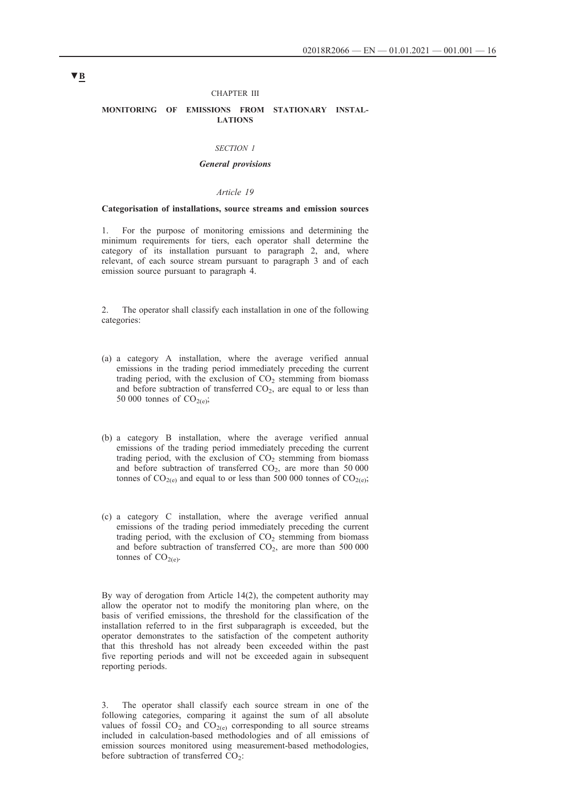#### CHAPTER III

### **MONITORING OF EMISSIONS FROM STATIONARY INSTAL-LATIONS**

#### *SECTION 1*

### *General provisions*

### *Article 19*

### **Categorisation of installations, source streams and emission sources**

1. For the purpose of monitoring emissions and determining the minimum requirements for tiers, each operator shall determine the category of its installation pursuant to paragraph 2, and, where relevant, of each source stream pursuant to paragraph 3 and of each emission source pursuant to paragraph 4.

2. The operator shall classify each installation in one of the following categories:

- (a) a category A installation, where the average verified annual emissions in the trading period immediately preceding the current trading period, with the exclusion of  $CO<sub>2</sub>$  stemming from biomass and before subtraction of transferred  $CO<sub>2</sub>$ , are equal to or less than 50 000 tonnes of  $CO<sub>2(e)</sub>$ ;
- (b) a category B installation, where the average verified annual emissions of the trading period immediately preceding the current trading period, with the exclusion of  $CO<sub>2</sub>$  stemming from biomass and before subtraction of transferred  $CO<sub>2</sub>$ , are more than 50 000 tonnes of  $CO_{2(e)}$  and equal to or less than 500 000 tonnes of  $CO_{2(e)}$ ;
- (c) a category C installation, where the average verified annual emissions of the trading period immediately preceding the current trading period, with the exclusion of  $CO<sub>2</sub>$  stemming from biomass and before subtraction of transferred  $CO<sub>2</sub>$ , are more than 500 000 tonnes of  $CO<sub>2(e)</sub>$ .

By way of derogation from Article 14(2), the competent authority may allow the operator not to modify the monitoring plan where, on the basis of verified emissions, the threshold for the classification of the installation referred to in the first subparagraph is exceeded, but the operator demonstrates to the satisfaction of the competent authority that this threshold has not already been exceeded within the past five reporting periods and will not be exceeded again in subsequent reporting periods.

3. The operator shall classify each source stream in one of the following categories, comparing it against the sum of all absolute values of fossil  $CO_2$  and  $CO_{2(e)}$  corresponding to all source streams included in calculation-based methodologies and of all emissions of emission sources monitored using measurement-based methodologies, before subtraction of transferred  $CO<sub>2</sub>$ :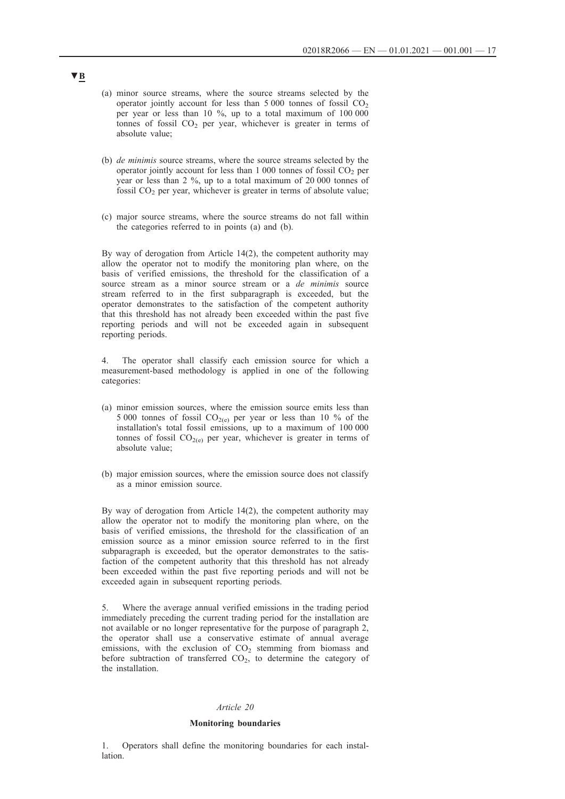- (a) minor source streams, where the source streams selected by the operator jointly account for less than  $5\,000$  tonnes of fossil  $CO<sub>2</sub>$ per year or less than 10 %, up to a total maximum of 100 000 tonnes of fossil  $CO<sub>2</sub>$  per year, whichever is greater in terms of absolute value;
- (b) *de minimis* source streams, where the source streams selected by the operator jointly account for less than  $1\,000$  tonnes of fossil  $CO<sub>2</sub>$  per year or less than 2 %, up to a total maximum of 20 000 tonnes of fossil  $CO<sub>2</sub>$  per year, whichever is greater in terms of absolute value;
- (c) major source streams, where the source streams do not fall within the categories referred to in points (a) and (b).

By way of derogation from Article 14(2), the competent authority may allow the operator not to modify the monitoring plan where, on the basis of verified emissions, the threshold for the classification of a source stream as a minor source stream or a *de minimis* source stream referred to in the first subparagraph is exceeded, but the operator demonstrates to the satisfaction of the competent authority that this threshold has not already been exceeded within the past five reporting periods and will not be exceeded again in subsequent reporting periods.

4. The operator shall classify each emission source for which a measurement-based methodology is applied in one of the following categories:

- (a) minor emission sources, where the emission source emits less than 5 000 tonnes of fossil  $CO<sub>2(e)</sub>$  per year or less than 10 % of the installation's total fossil emissions, up to a maximum of 100 000 tonnes of fossil  $CO<sub>2(e)</sub>$  per year, whichever is greater in terms of absolute value;
- (b) major emission sources, where the emission source does not classify as a minor emission source.

By way of derogation from Article 14(2), the competent authority may allow the operator not to modify the monitoring plan where, on the basis of verified emissions, the threshold for the classification of an emission source as a minor emission source referred to in the first subparagraph is exceeded, but the operator demonstrates to the satisfaction of the competent authority that this threshold has not already been exceeded within the past five reporting periods and will not be exceeded again in subsequent reporting periods.

5. Where the average annual verified emissions in the trading period immediately preceding the current trading period for the installation are not available or no longer representative for the purpose of paragraph 2, the operator shall use a conservative estimate of annual average emissions, with the exclusion of  $CO<sub>2</sub>$  stemming from biomass and before subtraction of transferred  $CO<sub>2</sub>$ , to determine the category of the installation.

### *Article 20*

#### **Monitoring boundaries**

1. Operators shall define the monitoring boundaries for each installation.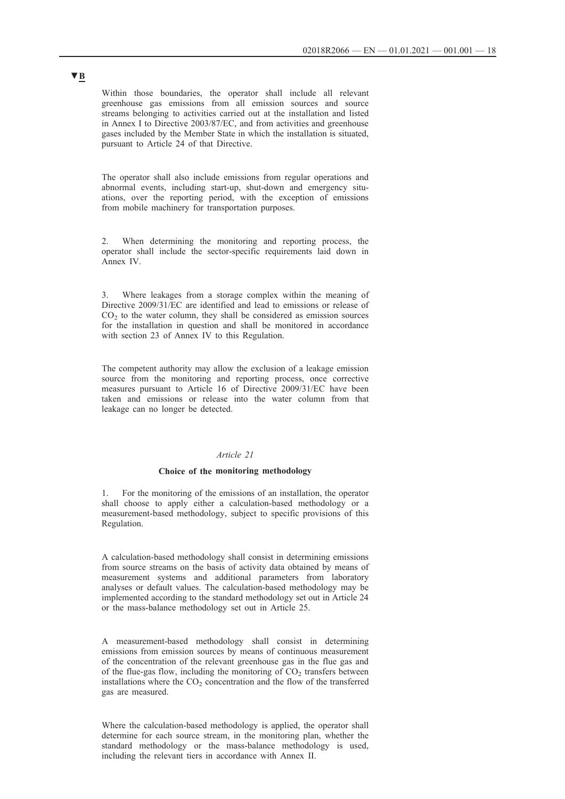Within those boundaries, the operator shall include all relevant greenhouse gas emissions from all emission sources and source streams belonging to activities carried out at the installation and listed in Annex I to Directive 2003/87/EC, and from activities and greenhouse gases included by the Member State in which the installation is situated, pursuant to Article 24 of that Directive.

The operator shall also include emissions from regular operations and abnormal events, including start-up, shut-down and emergency situations, over the reporting period, with the exception of emissions from mobile machinery for transportation purposes.

2. When determining the monitoring and reporting process, the operator shall include the sector-specific requirements laid down in Annex IV.

3. Where leakages from a storage complex within the meaning of Directive 2009/31/EC are identified and lead to emissions or release of  $CO<sub>2</sub>$  to the water column, they shall be considered as emission sources for the installation in question and shall be monitored in accordance with section 23 of Annex IV to this Regulation.

The competent authority may allow the exclusion of a leakage emission source from the monitoring and reporting process, once corrective measures pursuant to Article 16 of Directive 2009/31/EC have been taken and emissions or release into the water column from that leakage can no longer be detected.

### *Article 21*

### **Choice of the monitoring methodology**

1. For the monitoring of the emissions of an installation, the operator shall choose to apply either a calculation-based methodology or a measurement-based methodology, subject to specific provisions of this Regulation.

A calculation-based methodology shall consist in determining emissions from source streams on the basis of activity data obtained by means of measurement systems and additional parameters from laboratory analyses or default values. The calculation-based methodology may be implemented according to the standard methodology set out in Article 24 or the mass-balance methodology set out in Article 25.

A measurement-based methodology shall consist in determining emissions from emission sources by means of continuous measurement of the concentration of the relevant greenhouse gas in the flue gas and of the flue-gas flow, including the monitoring of  $CO<sub>2</sub>$  transfers between installations where the  $CO<sub>2</sub>$  concentration and the flow of the transferred gas are measured.

Where the calculation-based methodology is applied, the operator shall determine for each source stream, in the monitoring plan, whether the standard methodology or the mass-balance methodology is used, including the relevant tiers in accordance with Annex II.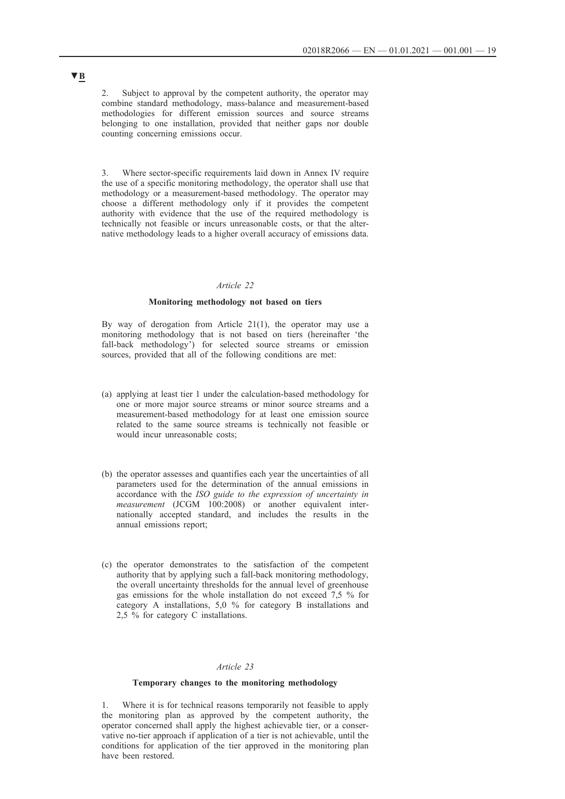2. Subject to approval by the competent authority, the operator may combine standard methodology, mass-balance and measurement-based methodologies for different emission sources and source streams belonging to one installation, provided that neither gaps nor double counting concerning emissions occur.

3. Where sector-specific requirements laid down in Annex IV require the use of a specific monitoring methodology, the operator shall use that methodology or a measurement-based methodology. The operator may choose a different methodology only if it provides the competent authority with evidence that the use of the required methodology is technically not feasible or incurs unreasonable costs, or that the alternative methodology leads to a higher overall accuracy of emissions data.

## *Article 22*

### **Monitoring methodology not based on tiers**

By way of derogation from Article  $21(1)$ , the operator may use a monitoring methodology that is not based on tiers (hereinafter 'the fall-back methodology') for selected source streams or emission sources, provided that all of the following conditions are met:

- (a) applying at least tier 1 under the calculation-based methodology for one or more major source streams or minor source streams and a measurement-based methodology for at least one emission source related to the same source streams is technically not feasible or would incur unreasonable costs;
- (b) the operator assesses and quantifies each year the uncertainties of all parameters used for the determination of the annual emissions in accordance with the *ISO guide to the expression of uncertainty in measurement* (JCGM 100:2008) or another equivalent internationally accepted standard, and includes the results in the annual emissions report;
- (c) the operator demonstrates to the satisfaction of the competent authority that by applying such a fall-back monitoring methodology, the overall uncertainty thresholds for the annual level of greenhouse gas emissions for the whole installation do not exceed 7,5 % for category A installations, 5,0 % for category B installations and 2,5 % for category C installations.

## *Article 23*

### **Temporary changes to the monitoring methodology**

1. Where it is for technical reasons temporarily not feasible to apply the monitoring plan as approved by the competent authority, the operator concerned shall apply the highest achievable tier, or a conservative no-tier approach if application of a tier is not achievable, until the conditions for application of the tier approved in the monitoring plan have been restored.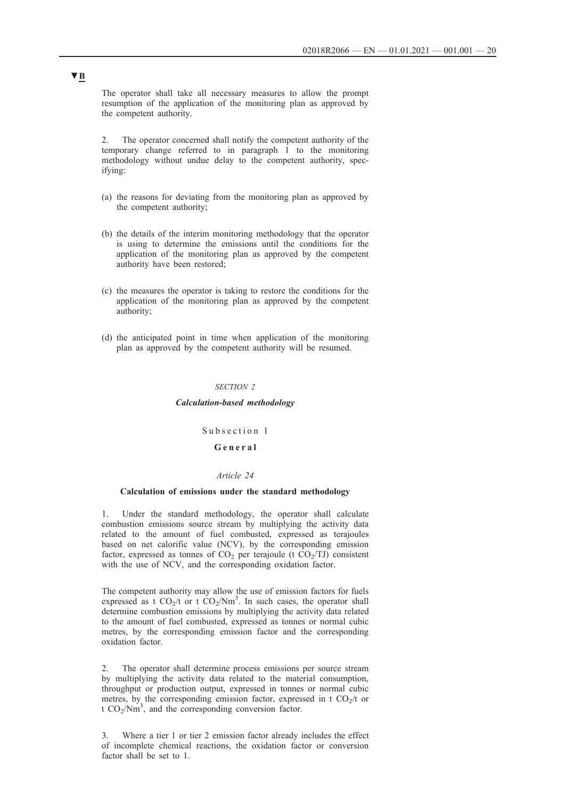The operator shall take all necessary measures to allow the prompt resumption of the application of the monitoring plan as approved by the competent authority.

2. The operator concerned shall notify the competent authority of the temporary change referred to in paragraph 1 to the monitoring methodology without undue delay to the competent authority, specifying:

- (a) the reasons for deviating from the monitoring plan as approved by the competent authority;
- (b) the details of the interim monitoring methodology that the operator is using to determine the emissions until the conditions for the application of the monitoring plan as approved by the competent authority have been restored;
- (c) the measures the operator is taking to restore the conditions for the application of the monitoring plan as approved by the competent authority;
- (d) the anticipated point in time when application of the monitoring plan as approved by the competent authority will be resumed.

#### *SECTION 2*

*Calculation-based methodology*

Subsection 1

### **G e n e r a l**

### *Article 24*

### **Calculation of emissions under the standard methodology**

1. Under the standard methodology, the operator shall calculate combustion emissions source stream by multiplying the activity data related to the amount of fuel combusted, expressed as terajoules based on net calorific value (NCV), by the corresponding emission factor, expressed as tonnes of  $CO<sub>2</sub>$  per terajoule (t  $CO<sub>2</sub>/TJ$ ) consistent with the use of NCV, and the corresponding oxidation factor.

The competent authority may allow the use of emission factors for fuels expressed as t  $CO_2/t$  or t  $CO_2/Nm^3$ . In such cases, the operator shall determine combustion emissions by multiplying the activity data related to the amount of fuel combusted, expressed as tonnes or normal cubic metres, by the corresponding emission factor and the corresponding oxidation factor.

2. The operator shall determine process emissions per source stream by multiplying the activity data related to the material consumption, throughput or production output, expressed in tonnes or normal cubic metres, by the corresponding emission factor, expressed in t  $CO_2/t$  or  $\text{t CO}_2/\text{Nm}^3$ , and the corresponding conversion factor.

3. Where a tier 1 or tier 2 emission factor already includes the effect of incomplete chemical reactions, the oxidation factor or conversion factor shall be set to 1.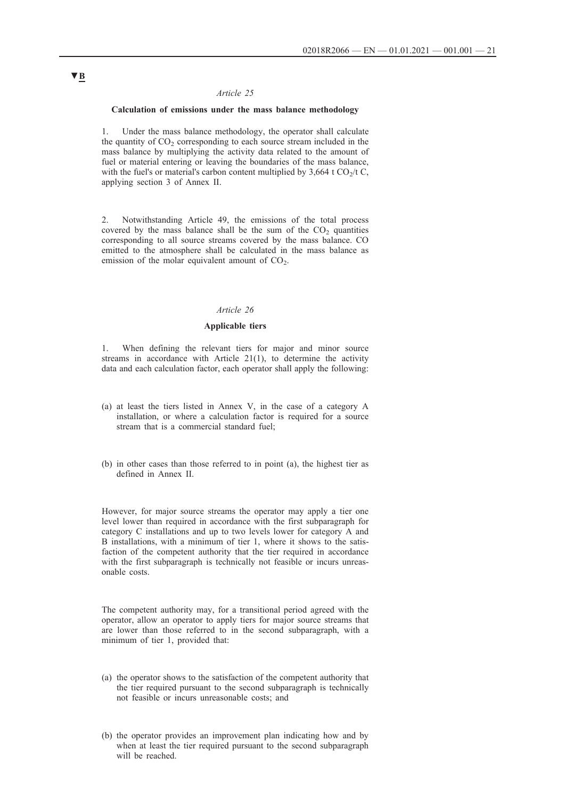## *Article 25*

## **Calculation of emissions under the mass balance methodology**

1. Under the mass balance methodology, the operator shall calculate the quantity of  $CO<sub>2</sub>$  corresponding to each source stream included in the mass balance by multiplying the activity data related to the amount of fuel or material entering or leaving the boundaries of the mass balance, with the fuel's or material's carbon content multiplied by  $3,664$  t CO<sub>2</sub>/t C, applying section 3 of Annex II.

2. Notwithstanding Article 49, the emissions of the total process covered by the mass balance shall be the sum of the  $CO<sub>2</sub>$  quantities corresponding to all source streams covered by the mass balance. CO emitted to the atmosphere shall be calculated in the mass balance as emission of the molar equivalent amount of  $CO<sub>2</sub>$ .

## *Article 26*

## **Applicable tiers**

1. When defining the relevant tiers for major and minor source streams in accordance with Article 21(1), to determine the activity data and each calculation factor, each operator shall apply the following:

- (a) at least the tiers listed in Annex V, in the case of a category A installation, or where a calculation factor is required for a source stream that is a commercial standard fuel;
- (b) in other cases than those referred to in point (a), the highest tier as defined in Annex II.

However, for major source streams the operator may apply a tier one level lower than required in accordance with the first subparagraph for category C installations and up to two levels lower for category A and B installations, with a minimum of tier 1, where it shows to the satisfaction of the competent authority that the tier required in accordance with the first subparagraph is technically not feasible or incurs unreasonable costs.

The competent authority may, for a transitional period agreed with the operator, allow an operator to apply tiers for major source streams that are lower than those referred to in the second subparagraph, with a minimum of tier 1, provided that:

- (a) the operator shows to the satisfaction of the competent authority that the tier required pursuant to the second subparagraph is technically not feasible or incurs unreasonable costs; and
- (b) the operator provides an improvement plan indicating how and by when at least the tier required pursuant to the second subparagraph will be reached.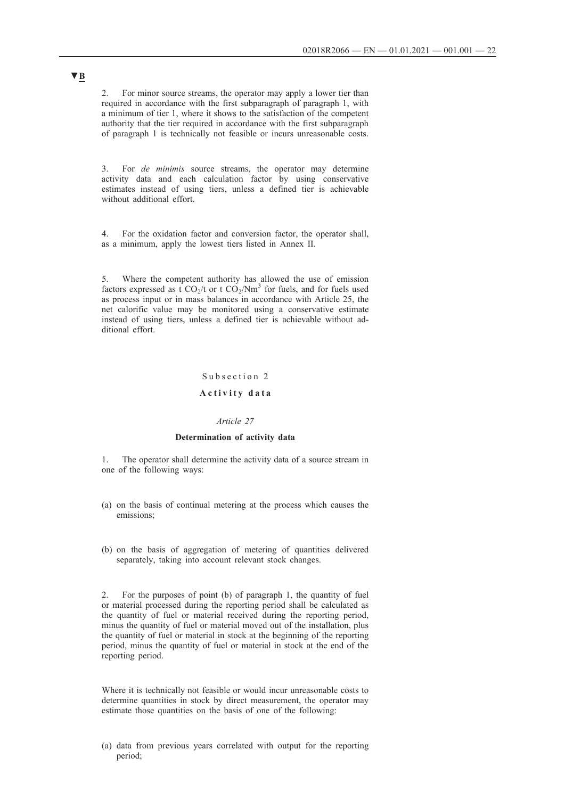2. For minor source streams, the operator may apply a lower tier than required in accordance with the first subparagraph of paragraph 1, with a minimum of tier 1, where it shows to the satisfaction of the competent authority that the tier required in accordance with the first subparagraph of paragraph 1 is technically not feasible or incurs unreasonable costs.

3. For *de minimis* source streams, the operator may determine activity data and each calculation factor by using conservative estimates instead of using tiers, unless a defined tier is achievable without additional effort.

4. For the oxidation factor and conversion factor, the operator shall, as a minimum, apply the lowest tiers listed in Annex II.

5. Where the competent authority has allowed the use of emission factors expressed as  $\frac{1}{2}CO_2/t$  or t  $CO_2/Nm^3$  for fuels, and for fuels used as process input or in mass balances in accordance with Article 25, the net calorific value may be monitored using a conservative estimate instead of using tiers, unless a defined tier is achievable without additional effort.

# Subsection 2 **A c t i v i t y d a t a**

## *Article 27*

### **Determination of activity data**

1. The operator shall determine the activity data of a source stream in one of the following ways:

- (a) on the basis of continual metering at the process which causes the emissions;
- (b) on the basis of aggregation of metering of quantities delivered separately, taking into account relevant stock changes.

2. For the purposes of point (b) of paragraph 1, the quantity of fuel or material processed during the reporting period shall be calculated as the quantity of fuel or material received during the reporting period, minus the quantity of fuel or material moved out of the installation, plus the quantity of fuel or material in stock at the beginning of the reporting period, minus the quantity of fuel or material in stock at the end of the reporting period.

Where it is technically not feasible or would incur unreasonable costs to determine quantities in stock by direct measurement, the operator may estimate those quantities on the basis of one of the following:

(a) data from previous years correlated with output for the reporting period;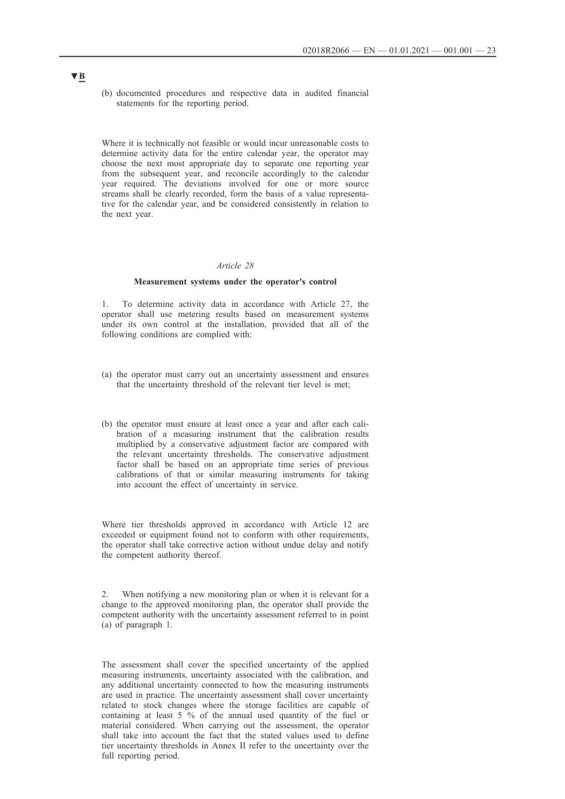(b) documented procedures and respective data in audited financial statements for the reporting period.

Where it is technically not feasible or would incur unreasonable costs to determine activity data for the entire calendar year, the operator may choose the next most appropriate day to separate one reporting year from the subsequent year, and reconcile accordingly to the calendar year required. The deviations involved for one or more source streams shall be clearly recorded, form the basis of a value representative for the calendar year, and be considered consistently in relation to the next year.

### *Article 28*

#### **Measurement systems under the operator's control**

1. To determine activity data in accordance with Article 27, the operator shall use metering results based on measurement systems under its own control at the installation, provided that all of the following conditions are complied with:

- (a) the operator must carry out an uncertainty assessment and ensures that the uncertainty threshold of the relevant tier level is met;
- (b) the operator must ensure at least once a year and after each calibration of a measuring instrument that the calibration results multiplied by a conservative adjustment factor are compared with the relevant uncertainty thresholds. The conservative adjustment factor shall be based on an appropriate time series of previous calibrations of that or similar measuring instruments for taking into account the effect of uncertainty in service.

Where tier thresholds approved in accordance with Article 12 are exceeded or equipment found not to conform with other requirements, the operator shall take corrective action without undue delay and notify the competent authority thereof.

2. When notifying a new monitoring plan or when it is relevant for a change to the approved monitoring plan, the operator shall provide the competent authority with the uncertainty assessment referred to in point (a) of paragraph 1.

The assessment shall cover the specified uncertainty of the applied measuring instruments, uncertainty associated with the calibration, and any additional uncertainty connected to how the measuring instruments are used in practice. The uncertainty assessment shall cover uncertainty related to stock changes where the storage facilities are capable of containing at least 5 % of the annual used quantity of the fuel or material considered. When carrying out the assessment, the operator shall take into account the fact that the stated values used to define tier uncertainty thresholds in Annex II refer to the uncertainty over the full reporting period.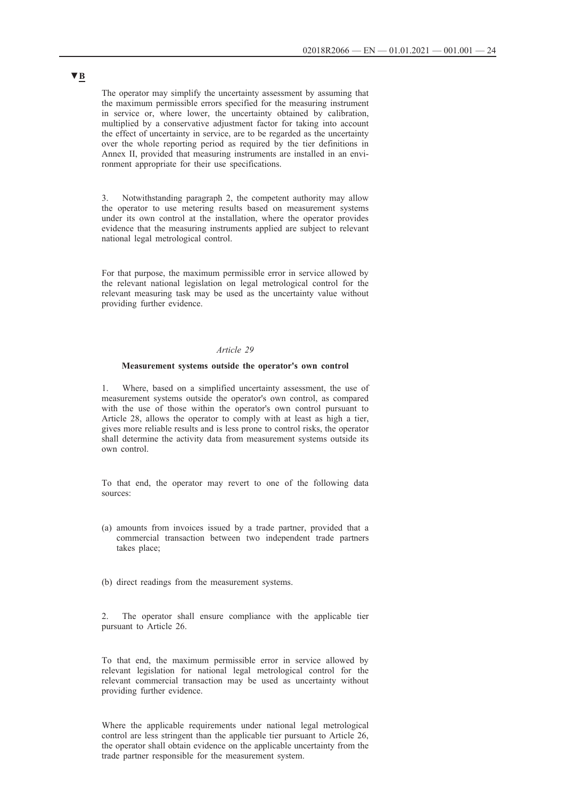The operator may simplify the uncertainty assessment by assuming that the maximum permissible errors specified for the measuring instrument in service or, where lower, the uncertainty obtained by calibration, multiplied by a conservative adjustment factor for taking into account the effect of uncertainty in service, are to be regarded as the uncertainty over the whole reporting period as required by the tier definitions in Annex II, provided that measuring instruments are installed in an environment appropriate for their use specifications.

3. Notwithstanding paragraph 2, the competent authority may allow the operator to use metering results based on measurement systems under its own control at the installation, where the operator provides evidence that the measuring instruments applied are subject to relevant national legal metrological control.

For that purpose, the maximum permissible error in service allowed by the relevant national legislation on legal metrological control for the relevant measuring task may be used as the uncertainty value without providing further evidence.

### *Article 29*

#### **Measurement systems outside the operator's own control**

1. Where, based on a simplified uncertainty assessment, the use of measurement systems outside the operator's own control, as compared with the use of those within the operator's own control pursuant to Article 28, allows the operator to comply with at least as high a tier, gives more reliable results and is less prone to control risks, the operator shall determine the activity data from measurement systems outside its own control.

To that end, the operator may revert to one of the following data sources:

- (a) amounts from invoices issued by a trade partner, provided that a commercial transaction between two independent trade partners takes place;
- (b) direct readings from the measurement systems.

2. The operator shall ensure compliance with the applicable tier pursuant to Article 26.

To that end, the maximum permissible error in service allowed by relevant legislation for national legal metrological control for the relevant commercial transaction may be used as uncertainty without providing further evidence.

Where the applicable requirements under national legal metrological control are less stringent than the applicable tier pursuant to Article 26, the operator shall obtain evidence on the applicable uncertainty from the trade partner responsible for the measurement system.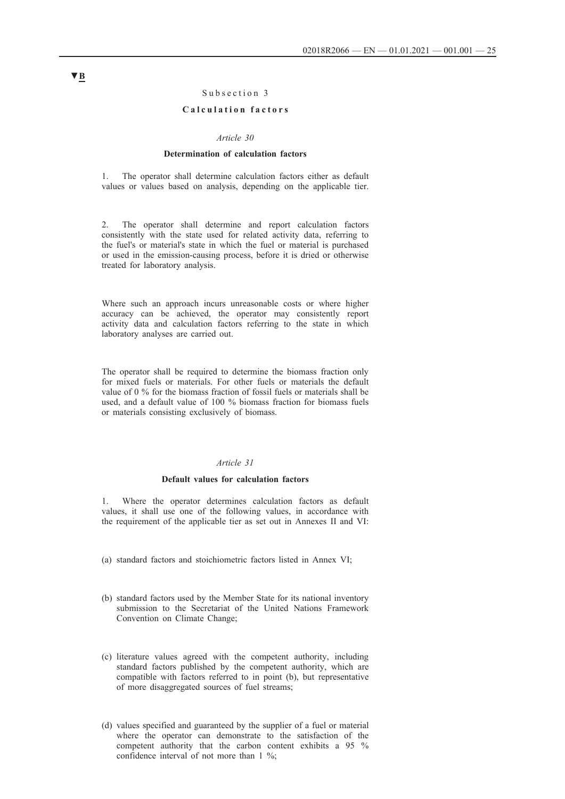## Subsection 3

## **C a l c u l a t i o n f a c t o r s**

### *Article 30*

#### **Determination of calculation factors**

1. The operator shall determine calculation factors either as default values or values based on analysis, depending on the applicable tier.

2. The operator shall determine and report calculation factors consistently with the state used for related activity data, referring to the fuel's or material's state in which the fuel or material is purchased or used in the emission-causing process, before it is dried or otherwise treated for laboratory analysis.

Where such an approach incurs unreasonable costs or where higher accuracy can be achieved, the operator may consistently report activity data and calculation factors referring to the state in which laboratory analyses are carried out.

The operator shall be required to determine the biomass fraction only for mixed fuels or materials. For other fuels or materials the default value of 0 % for the biomass fraction of fossil fuels or materials shall be used, and a default value of 100 % biomass fraction for biomass fuels or materials consisting exclusively of biomass.

### *Article 31*

#### **Default values for calculation factors**

1. Where the operator determines calculation factors as default values, it shall use one of the following values, in accordance with the requirement of the applicable tier as set out in Annexes II and VI:

- (a) standard factors and stoichiometric factors listed in Annex VI;
- (b) standard factors used by the Member State for its national inventory submission to the Secretariat of the United Nations Framework Convention on Climate Change;
- (c) literature values agreed with the competent authority, including standard factors published by the competent authority, which are compatible with factors referred to in point (b), but representative of more disaggregated sources of fuel streams;
- (d) values specified and guaranteed by the supplier of a fuel or material where the operator can demonstrate to the satisfaction of the competent authority that the carbon content exhibits a 95 % confidence interval of not more than 1 %;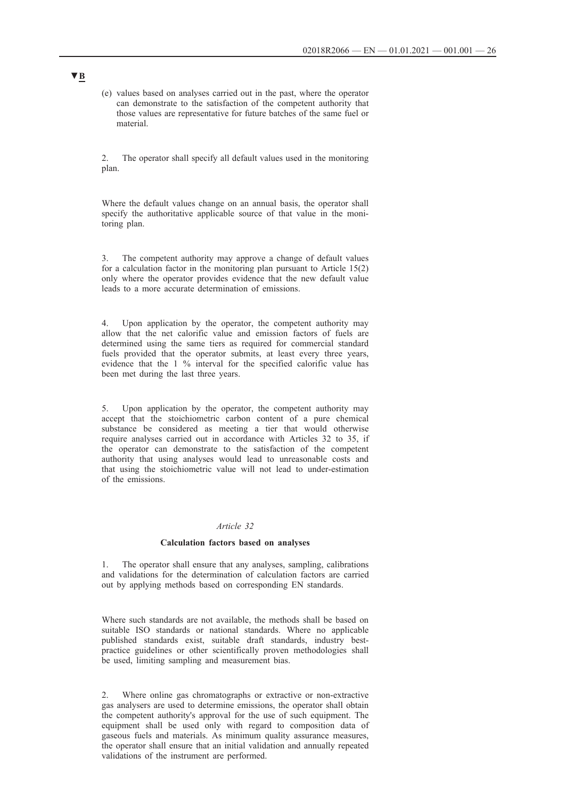(e) values based on analyses carried out in the past, where the operator can demonstrate to the satisfaction of the competent authority that those values are representative for future batches of the same fuel or material.

2. The operator shall specify all default values used in the monitoring plan.

Where the default values change on an annual basis, the operator shall specify the authoritative applicable source of that value in the monitoring plan.

3. The competent authority may approve a change of default values for a calculation factor in the monitoring plan pursuant to Article 15(2) only where the operator provides evidence that the new default value leads to a more accurate determination of emissions.

4. Upon application by the operator, the competent authority may allow that the net calorific value and emission factors of fuels are determined using the same tiers as required for commercial standard fuels provided that the operator submits, at least every three years, evidence that the 1 % interval for the specified calorific value has been met during the last three years.

5. Upon application by the operator, the competent authority may accept that the stoichiometric carbon content of a pure chemical substance be considered as meeting a tier that would otherwise require analyses carried out in accordance with Articles 32 to 35, if the operator can demonstrate to the satisfaction of the competent authority that using analyses would lead to unreasonable costs and that using the stoichiometric value will not lead to under-estimation of the emissions.

## *Article 32*

#### **Calculation factors based on analyses**

1. The operator shall ensure that any analyses, sampling, calibrations and validations for the determination of calculation factors are carried out by applying methods based on corresponding EN standards.

Where such standards are not available, the methods shall be based on suitable ISO standards or national standards. Where no applicable published standards exist, suitable draft standards, industry bestpractice guidelines or other scientifically proven methodologies shall be used, limiting sampling and measurement bias.

2. Where online gas chromatographs or extractive or non-extractive gas analysers are used to determine emissions, the operator shall obtain the competent authority's approval for the use of such equipment. The equipment shall be used only with regard to composition data of gaseous fuels and materials. As minimum quality assurance measures, the operator shall ensure that an initial validation and annually repeated validations of the instrument are performed.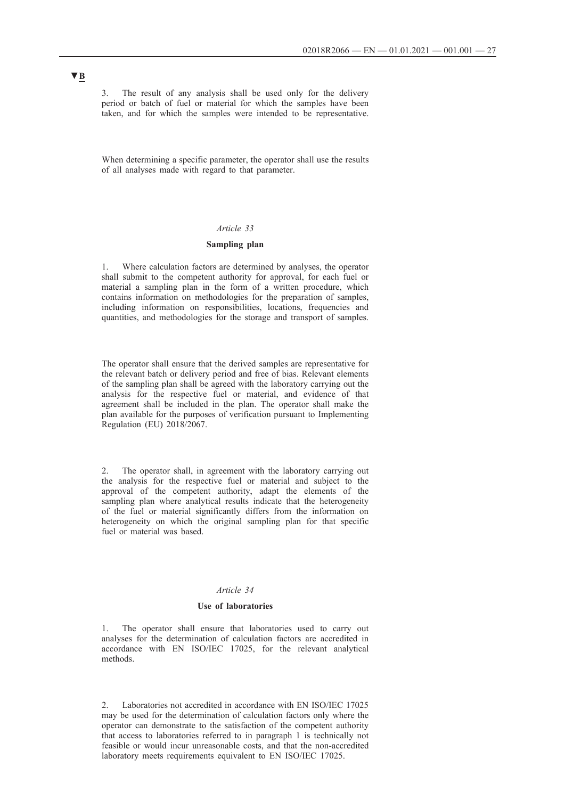3. The result of any analysis shall be used only for the delivery period or batch of fuel or material for which the samples have been taken, and for which the samples were intended to be representative.

When determining a specific parameter, the operator shall use the results of all analyses made with regard to that parameter.

### *Article 33*

## **Sampling plan**

1. Where calculation factors are determined by analyses, the operator shall submit to the competent authority for approval, for each fuel or material a sampling plan in the form of a written procedure, which contains information on methodologies for the preparation of samples, including information on responsibilities, locations, frequencies and quantities, and methodologies for the storage and transport of samples.

The operator shall ensure that the derived samples are representative for the relevant batch or delivery period and free of bias. Relevant elements of the sampling plan shall be agreed with the laboratory carrying out the analysis for the respective fuel or material, and evidence of that agreement shall be included in the plan. The operator shall make the plan available for the purposes of verification pursuant to Implementing Regulation (EU) 2018/2067.

2. The operator shall, in agreement with the laboratory carrying out the analysis for the respective fuel or material and subject to the approval of the competent authority, adapt the elements of the sampling plan where analytical results indicate that the heterogeneity of the fuel or material significantly differs from the information on heterogeneity on which the original sampling plan for that specific fuel or material was based.

## *Article 34*

### **Use of laboratories**

The operator shall ensure that laboratories used to carry out analyses for the determination of calculation factors are accredited in accordance with EN ISO/IEC 17025, for the relevant analytical methods.

2. Laboratories not accredited in accordance with EN ISO/IEC 17025 may be used for the determination of calculation factors only where the operator can demonstrate to the satisfaction of the competent authority that access to laboratories referred to in paragraph 1 is technically not feasible or would incur unreasonable costs, and that the non-accredited laboratory meets requirements equivalent to EN ISO/IEC 17025.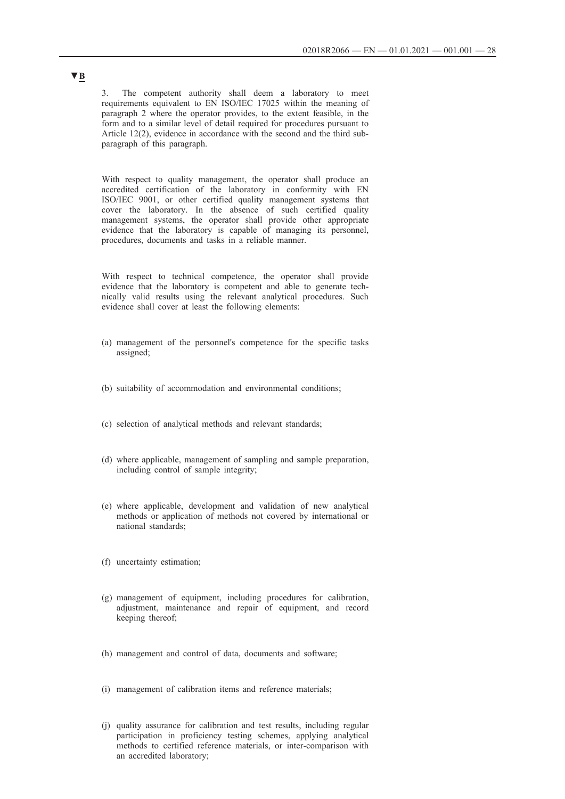3. The competent authority shall deem a laboratory to meet requirements equivalent to EN ISO/IEC 17025 within the meaning of paragraph 2 where the operator provides, to the extent feasible, in the form and to a similar level of detail required for procedures pursuant to Article 12(2), evidence in accordance with the second and the third subparagraph of this paragraph.

With respect to quality management, the operator shall produce an accredited certification of the laboratory in conformity with EN ISO/IEC 9001, or other certified quality management systems that cover the laboratory. In the absence of such certified quality management systems, the operator shall provide other appropriate evidence that the laboratory is capable of managing its personnel, procedures, documents and tasks in a reliable manner.

With respect to technical competence, the operator shall provide evidence that the laboratory is competent and able to generate technically valid results using the relevant analytical procedures. Such evidence shall cover at least the following elements:

- (a) management of the personnel's competence for the specific tasks assigned;
- (b) suitability of accommodation and environmental conditions;
- (c) selection of analytical methods and relevant standards;
- (d) where applicable, management of sampling and sample preparation, including control of sample integrity;
- (e) where applicable, development and validation of new analytical methods or application of methods not covered by international or national standards;
- (f) uncertainty estimation;
- (g) management of equipment, including procedures for calibration, adjustment, maintenance and repair of equipment, and record keeping thereof;
- (h) management and control of data, documents and software;
- (i) management of calibration items and reference materials;
- (j) quality assurance for calibration and test results, including regular participation in proficiency testing schemes, applying analytical methods to certified reference materials, or inter-comparison with an accredited laboratory;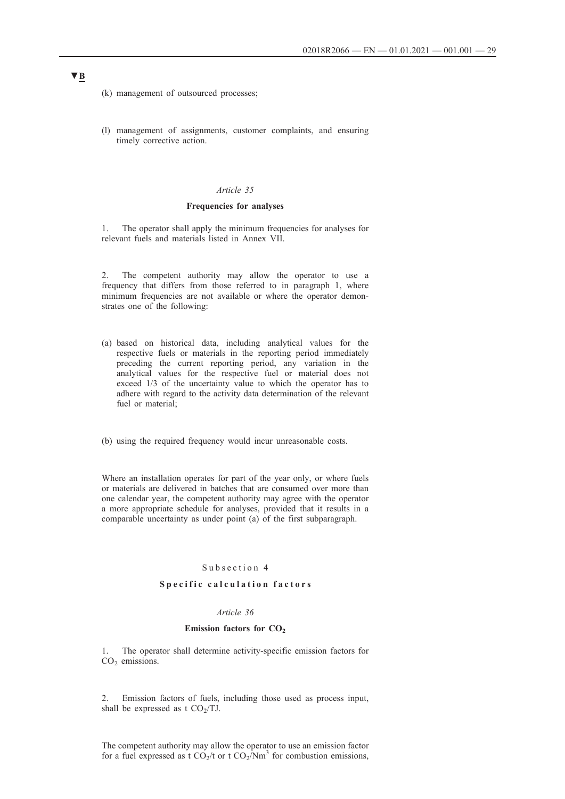(k) management of outsourced processes;

(l) management of assignments, customer complaints, and ensuring timely corrective action.

### *Article 35*

### **Frequencies for analyses**

1. The operator shall apply the minimum frequencies for analyses for relevant fuels and materials listed in Annex VII.

2. The competent authority may allow the operator to use a frequency that differs from those referred to in paragraph 1, where minimum frequencies are not available or where the operator demonstrates one of the following:

- (a) based on historical data, including analytical values for the respective fuels or materials in the reporting period immediately preceding the current reporting period, any variation in the analytical values for the respective fuel or material does not exceed 1/3 of the uncertainty value to which the operator has to adhere with regard to the activity data determination of the relevant fuel or material;
- (b) using the required frequency would incur unreasonable costs.

Where an installation operates for part of the year only, or where fuels or materials are delivered in batches that are consumed over more than one calendar year, the competent authority may agree with the operator a more appropriate schedule for analyses, provided that it results in a comparable uncertainty as under point (a) of the first subparagraph.

## Subsection 4

### **Specific calculation factors**

#### *Article 36*

### **Emission factors for CO<sub>2</sub>**

1. The operator shall determine activity-specific emission factors for  $CO<sub>2</sub>$  emissions.

2. Emission factors of fuels, including those used as process input, shall be expressed as t  $CO<sub>2</sub>/TJ$ .

The competent authority may allow the operator to use an emission factor for a fuel expressed as t  $CO_2/t$  or t  $CO_2/Nm^3$  for combustion emissions,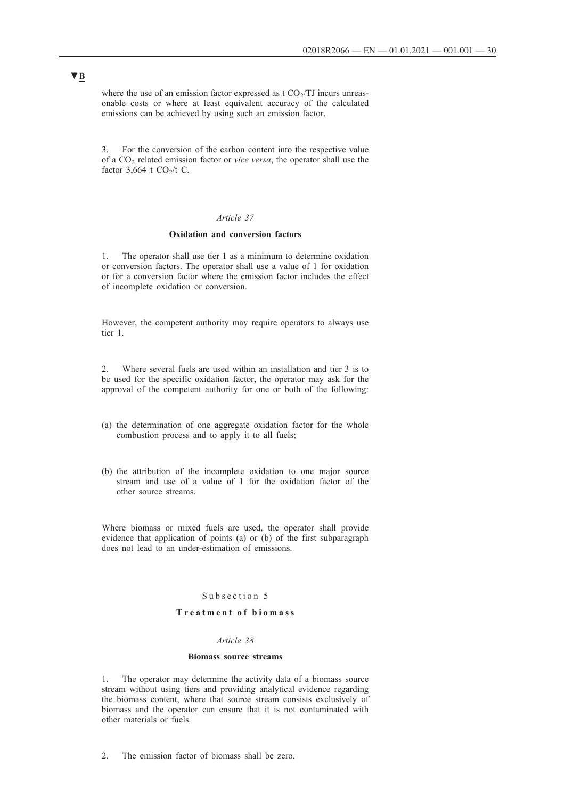where the use of an emission factor expressed as  $t CO<sub>2</sub>/TJ$  incurs unreasonable costs or where at least equivalent accuracy of the calculated emissions can be achieved by using such an emission factor.

3. For the conversion of the carbon content into the respective value of a CO2 related emission factor or *vice versa*, the operator shall use the factor  $3,664$  t CO<sub>2</sub>/t C.

## *Article 37*

### **Oxidation and conversion factors**

1. The operator shall use tier 1 as a minimum to determine oxidation or conversion factors. The operator shall use a value of 1 for oxidation or for a conversion factor where the emission factor includes the effect of incomplete oxidation or conversion.

However, the competent authority may require operators to always use tier 1.

2. Where several fuels are used within an installation and tier 3 is to be used for the specific oxidation factor, the operator may ask for the approval of the competent authority for one or both of the following:

- (a) the determination of one aggregate oxidation factor for the whole combustion process and to apply it to all fuels;
- (b) the attribution of the incomplete oxidation to one major source stream and use of a value of 1 for the oxidation factor of the other source streams.

Where biomass or mixed fuels are used, the operator shall provide evidence that application of points (a) or (b) of the first subparagraph does not lead to an under-estimation of emissions.

## Subsection 5

## **T r e a t m e n t o f b i o m a s s**

## *Article 38*

#### **Biomass source streams**

1. The operator may determine the activity data of a biomass source stream without using tiers and providing analytical evidence regarding the biomass content, where that source stream consists exclusively of biomass and the operator can ensure that it is not contaminated with other materials or fuels.

2. The emission factor of biomass shall be zero.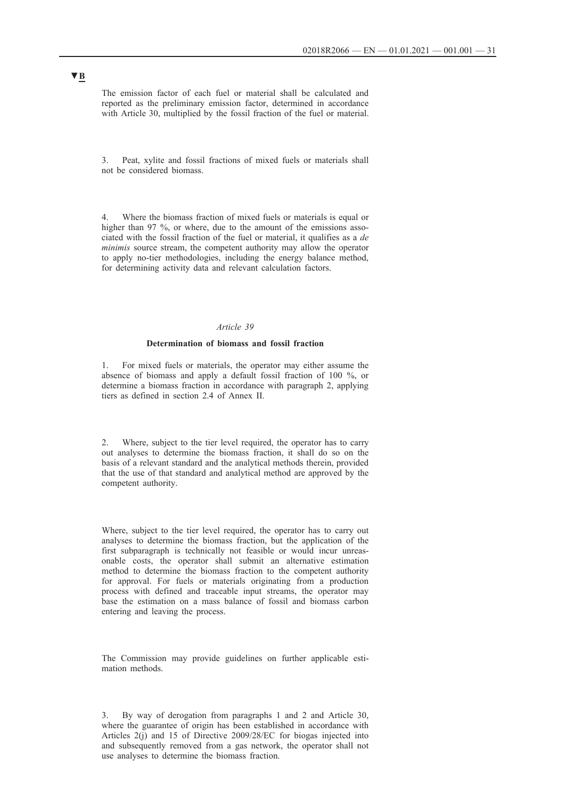The emission factor of each fuel or material shall be calculated and reported as the preliminary emission factor, determined in accordance with Article 30, multiplied by the fossil fraction of the fuel or material.

3. Peat, xylite and fossil fractions of mixed fuels or materials shall not be considered biomass.

Where the biomass fraction of mixed fuels or materials is equal or higher than 97 %, or where, due to the amount of the emissions associated with the fossil fraction of the fuel or material, it qualifies as a *de minimis* source stream, the competent authority may allow the operator to apply no-tier methodologies, including the energy balance method, for determining activity data and relevant calculation factors.

### *Article 39*

### **Determination of biomass and fossil fraction**

1. For mixed fuels or materials, the operator may either assume the absence of biomass and apply a default fossil fraction of 100 %, or determine a biomass fraction in accordance with paragraph 2, applying tiers as defined in section 2.4 of Annex II.

2. Where, subject to the tier level required, the operator has to carry out analyses to determine the biomass fraction, it shall do so on the basis of a relevant standard and the analytical methods therein, provided that the use of that standard and analytical method are approved by the competent authority.

Where, subject to the tier level required, the operator has to carry out analyses to determine the biomass fraction, but the application of the first subparagraph is technically not feasible or would incur unreasonable costs, the operator shall submit an alternative estimation method to determine the biomass fraction to the competent authority for approval. For fuels or materials originating from a production process with defined and traceable input streams, the operator may base the estimation on a mass balance of fossil and biomass carbon entering and leaving the process.

The Commission may provide guidelines on further applicable estimation methods.

3. By way of derogation from paragraphs 1 and 2 and Article 30, where the guarantee of origin has been established in accordance with Articles 2(j) and 15 of Directive 2009/28/EC for biogas injected into and subsequently removed from a gas network, the operator shall not use analyses to determine the biomass fraction.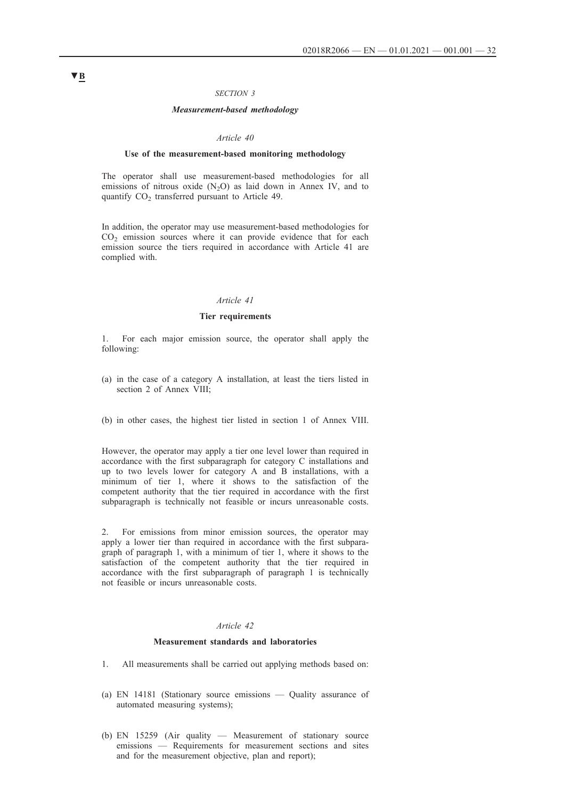### *SECTION 3*

### *Measurement-based methodology*

#### *Article 40*

#### **Use of the measurement-based monitoring methodology**

The operator shall use measurement-based methodologies for all emissions of nitrous oxide  $(N_2O)$  as laid down in Annex IV, and to quantify  $CO<sub>2</sub>$  transferred pursuant to Article 49.

In addition, the operator may use measurement-based methodologies for  $CO<sub>2</sub>$  emission sources where it can provide evidence that for each emission source the tiers required in accordance with Article 41 are complied with.

#### *Article 41*

### **Tier requirements**

1. For each major emission source, the operator shall apply the following:

- (a) in the case of a category A installation, at least the tiers listed in section 2 of Annex VIII;
- (b) in other cases, the highest tier listed in section 1 of Annex VIII.

However, the operator may apply a tier one level lower than required in accordance with the first subparagraph for category C installations and up to two levels lower for category A and B installations, with a minimum of tier 1, where it shows to the satisfaction of the competent authority that the tier required in accordance with the first subparagraph is technically not feasible or incurs unreasonable costs.

2. For emissions from minor emission sources, the operator may apply a lower tier than required in accordance with the first subparagraph of paragraph 1, with a minimum of tier 1, where it shows to the satisfaction of the competent authority that the tier required in accordance with the first subparagraph of paragraph 1 is technically not feasible or incurs unreasonable costs.

## *Article 42*

### **Measurement standards and laboratories**

- 1. All measurements shall be carried out applying methods based on:
- (a) EN 14181 (Stationary source emissions Quality assurance of automated measuring systems);
- (b) EN 15259 (Air quality Measurement of stationary source emissions — Requirements for measurement sections and sites and for the measurement objective, plan and report);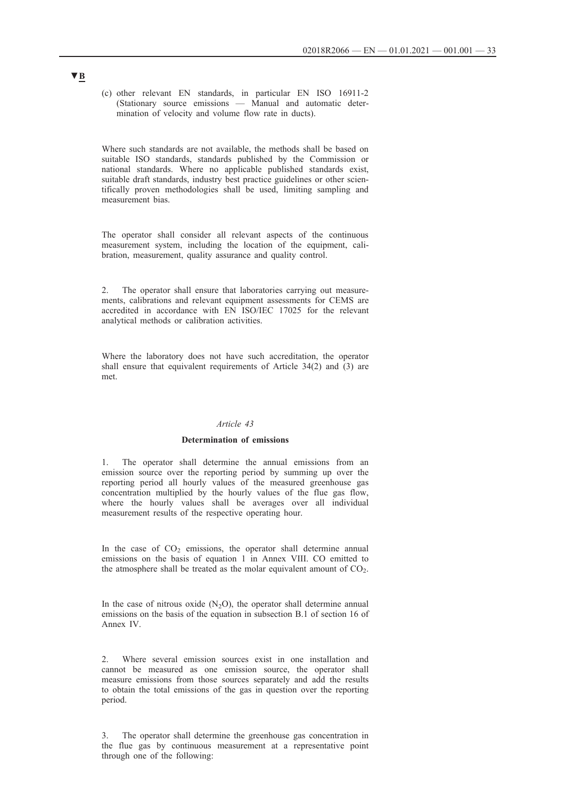(c) other relevant EN standards, in particular EN ISO 16911-2 (Stationary source emissions — Manual and automatic determination of velocity and volume flow rate in ducts).

Where such standards are not available, the methods shall be based on suitable ISO standards, standards published by the Commission or national standards. Where no applicable published standards exist, suitable draft standards, industry best practice guidelines or other scientifically proven methodologies shall be used, limiting sampling and measurement bias.

The operator shall consider all relevant aspects of the continuous measurement system, including the location of the equipment, calibration, measurement, quality assurance and quality control.

2. The operator shall ensure that laboratories carrying out measurements, calibrations and relevant equipment assessments for CEMS are accredited in accordance with EN ISO/IEC 17025 for the relevant analytical methods or calibration activities.

Where the laboratory does not have such accreditation, the operator shall ensure that equivalent requirements of Article 34(2) and (3) are met.

## *Article 43*

## **Determination of emissions**

1. The operator shall determine the annual emissions from an emission source over the reporting period by summing up over the reporting period all hourly values of the measured greenhouse gas concentration multiplied by the hourly values of the flue gas flow, where the hourly values shall be averages over all individual measurement results of the respective operating hour.

In the case of  $CO<sub>2</sub>$  emissions, the operator shall determine annual emissions on the basis of equation 1 in Annex VIII. CO emitted to the atmosphere shall be treated as the molar equivalent amount of  $CO<sub>2</sub>$ .

In the case of nitrous oxide  $(N_2O)$ , the operator shall determine annual emissions on the basis of the equation in subsection B.1 of section 16 of Annex IV.

2. Where several emission sources exist in one installation and cannot be measured as one emission source, the operator shall measure emissions from those sources separately and add the results to obtain the total emissions of the gas in question over the reporting period.

3. The operator shall determine the greenhouse gas concentration in the flue gas by continuous measurement at a representative point through one of the following: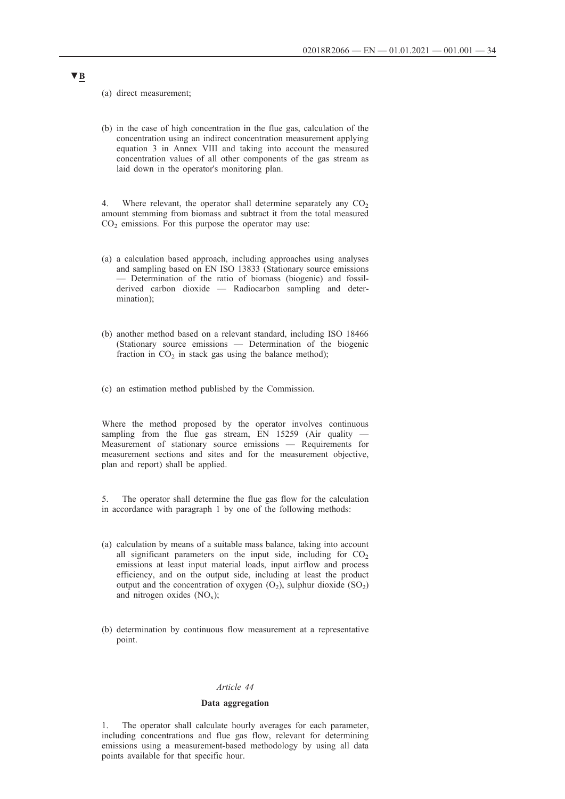(a) direct measurement;

(b) in the case of high concentration in the flue gas, calculation of the concentration using an indirect concentration measurement applying equation 3 in Annex VIII and taking into account the measured concentration values of all other components of the gas stream as laid down in the operator's monitoring plan.

4. Where relevant, the operator shall determine separately any  $CO<sub>2</sub>$ amount stemming from biomass and subtract it from the total measured  $CO<sub>2</sub>$  emissions. For this purpose the operator may use:

- (a) a calculation based approach, including approaches using analyses and sampling based on EN ISO 13833 (Stationary source emissions — Determination of the ratio of biomass (biogenic) and fossilderived carbon dioxide — Radiocarbon sampling and determination);
- (b) another method based on a relevant standard, including ISO 18466 (Stationary source emissions — Determination of the biogenic fraction in  $CO<sub>2</sub>$  in stack gas using the balance method);
- (c) an estimation method published by the Commission.

Where the method proposed by the operator involves continuous sampling from the flue gas stream,  $EN$  15259 (Air quality Measurement of stationary source emissions — Requirements for measurement sections and sites and for the measurement objective, plan and report) shall be applied.

5. The operator shall determine the flue gas flow for the calculation in accordance with paragraph 1 by one of the following methods:

- (a) calculation by means of a suitable mass balance, taking into account all significant parameters on the input side, including for  $CO<sub>2</sub>$ emissions at least input material loads, input airflow and process efficiency, and on the output side, including at least the product output and the concentration of oxygen  $(O_2)$ , sulphur dioxide  $(SO_2)$ and nitrogen oxides  $(NO_x)$ ;
- (b) determination by continuous flow measurement at a representative point.

### *Article 44*

### **Data aggregation**

1. The operator shall calculate hourly averages for each parameter, including concentrations and flue gas flow, relevant for determining emissions using a measurement-based methodology by using all data points available for that specific hour.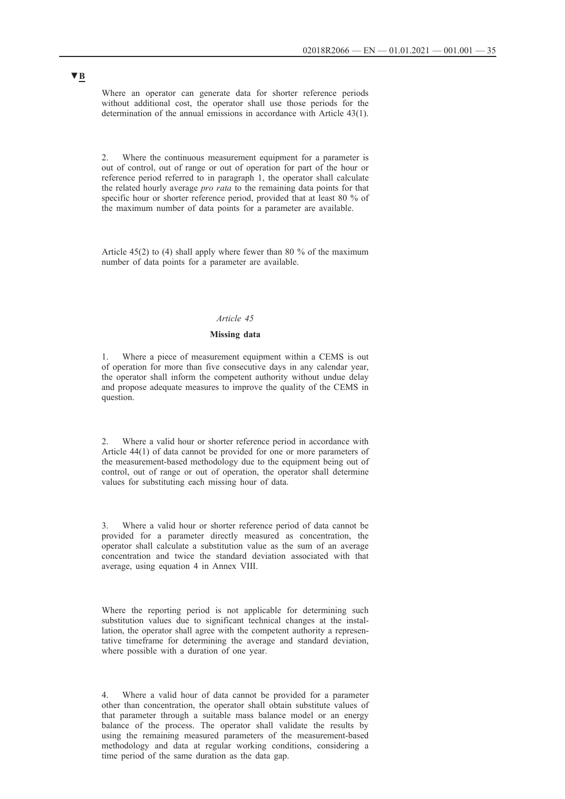Where an operator can generate data for shorter reference periods without additional cost, the operator shall use those periods for the determination of the annual emissions in accordance with Article 43(1).

2. Where the continuous measurement equipment for a parameter is out of control, out of range or out of operation for part of the hour or reference period referred to in paragraph 1, the operator shall calculate the related hourly average *pro rata* to the remaining data points for that specific hour or shorter reference period, provided that at least 80 % of the maximum number of data points for a parameter are available.

Article 45(2) to (4) shall apply where fewer than 80 % of the maximum number of data points for a parameter are available.

### *Article 45*

### **Missing data**

1. Where a piece of measurement equipment within a CEMS is out of operation for more than five consecutive days in any calendar year, the operator shall inform the competent authority without undue delay and propose adequate measures to improve the quality of the CEMS in question.

Where a valid hour or shorter reference period in accordance with Article 44(1) of data cannot be provided for one or more parameters of the measurement-based methodology due to the equipment being out of control, out of range or out of operation, the operator shall determine values for substituting each missing hour of data.

3. Where a valid hour or shorter reference period of data cannot be provided for a parameter directly measured as concentration, the operator shall calculate a substitution value as the sum of an average concentration and twice the standard deviation associated with that average, using equation 4 in Annex VIII.

Where the reporting period is not applicable for determining such substitution values due to significant technical changes at the installation, the operator shall agree with the competent authority a representative timeframe for determining the average and standard deviation, where possible with a duration of one year.

Where a valid hour of data cannot be provided for a parameter other than concentration, the operator shall obtain substitute values of that parameter through a suitable mass balance model or an energy balance of the process. The operator shall validate the results by using the remaining measured parameters of the measurement-based methodology and data at regular working conditions, considering a time period of the same duration as the data gap.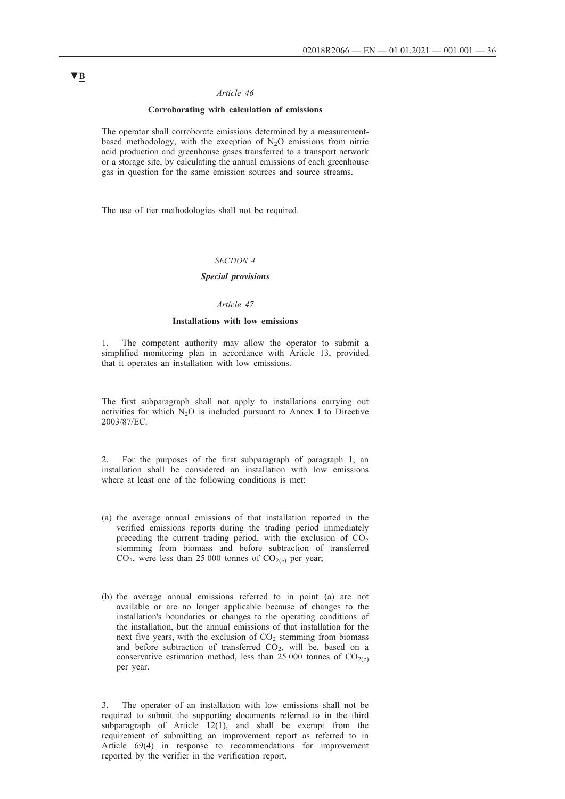### *Article 46*

### **Corroborating with calculation of emissions**

The operator shall corroborate emissions determined by a measurementbased methodology, with the exception of  $N_2O$  emissions from nitric acid production and greenhouse gases transferred to a transport network or a storage site, by calculating the annual emissions of each greenhouse gas in question for the same emission sources and source streams.

The use of tier methodologies shall not be required.

#### *SECTION 4*

## *Special provisions*

### *Article 47*

### **Installations with low emissions**

The competent authority may allow the operator to submit a simplified monitoring plan in accordance with Article 13, provided that it operates an installation with low emissions.

The first subparagraph shall not apply to installations carrying out activities for which  $N_2O$  is included pursuant to Annex I to Directive 2003/87/EC.

2. For the purposes of the first subparagraph of paragraph 1, an installation shall be considered an installation with low emissions where at least one of the following conditions is met:

- (a) the average annual emissions of that installation reported in the verified emissions reports during the trading period immediately preceding the current trading period, with the exclusion of  $CO<sub>2</sub>$ stemming from biomass and before subtraction of transferred  $CO<sub>2</sub>$ , were less than 25 000 tonnes of  $CO<sub>2(e)</sub>$  per year;
- (b) the average annual emissions referred to in point (a) are not available or are no longer applicable because of changes to the installation's boundaries or changes to the operating conditions of the installation, but the annual emissions of that installation for the next five years, with the exclusion of  $CO<sub>2</sub>$  stemming from biomass and before subtraction of transferred  $CO<sub>2</sub>$ , will be, based on a conservative estimation method, less than 25 000 tonnes of  $CO<sub>2(e)</sub>$ per year.

3. The operator of an installation with low emissions shall not be required to submit the supporting documents referred to in the third subparagraph of Article  $12(1)$ , and shall be exempt from the requirement of submitting an improvement report as referred to in Article 69(4) in response to recommendations for improvement reported by the verifier in the verification report.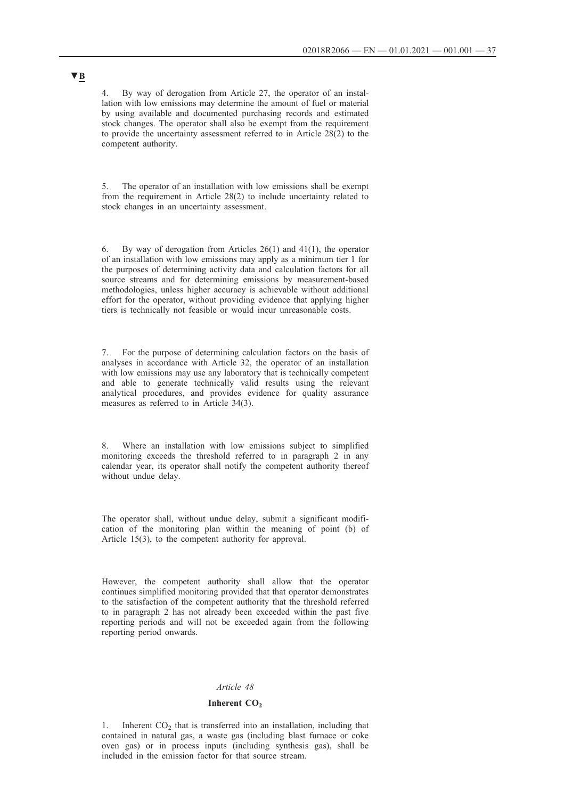4. By way of derogation from Article 27, the operator of an installation with low emissions may determine the amount of fuel or material by using available and documented purchasing records and estimated stock changes. The operator shall also be exempt from the requirement to provide the uncertainty assessment referred to in Article 28(2) to the competent authority.

5. The operator of an installation with low emissions shall be exempt from the requirement in Article 28(2) to include uncertainty related to stock changes in an uncertainty assessment.

6. By way of derogation from Articles 26(1) and 41(1), the operator of an installation with low emissions may apply as a minimum tier 1 for the purposes of determining activity data and calculation factors for all source streams and for determining emissions by measurement-based methodologies, unless higher accuracy is achievable without additional effort for the operator, without providing evidence that applying higher tiers is technically not feasible or would incur unreasonable costs.

7. For the purpose of determining calculation factors on the basis of analyses in accordance with Article 32, the operator of an installation with low emissions may use any laboratory that is technically competent and able to generate technically valid results using the relevant analytical procedures, and provides evidence for quality assurance measures as referred to in Article 34(3).

8. Where an installation with low emissions subject to simplified monitoring exceeds the threshold referred to in paragraph 2 in any calendar year, its operator shall notify the competent authority thereof without undue delay.

The operator shall, without undue delay, submit a significant modification of the monitoring plan within the meaning of point (b) of Article 15(3), to the competent authority for approval.

However, the competent authority shall allow that the operator continues simplified monitoring provided that that operator demonstrates to the satisfaction of the competent authority that the threshold referred to in paragraph 2 has not already been exceeded within the past five reporting periods and will not be exceeded again from the following reporting period onwards.

#### *Article 48*

#### **Inherent CO<sub>2</sub>**

1. Inherent  $CO<sub>2</sub>$  that is transferred into an installation, including that contained in natural gas, a waste gas (including blast furnace or coke oven gas) or in process inputs (including synthesis gas), shall be included in the emission factor for that source stream.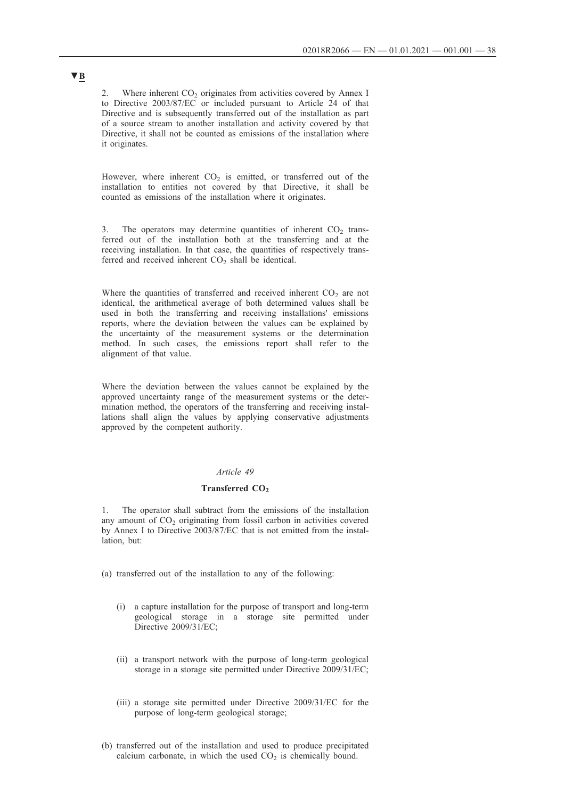2. Where inherent  $CO<sub>2</sub>$  originates from activities covered by Annex I to Directive 2003/87/EC or included pursuant to Article 24 of that Directive and is subsequently transferred out of the installation as part of a source stream to another installation and activity covered by that Directive, it shall not be counted as emissions of the installation where it originates.

However, where inherent  $CO<sub>2</sub>$  is emitted, or transferred out of the installation to entities not covered by that Directive, it shall be counted as emissions of the installation where it originates.

3. The operators may determine quantities of inherent  $CO<sub>2</sub>$  transferred out of the installation both at the transferring and at the receiving installation. In that case, the quantities of respectively transferred and received inherent  $CO<sub>2</sub>$  shall be identical.

Where the quantities of transferred and received inherent  $CO<sub>2</sub>$  are not identical, the arithmetical average of both determined values shall be used in both the transferring and receiving installations' emissions reports, where the deviation between the values can be explained by the uncertainty of the measurement systems or the determination method. In such cases, the emissions report shall refer to the alignment of that value.

Where the deviation between the values cannot be explained by the approved uncertainty range of the measurement systems or the determination method, the operators of the transferring and receiving installations shall align the values by applying conservative adjustments approved by the competent authority.

## *Article 49*

#### Transferred CO<sub>2</sub>

The operator shall subtract from the emissions of the installation any amount of  $CO<sub>2</sub>$  originating from fossil carbon in activities covered by Annex I to Directive 2003/87/EC that is not emitted from the installation, but:

(a) transferred out of the installation to any of the following:

- (i) a capture installation for the purpose of transport and long-term geological storage in a storage site permitted under Directive 2009/31/EC;
- (ii) a transport network with the purpose of long-term geological storage in a storage site permitted under Directive 2009/31/EC;
- (iii) a storage site permitted under Directive 2009/31/EC for the purpose of long-term geological storage;
- (b) transferred out of the installation and used to produce precipitated calcium carbonate, in which the used  $CO<sub>2</sub>$  is chemically bound.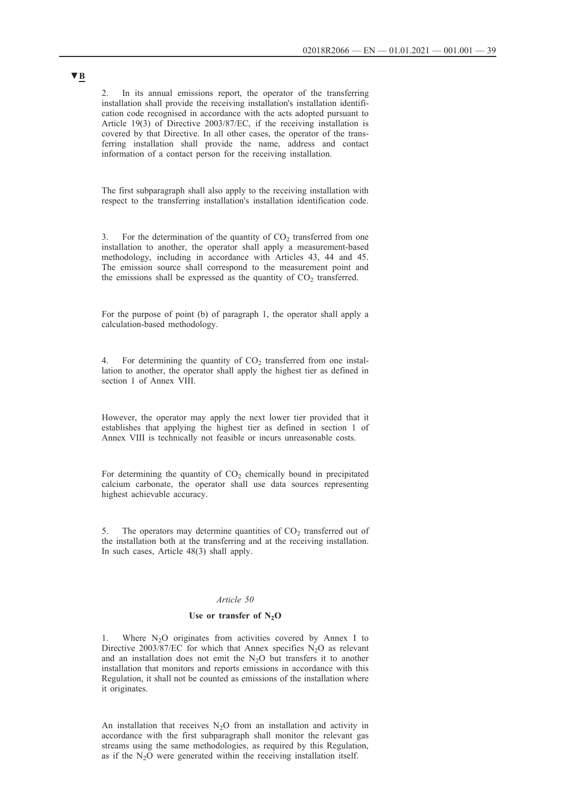2. In its annual emissions report, the operator of the transferring installation shall provide the receiving installation's installation identification code recognised in accordance with the acts adopted pursuant to Article 19(3) of Directive 2003/87/EC, if the receiving installation is covered by that Directive. In all other cases, the operator of the transferring installation shall provide the name, address and contact information of a contact person for the receiving installation.

The first subparagraph shall also apply to the receiving installation with respect to the transferring installation's installation identification code.

For the determination of the quantity of  $CO<sub>2</sub>$  transferred from one installation to another, the operator shall apply a measurement-based methodology, including in accordance with Articles 43, 44 and 45. The emission source shall correspond to the measurement point and the emissions shall be expressed as the quantity of  $CO<sub>2</sub>$  transferred.

For the purpose of point (b) of paragraph 1, the operator shall apply a calculation-based methodology.

4. For determining the quantity of  $CO<sub>2</sub>$  transferred from one installation to another, the operator shall apply the highest tier as defined in section 1 of Annex VIII.

However, the operator may apply the next lower tier provided that it establishes that applying the highest tier as defined in section 1 of Annex VIII is technically not feasible or incurs unreasonable costs.

For determining the quantity of  $CO<sub>2</sub>$  chemically bound in precipitated calcium carbonate, the operator shall use data sources representing highest achievable accuracy.

5. The operators may determine quantities of  $CO<sub>2</sub>$  transferred out of the installation both at the transferring and at the receiving installation. In such cases, Article 48(3) shall apply.

### *Article 50*

### Use or transfer of N<sub>2</sub>O

Where  $N_2O$  originates from activities covered by Annex I to Directive 2003/87/EC for which that Annex specifies  $N_2O$  as relevant and an installation does not emit the  $N_2O$  but transfers it to another installation that monitors and reports emissions in accordance with this Regulation, it shall not be counted as emissions of the installation where it originates.

An installation that receives  $N_2O$  from an installation and activity in accordance with the first subparagraph shall monitor the relevant gas streams using the same methodologies, as required by this Regulation, as if the  $N_2O$  were generated within the receiving installation itself.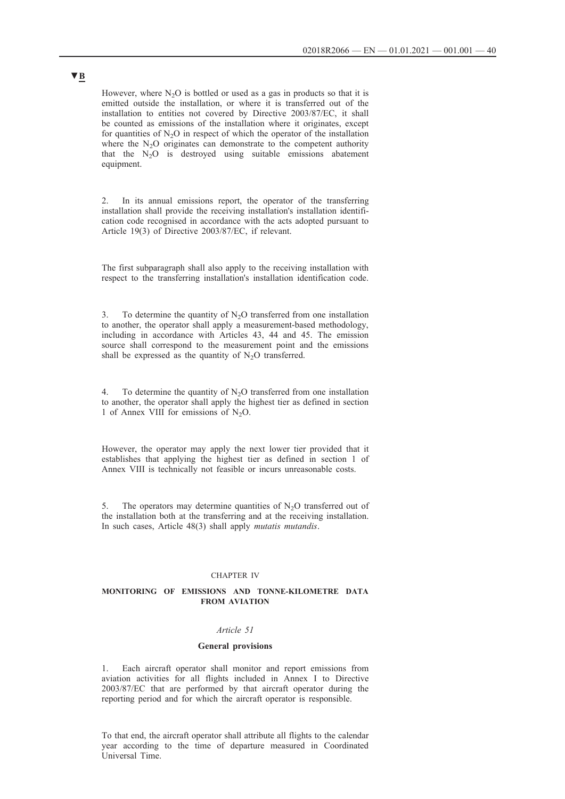However, where  $N_2O$  is bottled or used as a gas in products so that it is emitted outside the installation, or where it is transferred out of the installation to entities not covered by Directive 2003/87/EC, it shall be counted as emissions of the installation where it originates, except for quantities of  $N_2O$  in respect of which the operator of the installation where the  $N<sub>2</sub>O$  originates can demonstrate to the competent authority that the  $N_2O$  is destroyed using suitable emissions abatement equipment.

2. In its annual emissions report, the operator of the transferring installation shall provide the receiving installation's installation identification code recognised in accordance with the acts adopted pursuant to Article 19(3) of Directive 2003/87/EC, if relevant.

The first subparagraph shall also apply to the receiving installation with respect to the transferring installation's installation identification code.

3. To determine the quantity of  $N_2O$  transferred from one installation to another, the operator shall apply a measurement-based methodology, including in accordance with Articles 43, 44 and 45. The emission source shall correspond to the measurement point and the emissions shall be expressed as the quantity of  $N_2O$  transferred.

4. To determine the quantity of  $N<sub>2</sub>O$  transferred from one installation to another, the operator shall apply the highest tier as defined in section 1 of Annex VIII for emissions of  $N_2O$ .

However, the operator may apply the next lower tier provided that it establishes that applying the highest tier as defined in section 1 of Annex VIII is technically not feasible or incurs unreasonable costs.

5. The operators may determine quantities of  $N<sub>2</sub>O$  transferred out of the installation both at the transferring and at the receiving installation. In such cases, Article 48(3) shall apply *mutatis mutandis*.

### CHAPTER IV

### **MONITORING OF EMISSIONS AND TONNE-KILOMETRE DATA FROM AVIATION**

## *Article 51*

#### **General provisions**

1. Each aircraft operator shall monitor and report emissions from aviation activities for all flights included in Annex I to Directive 2003/87/EC that are performed by that aircraft operator during the reporting period and for which the aircraft operator is responsible.

To that end, the aircraft operator shall attribute all flights to the calendar year according to the time of departure measured in Coordinated Universal Time.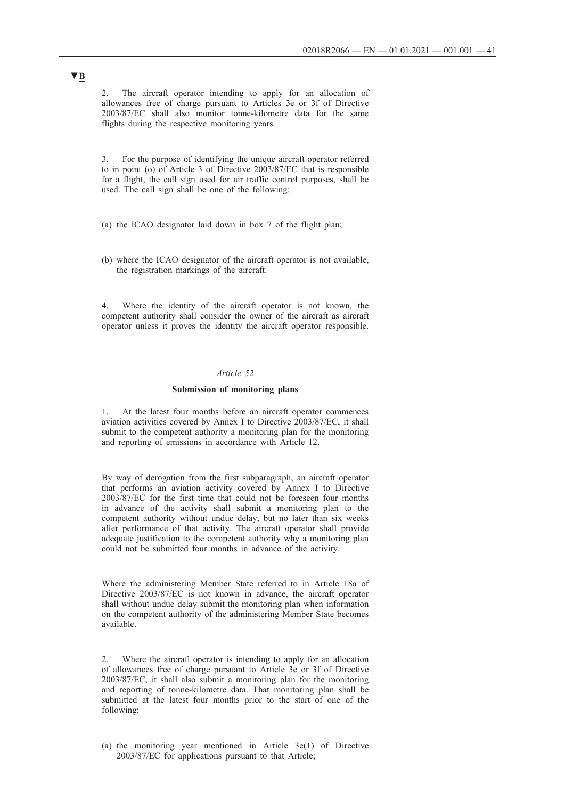2. The aircraft operator intending to apply for an allocation of allowances free of charge pursuant to Articles 3e or 3f of Directive 2003/87/EC shall also monitor tonne-kilometre data for the same flights during the respective monitoring years.

3. For the purpose of identifying the unique aircraft operator referred to in point (o) of Article 3 of Directive 2003/87/EC that is responsible for a flight, the call sign used for air traffic control purposes, shall be used. The call sign shall be one of the following:

- (a) the ICAO designator laid down in box 7 of the flight plan;
- (b) where the ICAO designator of the aircraft operator is not available, the registration markings of the aircraft.

4. Where the identity of the aircraft operator is not known, the competent authority shall consider the owner of the aircraft as aircraft operator unless it proves the identity the aircraft operator responsible.

### *Article 52*

#### **Submission of monitoring plans**

1. At the latest four months before an aircraft operator commences aviation activities covered by Annex I to Directive 2003/87/EC, it shall submit to the competent authority a monitoring plan for the monitoring and reporting of emissions in accordance with Article 12.

By way of derogation from the first subparagraph, an aircraft operator that performs an aviation activity covered by Annex I to Directive 2003/87/EC for the first time that could not be foreseen four months in advance of the activity shall submit a monitoring plan to the competent authority without undue delay, but no later than six weeks after performance of that activity. The aircraft operator shall provide adequate justification to the competent authority why a monitoring plan could not be submitted four months in advance of the activity.

Where the administering Member State referred to in Article 18a of Directive 2003/87/EC is not known in advance, the aircraft operator shall without undue delay submit the monitoring plan when information on the competent authority of the administering Member State becomes available.

2. Where the aircraft operator is intending to apply for an allocation of allowances free of charge pursuant to Article 3e or 3f of Directive 2003/87/EC, it shall also submit a monitoring plan for the monitoring and reporting of tonne-kilometre data. That monitoring plan shall be submitted at the latest four months prior to the start of one of the following:

(a) the monitoring year mentioned in Article 3e(1) of Directive 2003/87/EC for applications pursuant to that Article;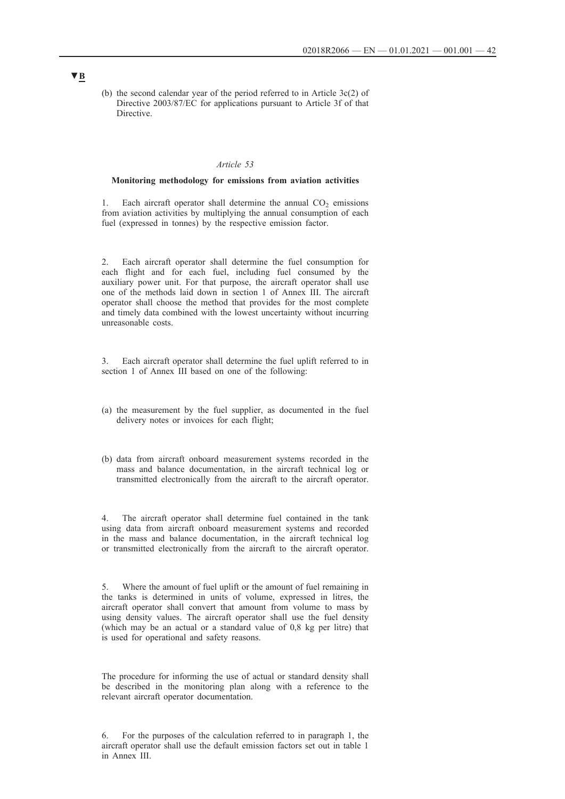(b) the second calendar year of the period referred to in Article 3c(2) of Directive 2003/87/EC for applications pursuant to Article 3f of that Directive.

#### *Article 53*

### **Monitoring methodology for emissions from aviation activities**

1. Each aircraft operator shall determine the annual  $CO<sub>2</sub>$  emissions from aviation activities by multiplying the annual consumption of each fuel (expressed in tonnes) by the respective emission factor.

2. Each aircraft operator shall determine the fuel consumption for each flight and for each fuel, including fuel consumed by the auxiliary power unit. For that purpose, the aircraft operator shall use one of the methods laid down in section 1 of Annex III. The aircraft operator shall choose the method that provides for the most complete and timely data combined with the lowest uncertainty without incurring unreasonable costs.

3. Each aircraft operator shall determine the fuel uplift referred to in section 1 of Annex III based on one of the following:

- (a) the measurement by the fuel supplier, as documented in the fuel delivery notes or invoices for each flight;
- (b) data from aircraft onboard measurement systems recorded in the mass and balance documentation, in the aircraft technical log or transmitted electronically from the aircraft to the aircraft operator.

4. The aircraft operator shall determine fuel contained in the tank using data from aircraft onboard measurement systems and recorded in the mass and balance documentation, in the aircraft technical log or transmitted electronically from the aircraft to the aircraft operator.

5. Where the amount of fuel uplift or the amount of fuel remaining in the tanks is determined in units of volume, expressed in litres, the aircraft operator shall convert that amount from volume to mass by using density values. The aircraft operator shall use the fuel density (which may be an actual or a standard value of 0,8 kg per litre) that is used for operational and safety reasons.

The procedure for informing the use of actual or standard density shall be described in the monitoring plan along with a reference to the relevant aircraft operator documentation.

<sup>6.</sup> For the purposes of the calculation referred to in paragraph 1, the aircraft operator shall use the default emission factors set out in table 1 in Annex III.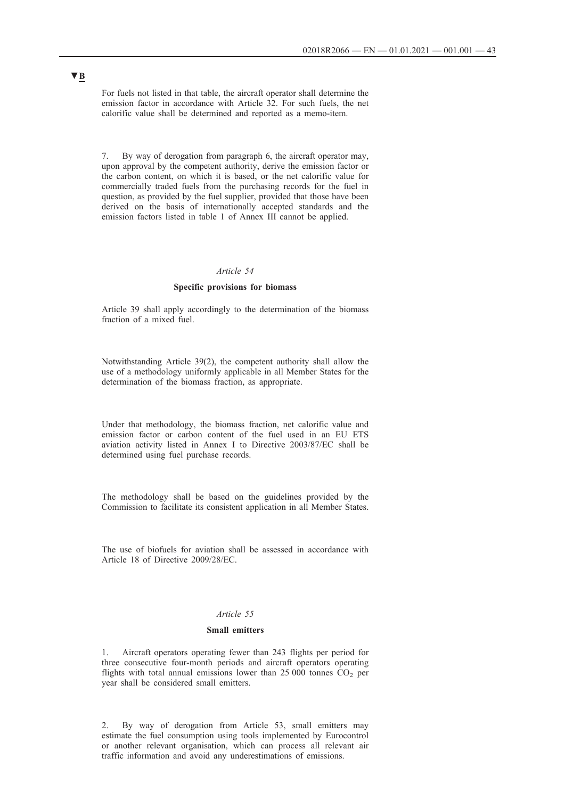For fuels not listed in that table, the aircraft operator shall determine the emission factor in accordance with Article 32. For such fuels, the net calorific value shall be determined and reported as a memo-item.

7. By way of derogation from paragraph 6, the aircraft operator may, upon approval by the competent authority, derive the emission factor or the carbon content, on which it is based, or the net calorific value for commercially traded fuels from the purchasing records for the fuel in question, as provided by the fuel supplier, provided that those have been derived on the basis of internationally accepted standards and the emission factors listed in table 1 of Annex III cannot be applied.

#### *Article 54*

### **Specific provisions for biomass**

Article 39 shall apply accordingly to the determination of the biomass fraction of a mixed fuel.

Notwithstanding Article 39(2), the competent authority shall allow the use of a methodology uniformly applicable in all Member States for the determination of the biomass fraction, as appropriate.

Under that methodology, the biomass fraction, net calorific value and emission factor or carbon content of the fuel used in an EU ETS aviation activity listed in Annex I to Directive 2003/87/EC shall be determined using fuel purchase records.

The methodology shall be based on the guidelines provided by the Commission to facilitate its consistent application in all Member States.

The use of biofuels for aviation shall be assessed in accordance with Article 18 of Directive 2009/28/EC.

### *Article 55*

### **Small emitters**

1. Aircraft operators operating fewer than 243 flights per period for three consecutive four-month periods and aircraft operators operating flights with total annual emissions lower than  $25\,000$  tonnes  $CO<sub>2</sub>$  per year shall be considered small emitters.

2. By way of derogation from Article 53, small emitters may estimate the fuel consumption using tools implemented by Eurocontrol or another relevant organisation, which can process all relevant air traffic information and avoid any underestimations of emissions.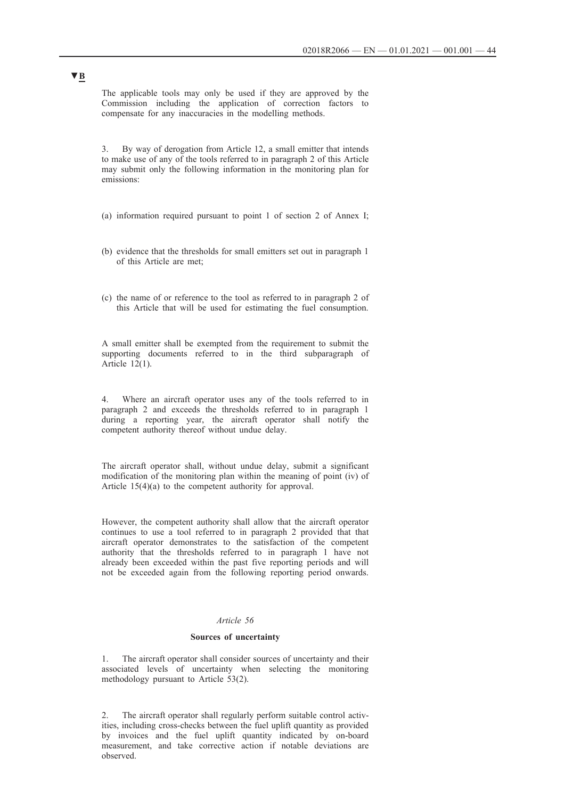The applicable tools may only be used if they are approved by the Commission including the application of correction factors to compensate for any inaccuracies in the modelling methods.

3. By way of derogation from Article 12, a small emitter that intends to make use of any of the tools referred to in paragraph 2 of this Article may submit only the following information in the monitoring plan for emissions:

- (a) information required pursuant to point 1 of section 2 of Annex I;
- (b) evidence that the thresholds for small emitters set out in paragraph 1 of this Article are met;
- (c) the name of or reference to the tool as referred to in paragraph 2 of this Article that will be used for estimating the fuel consumption.

A small emitter shall be exempted from the requirement to submit the supporting documents referred to in the third subparagraph of Article 12(1).

4. Where an aircraft operator uses any of the tools referred to in paragraph 2 and exceeds the thresholds referred to in paragraph 1 during a reporting year, the aircraft operator shall notify the competent authority thereof without undue delay.

The aircraft operator shall, without undue delay, submit a significant modification of the monitoring plan within the meaning of point (iv) of Article 15(4)(a) to the competent authority for approval.

However, the competent authority shall allow that the aircraft operator continues to use a tool referred to in paragraph 2 provided that that aircraft operator demonstrates to the satisfaction of the competent authority that the thresholds referred to in paragraph 1 have not already been exceeded within the past five reporting periods and will not be exceeded again from the following reporting period onwards.

### *Article 56*

#### **Sources of uncertainty**

1. The aircraft operator shall consider sources of uncertainty and their associated levels of uncertainty when selecting the monitoring methodology pursuant to Article 53(2).

2. The aircraft operator shall regularly perform suitable control activities, including cross-checks between the fuel uplift quantity as provided by invoices and the fuel uplift quantity indicated by on-board measurement, and take corrective action if notable deviations are observed.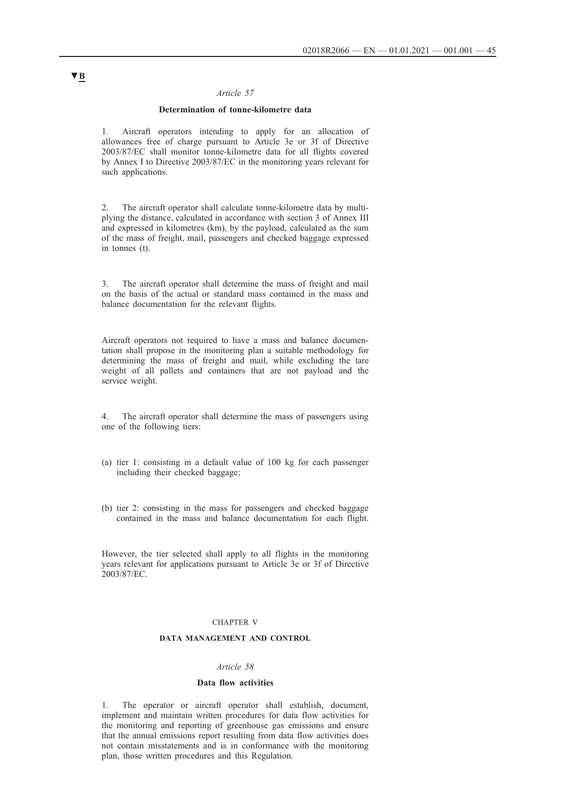### *Article 57*

### **Determination of tonne-kilometre data**

1. Aircraft operators intending to apply for an allocation of allowances free of charge pursuant to Article 3e or 3f of Directive 2003/87/EC shall monitor tonne-kilometre data for all flights covered by Annex I to Directive 2003/87/EC in the monitoring years relevant for such applications.

2. The aircraft operator shall calculate tonne-kilometre data by multiplying the distance, calculated in accordance with section 3 of Annex III and expressed in kilometres (km), by the payload, calculated as the sum of the mass of freight, mail, passengers and checked baggage expressed in tonnes (t).

3. The aircraft operator shall determine the mass of freight and mail on the basis of the actual or standard mass contained in the mass and balance documentation for the relevant flights.

Aircraft operators not required to have a mass and balance documentation shall propose in the monitoring plan a suitable methodology for determining the mass of freight and mail, while excluding the tare weight of all pallets and containers that are not payload and the service weight.

4. The aircraft operator shall determine the mass of passengers using one of the following tiers:

- (a) tier 1: consisting in a default value of 100 kg for each passenger including their checked baggage;
- (b) tier 2: consisting in the mass for passengers and checked baggage contained in the mass and balance documentation for each flight.

However, the tier selected shall apply to all flights in the monitoring years relevant for applications pursuant to Article 3e or 3f of Directive 2003/87/EC.

#### CHAPTER V

## **DATA MANAGEMENT AND CONTROL**

#### *Article 58*

#### **Data flow activities**

1. The operator or aircraft operator shall establish, document, implement and maintain written procedures for data flow activities for the monitoring and reporting of greenhouse gas emissions and ensure that the annual emissions report resulting from data flow activities does not contain misstatements and is in conformance with the monitoring plan, those written procedures and this Regulation.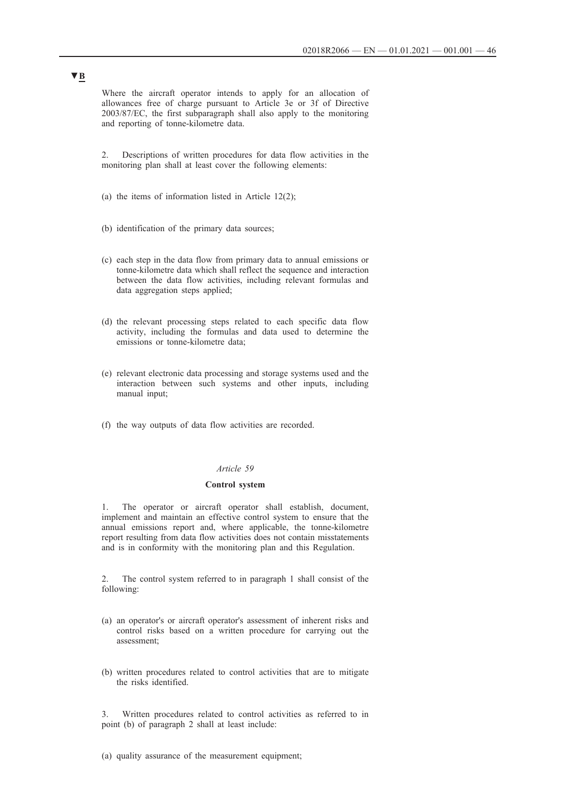Where the aircraft operator intends to apply for an allocation of allowances free of charge pursuant to Article 3e or 3f of Directive 2003/87/EC, the first subparagraph shall also apply to the monitoring and reporting of tonne-kilometre data.

2. Descriptions of written procedures for data flow activities in the monitoring plan shall at least cover the following elements:

- (a) the items of information listed in Article  $12(2)$ ;
- (b) identification of the primary data sources;
- (c) each step in the data flow from primary data to annual emissions or tonne-kilometre data which shall reflect the sequence and interaction between the data flow activities, including relevant formulas and data aggregation steps applied;
- (d) the relevant processing steps related to each specific data flow activity, including the formulas and data used to determine the emissions or tonne-kilometre data;
- (e) relevant electronic data processing and storage systems used and the interaction between such systems and other inputs, including manual input;
- (f) the way outputs of data flow activities are recorded.

#### *Article 59*

## **Control system**

1. The operator or aircraft operator shall establish, document, implement and maintain an effective control system to ensure that the annual emissions report and, where applicable, the tonne-kilometre report resulting from data flow activities does not contain misstatements and is in conformity with the monitoring plan and this Regulation.

2. The control system referred to in paragraph 1 shall consist of the following:

- (a) an operator's or aircraft operator's assessment of inherent risks and control risks based on a written procedure for carrying out the assessment;
- (b) written procedures related to control activities that are to mitigate the risks identified.

3. Written procedures related to control activities as referred to in point (b) of paragraph 2 shall at least include:

#### (a) quality assurance of the measurement equipment;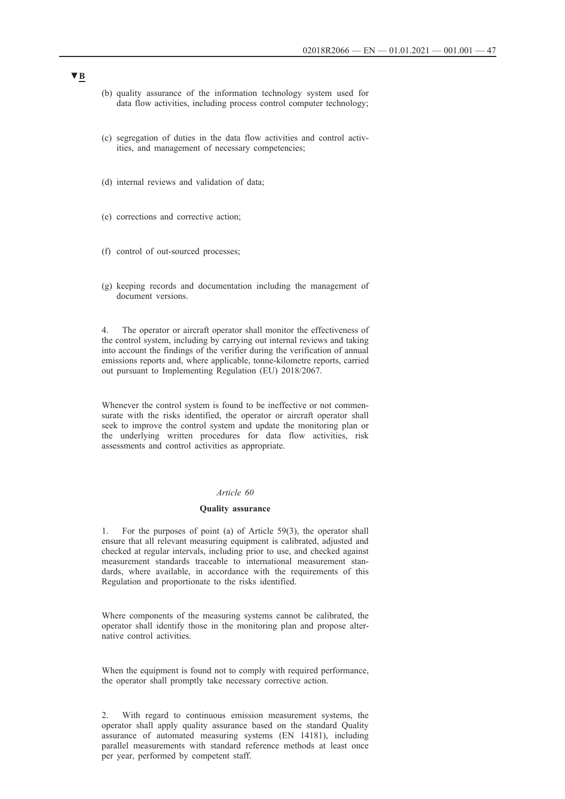- (b) quality assurance of the information technology system used for data flow activities, including process control computer technology;
- (c) segregation of duties in the data flow activities and control activities, and management of necessary competencies;
- (d) internal reviews and validation of data;
- (e) corrections and corrective action;
- (f) control of out-sourced processes;
- (g) keeping records and documentation including the management of document versions.

4. The operator or aircraft operator shall monitor the effectiveness of the control system, including by carrying out internal reviews and taking into account the findings of the verifier during the verification of annual emissions reports and, where applicable, tonne-kilometre reports, carried out pursuant to Implementing Regulation (EU) 2018/2067.

Whenever the control system is found to be ineffective or not commensurate with the risks identified, the operator or aircraft operator shall seek to improve the control system and update the monitoring plan or the underlying written procedures for data flow activities, risk assessments and control activities as appropriate.

#### *Article 60*

#### **Quality assurance**

1. For the purposes of point (a) of Article 59(3), the operator shall ensure that all relevant measuring equipment is calibrated, adjusted and checked at regular intervals, including prior to use, and checked against measurement standards traceable to international measurement standards, where available, in accordance with the requirements of this Regulation and proportionate to the risks identified.

Where components of the measuring systems cannot be calibrated, the operator shall identify those in the monitoring plan and propose alternative control activities.

When the equipment is found not to comply with required performance, the operator shall promptly take necessary corrective action.

2. With regard to continuous emission measurement systems, the operator shall apply quality assurance based on the standard Quality assurance of automated measuring systems (EN 14181), including parallel measurements with standard reference methods at least once per year, performed by competent staff.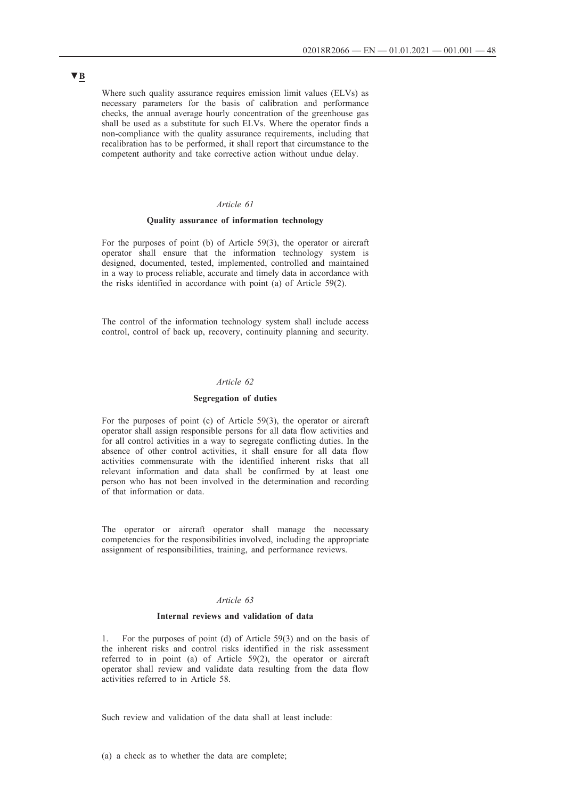Where such quality assurance requires emission limit values (ELVs) as necessary parameters for the basis of calibration and performance checks, the annual average hourly concentration of the greenhouse gas shall be used as a substitute for such ELVs. Where the operator finds a non-compliance with the quality assurance requirements, including that recalibration has to be performed, it shall report that circumstance to the competent authority and take corrective action without undue delay.

## *Article 61*

#### **Quality assurance of information technology**

For the purposes of point (b) of Article 59(3), the operator or aircraft operator shall ensure that the information technology system is designed, documented, tested, implemented, controlled and maintained in a way to process reliable, accurate and timely data in accordance with the risks identified in accordance with point (a) of Article 59(2).

The control of the information technology system shall include access control, control of back up, recovery, continuity planning and security.

## *Article 62*

#### **Segregation of duties**

For the purposes of point (c) of Article 59(3), the operator or aircraft operator shall assign responsible persons for all data flow activities and for all control activities in a way to segregate conflicting duties. In the absence of other control activities, it shall ensure for all data flow activities commensurate with the identified inherent risks that all relevant information and data shall be confirmed by at least one person who has not been involved in the determination and recording of that information or data.

The operator or aircraft operator shall manage the necessary competencies for the responsibilities involved, including the appropriate assignment of responsibilities, training, and performance reviews.

## *Article 63*

#### **Internal reviews and validation of data**

1. For the purposes of point (d) of Article 59(3) and on the basis of the inherent risks and control risks identified in the risk assessment referred to in point (a) of Article 59(2), the operator or aircraft operator shall review and validate data resulting from the data flow activities referred to in Article 58.

Such review and validation of the data shall at least include: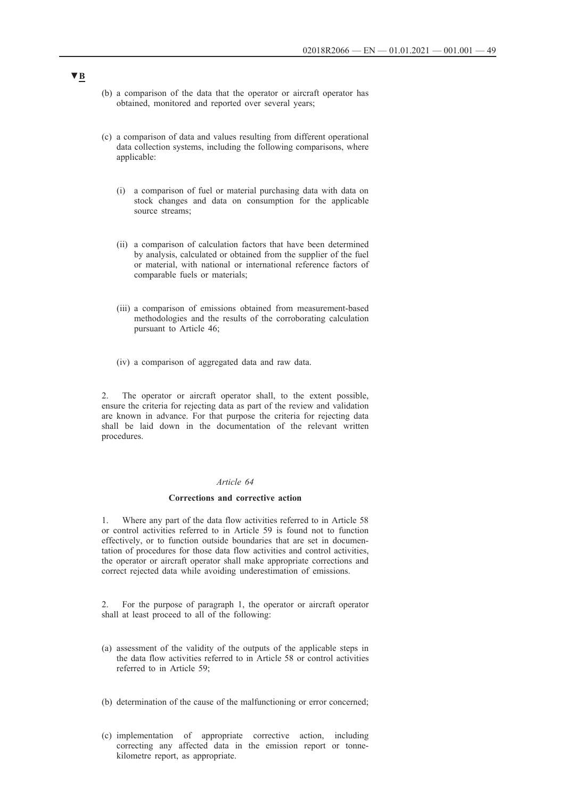- (b) a comparison of the data that the operator or aircraft operator has obtained, monitored and reported over several years;
- (c) a comparison of data and values resulting from different operational data collection systems, including the following comparisons, where applicable:
	- (i) a comparison of fuel or material purchasing data with data on stock changes and data on consumption for the applicable source streams;
	- (ii) a comparison of calculation factors that have been determined by analysis, calculated or obtained from the supplier of the fuel or material, with national or international reference factors of comparable fuels or materials;
	- (iii) a comparison of emissions obtained from measurement-based methodologies and the results of the corroborating calculation pursuant to Article 46;
	- (iv) a comparison of aggregated data and raw data.

2. The operator or aircraft operator shall, to the extent possible, ensure the criteria for rejecting data as part of the review and validation are known in advance. For that purpose the criteria for rejecting data shall be laid down in the documentation of the relevant written procedures.

#### *Article 64*

#### **Corrections and corrective action**

1. Where any part of the data flow activities referred to in Article 58 or control activities referred to in Article 59 is found not to function effectively, or to function outside boundaries that are set in documentation of procedures for those data flow activities and control activities, the operator or aircraft operator shall make appropriate corrections and correct rejected data while avoiding underestimation of emissions.

2. For the purpose of paragraph 1, the operator or aircraft operator shall at least proceed to all of the following:

- (a) assessment of the validity of the outputs of the applicable steps in the data flow activities referred to in Article 58 or control activities referred to in Article 59;
- (b) determination of the cause of the malfunctioning or error concerned;
- (c) implementation of appropriate corrective action, including correcting any affected data in the emission report or tonnekilometre report, as appropriate.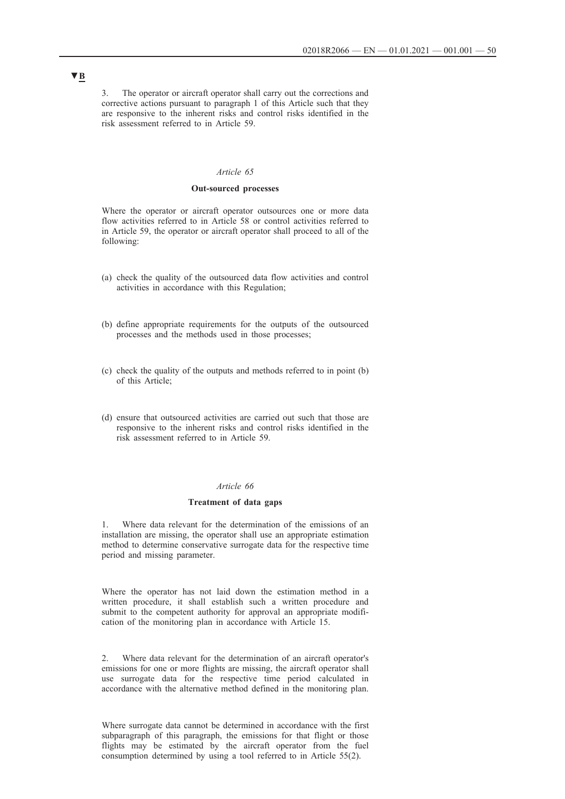3. The operator or aircraft operator shall carry out the corrections and corrective actions pursuant to paragraph 1 of this Article such that they are responsive to the inherent risks and control risks identified in the risk assessment referred to in Article 59.

### *Article 65*

#### **Out-sourced processes**

Where the operator or aircraft operator outsources one or more data flow activities referred to in Article 58 or control activities referred to in Article 59, the operator or aircraft operator shall proceed to all of the following:

- (a) check the quality of the outsourced data flow activities and control activities in accordance with this Regulation;
- (b) define appropriate requirements for the outputs of the outsourced processes and the methods used in those processes;
- (c) check the quality of the outputs and methods referred to in point (b) of this Article;
- (d) ensure that outsourced activities are carried out such that those are responsive to the inherent risks and control risks identified in the risk assessment referred to in Article 59.

### *Article 66*

#### **Treatment of data gaps**

1. Where data relevant for the determination of the emissions of an installation are missing, the operator shall use an appropriate estimation method to determine conservative surrogate data for the respective time period and missing parameter.

Where the operator has not laid down the estimation method in a written procedure, it shall establish such a written procedure and submit to the competent authority for approval an appropriate modification of the monitoring plan in accordance with Article 15.

2. Where data relevant for the determination of an aircraft operator's emissions for one or more flights are missing, the aircraft operator shall use surrogate data for the respective time period calculated in accordance with the alternative method defined in the monitoring plan.

Where surrogate data cannot be determined in accordance with the first subparagraph of this paragraph, the emissions for that flight or those flights may be estimated by the aircraft operator from the fuel consumption determined by using a tool referred to in Article 55(2).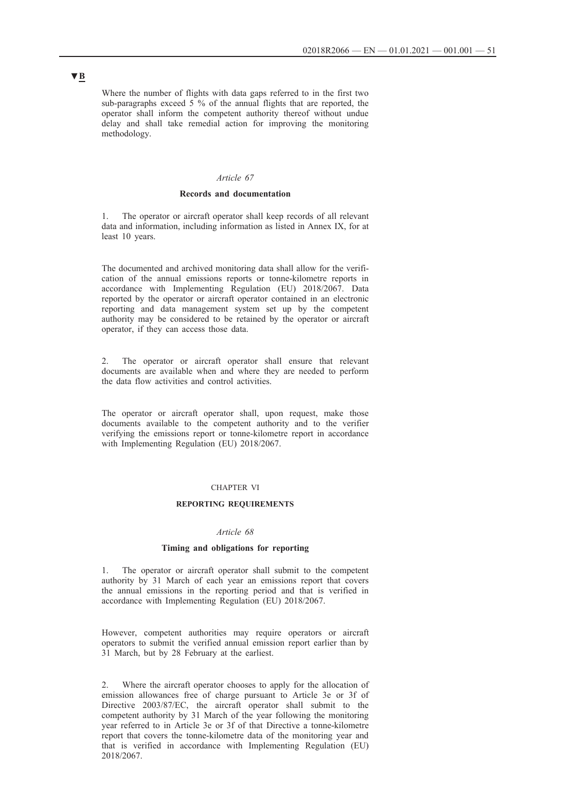Where the number of flights with data gaps referred to in the first two sub-paragraphs exceed 5 % of the annual flights that are reported, the operator shall inform the competent authority thereof without undue delay and shall take remedial action for improving the monitoring methodology.

#### *Article 67*

#### **Records and documentation**

1. The operator or aircraft operator shall keep records of all relevant data and information, including information as listed in Annex IX, for at least 10 years.

The documented and archived monitoring data shall allow for the verification of the annual emissions reports or tonne-kilometre reports in accordance with Implementing Regulation (EU) 2018/2067. Data reported by the operator or aircraft operator contained in an electronic reporting and data management system set up by the competent authority may be considered to be retained by the operator or aircraft operator, if they can access those data.

2. The operator or aircraft operator shall ensure that relevant documents are available when and where they are needed to perform the data flow activities and control activities.

The operator or aircraft operator shall, upon request, make those documents available to the competent authority and to the verifier verifying the emissions report or tonne-kilometre report in accordance with Implementing Regulation (EU) 2018/2067.

### CHAPTER VI

#### **REPORTING REQUIREMENTS**

#### *Article 68*

#### **Timing and obligations for reporting**

1. The operator or aircraft operator shall submit to the competent authority by 31 March of each year an emissions report that covers the annual emissions in the reporting period and that is verified in accordance with Implementing Regulation (EU) 2018/2067.

However, competent authorities may require operators or aircraft operators to submit the verified annual emission report earlier than by 31 March, but by 28 February at the earliest.

2. Where the aircraft operator chooses to apply for the allocation of emission allowances free of charge pursuant to Article 3e or 3f of Directive 2003/87/EC, the aircraft operator shall submit to the competent authority by 31 March of the year following the monitoring year referred to in Article 3e or 3f of that Directive a tonne-kilometre report that covers the tonne-kilometre data of the monitoring year and that is verified in accordance with Implementing Regulation (EU) 2018/2067.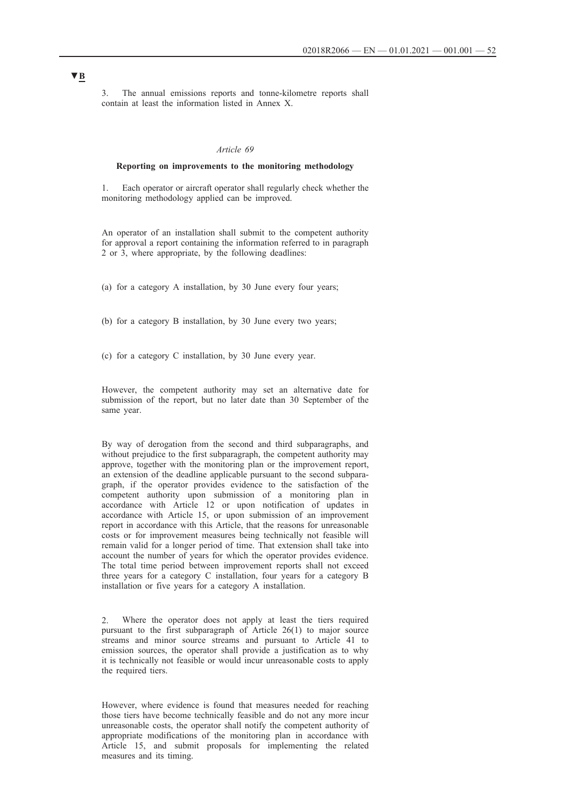3. The annual emissions reports and tonne-kilometre reports shall contain at least the information listed in Annex X.

### *Article 69*

### **Reporting on improvements to the monitoring methodology**

1. Each operator or aircraft operator shall regularly check whether the monitoring methodology applied can be improved.

An operator of an installation shall submit to the competent authority for approval a report containing the information referred to in paragraph 2 or 3, where appropriate, by the following deadlines:

(a) for a category A installation, by 30 June every four years;

(b) for a category B installation, by 30 June every two years;

(c) for a category C installation, by 30 June every year.

However, the competent authority may set an alternative date for submission of the report, but no later date than 30 September of the same year.

By way of derogation from the second and third subparagraphs, and without prejudice to the first subparagraph, the competent authority may approve, together with the monitoring plan or the improvement report, an extension of the deadline applicable pursuant to the second subparagraph, if the operator provides evidence to the satisfaction of the competent authority upon submission of a monitoring plan in accordance with Article 12 or upon notification of updates in accordance with Article 15, or upon submission of an improvement report in accordance with this Article, that the reasons for unreasonable costs or for improvement measures being technically not feasible will remain valid for a longer period of time. That extension shall take into account the number of years for which the operator provides evidence. The total time period between improvement reports shall not exceed three years for a category C installation, four years for a category B installation or five years for a category A installation.

Where the operator does not apply at least the tiers required pursuant to the first subparagraph of Article 26(1) to major source streams and minor source streams and pursuant to Article 41 to emission sources, the operator shall provide a justification as to why it is technically not feasible or would incur unreasonable costs to apply the required tiers.

However, where evidence is found that measures needed for reaching those tiers have become technically feasible and do not any more incur unreasonable costs, the operator shall notify the competent authority of appropriate modifications of the monitoring plan in accordance with Article 15, and submit proposals for implementing the related measures and its timing.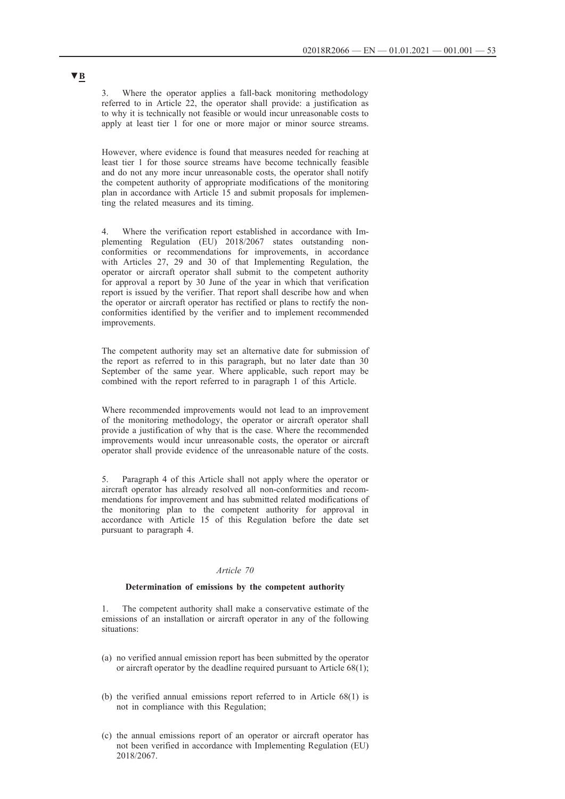3. Where the operator applies a fall-back monitoring methodology referred to in Article 22, the operator shall provide: a justification as to why it is technically not feasible or would incur unreasonable costs to apply at least tier 1 for one or more major or minor source streams.

However, where evidence is found that measures needed for reaching at least tier 1 for those source streams have become technically feasible and do not any more incur unreasonable costs, the operator shall notify the competent authority of appropriate modifications of the monitoring plan in accordance with Article 15 and submit proposals for implementing the related measures and its timing.

Where the verification report established in accordance with Implementing Regulation (EU) 2018/2067 states outstanding nonconformities or recommendations for improvements, in accordance with Articles 27, 29 and 30 of that Implementing Regulation, the operator or aircraft operator shall submit to the competent authority for approval a report by 30 June of the year in which that verification report is issued by the verifier. That report shall describe how and when the operator or aircraft operator has rectified or plans to rectify the nonconformities identified by the verifier and to implement recommended improvements.

The competent authority may set an alternative date for submission of the report as referred to in this paragraph, but no later date than 30 September of the same year. Where applicable, such report may be combined with the report referred to in paragraph 1 of this Article.

Where recommended improvements would not lead to an improvement of the monitoring methodology, the operator or aircraft operator shall provide a justification of why that is the case. Where the recommended improvements would incur unreasonable costs, the operator or aircraft operator shall provide evidence of the unreasonable nature of the costs.

5. Paragraph 4 of this Article shall not apply where the operator or aircraft operator has already resolved all non-conformities and recommendations for improvement and has submitted related modifications of the monitoring plan to the competent authority for approval in accordance with Article 15 of this Regulation before the date set pursuant to paragraph 4.

### *Article 70*

### **Determination of emissions by the competent authority**

1. The competent authority shall make a conservative estimate of the emissions of an installation or aircraft operator in any of the following situations:

- (a) no verified annual emission report has been submitted by the operator or aircraft operator by the deadline required pursuant to Article 68(1);
- (b) the verified annual emissions report referred to in Article 68(1) is not in compliance with this Regulation;
- (c) the annual emissions report of an operator or aircraft operator has not been verified in accordance with Implementing Regulation (EU) 2018/2067.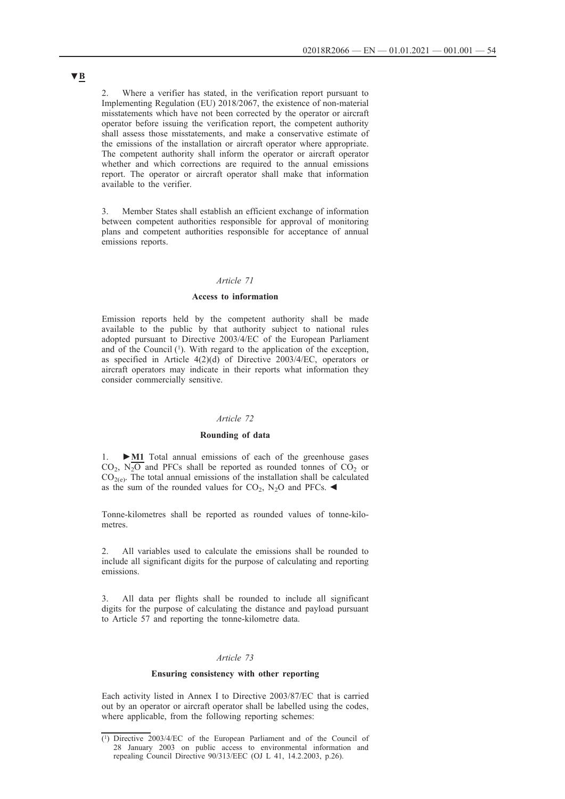2. Where a verifier has stated, in the verification report pursuant to Implementing Regulation (EU) 2018/2067, the existence of non-material misstatements which have not been corrected by the operator or aircraft operator before issuing the verification report, the competent authority shall assess those misstatements, and make a conservative estimate of the emissions of the installation or aircraft operator where appropriate. The competent authority shall inform the operator or aircraft operator whether and which corrections are required to the annual emissions report. The operator or aircraft operator shall make that information available to the verifier.

3. Member States shall establish an efficient exchange of information between competent authorities responsible for approval of monitoring plans and competent authorities responsible for acceptance of annual emissions reports.

#### *Article 71*

### **Access to information**

Emission reports held by the competent authority shall be made available to the public by that authority subject to national rules adopted pursuant to Directive 2003/4/EC of the European Parliament and of the Council (1). With regard to the application of the exception, as specified in Article 4(2)(d) of Directive 2003/4/EC, operators or aircraft operators may indicate in their reports what information they consider commercially sensitive.

#### *Article 72*

## **Rounding of data**

1. **►M1** Total annual emissions of each of the greenhouse gases  $CO<sub>2</sub>$ , N<sub>2</sub>O and PFCs shall be reported as rounded tonnes of CO<sub>2</sub> or  $CO<sub>2(e)</sub>$ . The total annual emissions of the installation shall be calculated as the sum of the rounded values for  $CO<sub>2</sub>$ , N<sub>2</sub>O and PFCs.

Tonne-kilometres shall be reported as rounded values of tonne-kilometres.

2. All variables used to calculate the emissions shall be rounded to include all significant digits for the purpose of calculating and reporting emissions.

3. All data per flights shall be rounded to include all significant digits for the purpose of calculating the distance and payload pursuant to Article 57 and reporting the tonne-kilometre data.

### *Article 73*

#### **Ensuring consistency with other reporting**

Each activity listed in Annex I to Directive 2003/87/EC that is carried out by an operator or aircraft operator shall be labelled using the codes, where applicable, from the following reporting schemes:

<sup>(1)</sup> Directive 2003/4/EC of the European Parliament and of the Council of 28 January 2003 on public access to environmental information and repealing Council Directive 90/313/EEC (OJ L 41, 14.2.2003, p.26).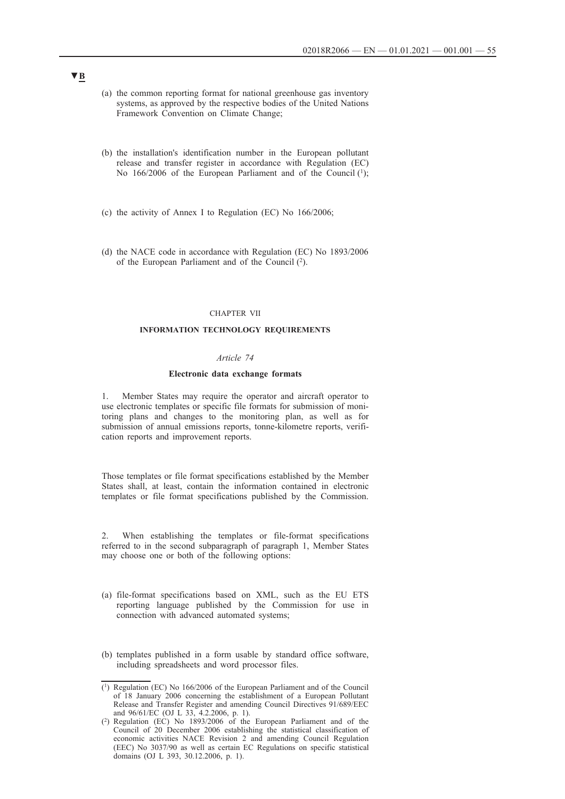- (a) the common reporting format for national greenhouse gas inventory systems, as approved by the respective bodies of the United Nations Framework Convention on Climate Change;
- (b) the installation's identification number in the European pollutant release and transfer register in accordance with Regulation (EC) No 166/2006 of the European Parliament and of the Council  $(1)$ :
- (c) the activity of Annex I to Regulation (EC) No 166/2006;
- (d) the NACE code in accordance with Regulation (EC) No 1893/2006 of the European Parliament and of the Council (2).

#### CHAPTER VII

#### **INFORMATION TECHNOLOGY REQUIREMENTS**

### *Article 74*

## **Electronic data exchange formats**

1. Member States may require the operator and aircraft operator to use electronic templates or specific file formats for submission of monitoring plans and changes to the monitoring plan, as well as for submission of annual emissions reports, tonne-kilometre reports, verification reports and improvement reports.

Those templates or file format specifications established by the Member States shall, at least, contain the information contained in electronic templates or file format specifications published by the Commission.

2. When establishing the templates or file-format specifications referred to in the second subparagraph of paragraph 1, Member States may choose one or both of the following options:

- (a) file-format specifications based on XML, such as the EU ETS reporting language published by the Commission for use in connection with advanced automated systems;
- (b) templates published in a form usable by standard office software, including spreadsheets and word processor files.

<sup>(1)</sup> Regulation (EC) No 166/2006 of the European Parliament and of the Council of 18 January 2006 concerning the establishment of a European Pollutant Release and Transfer Register and amending Council Directives 91/689/EEC and 96/61/EC (OJ L 33, 4.2.2006, p. 1).

<sup>(2)</sup> Regulation (EC) No  $1893/2006$  of the European Parliament and of the Council of 20 December 2006 establishing the statistical classification of economic activities NACE Revision 2 and amending Council Regulation (EEC) No 3037/90 as well as certain EC Regulations on specific statistical domains (OJ L 393, 30.12.2006, p. 1).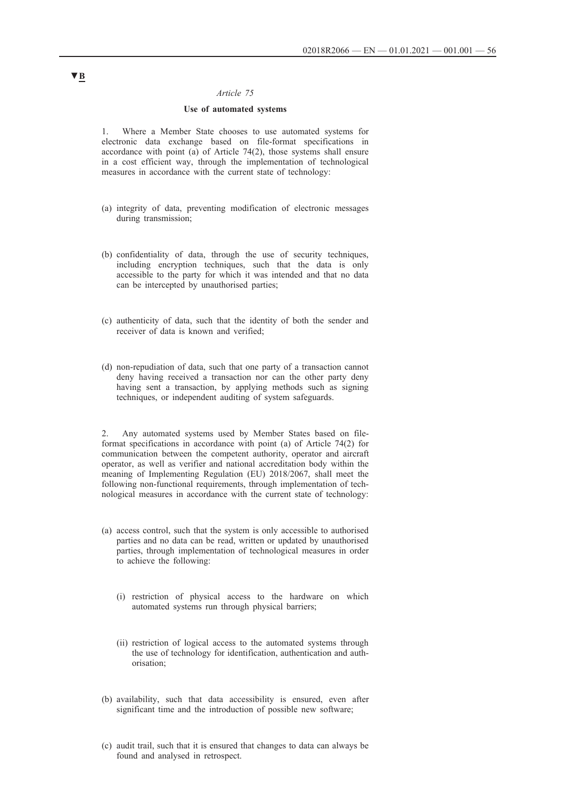### *Article 75*

#### **Use of automated systems**

1. Where a Member State chooses to use automated systems for electronic data exchange based on file-format specifications in accordance with point (a) of Article 74(2), those systems shall ensure in a cost efficient way, through the implementation of technological measures in accordance with the current state of technology:

- (a) integrity of data, preventing modification of electronic messages during transmission;
- (b) confidentiality of data, through the use of security techniques, including encryption techniques, such that the data is only accessible to the party for which it was intended and that no data can be intercepted by unauthorised parties;
- (c) authenticity of data, such that the identity of both the sender and receiver of data is known and verified;
- (d) non-repudiation of data, such that one party of a transaction cannot deny having received a transaction nor can the other party deny having sent a transaction, by applying methods such as signing techniques, or independent auditing of system safeguards.

2. Any automated systems used by Member States based on fileformat specifications in accordance with point (a) of Article 74(2) for communication between the competent authority, operator and aircraft operator, as well as verifier and national accreditation body within the meaning of Implementing Regulation (EU) 2018/2067, shall meet the following non-functional requirements, through implementation of technological measures in accordance with the current state of technology:

- (a) access control, such that the system is only accessible to authorised parties and no data can be read, written or updated by unauthorised parties, through implementation of technological measures in order to achieve the following:
	- (i) restriction of physical access to the hardware on which automated systems run through physical barriers;
	- (ii) restriction of logical access to the automated systems through the use of technology for identification, authentication and authorisation;
- (b) availability, such that data accessibility is ensured, even after significant time and the introduction of possible new software;
- (c) audit trail, such that it is ensured that changes to data can always be found and analysed in retrospect.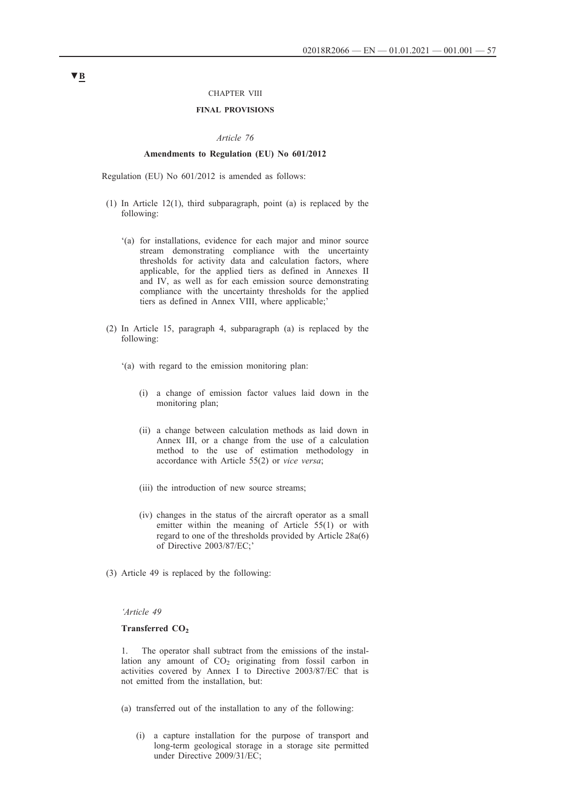### CHAPTER VIII

## **FINAL PROVISIONS**

#### *Article 76*

### **Amendments to Regulation (EU) No 601/2012**

Regulation (EU) No 601/2012 is amended as follows:

- (1) In Article 12(1), third subparagraph, point (a) is replaced by the following:
	- '(a) for installations, evidence for each major and minor source stream demonstrating compliance with the uncertainty thresholds for activity data and calculation factors, where applicable, for the applied tiers as defined in Annexes II and IV, as well as for each emission source demonstrating compliance with the uncertainty thresholds for the applied tiers as defined in Annex VIII, where applicable;'
- (2) In Article 15, paragraph 4, subparagraph (a) is replaced by the following:
	- '(a) with regard to the emission monitoring plan:
		- (i) a change of emission factor values laid down in the monitoring plan;
		- (ii) a change between calculation methods as laid down in Annex III, or a change from the use of a calculation method to the use of estimation methodology in accordance with Article 55(2) or *vice versa*;
		- (iii) the introduction of new source streams;
		- (iv) changes in the status of the aircraft operator as a small emitter within the meaning of Article 55(1) or with regard to one of the thresholds provided by Article 28a(6) of Directive 2003/87/EC;'
- (3) Article 49 is replaced by the following:

#### *'Article 49*

## Transferred CO<sub>2</sub>

1. The operator shall subtract from the emissions of the installation any amount of  $CO<sub>2</sub>$  originating from fossil carbon in activities covered by Annex I to Directive 2003/87/EC that is not emitted from the installation, but:

- (a) transferred out of the installation to any of the following:
	- (i) a capture installation for the purpose of transport and long-term geological storage in a storage site permitted under Directive 2009/31/EC;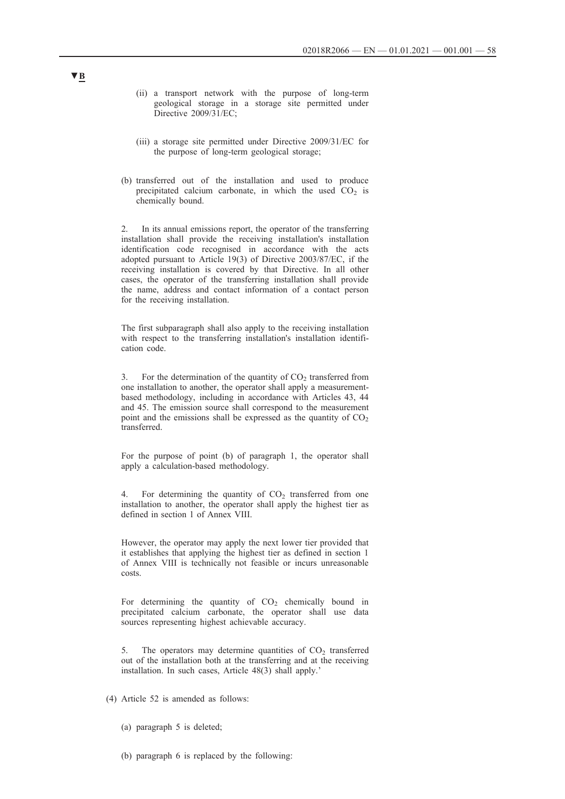- (ii) a transport network with the purpose of long-term geological storage in a storage site permitted under Directive 2009/31/EC;
- (iii) a storage site permitted under Directive 2009/31/EC for the purpose of long-term geological storage;
- (b) transferred out of the installation and used to produce precipitated calcium carbonate, in which the used  $CO<sub>2</sub>$  is chemically bound.

2. In its annual emissions report, the operator of the transferring installation shall provide the receiving installation's installation identification code recognised in accordance with the acts adopted pursuant to Article 19(3) of Directive 2003/87/EC, if the receiving installation is covered by that Directive. In all other cases, the operator of the transferring installation shall provide the name, address and contact information of a contact person for the receiving installation.

The first subparagraph shall also apply to the receiving installation with respect to the transferring installation's installation identification code.

3. For the determination of the quantity of  $CO<sub>2</sub>$  transferred from one installation to another, the operator shall apply a measurementbased methodology, including in accordance with Articles 43, 44 and 45. The emission source shall correspond to the measurement point and the emissions shall be expressed as the quantity of  $CO<sub>2</sub>$ transferred.

For the purpose of point (b) of paragraph 1, the operator shall apply a calculation-based methodology.

4. For determining the quantity of  $CO<sub>2</sub>$  transferred from one installation to another, the operator shall apply the highest tier as defined in section 1 of Annex VIII.

However, the operator may apply the next lower tier provided that it establishes that applying the highest tier as defined in section 1 of Annex VIII is technically not feasible or incurs unreasonable costs.

For determining the quantity of  $CO<sub>2</sub>$  chemically bound in precipitated calcium carbonate, the operator shall use data sources representing highest achievable accuracy.

5. The operators may determine quantities of  $CO<sub>2</sub>$  transferred out of the installation both at the transferring and at the receiving installation. In such cases, Article 48(3) shall apply.'

- (4) Article 52 is amended as follows:
	- (a) paragraph 5 is deleted;
	- (b) paragraph 6 is replaced by the following: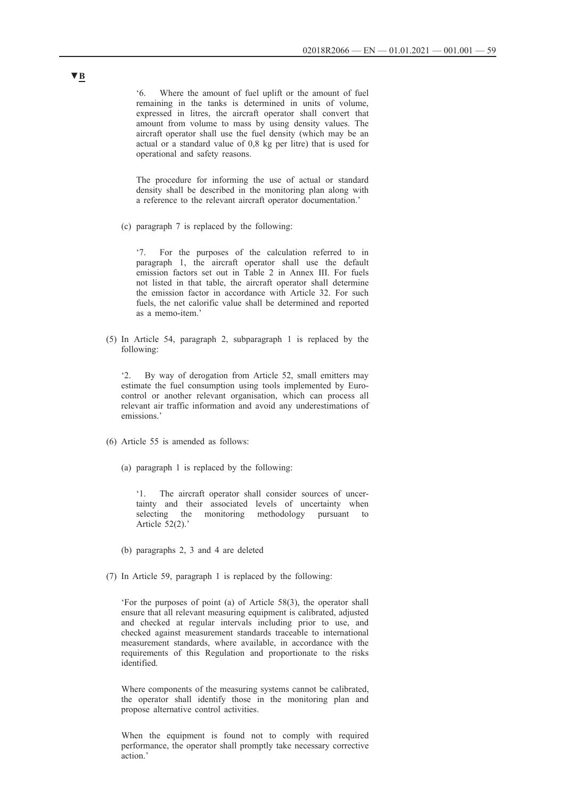'6. Where the amount of fuel uplift or the amount of fuel remaining in the tanks is determined in units of volume, expressed in litres, the aircraft operator shall convert that amount from volume to mass by using density values. The aircraft operator shall use the fuel density (which may be an actual or a standard value of 0,8 kg per litre) that is used for operational and safety reasons.

The procedure for informing the use of actual or standard density shall be described in the monitoring plan along with a reference to the relevant aircraft operator documentation.'

(c) paragraph 7 is replaced by the following:

'7. For the purposes of the calculation referred to in paragraph 1, the aircraft operator shall use the default emission factors set out in Table 2 in Annex III. For fuels not listed in that table, the aircraft operator shall determine the emission factor in accordance with Article 32. For such fuels, the net calorific value shall be determined and reported as a memo-item.'

(5) In Article 54, paragraph 2, subparagraph 1 is replaced by the following:

'2. By way of derogation from Article 52, small emitters may estimate the fuel consumption using tools implemented by Eurocontrol or another relevant organisation, which can process all relevant air traffic information and avoid any underestimations of emissions.'

- (6) Article 55 is amended as follows:
	- (a) paragraph 1 is replaced by the following:

'1. The aircraft operator shall consider sources of uncertainty and their associated levels of uncertainty when selecting the monitoring methodology pursuant to Article 52(2).'

- (b) paragraphs 2, 3 and 4 are deleted
- (7) In Article 59, paragraph 1 is replaced by the following:

'For the purposes of point (a) of Article 58(3), the operator shall ensure that all relevant measuring equipment is calibrated, adjusted and checked at regular intervals including prior to use, and checked against measurement standards traceable to international measurement standards, where available, in accordance with the requirements of this Regulation and proportionate to the risks identified.

Where components of the measuring systems cannot be calibrated, the operator shall identify those in the monitoring plan and propose alternative control activities.

When the equipment is found not to comply with required performance, the operator shall promptly take necessary corrective action.'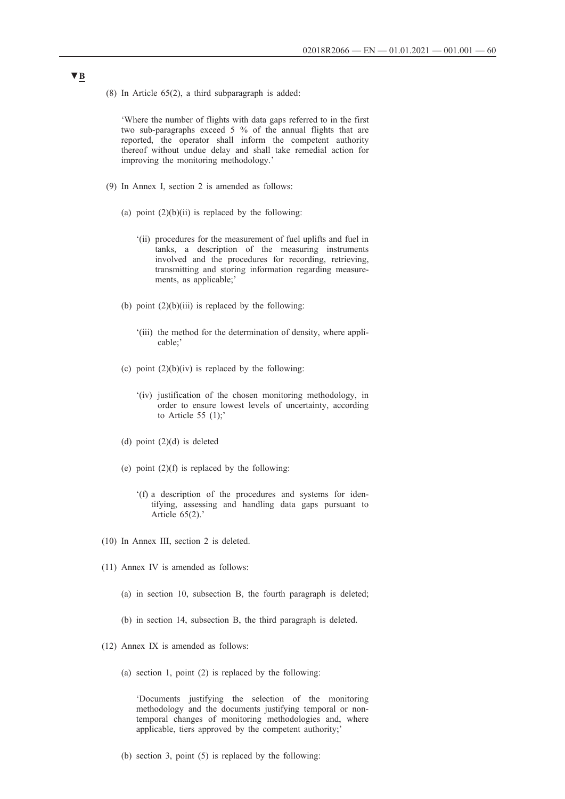(8) In Article 65(2), a third subparagraph is added:

'Where the number of flights with data gaps referred to in the first two sub-paragraphs exceed 5 % of the annual flights that are reported, the operator shall inform the competent authority thereof without undue delay and shall take remedial action for improving the monitoring methodology.'

- (9) In Annex I, section 2 is amended as follows:
	- (a) point  $(2)(b)(ii)$  is replaced by the following:
		- '(ii) procedures for the measurement of fuel uplifts and fuel in tanks, a description of the measuring instruments involved and the procedures for recording, retrieving, transmitting and storing information regarding measurements, as applicable;'
	- (b) point  $(2)(b)(iii)$  is replaced by the following:
		- '(iii) the method for the determination of density, where applicable;'
	- (c) point  $(2)(b)(iv)$  is replaced by the following:
		- '(iv) justification of the chosen monitoring methodology, in order to ensure lowest levels of uncertainty, according to Article 55 (1);'
	- (d) point (2)(d) is deleted
	- (e) point  $(2)(f)$  is replaced by the following:
		- '(f) a description of the procedures and systems for identifying, assessing and handling data gaps pursuant to Article 65(2).'
- (10) In Annex III, section 2 is deleted.
- (11) Annex IV is amended as follows:
	- (a) in section 10, subsection B, the fourth paragraph is deleted;
	- (b) in section 14, subsection B, the third paragraph is deleted.
- (12) Annex IX is amended as follows:
	- (a) section 1, point (2) is replaced by the following:

'Documents justifying the selection of the monitoring methodology and the documents justifying temporal or nontemporal changes of monitoring methodologies and, where applicable, tiers approved by the competent authority;'

(b) section 3, point (5) is replaced by the following: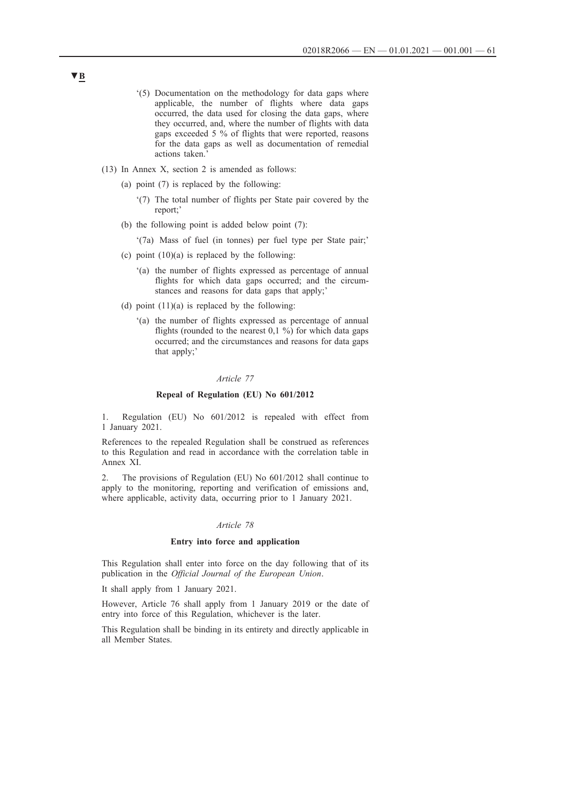- '(5) Documentation on the methodology for data gaps where applicable, the number of flights where data gaps occurred, the data used for closing the data gaps, where they occurred, and, where the number of flights with data gaps exceeded 5 % of flights that were reported, reasons for the data gaps as well as documentation of remedial actions taken.'
- (13) In Annex X, section 2 is amended as follows:
	- (a) point (7) is replaced by the following:
		- '(7) The total number of flights per State pair covered by the report;'
	- (b) the following point is added below point (7):
		- '(7a) Mass of fuel (in tonnes) per fuel type per State pair;'
	- (c) point  $(10)(a)$  is replaced by the following:
		- '(a) the number of flights expressed as percentage of annual flights for which data gaps occurred; and the circumstances and reasons for data gaps that apply;'
	- (d) point  $(11)(a)$  is replaced by the following:
		- '(a) the number of flights expressed as percentage of annual flights (rounded to the nearest  $0,1\%$ ) for which data gaps occurred; and the circumstances and reasons for data gaps that apply;'

#### *Article 77*

#### **Repeal of Regulation (EU) No 601/2012**

1. Regulation (EU) No 601/2012 is repealed with effect from 1 January 2021.

References to the repealed Regulation shall be construed as references to this Regulation and read in accordance with the correlation table in Annex XI.

2. The provisions of Regulation (EU) No 601/2012 shall continue to apply to the monitoring, reporting and verification of emissions and, where applicable, activity data, occurring prior to 1 January 2021.

### *Article 78*

#### **Entry into force and application**

This Regulation shall enter into force on the day following that of its publication in the *Official Journal of the European Union*.

It shall apply from 1 January 2021.

However, Article 76 shall apply from 1 January 2019 or the date of entry into force of this Regulation, whichever is the later.

This Regulation shall be binding in its entirety and directly applicable in all Member States.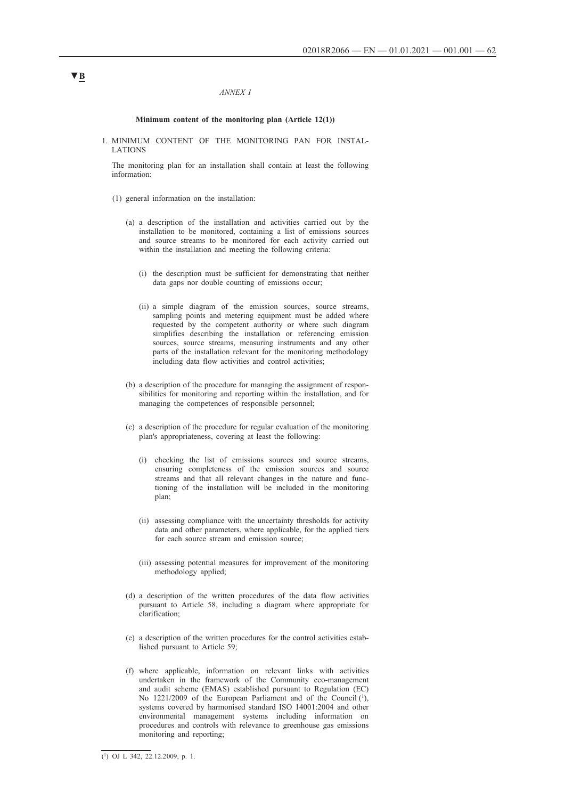#### *ANNEX I*

#### **Minimum content of the monitoring plan (Article 12(1))**

1. MINIMUM CONTENT OF THE MONITORING PAN FOR INSTAL-LATIONS

The monitoring plan for an installation shall contain at least the following information:

- (1) general information on the installation:
	- (a) a description of the installation and activities carried out by the installation to be monitored, containing a list of emissions sources and source streams to be monitored for each activity carried out within the installation and meeting the following criteria:
		- (i) the description must be sufficient for demonstrating that neither data gaps nor double counting of emissions occur;
		- (ii) a simple diagram of the emission sources, source streams, sampling points and metering equipment must be added where requested by the competent authority or where such diagram simplifies describing the installation or referencing emission sources, source streams, measuring instruments and any other parts of the installation relevant for the monitoring methodology including data flow activities and control activities;
	- (b) a description of the procedure for managing the assignment of responsibilities for monitoring and reporting within the installation, and for managing the competences of responsible personnel;
	- (c) a description of the procedure for regular evaluation of the monitoring plan's appropriateness, covering at least the following:
		- (i) checking the list of emissions sources and source streams, ensuring completeness of the emission sources and source streams and that all relevant changes in the nature and functioning of the installation will be included in the monitoring plan;
		- (ii) assessing compliance with the uncertainty thresholds for activity data and other parameters, where applicable, for the applied tiers for each source stream and emission source;
		- (iii) assessing potential measures for improvement of the monitoring methodology applied;
	- (d) a description of the written procedures of the data flow activities pursuant to Article 58, including a diagram where appropriate for clarification;
	- (e) a description of the written procedures for the control activities established pursuant to Article 59;
	- (f) where applicable, information on relevant links with activities undertaken in the framework of the Community eco-management and audit scheme (EMAS) established pursuant to Regulation (EC) No 1221/2009 of the European Parliament and of the Council  $(1)$ , systems covered by harmonised standard ISO 14001:2004 and other environmental management systems including information on procedures and controls with relevance to greenhouse gas emissions monitoring and reporting;

## $(1)$  OJ L 342, 22.12.2009, p. 1.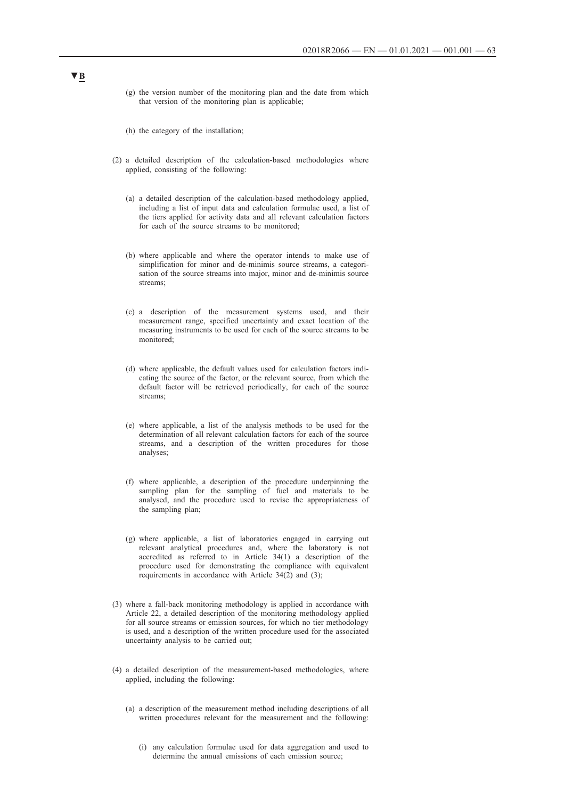- (g) the version number of the monitoring plan and the date from which that version of the monitoring plan is applicable;
- (h) the category of the installation;
- (2) a detailed description of the calculation-based methodologies where applied, consisting of the following:
	- (a) a detailed description of the calculation-based methodology applied, including a list of input data and calculation formulae used, a list of the tiers applied for activity data and all relevant calculation factors for each of the source streams to be monitored;
	- (b) where applicable and where the operator intends to make use of simplification for minor and de-minimis source streams, a categorisation of the source streams into major, minor and de-minimis source streams;
	- (c) a description of the measurement systems used, and their measurement range, specified uncertainty and exact location of the measuring instruments to be used for each of the source streams to be monitored;
	- (d) where applicable, the default values used for calculation factors indicating the source of the factor, or the relevant source, from which the default factor will be retrieved periodically, for each of the source streams;
	- (e) where applicable, a list of the analysis methods to be used for the determination of all relevant calculation factors for each of the source streams, and a description of the written procedures for those analyses;
	- (f) where applicable, a description of the procedure underpinning the sampling plan for the sampling of fuel and materials to be analysed, and the procedure used to revise the appropriateness of the sampling plan;
	- (g) where applicable, a list of laboratories engaged in carrying out relevant analytical procedures and, where the laboratory is not accredited as referred to in Article 34(1) a description of the procedure used for demonstrating the compliance with equivalent requirements in accordance with Article 34(2) and (3);
- (3) where a fall-back monitoring methodology is applied in accordance with Article 22, a detailed description of the monitoring methodology applied for all source streams or emission sources, for which no tier methodology is used, and a description of the written procedure used for the associated uncertainty analysis to be carried out;
- (4) a detailed description of the measurement-based methodologies, where applied, including the following:
	- (a) a description of the measurement method including descriptions of all written procedures relevant for the measurement and the following:
		- (i) any calculation formulae used for data aggregation and used to determine the annual emissions of each emission source;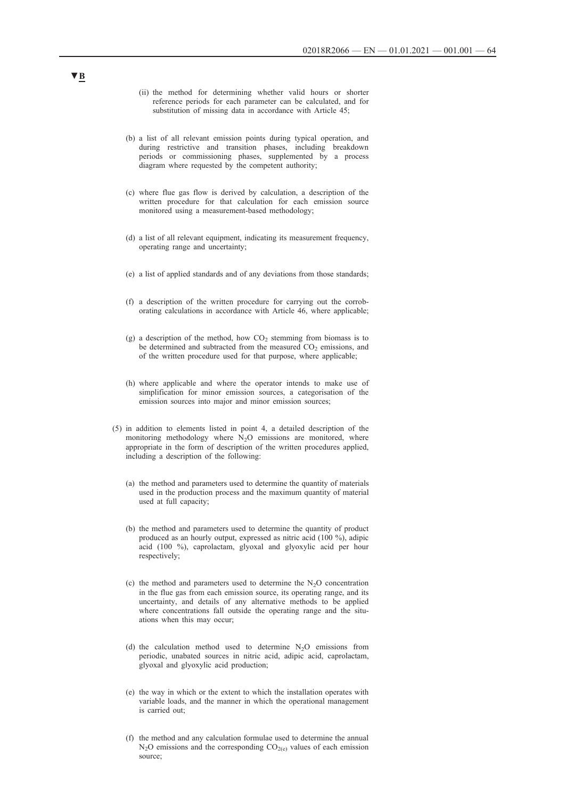- (ii) the method for determining whether valid hours or shorter reference periods for each parameter can be calculated, and for substitution of missing data in accordance with Article 45;
- (b) a list of all relevant emission points during typical operation, and during restrictive and transition phases, including breakdown periods or commissioning phases, supplemented by a process diagram where requested by the competent authority;
- (c) where flue gas flow is derived by calculation, a description of the written procedure for that calculation for each emission source monitored using a measurement-based methodology;
- (d) a list of all relevant equipment, indicating its measurement frequency, operating range and uncertainty;
- (e) a list of applied standards and of any deviations from those standards;
- (f) a description of the written procedure for carrying out the corroborating calculations in accordance with Article 46, where applicable;
- (g) a description of the method, how  $CO<sub>2</sub>$  stemming from biomass is to be determined and subtracted from the measured  $CO<sub>2</sub>$  emissions, and of the written procedure used for that purpose, where applicable;
- (h) where applicable and where the operator intends to make use of simplification for minor emission sources, a categorisation of the emission sources into major and minor emission sources;
- (5) in addition to elements listed in point 4, a detailed description of the monitoring methodology where  $N_2O$  emissions are monitored, where appropriate in the form of description of the written procedures applied, including a description of the following:
	- (a) the method and parameters used to determine the quantity of materials used in the production process and the maximum quantity of material used at full capacity;
	- (b) the method and parameters used to determine the quantity of product produced as an hourly output, expressed as nitric acid (100 %), adipic acid (100 %), caprolactam, glyoxal and glyoxylic acid per hour respectively;
	- (c) the method and parameters used to determine the  $N<sub>2</sub>O$  concentration in the flue gas from each emission source, its operating range, and its uncertainty, and details of any alternative methods to be applied where concentrations fall outside the operating range and the situations when this may occur;
	- (d) the calculation method used to determine  $N_2O$  emissions from periodic, unabated sources in nitric acid, adipic acid, caprolactam, glyoxal and glyoxylic acid production;
	- (e) the way in which or the extent to which the installation operates with variable loads, and the manner in which the operational management is carried out;
	- (f) the method and any calculation formulae used to determine the annual  $N_2O$  emissions and the corresponding  $CO_{2(e)}$  values of each emission source;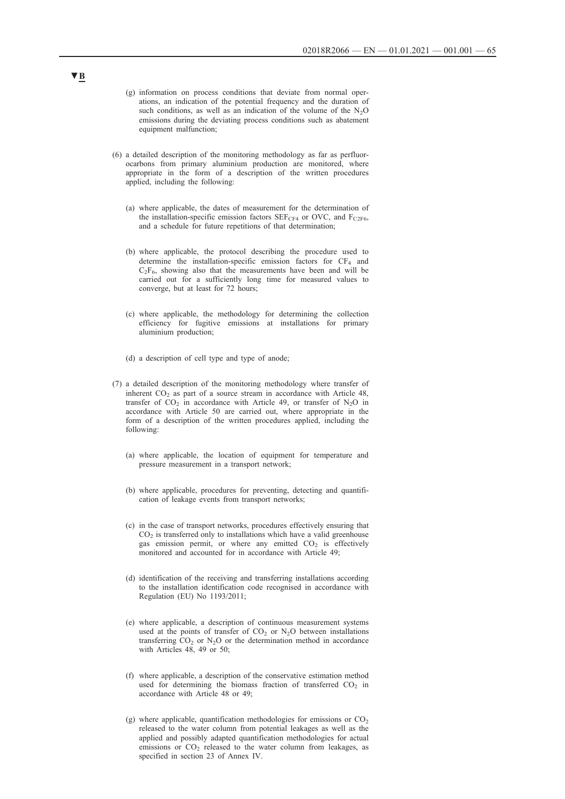- (g) information on process conditions that deviate from normal operations, an indication of the potential frequency and the duration of such conditions, as well as an indication of the volume of the  $N_2O$ emissions during the deviating process conditions such as abatement equipment malfunction;
- (6) a detailed description of the monitoring methodology as far as perfluorocarbons from primary aluminium production are monitored, where appropriate in the form of a description of the written procedures applied, including the following:
	- (a) where applicable, the dates of measurement for the determination of the installation-specific emission factors  $SEF_{CF4}$  or OVC, and  $F_{C2F6}$ , and a schedule for future repetitions of that determination;
	- (b) where applicable, the protocol describing the procedure used to determine the installation-specific emission factors for  $CF_4$  and  $C_2F_6$ , showing also that the measurements have been and will be carried out for a sufficiently long time for measured values to converge, but at least for 72 hours;
	- (c) where applicable, the methodology for determining the collection efficiency for fugitive emissions at installations for primary aluminium production;
	- (d) a description of cell type and type of anode;
- (7) a detailed description of the monitoring methodology where transfer of inherent  $CO<sub>2</sub>$  as part of a source stream in accordance with Article 48, transfer of  $CO<sub>2</sub>$  in accordance with Article 49, or transfer of N<sub>2</sub>O in accordance with Article 50 are carried out, where appropriate in the form of a description of the written procedures applied, including the following:
	- (a) where applicable, the location of equipment for temperature and pressure measurement in a transport network;
	- (b) where applicable, procedures for preventing, detecting and quantification of leakage events from transport networks;
	- (c) in the case of transport networks, procedures effectively ensuring that  $CO<sub>2</sub>$  is transferred only to installations which have a valid greenhouse gas emission permit, or where any emitted  $CO<sub>2</sub>$  is effectively monitored and accounted for in accordance with Article 49;
	- (d) identification of the receiving and transferring installations according to the installation identification code recognised in accordance with Regulation (EU) No 1193/2011;
	- (e) where applicable, a description of continuous measurement systems used at the points of transfer of  $CO<sub>2</sub>$  or N<sub>2</sub>O between installations transferring  $CO_2$  or N<sub>2</sub>O or the determination method in accordance with Articles 48, 49 or 50;
	- (f) where applicable, a description of the conservative estimation method used for determining the biomass fraction of transferred  $CO<sub>2</sub>$  in accordance with Article 48 or 49;
	- (g) where applicable, quantification methodologies for emissions or  $CO<sub>2</sub>$ released to the water column from potential leakages as well as the applied and possibly adapted quantification methodologies for actual emissions or  $CO<sub>2</sub>$  released to the water column from leakages, as specified in section 23 of Annex IV.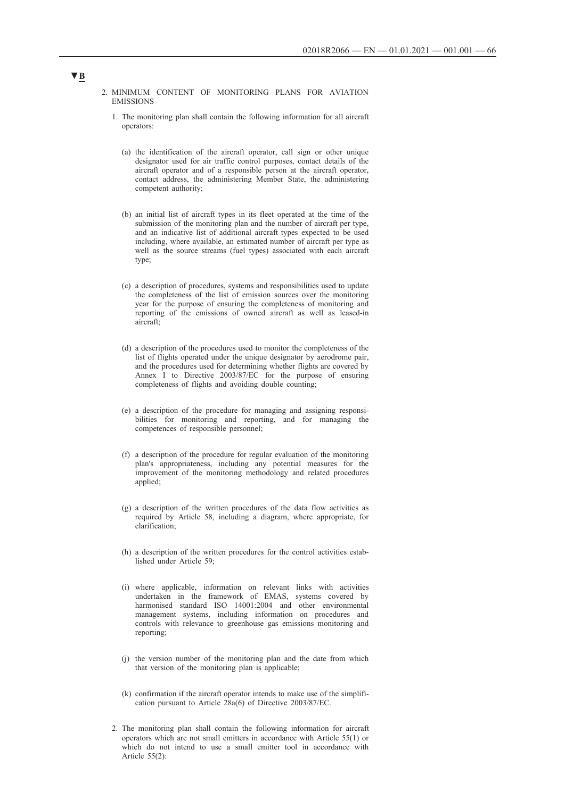2. MINIMUM CONTENT OF MONITORING PLANS FOR AVIATION EMISSIONS

- 1. The monitoring plan shall contain the following information for all aircraft operators:
	- (a) the identification of the aircraft operator, call sign or other unique designator used for air traffic control purposes, contact details of the aircraft operator and of a responsible person at the aircraft operator, contact address, the administering Member State, the administering competent authority;
	- (b) an initial list of aircraft types in its fleet operated at the time of the submission of the monitoring plan and the number of aircraft per type, and an indicative list of additional aircraft types expected to be used including, where available, an estimated number of aircraft per type as well as the source streams (fuel types) associated with each aircraft type;
	- (c) a description of procedures, systems and responsibilities used to update the completeness of the list of emission sources over the monitoring year for the purpose of ensuring the completeness of monitoring and reporting of the emissions of owned aircraft as well as leased-in aircraft;
	- (d) a description of the procedures used to monitor the completeness of the list of flights operated under the unique designator by aerodrome pair, and the procedures used for determining whether flights are covered by Annex I to Directive 2003/87/EC for the purpose of ensuring completeness of flights and avoiding double counting;
	- (e) a description of the procedure for managing and assigning responsibilities for monitoring and reporting, and for managing the competences of responsible personnel;
	- (f) a description of the procedure for regular evaluation of the monitoring plan's appropriateness, including any potential measures for the improvement of the monitoring methodology and related procedures applied;
	- (g) a description of the written procedures of the data flow activities as required by Article 58, including a diagram, where appropriate, for clarification;
	- (h) a description of the written procedures for the control activities established under Article 59;
	- (i) where applicable, information on relevant links with activities undertaken in the framework of EMAS, systems covered by harmonised standard ISO 14001:2004 and other environmental management systems, including information on procedures and controls with relevance to greenhouse gas emissions monitoring and reporting;
	- (j) the version number of the monitoring plan and the date from which that version of the monitoring plan is applicable;
	- (k) confirmation if the aircraft operator intends to make use of the simplification pursuant to Article 28a(6) of Directive 2003/87/EC.
- 2. The monitoring plan shall contain the following information for aircraft operators which are not small emitters in accordance with Article 55(1) or which do not intend to use a small emitter tool in accordance with Article 55(2):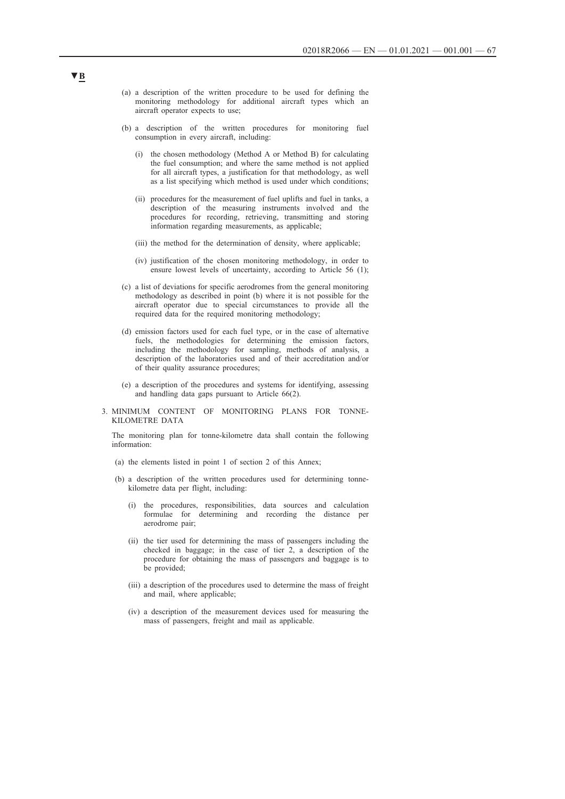- (a) a description of the written procedure to be used for defining the monitoring methodology for additional aircraft types which an aircraft operator expects to use;
- (b) a description of the written procedures for monitoring fuel consumption in every aircraft, including:
	- (i) the chosen methodology (Method A or Method B) for calculating the fuel consumption; and where the same method is not applied for all aircraft types, a justification for that methodology, as well as a list specifying which method is used under which conditions;
	- (ii) procedures for the measurement of fuel uplifts and fuel in tanks, a description of the measuring instruments involved and the procedures for recording, retrieving, transmitting and storing information regarding measurements, as applicable;
	- (iii) the method for the determination of density, where applicable;
	- (iv) justification of the chosen monitoring methodology, in order to ensure lowest levels of uncertainty, according to Article 56 (1);
- (c) a list of deviations for specific aerodromes from the general monitoring methodology as described in point (b) where it is not possible for the aircraft operator due to special circumstances to provide all the required data for the required monitoring methodology;
- (d) emission factors used for each fuel type, or in the case of alternative fuels, the methodologies for determining the emission factors, including the methodology for sampling, methods of analysis, a description of the laboratories used and of their accreditation and/or of their quality assurance procedures;
- (e) a description of the procedures and systems for identifying, assessing and handling data gaps pursuant to Article 66(2).
- 3. MINIMUM CONTENT OF MONITORING PLANS FOR TONNE-KILOMETRE DATA

The monitoring plan for tonne-kilometre data shall contain the following information:

- (a) the elements listed in point 1 of section 2 of this Annex;
- (b) a description of the written procedures used for determining tonnekilometre data per flight, including:
	- (i) the procedures, responsibilities, data sources and calculation formulae for determining and recording the distance per aerodrome pair;
	- (ii) the tier used for determining the mass of passengers including the checked in baggage; in the case of tier 2, a description of the procedure for obtaining the mass of passengers and baggage is to be provided;
	- (iii) a description of the procedures used to determine the mass of freight and mail, where applicable;
	- (iv) a description of the measurement devices used for measuring the mass of passengers, freight and mail as applicable.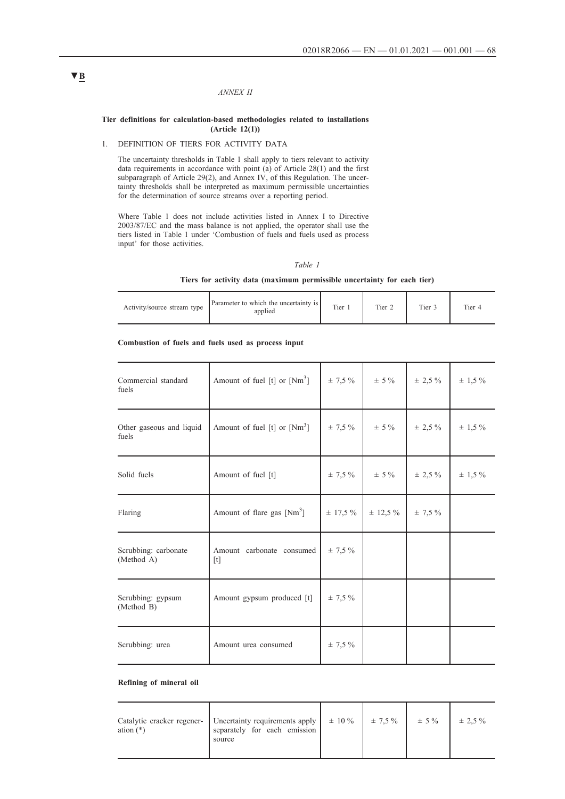### *ANNEX II*

#### **Tier definitions for calculation-based methodologies related to installations (Article 12(1))**

## 1. DEFINITION OF TIERS FOR ACTIVITY DATA

The uncertainty thresholds in Table 1 shall apply to tiers relevant to activity data requirements in accordance with point (a) of Article 28(1) and the first subparagraph of Article 29(2), and Annex IV, of this Regulation. The uncertainty thresholds shall be interpreted as maximum permissible uncertainties for the determination of source streams over a reporting period.

Where Table 1 does not include activities listed in Annex I to Directive 2003/87/EC and the mass balance is not applied, the operator shall use the tiers listed in Table 1 under 'Combustion of fuels and fuels used as process input' for those activities.

### *Table 1*

### **Tiers for activity data (maximum permissible uncertainty for each tier)**

| Activity/source stream type | Parameter to which the uncertainty is<br>applied | Tier 1 | Tier 2 | Tier 3 | Tier 4 |
|-----------------------------|--------------------------------------------------|--------|--------|--------|--------|
|-----------------------------|--------------------------------------------------|--------|--------|--------|--------|

### **Combustion of fuels and fuels used as process input**

| Commercial standard<br>fuels       | Amount of fuel [t] or $[Nm3]$    | $\pm$ 7,5 %  | $\pm$ 5 %    | $\pm$ 2,5 % | $\pm$ 1,5 % |
|------------------------------------|----------------------------------|--------------|--------------|-------------|-------------|
| Other gaseous and liquid<br>fuels  | Amount of fuel [t] or $[Nm3]$    | $\pm$ 7,5 %  | $\pm$ 5 %    | ± 2,5%      | $\pm$ 1,5 % |
| Solid fuels                        | Amount of fuel [t]               | $\pm$ 7,5 %  | $\pm$ 5 %    | $\pm$ 2,5 % | $\pm$ 1,5 % |
| Flaring                            | Amount of flare gas $[Nm3]$      | $\pm$ 17.5 % | $\pm$ 12,5 % | $\pm$ 7.5 % |             |
| Scrubbing: carbonate<br>(Method A) | Amount carbonate consumed<br>[t] | $\pm 7.5 \%$ |              |             |             |
| Scrubbing: gypsum<br>(Method B)    | Amount gypsum produced [t]       | ± 7,5%       |              |             |             |
| Scrubbing: urea                    | Amount urea consumed             | ± 7,5%       |              |             |             |

### **Refining of mineral oil**

| ation $(*)$ | Catalytic cracker regener-   Uncertainty requirements apply   $\pm 10\%$   $\pm 7.5\%$   $\pm 5\%$   $\pm 2.5\%$<br>separately for each emission<br>source |  |  |
|-------------|------------------------------------------------------------------------------------------------------------------------------------------------------------|--|--|
|             |                                                                                                                                                            |  |  |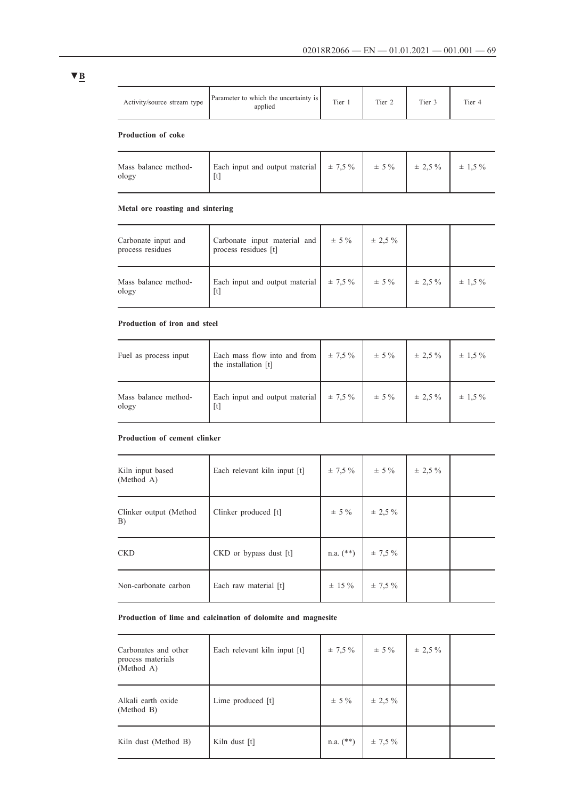applied Tier 1 Tier 2 Tier 3 Tier 4

**Production of coke**

| Mass balance method-<br>ology | Each input and output material $\pm 7.5\%$ $\pm 5\%$ $\pm 2.5\%$ $\pm 1.5\%$ |  |  |  |  |
|-------------------------------|------------------------------------------------------------------------------|--|--|--|--|
|-------------------------------|------------------------------------------------------------------------------|--|--|--|--|

# **Metal ore roasting and sintering**

Activity/source stream type Parameter to which the uncertainty is applied

| Carbonate input and<br>process residues | Carbonate input material and<br>process residues [t] | $\pm$ 5 %   | $\pm$ 2.5 % |             |             |
|-----------------------------------------|------------------------------------------------------|-------------|-------------|-------------|-------------|
| Mass balance method-<br>ology           | Each input and output material<br>$[t]$              | $\pm$ 7,5 % | $\pm$ 5 %   | $\pm$ 2.5 % | $\pm$ 1,5 % |

## **Production of iron and steel**

| Fuel as process input         | Each mass flow into and from<br>the installation [t] | $\pm 7.5 \%$ | $\pm$ 5 % | $\pm$ 2.5 %  | $\pm$ 1.5 % |
|-------------------------------|------------------------------------------------------|--------------|-----------|--------------|-------------|
| Mass balance method-<br>ology | Each input and output material<br>$[t]$              | $\pm 7.5 \%$ | $\pm$ 5 % | $\pm 2.5 \%$ | $\pm$ 1,5 % |

## **Production of cement clinker**

| Kiln input based<br>(Method A) | Each relevant kiln input [t] | $\pm 7.5 \%$ | $\pm$ 5 %               | $\pm$ 2,5 % |  |
|--------------------------------|------------------------------|--------------|-------------------------|-------------|--|
| Clinker output (Method<br>B)   | Clinker produced [t]         | $\pm$ 5 %    | $\pm$ 2,5 %             |             |  |
| <b>CKD</b>                     | CKD or bypass dust [t]       |              | n.a. $(**)$ $\pm$ 7,5 % |             |  |
| Non-carbonate carbon           | Each raw material [t]        |              | $\pm$ 15 % $\pm$ 7.5 %  |             |  |

## **Production of lime and calcination of dolomite and magnesite**

| Carbonates and other<br>process materials<br>(Method A) | Each relevant kiln input [t] | $\pm$ 7,5 %   | $\pm$ 5 %   | $\pm$ 2,5 % |  |
|---------------------------------------------------------|------------------------------|---------------|-------------|-------------|--|
| Alkali earth oxide<br>(Method B)                        | Lime produced [t]            | $\pm$ 5 %     | $\pm$ 2,5 % |             |  |
| Kiln dust (Method B)                                    | Kiln dust [t]                | $n.a.$ $(**)$ | $\pm$ 7,5 % |             |  |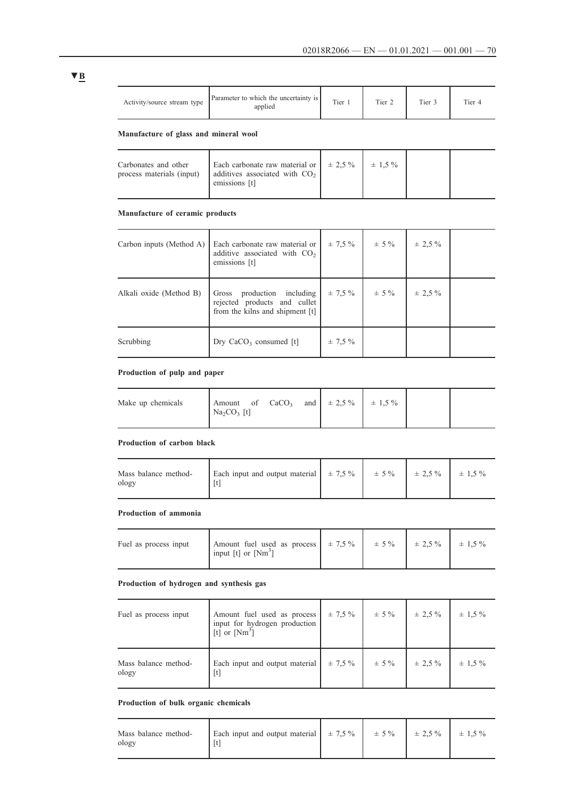| Activity/source stream type | Parameter to which the uncertainty is<br>applied | Tier 1 | Tier 2 | Tier 3 | Tier 4 |
|-----------------------------|--------------------------------------------------|--------|--------|--------|--------|
|-----------------------------|--------------------------------------------------|--------|--------|--------|--------|

# **Manufacture of glass and mineral wool**

| Carbonates and other<br>process materials (input) | Each carbonate raw material or $\pm 2.5\%$ $\pm 1.5\%$<br>$\vert$ additives associated with CO <sub>2</sub><br>emissions [t] |  |  |
|---------------------------------------------------|------------------------------------------------------------------------------------------------------------------------------|--|--|
|                                                   |                                                                                                                              |  |  |

## **Manufacture of ceramic products**

| Carbon inputs (Method A) | Each carbonate raw material or<br>additive associated with CO <sub>2</sub><br>emissions [t]   | $\pm$ 7.5 %  | $\pm$ 5 % | $\pm 2.5 \%$ |  |
|--------------------------|-----------------------------------------------------------------------------------------------|--------------|-----------|--------------|--|
| Alkali oxide (Method B)  | Gross production including<br>rejected products and cullet<br>from the kilns and shipment [t] | $\pm 7.5 \%$ | $\pm$ 5 % | $\pm 2.5 \%$ |  |
| Scrubbing                | Dry $CaCO3$ consumed [t]                                                                      | $\pm$ 7.5 %  |           |              |  |

## **Production of pulp and paper**

|  | Make up chemicals | Amount of $CaCO3$<br>$\text{Na}_2\text{CO}_3$ [t] |  | and $\pm 2.5 \%$ $\pm 1.5 \%$ |  |  |  |
|--|-------------------|---------------------------------------------------|--|-------------------------------|--|--|--|
|--|-------------------|---------------------------------------------------|--|-------------------------------|--|--|--|

## **Production of carbon black**

| Mass balance method-<br>ology | Each input and output material $\pm 7.5\%$ $\pm 5\%$ $\pm 2.5\%$ $\pm 1.5\%$ |  |  |
|-------------------------------|------------------------------------------------------------------------------|--|--|
|                               |                                                                              |  |  |

## **Production of ammonia**

| Fuel as process input | Amount fuel used as process   $\pm 7.5\%$   $\pm 5\%$   $\pm 2.5\%$   $\pm 1.5\%$<br>input [t] or $[Nm^3]$ |  |  |
|-----------------------|------------------------------------------------------------------------------------------------------------|--|--|
|                       |                                                                                                            |  |  |

## **Production of hydrogen and synthesis gas**

| Fuel as process input         | Amount fuel used as process<br>$\left[\begin{array}{cc} \text{input} & \text{for hydrogen production} \\ \text{[t] or } \text{[Nm}^3 \end{array}\right]$ | $\pm 7.5 \%$ | $\pm$ 5 % | $\pm$ 2.5 %  | $\pm$ 1.5 % |
|-------------------------------|----------------------------------------------------------------------------------------------------------------------------------------------------------|--------------|-----------|--------------|-------------|
| Mass balance method-<br>ology | Each input and output material<br>$[t]$                                                                                                                  | $\pm 7.5 \%$ | $\pm$ 5 % | $\pm 2.5 \%$ | $\pm$ 1.5 % |

### **Production of bulk organic chemicals**

| Mass balance method-<br>ology | Each input and output material $\pm 7.5\%$ $\pm 5\%$ $\pm 2.5\%$ $\pm 1.5\%$ |  |  |  |  |
|-------------------------------|------------------------------------------------------------------------------|--|--|--|--|
|-------------------------------|------------------------------------------------------------------------------|--|--|--|--|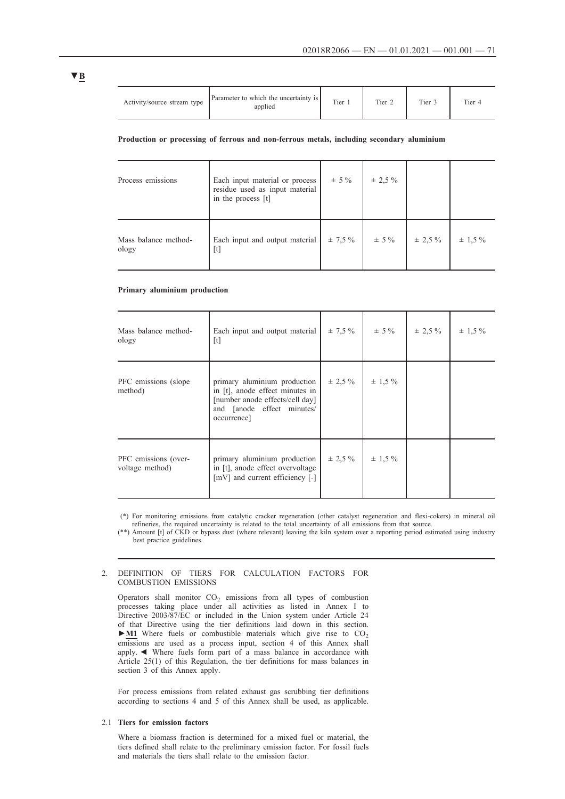| Activity/source stream type | Parameter to which the uncertainty is<br>applied | Tier | Tier 2 | Tier 3 | Tier 4 |
|-----------------------------|--------------------------------------------------|------|--------|--------|--------|
|                             |                                                  |      |        |        |        |

#### **Production or processing of ferrous and non-ferrous metals, including secondary aluminium**

| Process emissions             | Each input material or process<br>residue used as input material<br>in the process [t]                                                                                                                                                                                                                                                                                                                                                                                                                                                       | $\pm$ 5 %    | $\pm$ 2.5 % |             |             |
|-------------------------------|----------------------------------------------------------------------------------------------------------------------------------------------------------------------------------------------------------------------------------------------------------------------------------------------------------------------------------------------------------------------------------------------------------------------------------------------------------------------------------------------------------------------------------------------|--------------|-------------|-------------|-------------|
| Mass balance method-<br>ology | Each input and output material<br>$[t] % \begin{center} % \includegraphics[width=\linewidth]{imagesSupplemental_3.png} % \end{center} % \caption { % \textit{DefNet} and { % \textit{DefNet}~\textit{DefNet}~\textit{DefNet}~\textit{DefNet}~\textit{DefNet}~\textit{DefNet}~\textit{DefNet}~\textit{DefNet}~\textit{DefNet}~\textit{DefNet}~\textit{DefNet}~\textit{DefNet}~\textit{DefNet}~\textit{DefNet}~\textit{DefNet}~\textit{DefNet}~\textit{DefNet}~\textit{DefNet}~\textit{DefNet}~\textit{DefNet}~\textit{DefNet}~\textit{DefNet$ | $\pm 7.5 \%$ | $\pm$ 5 %   | $\pm$ 2,5 % | $\pm$ 1,5 % |

#### **Primary aluminium production**

| Mass balance method-<br>ology           | Each input and output material<br>[t]                                                                                                           |              | $\pm 7.5 \%$ $\pm 5 \%$   | $\pm 2.5 \%$ | $\pm$ 1,5 % |
|-----------------------------------------|-------------------------------------------------------------------------------------------------------------------------------------------------|--------------|---------------------------|--------------|-------------|
| PFC emissions (slope)<br>method)        | primary aluminium production<br>in [t], anode effect minutes in<br>[number anode effects/cell day]<br>and [anode effect minutes/<br>occurrence] |              | $\pm 2.5 \%$ $\pm 1.5 \%$ |              |             |
| PFC emissions (over-<br>voltage method) | primary aluminium production<br>in [t], anode effect overvoltage<br>$[mV]$ and current efficiency $[-]$                                         | $\pm 2.5 \%$ | $\pm$ 1.5 %               |              |             |

(\*) For monitoring emissions from catalytic cracker regeneration (other catalyst regeneration and flexi-cokers) in mineral oil refineries, the required uncertainty is related to the total uncertainty of all emissions from that source.

(\*\*) Amount [t] of CKD or bypass dust (where relevant) leaving the kiln system over a reporting period estimated using industry best practice guidelines.

### 2. DEFINITION OF TIERS FOR CALCULATION FACTORS FOR COMBUSTION EMISSIONS

Operators shall monitor  $CO<sub>2</sub>$  emissions from all types of combustion processes taking place under all activities as listed in Annex I to Directive 2003/87/EC or included in the Union system under Article 24 of that Directive using the tier definitions laid down in this section. ► <u>M1</u> Where fuels or combustible materials which give rise to CO<sub>2</sub> emissions are used as a process input, section 4 of this Annex shall apply. ◄ Where fuels form part of a mass balance in accordance with Article 25(1) of this Regulation, the tier definitions for mass balances in section 3 of this Annex apply.

For process emissions from related exhaust gas scrubbing tier definitions according to sections 4 and 5 of this Annex shall be used, as applicable.

### 2.1 **Tiers for emission factors**

Where a biomass fraction is determined for a mixed fuel or material, the tiers defined shall relate to the preliminary emission factor. For fossil fuels and materials the tiers shall relate to the emission factor.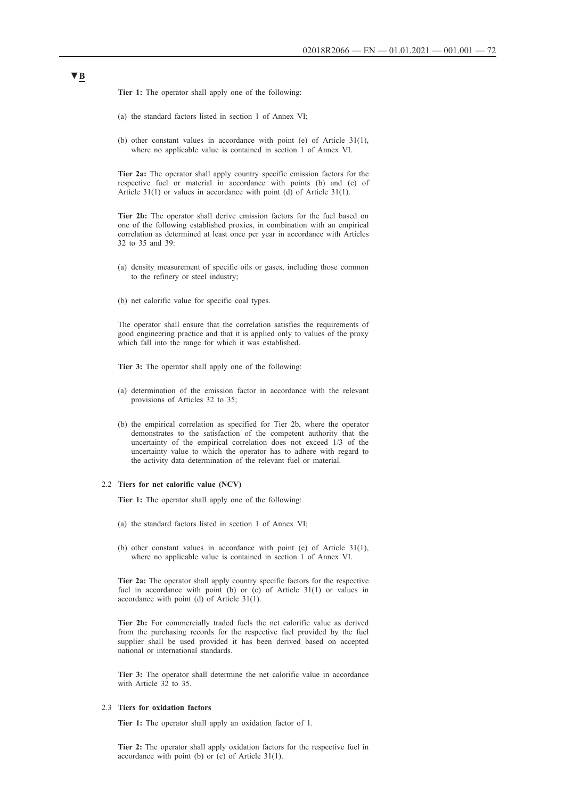**Tier 1:** The operator shall apply one of the following:

- (a) the standard factors listed in section 1 of Annex VI;
- (b) other constant values in accordance with point (e) of Article 31(1), where no applicable value is contained in section 1 of Annex VI.

**Tier 2a:** The operator shall apply country specific emission factors for the respective fuel or material in accordance with points (b) and (c) of Article 31(1) or values in accordance with point (d) of Article 31(1).

**Tier 2b:** The operator shall derive emission factors for the fuel based on one of the following established proxies, in combination with an empirical correlation as determined at least once per year in accordance with Articles 32 to 35 and 39:

- (a) density measurement of specific oils or gases, including those common to the refinery or steel industry;
- (b) net calorific value for specific coal types.

The operator shall ensure that the correlation satisfies the requirements of good engineering practice and that it is applied only to values of the proxy which fall into the range for which it was established.

**Tier 3:** The operator shall apply one of the following:

- (a) determination of the emission factor in accordance with the relevant provisions of Articles 32 to 35;
- (b) the empirical correlation as specified for Tier 2b, where the operator demonstrates to the satisfaction of the competent authority that the uncertainty of the empirical correlation does not exceed  $1/3$  of the uncertainty value to which the operator has to adhere with regard to the activity data determination of the relevant fuel or material.

#### 2.2 **Tiers for net calorific value (NCV)**

**Tier 1:** The operator shall apply one of the following:

- (a) the standard factors listed in section 1 of Annex VI;
- (b) other constant values in accordance with point (e) of Article 31(1), where no applicable value is contained in section 1 of Annex VI.

**Tier 2a:** The operator shall apply country specific factors for the respective fuel in accordance with point (b) or (c) of Article 31(1) or values in accordance with point (d) of Article 31(1).

**Tier 2b:** For commercially traded fuels the net calorific value as derived from the purchasing records for the respective fuel provided by the fuel supplier shall be used provided it has been derived based on accepted national or international standards.

**Tier 3:** The operator shall determine the net calorific value in accordance with Article 32 to 35.

#### 2.3 **Tiers for oxidation factors**

**Tier 1:** The operator shall apply an oxidation factor of 1.

**Tier 2:** The operator shall apply oxidation factors for the respective fuel in accordance with point (b) or (c) of Article 31(1).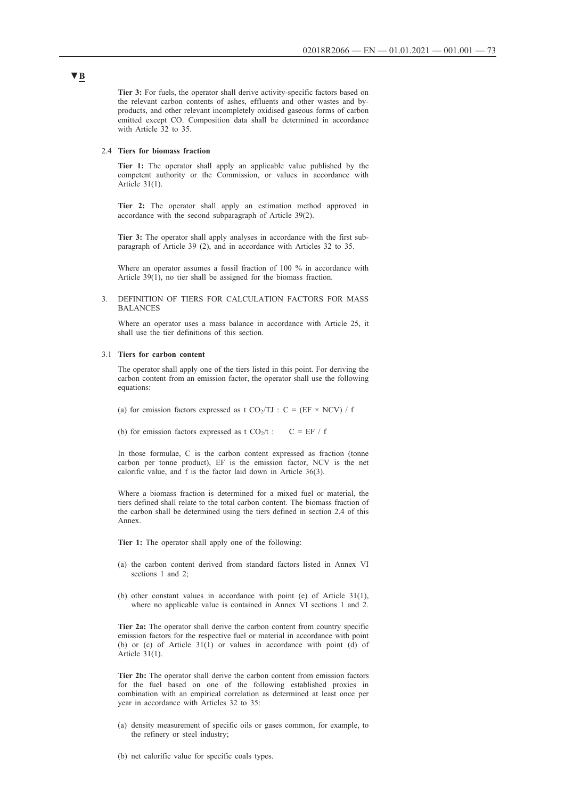**Tier 3:** For fuels, the operator shall derive activity-specific factors based on the relevant carbon contents of ashes, effluents and other wastes and byproducts, and other relevant incompletely oxidised gaseous forms of carbon emitted except CO. Composition data shall be determined in accordance with Article 32 to 35.

## 2.4 **Tiers for biomass fraction**

**Tier 1:** The operator shall apply an applicable value published by the competent authority or the Commission, or values in accordance with Article 31(1).

**Tier 2:** The operator shall apply an estimation method approved in accordance with the second subparagraph of Article 39(2).

**Tier 3:** The operator shall apply analyses in accordance with the first subparagraph of Article 39 (2), and in accordance with Articles 32 to 35.

Where an operator assumes a fossil fraction of 100 % in accordance with Article 39(1), no tier shall be assigned for the biomass fraction.

3. DEFINITION OF TIERS FOR CALCULATION FACTORS FOR MASS BALANCES

Where an operator uses a mass balance in accordance with Article 25, it shall use the tier definitions of this section.

### 3.1 **Tiers for carbon content**

The operator shall apply one of the tiers listed in this point. For deriving the carbon content from an emission factor, the operator shall use the following equations:

- (a) for emission factors expressed as t  $CO<sub>2</sub>/TJ$  : C = (EF × NCV) / f
- (b) for emission factors expressed as t  $CO_2/t$  :  $C = EF / f$

In those formulae, C is the carbon content expressed as fraction (tonne carbon per tonne product), EF is the emission factor, NCV is the net calorific value, and f is the factor laid down in Article 36(3).

Where a biomass fraction is determined for a mixed fuel or material, the tiers defined shall relate to the total carbon content. The biomass fraction of the carbon shall be determined using the tiers defined in section 2.4 of this Annex.

**Tier 1:** The operator shall apply one of the following:

- (a) the carbon content derived from standard factors listed in Annex VI sections 1 and 2:
- (b) other constant values in accordance with point (e) of Article 31(1), where no applicable value is contained in Annex VI sections 1 and 2.

**Tier 2a:** The operator shall derive the carbon content from country specific emission factors for the respective fuel or material in accordance with point (b) or (c) of Article 31(1) or values in accordance with point (d) of Article 31(1).

**Tier 2b:** The operator shall derive the carbon content from emission factors for the fuel based on one of the following established proxies in combination with an empirical correlation as determined at least once per year in accordance with Articles 32 to 35:

- (a) density measurement of specific oils or gases common, for example, to the refinery or steel industry;
- (b) net calorific value for specific coals types.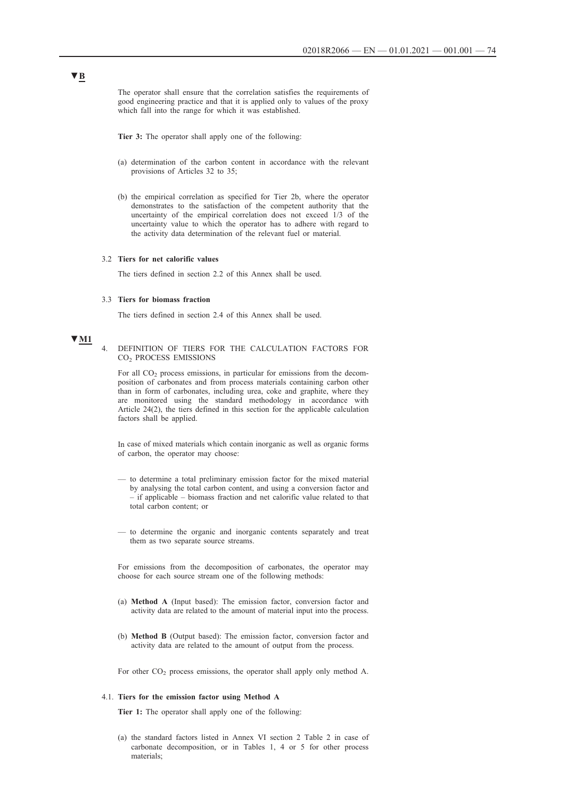The operator shall ensure that the correlation satisfies the requirements of good engineering practice and that it is applied only to values of the proxy which fall into the range for which it was established.

**Tier 3:** The operator shall apply one of the following:

- (a) determination of the carbon content in accordance with the relevant provisions of Articles 32 to 35;
- (b) the empirical correlation as specified for Tier 2b, where the operator demonstrates to the satisfaction of the competent authority that the uncertainty of the empirical correlation does not exceed 1/3 of the uncertainty value to which the operator has to adhere with regard to the activity data determination of the relevant fuel or material.

## 3.2 **Tiers for net calorific values**

The tiers defined in section 2.2 of this Annex shall be used.

### 3.3 **Tiers for biomass fraction**

The tiers defined in section 2.4 of this Annex shall be used.

# **▼M1**

4. DEFINITION OF TIERS FOR THE CALCULATION FACTORS FOR CO2 PROCESS EMISSIONS

For all  $CO<sub>2</sub>$  process emissions, in particular for emissions from the decomposition of carbonates and from process materials containing carbon other than in form of carbonates, including urea, coke and graphite, where they are monitored using the standard methodology in accordance with Article 24(2), the tiers defined in this section for the applicable calculation factors shall be applied.

In case of mixed materials which contain inorganic as well as organic forms of carbon, the operator may choose:

- to determine a total preliminary emission factor for the mixed material by analysing the total carbon content, and using a conversion factor and – if applicable – biomass fraction and net calorific value related to that total carbon content; or
- to determine the organic and inorganic contents separately and treat them as two separate source streams.

For emissions from the decomposition of carbonates, the operator may choose for each source stream one of the following methods:

- (a) **Method A** (Input based): The emission factor, conversion factor and activity data are related to the amount of material input into the process.
- (b) **Method B** (Output based): The emission factor, conversion factor and activity data are related to the amount of output from the process.

For other  $CO<sub>2</sub>$  process emissions, the operator shall apply only method A.

#### 4.1. **Tiers for the emission factor using Method A**

**Tier 1:** The operator shall apply one of the following:

(a) the standard factors listed in Annex VI section 2 Table 2 in case of carbonate decomposition, or in Tables 1, 4 or 5 for other process materials;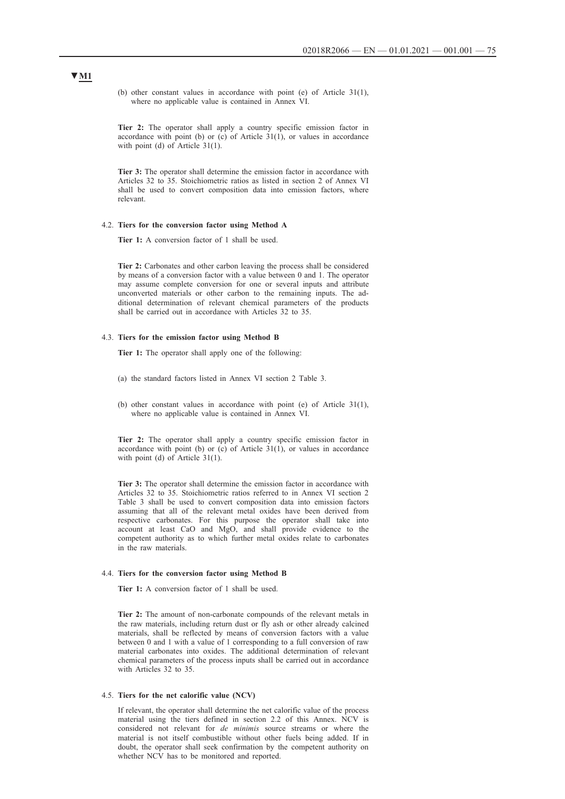(b) other constant values in accordance with point (e) of Article 31(1), where no applicable value is contained in Annex VI.

**Tier 2:** The operator shall apply a country specific emission factor in accordance with point (b) or  $(c)$  of Article 31(1), or values in accordance with point (d) of Article 31(1).

**Tier 3:** The operator shall determine the emission factor in accordance with Articles 32 to 35. Stoichiometric ratios as listed in section 2 of Annex VI shall be used to convert composition data into emission factors, where relevant.

### 4.2. **Tiers for the conversion factor using Method A**

**Tier 1:** A conversion factor of 1 shall be used.

**Tier 2:** Carbonates and other carbon leaving the process shall be considered by means of a conversion factor with a value between 0 and 1. The operator may assume complete conversion for one or several inputs and attribute unconverted materials or other carbon to the remaining inputs. The additional determination of relevant chemical parameters of the products shall be carried out in accordance with Articles 32 to 35.

## 4.3. **Tiers for the emission factor using Method B**

**Tier 1:** The operator shall apply one of the following:

- (a) the standard factors listed in Annex VI section 2 Table 3.
- (b) other constant values in accordance with point (e) of Article 31(1), where no applicable value is contained in Annex VI.

**Tier 2:** The operator shall apply a country specific emission factor in accordance with point (b) or (c) of Article  $31(1)$ , or values in accordance with point (d) of Article 31(1).

**Tier 3:** The operator shall determine the emission factor in accordance with Articles 32 to 35. Stoichiometric ratios referred to in Annex VI section 2 Table 3 shall be used to convert composition data into emission factors assuming that all of the relevant metal oxides have been derived from respective carbonates. For this purpose the operator shall take into account at least CaO and MgO, and shall provide evidence to the competent authority as to which further metal oxides relate to carbonates in the raw materials.

## 4.4. **Tiers for the conversion factor using Method B**

**Tier 1:** A conversion factor of 1 shall be used.

**Tier 2:** The amount of non-carbonate compounds of the relevant metals in the raw materials, including return dust or fly ash or other already calcined materials, shall be reflected by means of conversion factors with a value between 0 and 1 with a value of 1 corresponding to a full conversion of raw material carbonates into oxides. The additional determination of relevant chemical parameters of the process inputs shall be carried out in accordance with Articles 32 to 35.

#### 4.5. **Tiers for the net calorific value (NCV)**

If relevant, the operator shall determine the net calorific value of the process material using the tiers defined in section 2.2 of this Annex. NCV is considered not relevant for *de minimis* source streams or where the material is not itself combustible without other fuels being added. If in doubt, the operator shall seek confirmation by the competent authority on whether NCV has to be monitored and reported.

## **▼M1**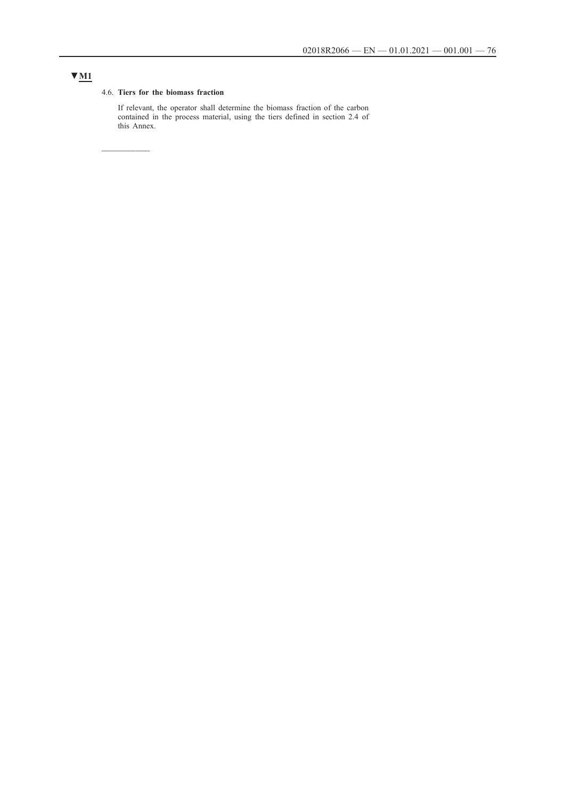# **▼M1**

## 4.6. **Tiers for the biomass fraction**

 $\frac{1}{2}$ 

If relevant, the operator shall determine the biomass fraction of the carbon contained in the process material, using the tiers defined in section 2.4 of this Annex.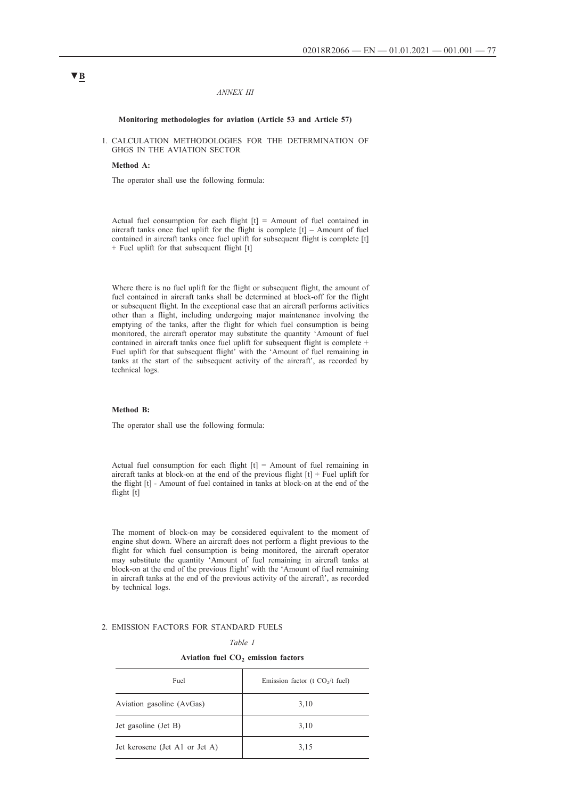### *ANNEX III*

## **Monitoring methodologies for aviation (Article 53 and Article 57)**

1. CALCULATION METHODOLOGIES FOR THE DETERMINATION OF GHGS IN THE AVIATION SECTOR

### **Method A:**

The operator shall use the following formula:

Actual fuel consumption for each flight  $[t]$  = Amount of fuel contained in aircraft tanks once fuel uplift for the flight is complete [t] – Amount of fuel contained in aircraft tanks once fuel uplift for subsequent flight is complete [t] + Fuel uplift for that subsequent flight [t]

Where there is no fuel uplift for the flight or subsequent flight, the amount of fuel contained in aircraft tanks shall be determined at block-off for the flight or subsequent flight. In the exceptional case that an aircraft performs activities other than a flight, including undergoing major maintenance involving the emptying of the tanks, after the flight for which fuel consumption is being monitored, the aircraft operator may substitute the quantity 'Amount of fuel contained in aircraft tanks once fuel uplift for subsequent flight is complete + Fuel uplift for that subsequent flight' with the 'Amount of fuel remaining in tanks at the start of the subsequent activity of the aircraft', as recorded by technical logs.

#### **Method B:**

The operator shall use the following formula:

Actual fuel consumption for each flight  $[t]$  = Amount of fuel remaining in aircraft tanks at block-on at the end of the previous flight  $[t]$  + Fuel uplift for the flight [t] - Amount of fuel contained in tanks at block-on at the end of the flight [t]

The moment of block-on may be considered equivalent to the moment of engine shut down. Where an aircraft does not perform a flight previous to the flight for which fuel consumption is being monitored, the aircraft operator may substitute the quantity 'Amount of fuel remaining in aircraft tanks at block-on at the end of the previous flight' with the 'Amount of fuel remaining in aircraft tanks at the end of the previous activity of the aircraft', as recorded by technical logs.

## 2. EMISSION FACTORS FOR STANDARD FUELS

*Table 1*

**Aviation fuel CO2 emission factors**

| Fuel                           | Emission factor ( $t$ CO <sub>2</sub> / $t$ fuel) |
|--------------------------------|---------------------------------------------------|
| Aviation gasoline (AvGas)      | 3,10                                              |
| Jet gasoline (Jet B)           | 3,10                                              |
| Jet kerosene (Jet A1 or Jet A) | 3,15                                              |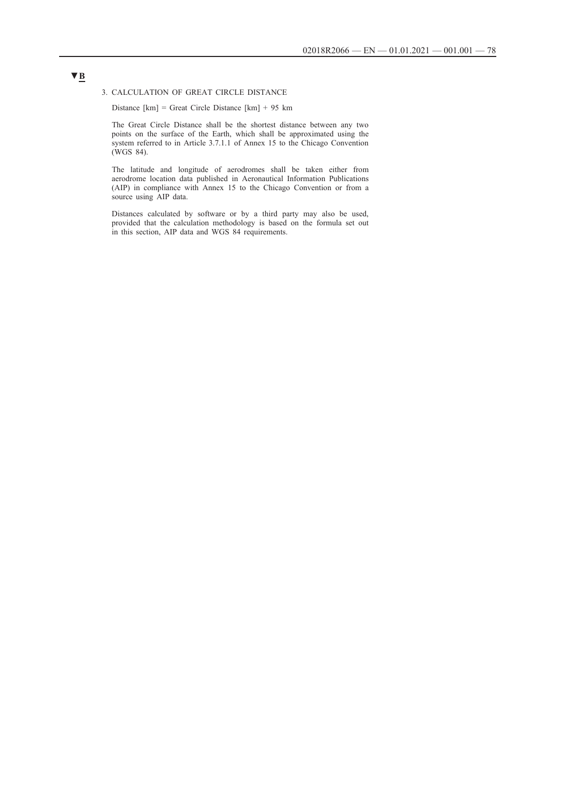## 3. CALCULATION OF GREAT CIRCLE DISTANCE

Distance [km] = Great Circle Distance [km] + 95 km

The Great Circle Distance shall be the shortest distance between any two points on the surface of the Earth, which shall be approximated using the system referred to in Article 3.7.1.1 of Annex 15 to the Chicago Convention (WGS 84).

The latitude and longitude of aerodromes shall be taken either from aerodrome location data published in Aeronautical Information Publications (AIP) in compliance with Annex 15 to the Chicago Convention or from a source using AIP data.

Distances calculated by software or by a third party may also be used, provided that the calculation methodology is based on the formula set out in this section, AIP data and WGS 84 requirements.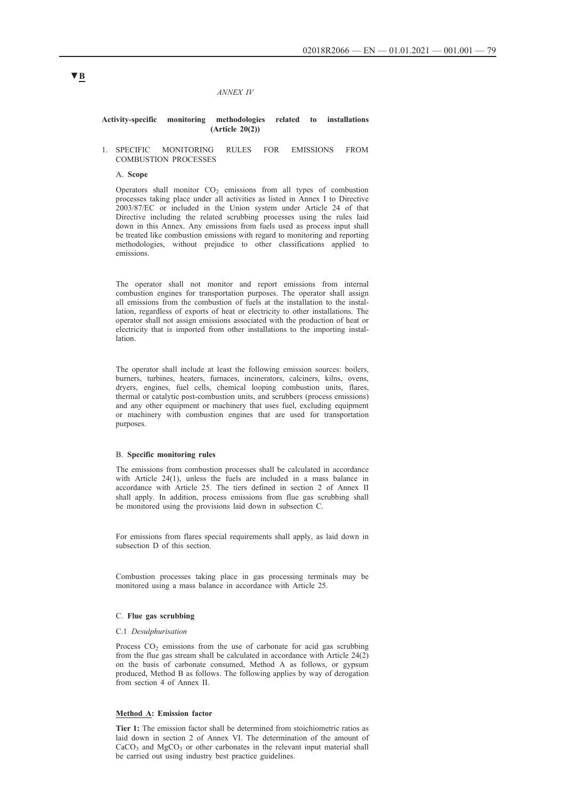#### *ANNEX IV*

## **Activity-specific monitoring methodologies related to installations (Article 20(2))**

## 1. SPECIFIC MONITORING RULES FOR EMISSIONS FROM COMBUSTION PROCESSES

#### A. **Scope**

Operators shall monitor  $CO<sub>2</sub>$  emissions from all types of combustion processes taking place under all activities as listed in Annex I to Directive 2003/87/EC or included in the Union system under Article 24 of that Directive including the related scrubbing processes using the rules laid down in this Annex. Any emissions from fuels used as process input shall be treated like combustion emissions with regard to monitoring and reporting methodologies, without prejudice to other classifications applied to emissions.

The operator shall not monitor and report emissions from internal combustion engines for transportation purposes. The operator shall assign all emissions from the combustion of fuels at the installation to the installation, regardless of exports of heat or electricity to other installations. The operator shall not assign emissions associated with the production of heat or electricity that is imported from other installations to the importing installation.

The operator shall include at least the following emission sources: boilers, burners, turbines, heaters, furnaces, incinerators, calciners, kilns, ovens, dryers, engines, fuel cells, chemical looping combustion units, flares, thermal or catalytic post-combustion units, and scrubbers (process emissions) and any other equipment or machinery that uses fuel, excluding equipment or machinery with combustion engines that are used for transportation purposes.

### B. **Specific monitoring rules**

The emissions from combustion processes shall be calculated in accordance with Article 24(1), unless the fuels are included in a mass balance in accordance with Article 25. The tiers defined in section 2 of Annex II shall apply. In addition, process emissions from flue gas scrubbing shall be monitored using the provisions laid down in subsection C.

For emissions from flares special requirements shall apply, as laid down in subsection D of this section.

Combustion processes taking place in gas processing terminals may be monitored using a mass balance in accordance with Article 25.

## C. **Flue gas scrubbing**

#### C.1 *Desulphurisation*

Process  $CO<sub>2</sub>$  emissions from the use of carbonate for acid gas scrubbing from the flue gas stream shall be calculated in accordance with Article  $24(2)$ on the basis of carbonate consumed, Method A as follows, or gypsum produced, Method B as follows. The following applies by way of derogation from section 4 of Annex II.

## **Method A: Emission factor**

**Tier 1:** The emission factor shall be determined from stoichiometric ratios as laid down in section 2 of Annex VI. The determination of the amount of  $CaCO<sub>3</sub>$  and  $MgCO<sub>3</sub>$  or other carbonates in the relevant input material shall be carried out using industry best practice guidelines.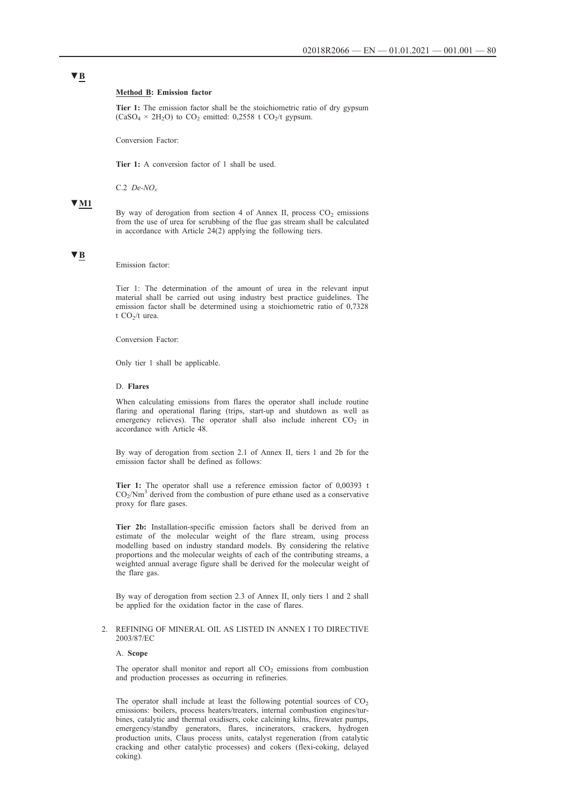### **Method B: Emission factor**

**Tier 1:** The emission factor shall be the stoichiometric ratio of dry gypsum  $(CaSO<sub>4</sub> \times 2H<sub>2</sub>O)$  to  $CO<sub>2</sub>$  emitted: 0,2558 t  $CO<sub>2</sub>/t$  gypsum.

Conversion Factor:

**Tier 1:** A conversion factor of 1 shall be used.

C.2 *De-NOx*

## **▼M1**

By way of derogation from section 4 of Annex II, process  $CO<sub>2</sub>$  emissions from the use of urea for scrubbing of the flue gas stream shall be calculated in accordance with Article 24(2) applying the following tiers.

# **▼B**

Emission factor:

Tier 1: The determination of the amount of urea in the relevant input material shall be carried out using industry best practice guidelines. The emission factor shall be determined using a stoichiometric ratio of 0,7328 t  $CO<sub>2</sub>/t$  urea.

Conversion Factor:

Only tier 1 shall be applicable.

## D. **Flares**

When calculating emissions from flares the operator shall include routine flaring and operational flaring (trips, start-up and shutdown as well as emergency relieves). The operator shall also include inherent  $CO<sub>2</sub>$  in accordance with Article 48.

By way of derogation from section 2.1 of Annex II, tiers 1 and 2b for the emission factor shall be defined as follows:

**Tier 1:** The operator shall use a reference emission factor of 0,00393 t  $CO<sub>2</sub>/Nm<sup>3</sup>$  derived from the combustion of pure ethane used as a conservative proxy for flare gases.

**Tier 2b:** Installation-specific emission factors shall be derived from an estimate of the molecular weight of the flare stream, using process modelling based on industry standard models. By considering the relative proportions and the molecular weights of each of the contributing streams, a weighted annual average figure shall be derived for the molecular weight of the flare gas.

By way of derogation from section 2.3 of Annex II, only tiers 1 and 2 shall be applied for the oxidation factor in the case of flares.

## 2. REFINING OF MINERAL OIL AS LISTED IN ANNEX I TO DIRECTIVE 2003/87/EC

## A. **Scope**

The operator shall monitor and report all  $CO<sub>2</sub>$  emissions from combustion and production processes as occurring in refineries.

The operator shall include at least the following potential sources of  $CO<sub>2</sub>$ emissions: boilers, process heaters/treaters, internal combustion engines/turbines, catalytic and thermal oxidisers, coke calcining kilns, firewater pumps, emergency/standby generators, flares, incinerators, crackers, hydrogen production units, Claus process units, catalyst regeneration (from catalytic cracking and other catalytic processes) and cokers (flexi-coking, delayed coking).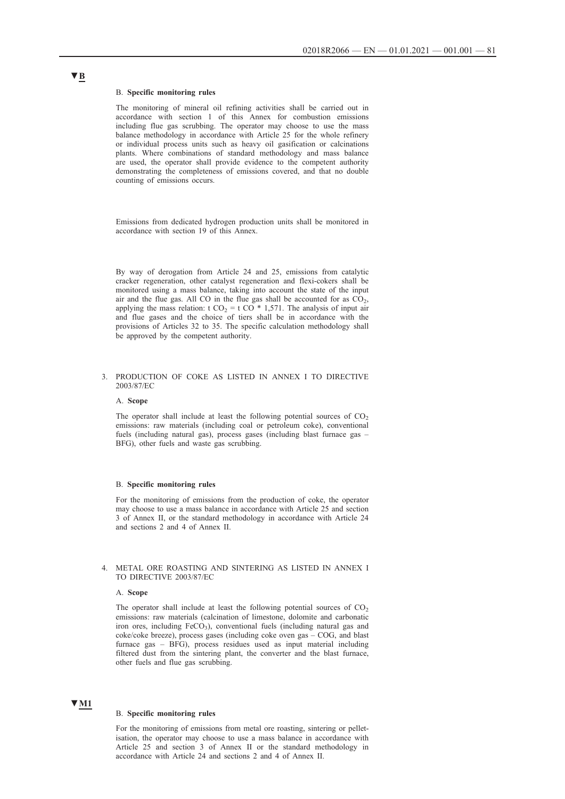### B. **Specific monitoring rules**

The monitoring of mineral oil refining activities shall be carried out in accordance with section 1 of this Annex for combustion emissions including flue gas scrubbing. The operator may choose to use the mass balance methodology in accordance with Article 25 for the whole refinery or individual process units such as heavy oil gasification or calcinations plants. Where combinations of standard methodology and mass balance are used, the operator shall provide evidence to the competent authority demonstrating the completeness of emissions covered, and that no double counting of emissions occurs.

Emissions from dedicated hydrogen production units shall be monitored in accordance with section 19 of this Annex.

By way of derogation from Article 24 and 25, emissions from catalytic cracker regeneration, other catalyst regeneration and flexi-cokers shall be monitored using a mass balance, taking into account the state of the input air and the flue gas. All CO in the flue gas shall be accounted for as  $CO<sub>2</sub>$ , applying the mass relation: t CO<sub>2</sub> = t CO<sup> $*$ </sup> 1,571. The analysis of input air and flue gases and the choice of tiers shall be in accordance with the provisions of Articles 32 to 35. The specific calculation methodology shall be approved by the competent authority.

## 3. PRODUCTION OF COKE AS LISTED IN ANNEX I TO DIRECTIVE 2003/87/EC

### A. **Scope**

The operator shall include at least the following potential sources of  $CO<sub>2</sub>$ emissions: raw materials (including coal or petroleum coke), conventional fuels (including natural gas), process gases (including blast furnace gas – BFG), other fuels and waste gas scrubbing.

### B. **Specific monitoring rules**

For the monitoring of emissions from the production of coke, the operator may choose to use a mass balance in accordance with Article 25 and section 3 of Annex II, or the standard methodology in accordance with Article 24 and sections 2 and 4 of Annex II.

## 4. METAL ORE ROASTING AND SINTERING AS LISTED IN ANNEX I TO DIRECTIVE 2003/87/EC

#### A. **Scope**

The operator shall include at least the following potential sources of  $CO<sub>2</sub>$ emissions: raw materials (calcination of limestone, dolomite and carbonatic iron ores, including  $FeCO<sub>3</sub>$ ), conventional fuels (including natural gas and coke/coke breeze), process gases (including coke oven gas – COG, and blast furnace gas – BFG), process residues used as input material including filtered dust from the sintering plant, the converter and the blast furnace, other fuels and flue gas scrubbing.

## **▼M1**

## B. **Specific monitoring rules**

For the monitoring of emissions from metal ore roasting, sintering or pelletisation, the operator may choose to use a mass balance in accordance with Article 25 and section 3 of Annex II or the standard methodology in accordance with Article 24 and sections 2 and 4 of Annex II.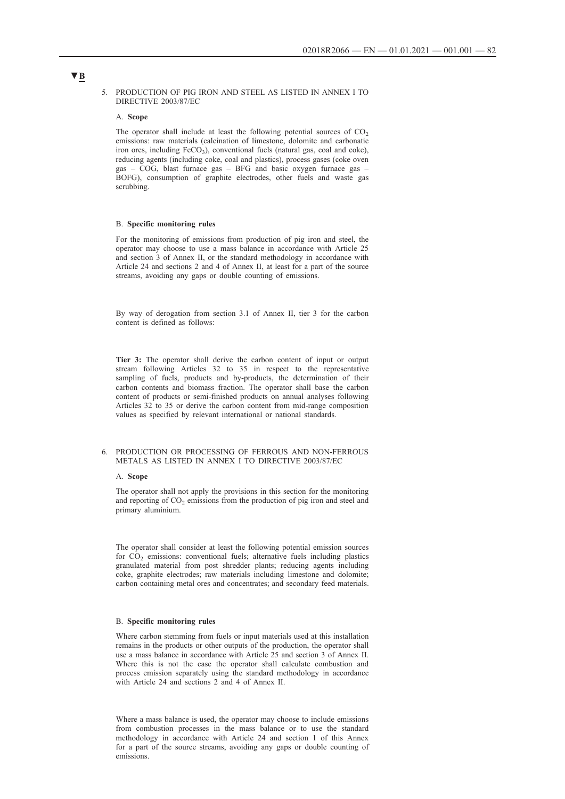## 5. PRODUCTION OF PIG IRON AND STEEL AS LISTED IN ANNEX I TO DIRECTIVE 2003/87/EC

## A. **Scope**

The operator shall include at least the following potential sources of  $CO<sub>2</sub>$ emissions: raw materials (calcination of limestone, dolomite and carbonatic iron ores, including FeCO<sub>3</sub>), conventional fuels (natural gas, coal and coke), reducing agents (including coke, coal and plastics), process gases (coke oven gas – COG, blast furnace gas – BFG and basic oxygen furnace gas – BOFG), consumption of graphite electrodes, other fuels and waste gas scrubbing.

## B. **Specific monitoring rules**

For the monitoring of emissions from production of pig iron and steel, the operator may choose to use a mass balance in accordance with Article 25 and section 3 of Annex II, or the standard methodology in accordance with Article 24 and sections 2 and 4 of Annex II, at least for a part of the source streams, avoiding any gaps or double counting of emissions.

By way of derogation from section 3.1 of Annex II, tier 3 for the carbon content is defined as follows:

**Tier 3:** The operator shall derive the carbon content of input or output stream following Articles 32 to 35 in respect to the representative sampling of fuels, products and by-products, the determination of their carbon contents and biomass fraction. The operator shall base the carbon content of products or semi-finished products on annual analyses following Articles 32 to 35 or derive the carbon content from mid-range composition values as specified by relevant international or national standards.

## 6. PRODUCTION OR PROCESSING OF FERROUS AND NON-FERROUS METALS AS LISTED IN ANNEX I TO DIRECTIVE 2003/87/EC

### A. **Scope**

The operator shall not apply the provisions in this section for the monitoring and reporting of  $CO<sub>2</sub>$  emissions from the production of pig iron and steel and primary aluminium.

The operator shall consider at least the following potential emission sources for  $CO<sub>2</sub>$  emissions: conventional fuels; alternative fuels including plastics granulated material from post shredder plants; reducing agents including coke, graphite electrodes; raw materials including limestone and dolomite; carbon containing metal ores and concentrates; and secondary feed materials.

### B. **Specific monitoring rules**

Where carbon stemming from fuels or input materials used at this installation remains in the products or other outputs of the production, the operator shall use a mass balance in accordance with Article 25 and section 3 of Annex II. Where this is not the case the operator shall calculate combustion and process emission separately using the standard methodology in accordance with Article 24 and sections 2 and 4 of Annex II.

Where a mass balance is used, the operator may choose to include emissions from combustion processes in the mass balance or to use the standard methodology in accordance with Article 24 and section 1 of this Annex for a part of the source streams, avoiding any gaps or double counting of emissions.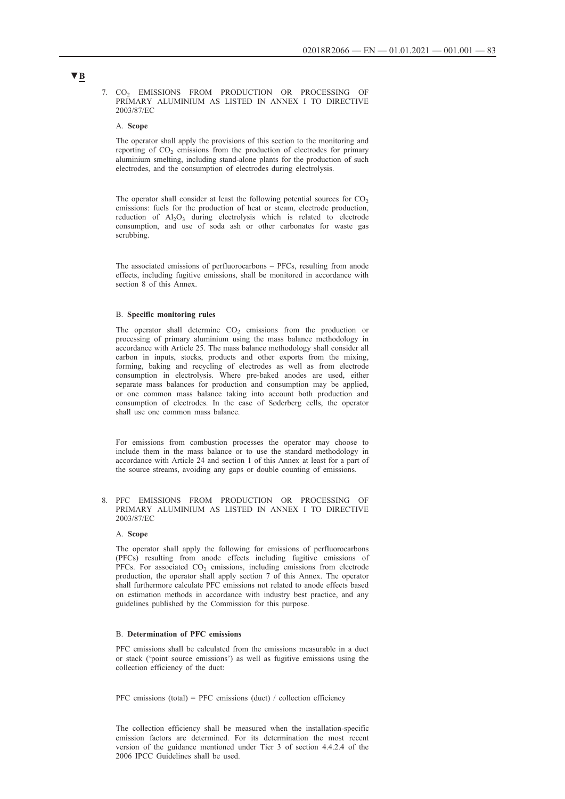7. CO<sub>2</sub> EMISSIONS FROM PRODUCTION OR PROCESSING OF PRIMARY ALUMINIUM AS LISTED IN ANNEX I TO DIRECTIVE 2003/87/EC

#### A. **Scope**

The operator shall apply the provisions of this section to the monitoring and reporting of CO<sub>2</sub> emissions from the production of electrodes for primary aluminium smelting, including stand-alone plants for the production of such electrodes, and the consumption of electrodes during electrolysis.

The operator shall consider at least the following potential sources for  $CO<sub>2</sub>$ emissions: fuels for the production of heat or steam, electrode production, reduction of  $Al_2O_3$  during electrolysis which is related to electrode consumption, and use of soda ash or other carbonates for waste gas scrubbing.

The associated emissions of perfluorocarbons – PFCs, resulting from anode effects, including fugitive emissions, shall be monitored in accordance with section 8 of this Annex.

### B. **Specific monitoring rules**

The operator shall determine  $CO<sub>2</sub>$  emissions from the production or processing of primary aluminium using the mass balance methodology in accordance with Article 25. The mass balance methodology shall consider all carbon in inputs, stocks, products and other exports from the mixing, forming, baking and recycling of electrodes as well as from electrode consumption in electrolysis. Where pre-baked anodes are used, either separate mass balances for production and consumption may be applied, or one common mass balance taking into account both production and consumption of electrodes. In the case of Søderberg cells, the operator shall use one common mass balance.

For emissions from combustion processes the operator may choose to include them in the mass balance or to use the standard methodology in accordance with Article 24 and section 1 of this Annex at least for a part of the source streams, avoiding any gaps or double counting of emissions.

8. PFC EMISSIONS FROM PRODUCTION OR PROCESSING OF PRIMARY ALUMINIUM AS LISTED IN ANNEX I TO DIRECTIVE 2003/87/EC

## A. **Scope**

The operator shall apply the following for emissions of perfluorocarbons (PFCs) resulting from anode effects including fugitive emissions of PFCs. For associated  $CO<sub>2</sub>$  emissions, including emissions from electrode production, the operator shall apply section 7 of this Annex. The operator shall furthermore calculate PFC emissions not related to anode effects based on estimation methods in accordance with industry best practice, and any guidelines published by the Commission for this purpose.

### B. **Determination of PFC emissions**

PFC emissions shall be calculated from the emissions measurable in a duct or stack ('point source emissions') as well as fugitive emissions using the collection efficiency of the duct:

PFC emissions (total) = PFC emissions (duct) / collection efficiency

The collection efficiency shall be measured when the installation-specific emission factors are determined. For its determination the most recent version of the guidance mentioned under Tier 3 of section 4.4.2.4 of the 2006 IPCC Guidelines shall be used.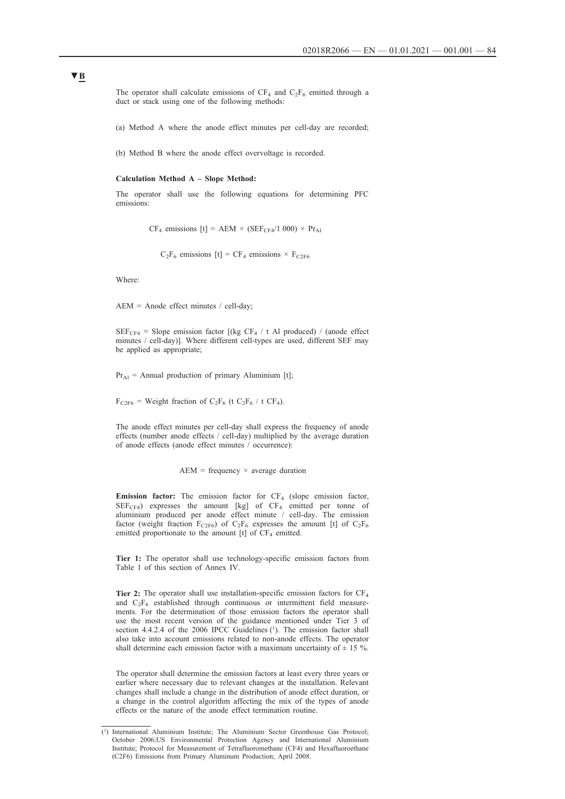The operator shall calculate emissions of  $CF_4$  and  $C_2F_6$  emitted through a duct or stack using one of the following methods:

(a) Method A where the anode effect minutes per cell-day are recorded;

(b) Method B where the anode effect overvoltage is recorded.

#### **Calculation Method A – Slope Method:**

The operator shall use the following equations for determining PFC emissions:

 $CF_4$  emissions  $[t] = AEM \times (SEF_{CF4}/1000) \times Pr_{A1}$ 

 $C_2F_6$  emissions  $[t] = CF_4$  emissions  $\times F_{C2F6}$ 

Where:

AEM = Anode effect minutes / cell-day;

 $SEF_{CF4}$  = Slope emission factor [(kg CF<sub>4</sub> / t Al produced) / (anode effect minutes / cell-day)]. Where different cell-types are used, different SEF may be applied as appropriate;

 $Pr_{A1}$  = Annual production of primary Aluminium [t];

 $F_{C2F6}$  = Weight fraction of C<sub>2</sub>F<sub>6</sub> (t C<sub>2</sub>F<sub>6</sub> / t CF<sub>4</sub>).

The anode effect minutes per cell-day shall express the frequency of anode effects (number anode effects / cell-day) multiplied by the average duration of anode effects (anode effect minutes / occurrence):

 $AEM$  = frequency  $\times$  average duration

**Emission factor:** The emission factor for  $CF_4$  (slope emission factor,  $SEF_{CF4}$ ) expresses the amount [kg] of  $CF_4$  emitted per tonne of aluminium produced per anode effect minute / cell-day. The emission factor (weight fraction  $F_{C2F6}$ ) of  $C_2F_6$  expresses the amount [t] of  $C_2F_6$ emitted proportionate to the amount  $[t]$  of  $CF_4$  emitted.

**Tier 1:** The operator shall use technology-specific emission factors from Table 1 of this section of Annex IV.

**Tier 2:** The operator shall use installation-specific emission factors for CF4 and  $C_2F_6$  established through continuous or intermittent field measurements. For the determination of those emission factors the operator shall use the most recent version of the guidance mentioned under Tier 3 of section 4.4.2.4 of the 2006 IPCC Guidelines (1). The emission factor shall also take into account emissions related to non-anode effects. The operator shall determine each emission factor with a maximum uncertainty of  $\pm$  15 %.

The operator shall determine the emission factors at least every three years or earlier where necessary due to relevant changes at the installation. Relevant changes shall include a change in the distribution of anode effect duration, or a change in the control algorithm affecting the mix of the types of anode effects or the nature of the anode effect termination routine.

<sup>(1)</sup> International Aluminium Institute; The Aluminium Sector Greenhouse Gas Protocol; October 2006;US Environmental Protection Agency and International Aluminium Institute; Protocol for Measurement of Tetrafluoromethane (CF4) and Hexafluoroethane (C2F6) Emissions from Primary Aluminum Production; April 2008.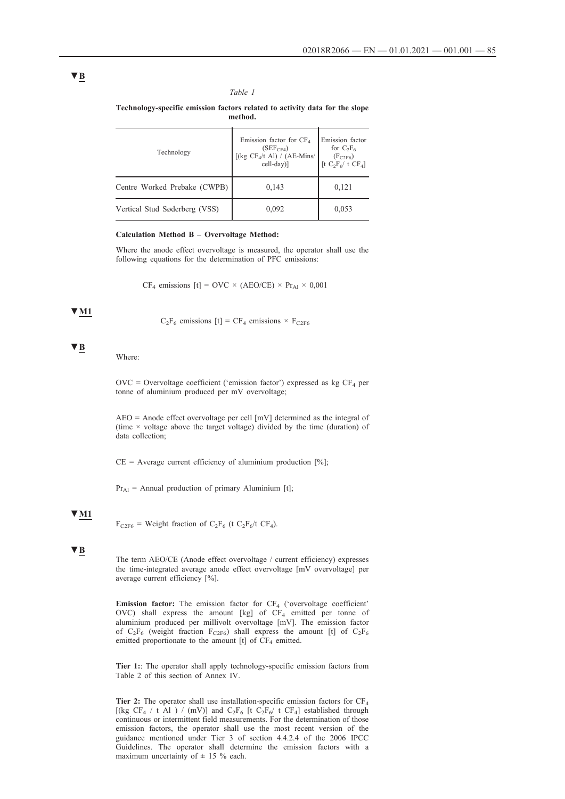## *Table 1*

**Technology-specific emission factors related to activity data for the slope method.**

| Technology                    | Emission factor for $CF4$<br>(SEF <sub>CF4</sub> )<br>[(kg $CF_4$ /t Al) / (AE-Mins/<br>cell-day)] | Emission factor<br>for $C_2F_6$<br>$(F_{C2F6})$<br>[t $C_2F_6/t$ CF <sub>4</sub> ] |
|-------------------------------|----------------------------------------------------------------------------------------------------|------------------------------------------------------------------------------------|
| Centre Worked Prebake (CWPB)  | 0,143                                                                                              | 0,121                                                                              |
| Vertical Stud Søderberg (VSS) | 0,092                                                                                              | 0,053                                                                              |

## **Calculation Method B – Overvoltage Method:**

Where the anode effect overvoltage is measured, the operator shall use the following equations for the determination of PFC emissions:

CF<sub>4</sub> emissions [t] = OVC × (AEO/CE) × Pr<sub>Al</sub> × 0,001

## **▼M1**

 $C_2F_6$  emissions  $[t] = CF_4$  emissions  $\times F_{C2F6}$ 

## **▼B**

Where:

 $\text{OVC} = \text{Overvoltage coefficient (}'\text{emission factor}')$  expressed as kg CF<sub>4</sub> per tonne of aluminium produced per mV overvoltage;

AEO = Anode effect overvoltage per cell [mV] determined as the integral of (time  $\times$  voltage above the target voltage) divided by the time (duration) of data collection;

 $CE = Average$  current efficiency of aluminium production [%];

 $Pr_{\text{A1}}$  = Annual production of primary Aluminium [t];

## **▼M1**

 $F_{C2F6}$  = Weight fraction of C<sub>2</sub>F<sub>6</sub> (t C<sub>2</sub>F<sub>6</sub>/t CF<sub>4</sub>).

## **▼B**

The term AEO/CE (Anode effect overvoltage / current efficiency) expresses the time-integrated average anode effect overvoltage [mV overvoltage] per average current efficiency [%].

**Emission factor:** The emission factor for CF<sub>4</sub> ('overvoltage coefficient' OVC) shall express the amount [kg] of  $CF_4$  emitted per tonne of aluminium produced per millivolt overvoltage [mV]. The emission factor of  $C_2F_6$  (weight fraction  $F_{C2F6}$ ) shall express the amount [t] of  $C_2F_6$ emitted proportionate to the amount  $[t]$  of  $CF_4$  emitted.

**Tier 1:**: The operator shall apply technology-specific emission factors from Table 2 of this section of Annex IV.

**Tier 2:** The operator shall use installation-specific emission factors for  $CF_4$ [(kg CF<sub>4</sub> / t Al ) / (mV)] and C<sub>2</sub>F<sub>6</sub> [t C<sub>2</sub>F<sub>6</sub>/ t CF<sub>4</sub>] established through continuous or intermittent field measurements. For the determination of those emission factors, the operator shall use the most recent version of the guidance mentioned under Tier 3 of section 4.4.2.4 of the 2006 IPCC Guidelines. The operator shall determine the emission factors with a maximum uncertainty of  $\pm$  15 % each.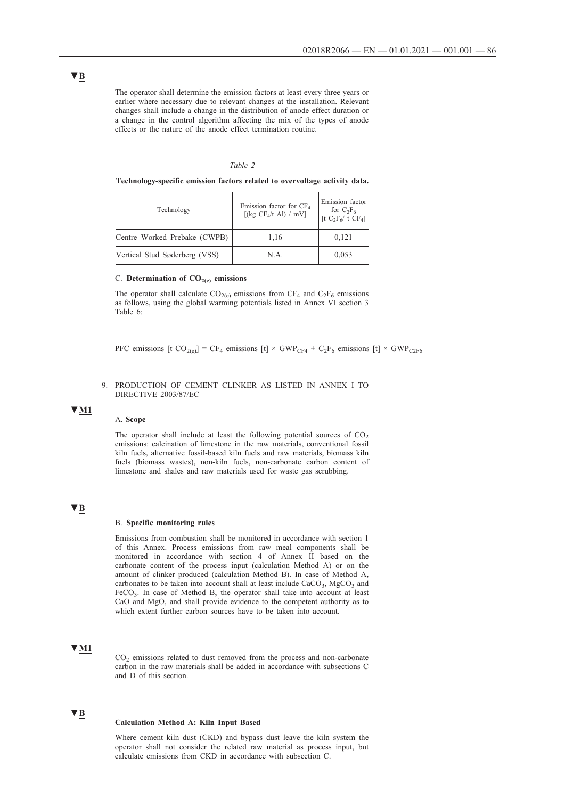The operator shall determine the emission factors at least every three years or earlier where necessary due to relevant changes at the installation. Relevant changes shall include a change in the distribution of anode effect duration or a change in the control algorithm affecting the mix of the types of anode effects or the nature of the anode effect termination routine.

### *Table 2*

**Technology-specific emission factors related to overvoltage activity data.**

| Technology                    | Emission factor for $CF4$<br>[(kg CF <sub>4</sub> /t Al) / mV] | Emission factor<br>for $C_2F_6$<br>[t $C_2F_6$ / t $CF_4$ ] |
|-------------------------------|----------------------------------------------------------------|-------------------------------------------------------------|
| Centre Worked Prebake (CWPB)  | 1,16                                                           | 0,121                                                       |
| Vertical Stud Søderberg (VSS) | N.A.                                                           | 0,053                                                       |

## C. Determination of  $CO<sub>2(e)</sub>$  emissions

The operator shall calculate  $CO<sub>2(e)</sub>$  emissions from  $CF<sub>4</sub>$  and  $C<sub>2</sub>F<sub>6</sub>$  emissions as follows, using the global warming potentials listed in Annex VI section 3 Table 6:

PFC emissions  $[t \text{ CO}_{2(e)}] = CF_4$  emissions  $[t] \times GWP_{CF4} + C_2F_6$  emissions  $[t] \times GWP_{C2F6}$ 

## 9. PRODUCTION OF CEMENT CLINKER AS LISTED IN ANNEX I TO DIRECTIVE 2003/87/EC

## **▼M1**

### A. **Scope**

The operator shall include at least the following potential sources of  $CO<sub>2</sub>$ emissions: calcination of limestone in the raw materials, conventional fossil kiln fuels, alternative fossil-based kiln fuels and raw materials, biomass kiln fuels (biomass wastes), non-kiln fuels, non-carbonate carbon content of limestone and shales and raw materials used for waste gas scrubbing.

## **▼B**

### B. **Specific monitoring rules**

Emissions from combustion shall be monitored in accordance with section 1 of this Annex. Process emissions from raw meal components shall be monitored in accordance with section 4 of Annex II based on the carbonate content of the process input (calculation Method A) or on the amount of clinker produced (calculation Method B). In case of Method A, carbonates to be taken into account shall at least include  $CaCO<sub>3</sub>$ , MgCO<sub>3</sub> and  $FeCO<sub>3</sub>$ . In case of Method B, the operator shall take into account at least CaO and MgO, and shall provide evidence to the competent authority as to which extent further carbon sources have to be taken into account.

## **▼M1**

 $CO<sub>2</sub>$  emissions related to dust removed from the process and non-carbonate carbon in the raw materials shall be added in accordance with subsections C and D of this section.

## **▼B**

## **Calculation Method A: Kiln Input Based**

Where cement kiln dust (CKD) and bypass dust leave the kiln system the operator shall not consider the related raw material as process input, but calculate emissions from CKD in accordance with subsection C.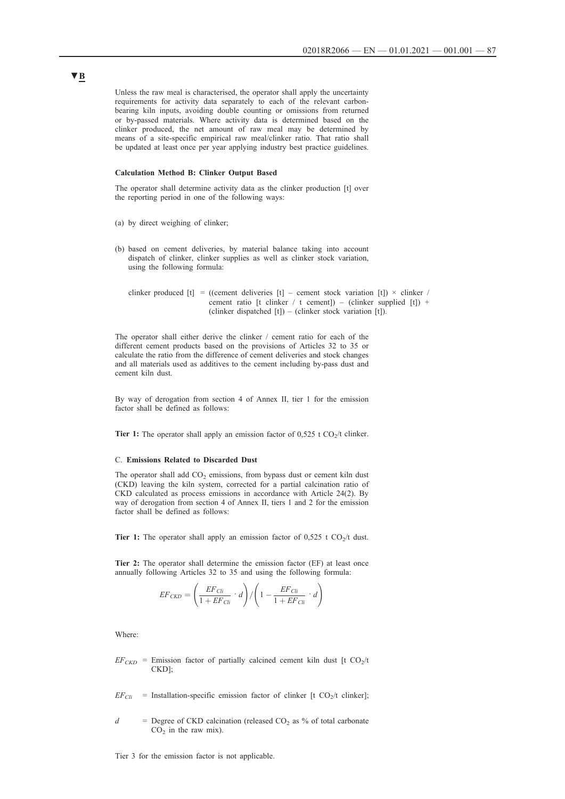Unless the raw meal is characterised, the operator shall apply the uncertainty requirements for activity data separately to each of the relevant carbonbearing kiln inputs, avoiding double counting or omissions from returned or by-passed materials. Where activity data is determined based on the clinker produced, the net amount of raw meal may be determined by means of a site-specific empirical raw meal/clinker ratio. That ratio shall be updated at least once per year applying industry best practice guidelines.

## **Calculation Method B: Clinker Output Based**

The operator shall determine activity data as the clinker production [t] over the reporting period in one of the following ways:

- (a) by direct weighing of clinker;
- (b) based on cement deliveries, by material balance taking into account dispatch of clinker, clinker supplies as well as clinker stock variation, using the following formula:

clinker produced  $[t] = ((\text{cement deliveries } [t]) - \text{cement stock variation } [t]) \times \text{chiker } /$ cement ratio [t clinker / t cement]) – (clinker supplied [t]) + (clinker dispatched  $[t]$ ) – (clinker stock variation  $[t]$ ).

The operator shall either derive the clinker / cement ratio for each of the different cement products based on the provisions of Articles 32 to 35 or calculate the ratio from the difference of cement deliveries and stock changes and all materials used as additives to the cement including by-pass dust and cement kiln dust.

By way of derogation from section 4 of Annex II, tier 1 for the emission factor shall be defined as follows:

**Tier 1:** The operator shall apply an emission factor of  $0.525$  t  $CO<sub>2</sub>/t$  clinker.

#### C. **Emissions Related to Discarded Dust**

The operator shall add  $CO<sub>2</sub>$  emissions, from bypass dust or cement kiln dust (CKD) leaving the kiln system, corrected for a partial calcination ratio of CKD calculated as process emissions in accordance with Article 24(2). By way of derogation from section 4 of Annex II, tiers 1 and 2 for the emission factor shall be defined as follows:

**Tier 1:** The operator shall apply an emission factor of  $0,525$  t  $CO<sub>2</sub>/t$  dust.

**Tier 2:** The operator shall determine the emission factor (EF) at least once annually following Articles 32 to 35 and using the following formula:

$$
EF_{CKD} = \left(\frac{EF_{Cli}}{1 + EF_{Cli}} \cdot d\right) / \left(1 - \frac{EF_{Cli}}{1 + EF_{Cli}} \cdot d\right)
$$

Where:

- $EF_{CKD}$  = Emission factor of partially calcined cement kiln dust [t CO<sub>2</sub>/t] CKD];
- $EF_{\text{Cli}}$  = Installation-specific emission factor of clinker [t CO<sub>2</sub>/t clinker];
- $d =$  Degree of CKD calcination (released CO<sub>2</sub> as % of total carbonate  $CO<sub>2</sub>$  in the raw mix).

Tier 3 for the emission factor is not applicable.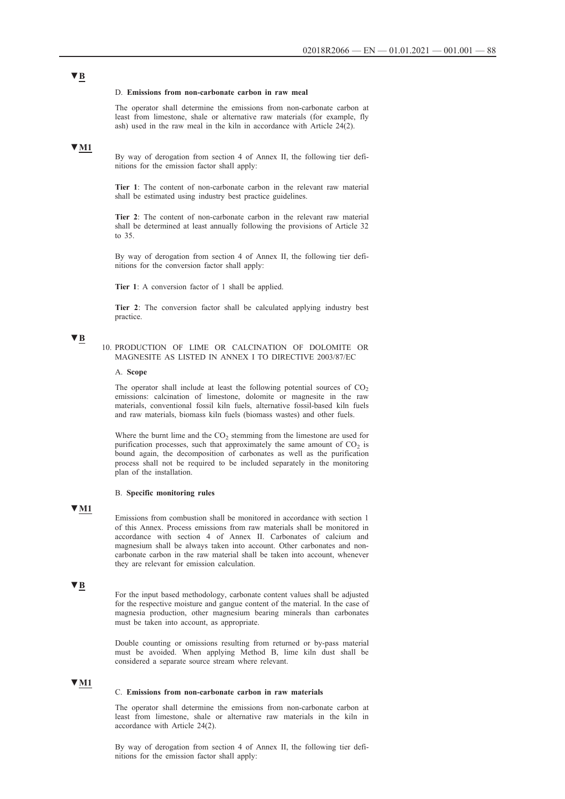### D. **Emissions from non-carbonate carbon in raw meal**

The operator shall determine the emissions from non-carbonate carbon at least from limestone, shale or alternative raw materials (for example, fly ash) used in the raw meal in the kiln in accordance with Article 24(2).

## **▼M1**

By way of derogation from section 4 of Annex II, the following tier definitions for the emission factor shall apply:

**Tier 1**: The content of non-carbonate carbon in the relevant raw material shall be estimated using industry best practice guidelines.

**Tier 2**: The content of non-carbonate carbon in the relevant raw material shall be determined at least annually following the provisions of Article 32 to 35.

By way of derogation from section 4 of Annex II, the following tier definitions for the conversion factor shall apply:

**Tier 1**: A conversion factor of 1 shall be applied.

**Tier 2**: The conversion factor shall be calculated applying industry best practice.

## **▼B**

10. PRODUCTION OF LIME OR CALCINATION OF DOLOMITE OR MAGNESITE AS LISTED IN ANNEX I TO DIRECTIVE 2003/87/EC

#### A. **Scope**

The operator shall include at least the following potential sources of  $CO<sub>2</sub>$ emissions: calcination of limestone, dolomite or magnesite in the raw materials, conventional fossil kiln fuels, alternative fossil-based kiln fuels and raw materials, biomass kiln fuels (biomass wastes) and other fuels.

Where the burnt lime and the  $CO<sub>2</sub>$  stemming from the limestone are used for purification processes, such that approximately the same amount of  $CO<sub>2</sub>$  is bound again, the decomposition of carbonates as well as the purification process shall not be required to be included separately in the monitoring plan of the installation.

## B. **Specific monitoring rules**

## **▼M1**

Emissions from combustion shall be monitored in accordance with section 1 of this Annex. Process emissions from raw materials shall be monitored in accordance with section 4 of Annex II. Carbonates of calcium and magnesium shall be always taken into account. Other carbonates and noncarbonate carbon in the raw material shall be taken into account, whenever they are relevant for emission calculation.

## **▼B**

For the input based methodology, carbonate content values shall be adjusted for the respective moisture and gangue content of the material. In the case of magnesia production, other magnesium bearing minerals than carbonates must be taken into account, as appropriate.

Double counting or omissions resulting from returned or by-pass material must be avoided. When applying Method B, lime kiln dust shall be considered a separate source stream where relevant.

## **▼M1**

#### C. **Emissions from non-carbonate carbon in raw materials**

The operator shall determine the emissions from non-carbonate carbon at least from limestone, shale or alternative raw materials in the kiln in accordance with Article 24(2).

By way of derogation from section 4 of Annex II, the following tier definitions for the emission factor shall apply: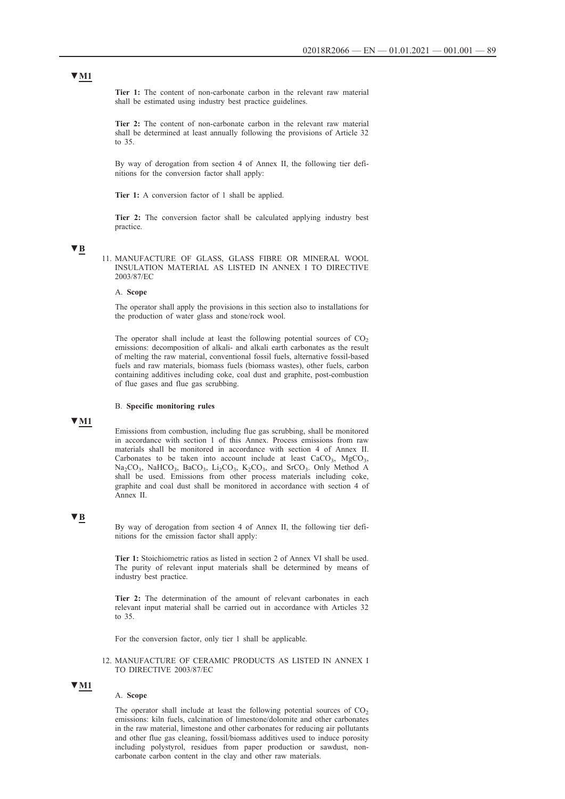**Tier 1:** The content of non-carbonate carbon in the relevant raw material shall be estimated using industry best practice guidelines.

**Tier 2:** The content of non-carbonate carbon in the relevant raw material shall be determined at least annually following the provisions of Article 32 to 35.

By way of derogation from section 4 of Annex II, the following tier definitions for the conversion factor shall apply:

**Tier 1:** A conversion factor of 1 shall be applied.

**Tier 2:** The conversion factor shall be calculated applying industry best practice.

## **▼B**

11. MANUFACTURE OF GLASS, GLASS FIBRE OR MINERAL WOOL INSULATION MATERIAL AS LISTED IN ANNEX I TO DIRECTIVE 2003/87/EC

### A. **Scope**

The operator shall apply the provisions in this section also to installations for the production of water glass and stone/rock wool.

The operator shall include at least the following potential sources of  $CO<sub>2</sub>$ emissions: decomposition of alkali- and alkali earth carbonates as the result of melting the raw material, conventional fossil fuels, alternative fossil-based fuels and raw materials, biomass fuels (biomass wastes), other fuels, carbon containing additives including coke, coal dust and graphite, post-combustion of flue gases and flue gas scrubbing.

### B. **Specific monitoring rules**

## **▼M1**

Emissions from combustion, including flue gas scrubbing, shall be monitored in accordance with section 1 of this Annex. Process emissions from raw materials shall be monitored in accordance with section 4 of Annex II. Carbonates to be taken into account include at least  $CaCO<sub>3</sub>$ ,  $MgCO<sub>3</sub>$ , Na<sub>2</sub>CO<sub>3</sub>, NaHCO<sub>3</sub>, BaCO<sub>3</sub>, Li<sub>2</sub>CO<sub>3</sub>, K<sub>2</sub>CO<sub>3</sub>, and SrCO<sub>3</sub>. Only Method A shall be used. Emissions from other process materials including coke, graphite and coal dust shall be monitored in accordance with section 4 of Annex II.

## **▼B**

By way of derogation from section 4 of Annex II, the following tier definitions for the emission factor shall apply:

**Tier 1:** Stoichiometric ratios as listed in section 2 of Annex VI shall be used. The purity of relevant input materials shall be determined by means of industry best practice.

**Tier 2:** The determination of the amount of relevant carbonates in each relevant input material shall be carried out in accordance with Articles 32 to 35.

For the conversion factor, only tier 1 shall be applicable.

## 12. MANUFACTURE OF CERAMIC PRODUCTS AS LISTED IN ANNEX I TO DIRECTIVE 2003/87/EC

## **▼M1**

## A. **Scope**

The operator shall include at least the following potential sources of  $CO<sub>2</sub>$ emissions: kiln fuels, calcination of limestone/dolomite and other carbonates in the raw material, limestone and other carbonates for reducing air pollutants and other flue gas cleaning, fossil/biomass additives used to induce porosity including polystyrol, residues from paper production or sawdust, noncarbonate carbon content in the clay and other raw materials.

## **▼M1**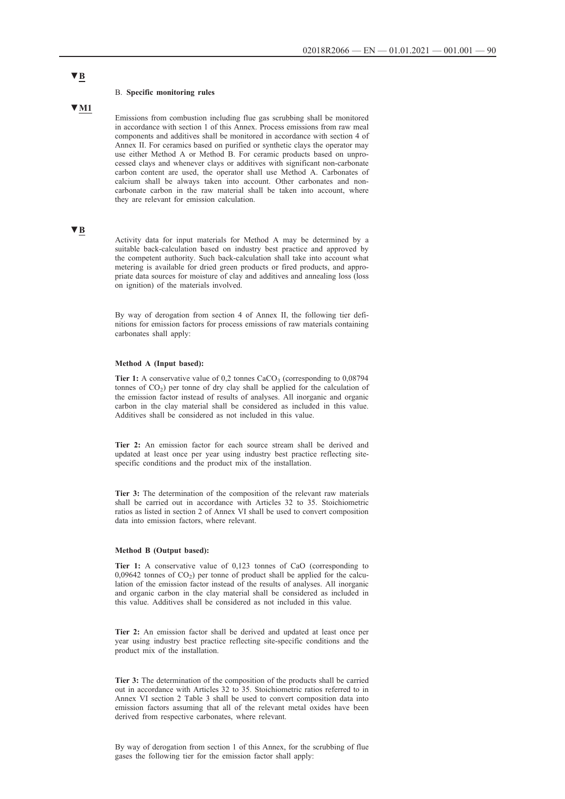#### B. **Specific monitoring rules**

## **▼M1**

Emissions from combustion including flue gas scrubbing shall be monitored in accordance with section 1 of this Annex. Process emissions from raw meal components and additives shall be monitored in accordance with section 4 of Annex II. For ceramics based on purified or synthetic clays the operator may use either Method A or Method B. For ceramic products based on unprocessed clays and whenever clays or additives with significant non-carbonate carbon content are used, the operator shall use Method A. Carbonates of calcium shall be always taken into account. Other carbonates and noncarbonate carbon in the raw material shall be taken into account, where they are relevant for emission calculation.

## **▼B**

Activity data for input materials for Method A may be determined by a suitable back-calculation based on industry best practice and approved by the competent authority. Such back-calculation shall take into account what metering is available for dried green products or fired products, and appropriate data sources for moisture of clay and additives and annealing loss (loss on ignition) of the materials involved.

By way of derogation from section 4 of Annex II, the following tier definitions for emission factors for process emissions of raw materials containing carbonates shall apply:

#### **Method A (Input based):**

**Tier 1:** A conservative value of  $0.2$  tonnes  $CaCO<sub>3</sub>$  (corresponding to  $0.08794$ ) tonnes of  $CO<sub>2</sub>$ ) per tonne of dry clay shall be applied for the calculation of the emission factor instead of results of analyses. All inorganic and organic carbon in the clay material shall be considered as included in this value. Additives shall be considered as not included in this value.

**Tier 2:** An emission factor for each source stream shall be derived and updated at least once per year using industry best practice reflecting sitespecific conditions and the product mix of the installation.

**Tier 3:** The determination of the composition of the relevant raw materials shall be carried out in accordance with Articles 32 to 35. Stoichiometric ratios as listed in section 2 of Annex VI shall be used to convert composition data into emission factors, where relevant.

#### **Method B (Output based):**

**Tier 1:** A conservative value of 0,123 tonnes of CaO (corresponding to  $0,09642$  tonnes of  $CO<sub>2</sub>$ ) per tonne of product shall be applied for the calculation of the emission factor instead of the results of analyses. All inorganic and organic carbon in the clay material shall be considered as included in this value. Additives shall be considered as not included in this value.

**Tier 2:** An emission factor shall be derived and updated at least once per year using industry best practice reflecting site-specific conditions and the product mix of the installation.

**Tier 3:** The determination of the composition of the products shall be carried out in accordance with Articles 32 to 35. Stoichiometric ratios referred to in Annex VI section 2 Table 3 shall be used to convert composition data into emission factors assuming that all of the relevant metal oxides have been derived from respective carbonates, where relevant.

By way of derogation from section 1 of this Annex, for the scrubbing of flue gases the following tier for the emission factor shall apply: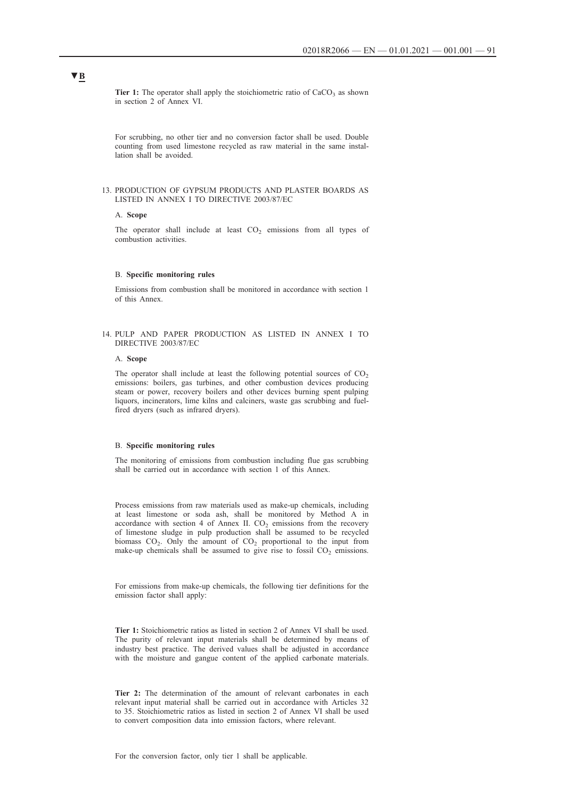Tier 1: The operator shall apply the stoichiometric ratio of CaCO<sub>3</sub> as shown in section 2 of Annex VI.

For scrubbing, no other tier and no conversion factor shall be used. Double counting from used limestone recycled as raw material in the same installation shall be avoided.

### 13. PRODUCTION OF GYPSUM PRODUCTS AND PLASTER BOARDS AS LISTED IN ANNEX I TO DIRECTIVE 2003/87/EC

#### A. **Scope**

The operator shall include at least  $CO<sub>2</sub>$  emissions from all types of combustion activities.

## B. **Specific monitoring rules**

Emissions from combustion shall be monitored in accordance with section 1 of this Annex.

## 14. PULP AND PAPER PRODUCTION AS LISTED IN ANNEX I TO DIRECTIVE 2003/87/EC

## A. **Scope**

The operator shall include at least the following potential sources of  $CO<sub>2</sub>$ emissions: boilers, gas turbines, and other combustion devices producing steam or power, recovery boilers and other devices burning spent pulping liquors, incinerators, lime kilns and calciners, waste gas scrubbing and fuelfired dryers (such as infrared dryers).

### B. **Specific monitoring rules**

The monitoring of emissions from combustion including flue gas scrubbing shall be carried out in accordance with section 1 of this Annex.

Process emissions from raw materials used as make-up chemicals, including at least limestone or soda ash, shall be monitored by Method A in accordance with section 4 of Annex II.  $CO<sub>2</sub>$  emissions from the recovery of limestone sludge in pulp production shall be assumed to be recycled biomass  $CO<sub>2</sub>$ . Only the amount of  $CO<sub>2</sub>$  proportional to the input from make-up chemicals shall be assumed to give rise to fossil  $CO<sub>2</sub>$  emissions.

For emissions from make-up chemicals, the following tier definitions for the emission factor shall apply:

**Tier 1:** Stoichiometric ratios as listed in section 2 of Annex VI shall be used. The purity of relevant input materials shall be determined by means of industry best practice. The derived values shall be adjusted in accordance with the moisture and gangue content of the applied carbonate materials.

**Tier 2:** The determination of the amount of relevant carbonates in each relevant input material shall be carried out in accordance with Articles 32 to 35. Stoichiometric ratios as listed in section 2 of Annex VI shall be used to convert composition data into emission factors, where relevant.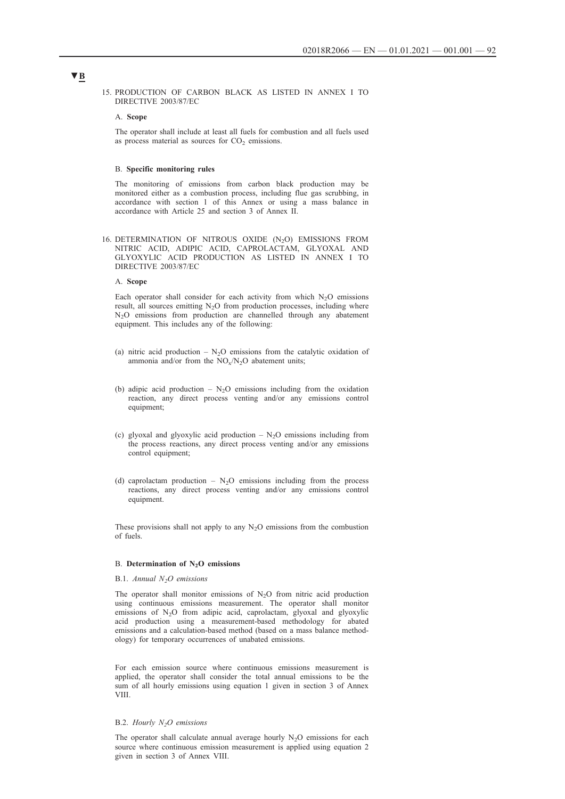15. PRODUCTION OF CARBON BLACK AS LISTED IN ANNEX I TO DIRECTIVE 2003/87/EC

## A. **Scope**

The operator shall include at least all fuels for combustion and all fuels used as process material as sources for  $CO<sub>2</sub>$  emissions.

#### B. **Specific monitoring rules**

The monitoring of emissions from carbon black production may be monitored either as a combustion process, including flue gas scrubbing, in accordance with section 1 of this Annex or using a mass balance in accordance with Article 25 and section 3 of Annex II.

16. DETERMINATION OF NITROUS OXIDE  $(N_2O)$  EMISSIONS FROM NITRIC ACID, ADIPIC ACID, CAPROLACTAM, GLYOXAL AND GLYOXYLIC ACID PRODUCTION AS LISTED IN ANNEX I TO DIRECTIVE 2003/87/EC

## A. **Scope**

Each operator shall consider for each activity from which  $N_2O$  emissions result, all sources emitting  $N_2O$  from production processes, including where N2O emissions from production are channelled through any abatement equipment. This includes any of the following:

- (a) nitric acid production  $N_2O$  emissions from the catalytic oxidation of ammonia and/or from the  $NO<sub>x</sub>/N<sub>2</sub>O$  abatement units;
- (b) adipic acid production  $N_2O$  emissions including from the oxidation reaction, any direct process venting and/or any emissions control equipment;
- (c) glyoxal and glyoxylic acid production  $N_2O$  emissions including from the process reactions, any direct process venting and/or any emissions control equipment;
- (d) caprolactam production  $N_2O$  emissions including from the process reactions, any direct process venting and/or any emissions control equipment.

These provisions shall not apply to any  $N_2O$  emissions from the combustion of fuels.

## B. Determination of N<sub>2</sub>O emissions

## B.1. *Annual N2O emissions*

The operator shall monitor emissions of  $N<sub>2</sub>O$  from nitric acid production using continuous emissions measurement. The operator shall monitor emissions of  $N_2O$  from adipic acid, caprolactam, glyoxal and glyoxylic acid production using a measurement-based methodology for abated emissions and a calculation-based method (based on a mass balance methodology) for temporary occurrences of unabated emissions.

For each emission source where continuous emissions measurement is applied, the operator shall consider the total annual emissions to be the sum of all hourly emissions using equation 1 given in section 3 of Annex VIII.

## B.2. *Hourly N2O emissions*

The operator shall calculate annual average hourly  $N_2O$  emissions for each source where continuous emission measurement is applied using equation 2 given in section 3 of Annex VIII.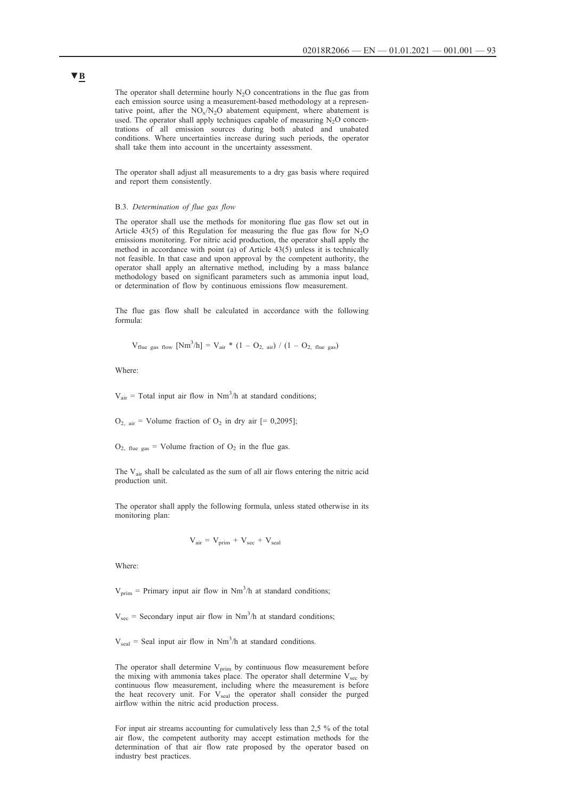The operator shall determine hourly  $N_2O$  concentrations in the flue gas from each emission source using a measurement-based methodology at a representative point, after the  $NO_x/N_2O$  abatement equipment, where abatement is used. The operator shall apply techniques capable of measuring  $N_2O$  concentrations of all emission sources during both abated and unabated conditions. Where uncertainties increase during such periods, the operator shall take them into account in the uncertainty assessment.

The operator shall adjust all measurements to a dry gas basis where required and report them consistently.

#### B.3. *Determination of flue gas flow*

The operator shall use the methods for monitoring flue gas flow set out in Article 43(5) of this Regulation for measuring the flue gas flow for  $N_2O$ emissions monitoring. For nitric acid production, the operator shall apply the method in accordance with point (a) of Article 43(5) unless it is technically not feasible. In that case and upon approval by the competent authority, the operator shall apply an alternative method, including by a mass balance methodology based on significant parameters such as ammonia input load, or determination of flow by continuous emissions flow measurement.

The flue gas flow shall be calculated in accordance with the following formula:

$$
V_{\text{flue gas flow}} \text{[Nm}^3/\text{h} \text{]} = V_{\text{air}} \cdot (1 - O_{2, \text{ air}}) / (1 - O_{2, \text{ flue gas}})
$$

Where:

 $V_{air}$  = Total input air flow in Nm<sup>3</sup>/h at standard conditions;

 $O_{2, air}$  = Volume fraction of  $O_2$  in dry air [= 0,2095];

 $O_{2, \text{flue gas}}$  = Volume fraction of  $O_2$  in the flue gas.

The  $V_{\text{air}}$  shall be calculated as the sum of all air flows entering the nitric acid production unit.

The operator shall apply the following formula, unless stated otherwise in its monitoring plan:

$$
V_{air} = V_{prim} + V_{sec} + V_{seal}
$$

Where:

 $V_{\text{prim}}$  = Primary input air flow in Nm<sup>3</sup>/h at standard conditions;

 $V_{\text{sec}}$  = Secondary input air flow in Nm<sup>3</sup>/h at standard conditions;

 $V_{\text{seal}}$  = Seal input air flow in Nm<sup>3</sup>/h at standard conditions.

The operator shall determine  $V_{prim}$  by continuous flow measurement before the mixing with ammonia takes place. The operator shall determine  $V_{\text{sec}}$  by continuous flow measurement, including where the measurement is before the heat recovery unit. For  $V_{\text{seal}}$  the operator shall consider the purged airflow within the nitric acid production process.

For input air streams accounting for cumulatively less than 2,5 % of the total air flow, the competent authority may accept estimation methods for the determination of that air flow rate proposed by the operator based on industry best practices.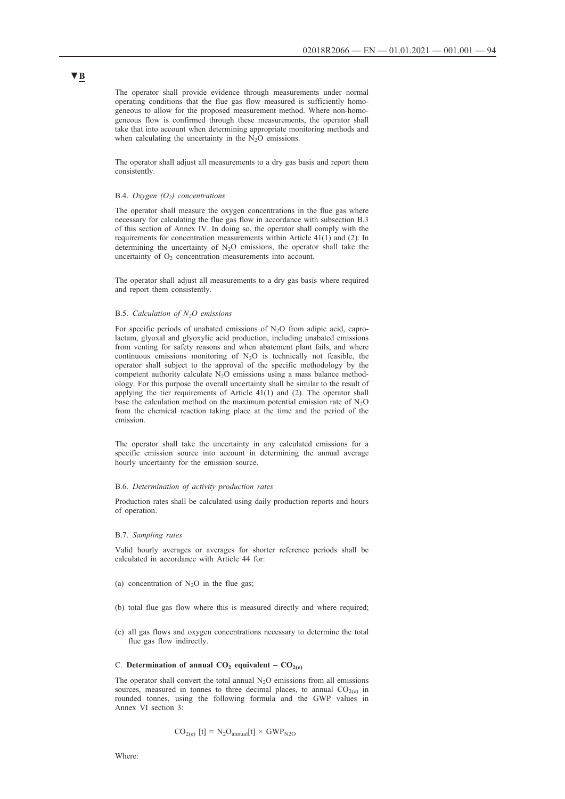The operator shall provide evidence through measurements under normal operating conditions that the flue gas flow measured is sufficiently homogeneous to allow for the proposed measurement method. Where non-homogeneous flow is confirmed through these measurements, the operator shall take that into account when determining appropriate monitoring methods and when calculating the uncertainty in the  $N_2O$  emissions.

The operator shall adjust all measurements to a dry gas basis and report them consistently.

#### B.4. *Oxygen (O2) concentrations*

The operator shall measure the oxygen concentrations in the flue gas where necessary for calculating the flue gas flow in accordance with subsection B.3 of this section of Annex IV. In doing so, the operator shall comply with the requirements for concentration measurements within Article 41(1) and (2). In determining the uncertainty of  $N_2O$  emissions, the operator shall take the uncertainty of  $O<sub>2</sub>$  concentration measurements into account.

The operator shall adjust all measurements to a dry gas basis where required and report them consistently.

## B.5. *Calculation of N2O emissions*

For specific periods of unabated emissions of  $N<sub>2</sub>O$  from adipic acid, caprolactam, glyoxal and glyoxylic acid production, including unabated emissions from venting for safety reasons and when abatement plant fails, and where continuous emissions monitoring of  $N_2O$  is technically not feasible, the operator shall subject to the approval of the specific methodology by the competent authority calculate  $N_2O$  emissions using a mass balance methodology. For this purpose the overall uncertainty shall be similar to the result of applying the tier requirements of Article 41(1) and (2). The operator shall base the calculation method on the maximum potential emission rate of  $N_2O$ from the chemical reaction taking place at the time and the period of the emission.

The operator shall take the uncertainty in any calculated emissions for a specific emission source into account in determining the annual average hourly uncertainty for the emission source.

### B.6. *Determination of activity production rates*

Production rates shall be calculated using daily production reports and hours of operation.

### B.7. *Sampling rates*

Valid hourly averages or averages for shorter reference periods shall be calculated in accordance with Article 44 for:

- (a) concentration of  $N_2O$  in the flue gas;
- (b) total flue gas flow where this is measured directly and where required;
- (c) all gas flows and oxygen concentrations necessary to determine the total flue gas flow indirectly.

#### C. Determination of annual  $CO_2$  equivalent –  $CO_{2(e)}$

The operator shall convert the total annual  $N_2O$  emissions from all emissions sources, measured in tonnes to three decimal places, to annual  $CO<sub>2(e)</sub>$  in rounded tonnes, using the following formula and the GWP values in Annex VI section 3:

$$
CO_{2(e)} [t] = N_2O_{annual}[t] \times GWP_{N2O}
$$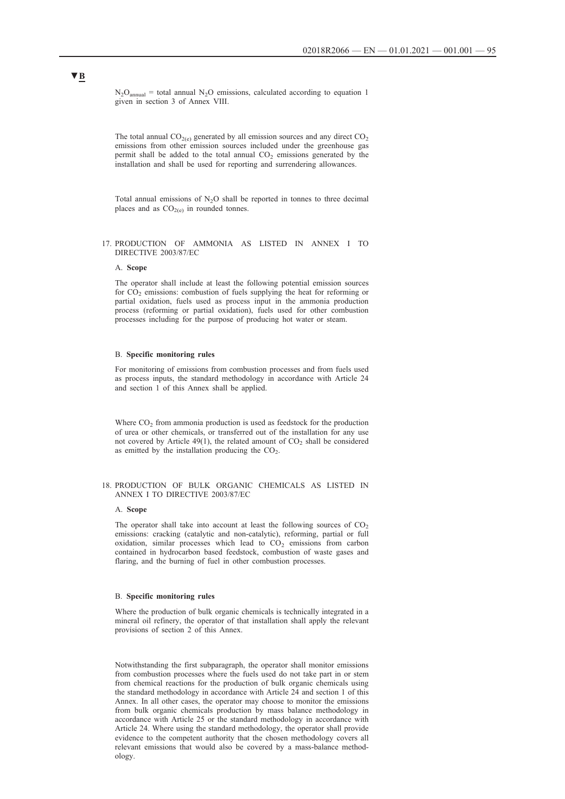$N_2O_{\text{annual}}$  = total annual  $N_2O$  emissions, calculated according to equation 1 given in section 3 of Annex VIII.

The total annual  $CO<sub>2(e)</sub>$  generated by all emission sources and any direct  $CO<sub>2</sub>$ emissions from other emission sources included under the greenhouse gas permit shall be added to the total annual  $CO<sub>2</sub>$  emissions generated by the installation and shall be used for reporting and surrendering allowances.

Total annual emissions of  $N_2O$  shall be reported in tonnes to three decimal places and as  $CO<sub>2(e)</sub>$  in rounded tonnes.

## 17. PRODUCTION OF AMMONIA AS LISTED IN ANNEX I TO DIRECTIVE 2003/87/EC

#### A. **Scope**

The operator shall include at least the following potential emission sources for  $CO<sub>2</sub>$  emissions: combustion of fuels supplying the heat for reforming or partial oxidation, fuels used as process input in the ammonia production process (reforming or partial oxidation), fuels used for other combustion processes including for the purpose of producing hot water or steam.

### B. **Specific monitoring rules**

For monitoring of emissions from combustion processes and from fuels used as process inputs, the standard methodology in accordance with Article 24 and section 1 of this Annex shall be applied.

Where  $CO<sub>2</sub>$  from ammonia production is used as feedstock for the production of urea or other chemicals, or transferred out of the installation for any use not covered by Article 49(1), the related amount of  $CO<sub>2</sub>$  shall be considered as emitted by the installation producing the  $CO<sub>2</sub>$ .

## 18. PRODUCTION OF BULK ORGANIC CHEMICALS AS LISTED IN ANNEX I TO DIRECTIVE 2003/87/EC

## A. **Scope**

The operator shall take into account at least the following sources of  $CO<sub>2</sub>$ emissions: cracking (catalytic and non-catalytic), reforming, partial or full oxidation, similar processes which lead to  $CO<sub>2</sub>$  emissions from carbon contained in hydrocarbon based feedstock, combustion of waste gases and flaring, and the burning of fuel in other combustion processes.

## B. **Specific monitoring rules**

Where the production of bulk organic chemicals is technically integrated in a mineral oil refinery, the operator of that installation shall apply the relevant provisions of section 2 of this Annex.

Notwithstanding the first subparagraph, the operator shall monitor emissions from combustion processes where the fuels used do not take part in or stem from chemical reactions for the production of bulk organic chemicals using the standard methodology in accordance with Article 24 and section 1 of this Annex. In all other cases, the operator may choose to monitor the emissions from bulk organic chemicals production by mass balance methodology in accordance with Article 25 or the standard methodology in accordance with Article 24. Where using the standard methodology, the operator shall provide evidence to the competent authority that the chosen methodology covers all relevant emissions that would also be covered by a mass-balance methodology.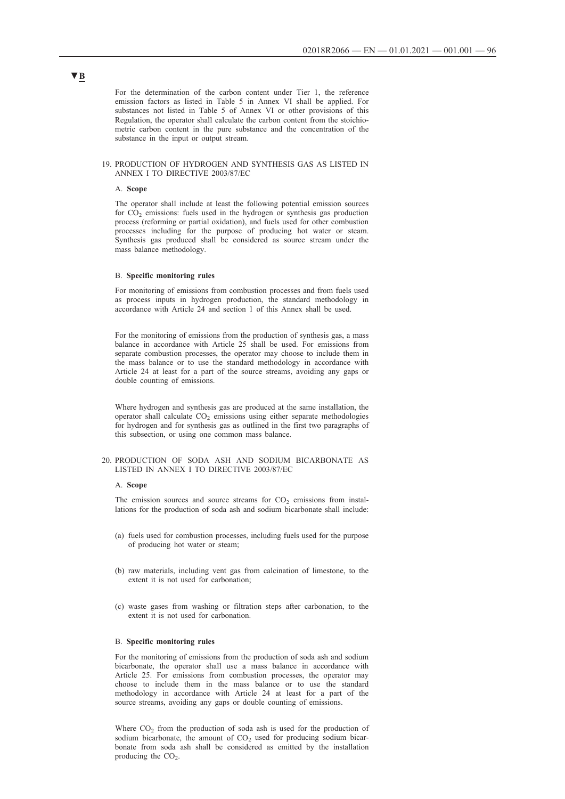For the determination of the carbon content under Tier 1, the reference emission factors as listed in Table 5 in Annex VI shall be applied. For substances not listed in Table 5 of Annex VI or other provisions of this Regulation, the operator shall calculate the carbon content from the stoichiometric carbon content in the pure substance and the concentration of the substance in the input or output stream.

### 19. PRODUCTION OF HYDROGEN AND SYNTHESIS GAS AS LISTED IN ANNEX I TO DIRECTIVE 2003/87/EC

#### A. **Scope**

The operator shall include at least the following potential emission sources for  $CO<sub>2</sub>$  emissions: fuels used in the hydrogen or synthesis gas production process (reforming or partial oxidation), and fuels used for other combustion processes including for the purpose of producing hot water or steam. Synthesis gas produced shall be considered as source stream under the mass balance methodology.

### B. **Specific monitoring rules**

For monitoring of emissions from combustion processes and from fuels used as process inputs in hydrogen production, the standard methodology in accordance with Article 24 and section 1 of this Annex shall be used.

For the monitoring of emissions from the production of synthesis gas, a mass balance in accordance with Article 25 shall be used. For emissions from separate combustion processes, the operator may choose to include them in the mass balance or to use the standard methodology in accordance with Article 24 at least for a part of the source streams, avoiding any gaps or double counting of emissions.

Where hydrogen and synthesis gas are produced at the same installation, the operator shall calculate  $CO<sub>2</sub>$  emissions using either separate methodologies for hydrogen and for synthesis gas as outlined in the first two paragraphs of this subsection, or using one common mass balance.

## 20. PRODUCTION OF SODA ASH AND SODIUM BICARBONATE AS LISTED IN ANNEX I TO DIRECTIVE 2003/87/EC

### A. **Scope**

The emission sources and source streams for  $CO<sub>2</sub>$  emissions from installations for the production of soda ash and sodium bicarbonate shall include:

- (a) fuels used for combustion processes, including fuels used for the purpose of producing hot water or steam;
- (b) raw materials, including vent gas from calcination of limestone, to the extent it is not used for carbonation;
- (c) waste gases from washing or filtration steps after carbonation, to the extent it is not used for carbonation.

## B. **Specific monitoring rules**

For the monitoring of emissions from the production of soda ash and sodium bicarbonate, the operator shall use a mass balance in accordance with Article 25. For emissions from combustion processes, the operator may choose to include them in the mass balance or to use the standard methodology in accordance with Article 24 at least for a part of the source streams, avoiding any gaps or double counting of emissions.

Where  $CO<sub>2</sub>$  from the production of soda ash is used for the production of sodium bicarbonate, the amount of  $CO<sub>2</sub>$  used for producing sodium bicarbonate from soda ash shall be considered as emitted by the installation producing the  $CO<sub>2</sub>$ .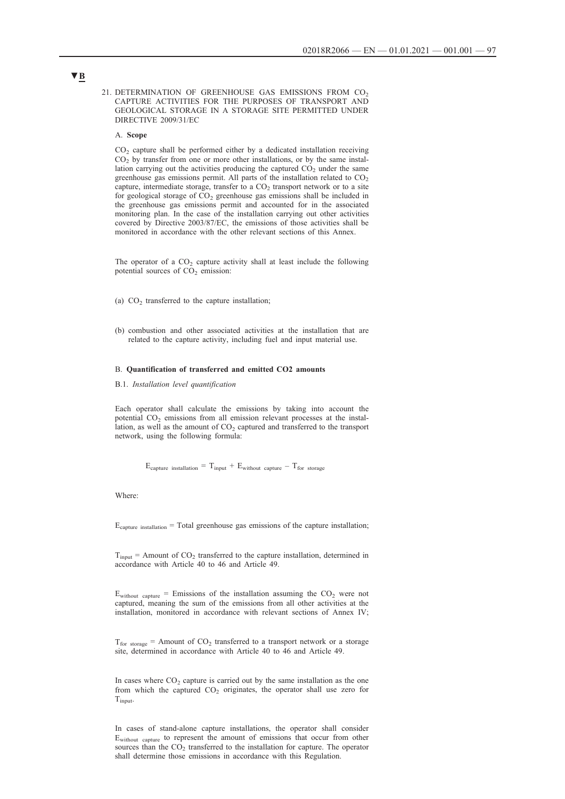21. DETERMINATION OF GREENHOUSE GAS EMISSIONS FROM CO<sub>2</sub> CAPTURE ACTIVITIES FOR THE PURPOSES OF TRANSPORT AND GEOLOGICAL STORAGE IN A STORAGE SITE PERMITTED UNDER DIRECTIVE 2009/31/EC

## A. **Scope**

CO2 capture shall be performed either by a dedicated installation receiving  $CO<sub>2</sub>$  by transfer from one or more other installations, or by the same installation carrying out the activities producing the captured  $CO<sub>2</sub>$  under the same greenhouse gas emissions permit. All parts of the installation related to  $CO<sub>2</sub>$ capture, intermediate storage, transfer to a  $CO<sub>2</sub>$  transport network or to a site for geological storage of  $CO<sub>2</sub>$  greenhouse gas emissions shall be included in the greenhouse gas emissions permit and accounted for in the associated monitoring plan. In the case of the installation carrying out other activities covered by Directive 2003/87/EC, the emissions of those activities shall be monitored in accordance with the other relevant sections of this Annex.

The operator of a  $CO<sub>2</sub>$  capture activity shall at least include the following potential sources of  $CO<sub>2</sub>$  emission:

- (a)  $CO<sub>2</sub>$  transferred to the capture installation;
- (b) combustion and other associated activities at the installation that are related to the capture activity, including fuel and input material use.

#### B. **Quantification of transferred and emitted CO2 amounts**

B.1. *Installation level quantification*

Each operator shall calculate the emissions by taking into account the potential  $CO<sub>2</sub>$  emissions from all emission relevant processes at the installation, as well as the amount of  $CO<sub>2</sub>$  captured and transferred to the transport network, using the following formula:

 $E_{\text{capture installation}} = T_{\text{input}} + E_{\text{without capture}} - T_{\text{for storage}}$ 

Where:

 $E_{\text{capture installation}} = \text{Total greenhouse gas emissions of the capture installation}$ ;

 $T_{input}$  = Amount of  $CO_2$  transferred to the capture installation, determined in accordance with Article 40 to 46 and Article 49.

 $E_{without\ capture}$  = Emissions of the installation assuming the  $CO<sub>2</sub>$  were not captured, meaning the sum of the emissions from all other activities at the installation, monitored in accordance with relevant sections of Annex IV;

 $T_{\text{for storage}}$  = Amount of CO<sub>2</sub> transferred to a transport network or a storage site, determined in accordance with Article 40 to 46 and Article 49.

In cases where  $CO<sub>2</sub>$  capture is carried out by the same installation as the one from which the captured  $CO<sub>2</sub>$  originates, the operator shall use zero for Tinput.

In cases of stand-alone capture installations, the operator shall consider Ewithout capture to represent the amount of emissions that occur from other sources than the  $CO<sub>2</sub>$  transferred to the installation for capture. The operator shall determine those emissions in accordance with this Regulation.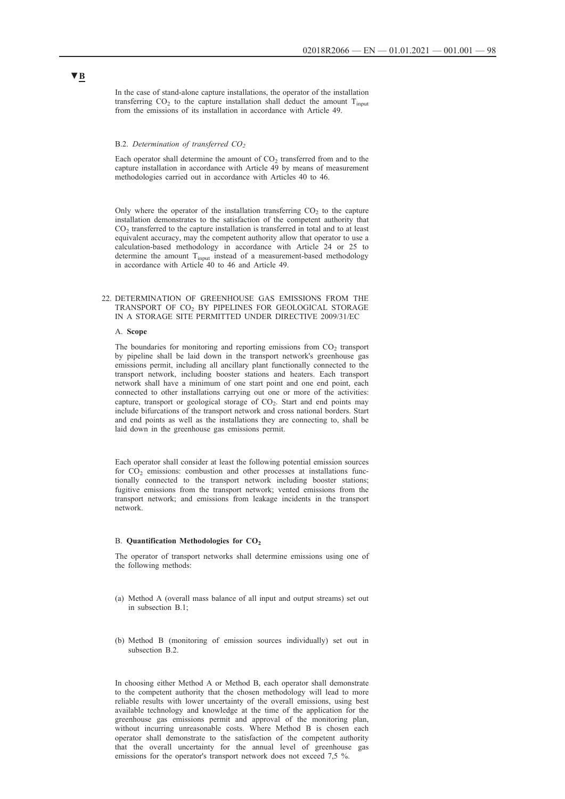In the case of stand-alone capture installations, the operator of the installation transferring  $CO_2$  to the capture installation shall deduct the amount  $T_{input}$ from the emissions of its installation in accordance with Article 49.

#### B.2. Determination of transferred CO<sub>2</sub>

Each operator shall determine the amount of  $CO<sub>2</sub>$  transferred from and to the capture installation in accordance with Article 49 by means of measurement methodologies carried out in accordance with Articles 40 to 46.

Only where the operator of the installation transferring  $CO<sub>2</sub>$  to the capture installation demonstrates to the satisfaction of the competent authority that  $CO<sub>2</sub>$  transferred to the capture installation is transferred in total and to at least equivalent accuracy, may the competent authority allow that operator to use a calculation-based methodology in accordance with Article 24 or 25 to determine the amount Tinput instead of a measurement-based methodology in accordance with Article 40 to 46 and Article 49.

## 22. DETERMINATION OF GREENHOUSE GAS EMISSIONS FROM THE TRANSPORT OF CO2 BY PIPELINES FOR GEOLOGICAL STORAGE IN A STORAGE SITE PERMITTED UNDER DIRECTIVE 2009/31/EC

#### A. **Scope**

The boundaries for monitoring and reporting emissions from  $CO<sub>2</sub>$  transport by pipeline shall be laid down in the transport network's greenhouse gas emissions permit, including all ancillary plant functionally connected to the transport network, including booster stations and heaters. Each transport network shall have a minimum of one start point and one end point, each connected to other installations carrying out one or more of the activities: capture, transport or geological storage of  $CO<sub>2</sub>$ . Start and end points may include bifurcations of the transport network and cross national borders. Start and end points as well as the installations they are connecting to, shall be laid down in the greenhouse gas emissions permit.

Each operator shall consider at least the following potential emission sources for  $CO<sub>2</sub>$  emissions: combustion and other processes at installations functionally connected to the transport network including booster stations; fugitive emissions from the transport network; vented emissions from the transport network; and emissions from leakage incidents in the transport network.

#### B. Quantification Methodologies for CO<sub>2</sub>

The operator of transport networks shall determine emissions using one of the following methods:

- (a) Method A (overall mass balance of all input and output streams) set out in subsection B.1;
- (b) Method B (monitoring of emission sources individually) set out in subsection B.2.

In choosing either Method A or Method B, each operator shall demonstrate to the competent authority that the chosen methodology will lead to more reliable results with lower uncertainty of the overall emissions, using best available technology and knowledge at the time of the application for the greenhouse gas emissions permit and approval of the monitoring plan, without incurring unreasonable costs. Where Method B is chosen each operator shall demonstrate to the satisfaction of the competent authority that the overall uncertainty for the annual level of greenhouse gas emissions for the operator's transport network does not exceed 7,5 %.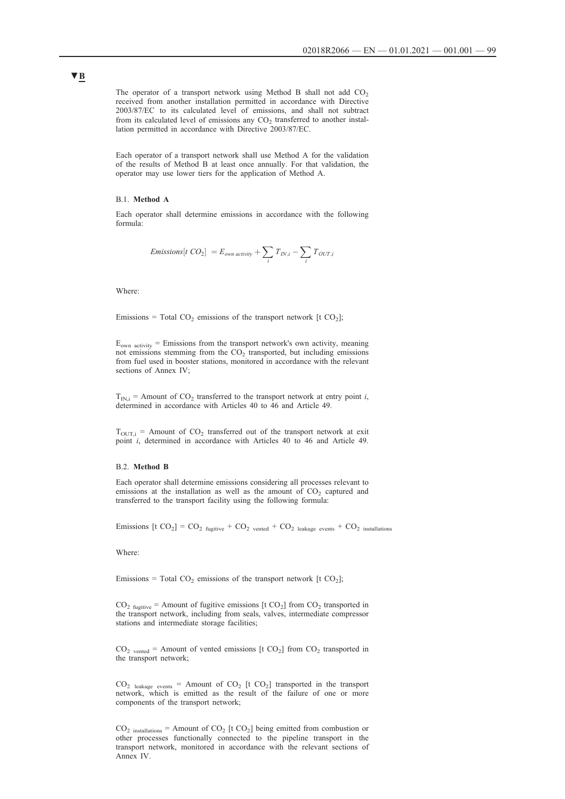The operator of a transport network using Method B shall not add  $CO<sub>2</sub>$ received from another installation permitted in accordance with Directive 2003/87/EC to its calculated level of emissions, and shall not subtract from its calculated level of emissions any  $CO<sub>2</sub>$  transferred to another installation permitted in accordance with Directive 2003/87/EC.

Each operator of a transport network shall use Method A for the validation of the results of Method B at least once annually. For that validation, the operator may use lower tiers for the application of Method A.

#### B.1. **Method A**

Each operator shall determine emissions in accordance with the following formula:

$$
Emissions[t\ CO_2] = E_{own\ activity} + \sum_i T_{IN,i} - \sum_i T_{OUT,i}
$$

Where:

Emissions = Total  $CO_2$  emissions of the transport network [t  $CO_2$ ];

 $E_{own\ activity}$  = Emissions from the transport network's own activity, meaning not emissions stemming from the CO<sub>2</sub> transported, but including emissions from fuel used in booster stations, monitored in accordance with the relevant sections of Annex IV;

 $T_{IN,i}$  = Amount of  $CO_2$  transferred to the transport network at entry point *i*, determined in accordance with Articles 40 to 46 and Article 49.

 $T_{\text{OUT},i}$  = Amount of CO<sub>2</sub> transferred out of the transport network at exit point *i*, determined in accordance with Articles 40 to 46 and Article 49.

### B.2. **Method B**

Each operator shall determine emissions considering all processes relevant to emissions at the installation as well as the amount of  $CO<sub>2</sub>$  captured and transferred to the transport facility using the following formula:

Emissions  $[t CO_2] = CO_2$  fugitive +  $CO_2$  vented +  $CO_2$  leakage events +  $CO_2$  installations

Where:

Emissions = Total  $CO_2$  emissions of the transport network [t  $CO_2$ ];

 $CO<sub>2</sub>$  fugitive = Amount of fugitive emissions [t  $CO<sub>2</sub>$ ] from  $CO<sub>2</sub>$  transported in the transport network, including from seals, valves, intermediate compressor stations and intermediate storage facilities;

 $CO<sub>2</sub>$  vented = Amount of vented emissions [t  $CO<sub>2</sub>$ ] from  $CO<sub>2</sub>$  transported in the transport network;

 $CO<sub>2</sub>$  leakage events = Amount of  $CO<sub>2</sub>$  [t  $CO<sub>2</sub>$ ] transported in the transport network, which is emitted as the result of the failure of one or more components of the transport network;

 $CO<sub>2</sub>$  installations = Amount of  $CO<sub>2</sub>$  [t  $CO<sub>2</sub>$ ] being emitted from combustion or other processes functionally connected to the pipeline transport in the transport network, monitored in accordance with the relevant sections of Annex IV.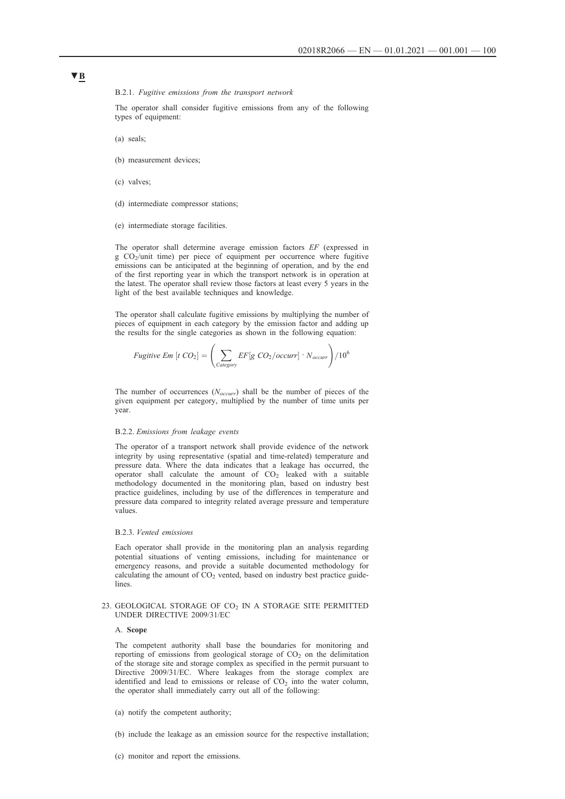### B.2.1. *Fugitive emissions from the transport network*

The operator shall consider fugitive emissions from any of the following types of equipment:

(a) seals;

- (b) measurement devices;
- (c) valves;
- (d) intermediate compressor stations;
- (e) intermediate storage facilities.

The operator shall determine average emission factors *EF* (expressed in  $g \text{CO}_2$ /unit time) per piece of equipment per occurrence where fugitive emissions can be anticipated at the beginning of operation, and by the end of the first reporting year in which the transport network is in operation at the latest. The operator shall review those factors at least every 5 years in the light of the best available techniques and knowledge.

The operator shall calculate fugitive emissions by multiplying the number of pieces of equipment in each category by the emission factor and adding up the results for the single categories as shown in the following equation:

Fugitive Em [
$$
t
$$
 CO<sub>2</sub>] =  $\left(\sum_{\text{Category}} EF[g \text{ CO}_2/\text{occurr}\right) \cdot N_{\text{occurr}}\right) / 10^6$ 

The number of occurrences (*Noccurr*) shall be the number of pieces of the given equipment per category, multiplied by the number of time units per year.

## B.2.2. *Emissions from leakage events*

The operator of a transport network shall provide evidence of the network integrity by using representative (spatial and time-related) temperature and pressure data. Where the data indicates that a leakage has occurred, the operator shall calculate the amount of  $CO<sub>2</sub>$  leaked with a suitable methodology documented in the monitoring plan, based on industry best practice guidelines, including by use of the differences in temperature and pressure data compared to integrity related average pressure and temperature values.

#### B.2.3. *Vented emissions*

Each operator shall provide in the monitoring plan an analysis regarding potential situations of venting emissions, including for maintenance or emergency reasons, and provide a suitable documented methodology for calculating the amount of  $CO<sub>2</sub>$  vented, based on industry best practice guidelines.

## 23. GEOLOGICAL STORAGE OF  $CO<sub>2</sub>$  IN A STORAGE SITE PERMITTED UNDER DIRECTIVE 2009/31/EC

#### A. **Scope**

The competent authority shall base the boundaries for monitoring and reporting of emissions from geological storage of  $CO<sub>2</sub>$  on the delimitation of the storage site and storage complex as specified in the permit pursuant to Directive 2009/31/EC. Where leakages from the storage complex are identified and lead to emissions or release of  $CO<sub>2</sub>$  into the water column, the operator shall immediately carry out all of the following:

- (a) notify the competent authority;
- (b) include the leakage as an emission source for the respective installation;
- (c) monitor and report the emissions.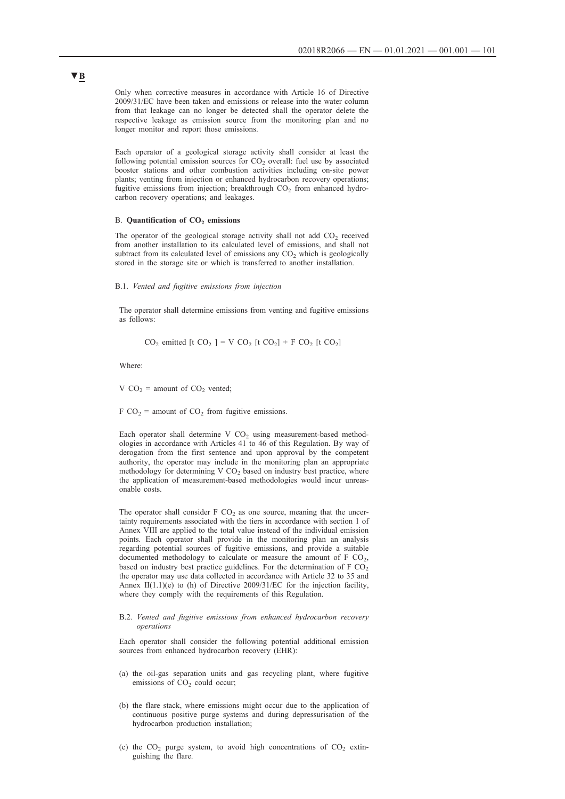Only when corrective measures in accordance with Article 16 of Directive 2009/31/EC have been taken and emissions or release into the water column from that leakage can no longer be detected shall the operator delete the respective leakage as emission source from the monitoring plan and no longer monitor and report those emissions.

Each operator of a geological storage activity shall consider at least the following potential emission sources for  $CO<sub>2</sub>$  overall: fuel use by associated booster stations and other combustion activities including on-site power plants; venting from injection or enhanced hydrocarbon recovery operations; fugitive emissions from injection; breakthrough  $CO<sub>2</sub>$  from enhanced hydrocarbon recovery operations; and leakages.

### B. Quantification of CO<sub>2</sub> emissions

The operator of the geological storage activity shall not add  $CO<sub>2</sub>$  received from another installation to its calculated level of emissions, and shall not subtract from its calculated level of emissions any  $CO<sub>2</sub>$  which is geologically stored in the storage site or which is transferred to another installation.

## B.1. *Vented and fugitive emissions from injection*

The operator shall determine emissions from venting and fugitive emissions as follows:

 $CO_2$  emitted [t  $CO_2$  ] = V  $CO_2$  [t  $CO_2$ ] + F  $CO_2$  [t  $CO_2$ ]

Where:

V  $CO_2$  = amount of  $CO_2$  vented;

F  $CO_2$  = amount of  $CO_2$  from fugitive emissions.

Each operator shall determine V  $CO<sub>2</sub>$  using measurement-based methodologies in accordance with Articles 41 to 46 of this Regulation. By way of derogation from the first sentence and upon approval by the competent authority, the operator may include in the monitoring plan an appropriate methodology for determining V  $CO<sub>2</sub>$  based on industry best practice, where the application of measurement-based methodologies would incur unreasonable costs.

The operator shall consider  $F CO<sub>2</sub>$  as one source, meaning that the uncertainty requirements associated with the tiers in accordance with section 1 of Annex VIII are applied to the total value instead of the individual emission points. Each operator shall provide in the monitoring plan an analysis regarding potential sources of fugitive emissions, and provide a suitable documented methodology to calculate or measure the amount of  $F CO<sub>2</sub>$ , based on industry best practice guidelines. For the determination of  $FCO<sub>2</sub>$ the operator may use data collected in accordance with Article 32 to 35 and Annex II $(1.1)(e)$  to  $(h)$  of Directive 2009/31/EC for the injection facility, where they comply with the requirements of this Regulation.

## B.2. *Vented and fugitive emissions from enhanced hydrocarbon recovery operations*

Each operator shall consider the following potential additional emission sources from enhanced hydrocarbon recovery (EHR):

- (a) the oil-gas separation units and gas recycling plant, where fugitive emissions of  $CO<sub>2</sub>$  could occur;
- (b) the flare stack, where emissions might occur due to the application of continuous positive purge systems and during depressurisation of the hydrocarbon production installation;
- (c) the  $CO<sub>2</sub>$  purge system, to avoid high concentrations of  $CO<sub>2</sub>$  extinguishing the flare.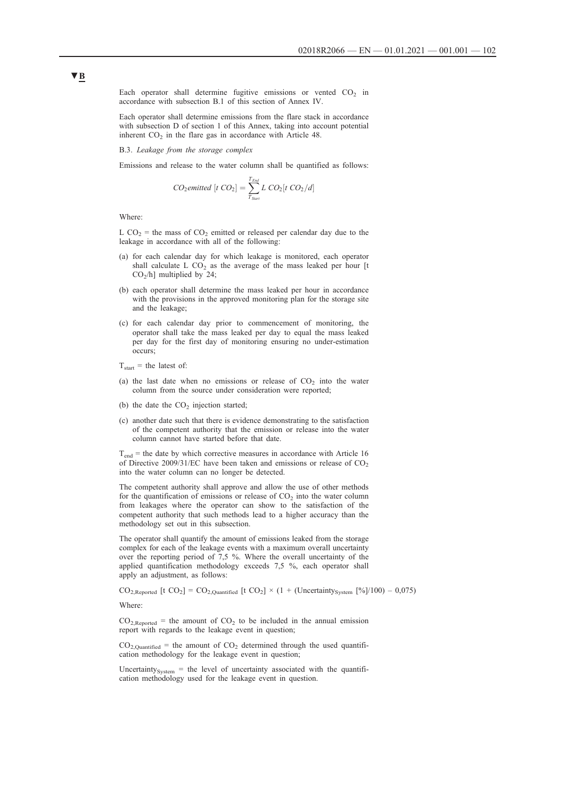Each operator shall determine fugitive emissions or vented  $CO<sub>2</sub>$  in accordance with subsection B.1 of this section of Annex IV.

Each operator shall determine emissions from the flare stack in accordance with subsection D of section 1 of this Annex, taking into account potential inherent  $CO<sub>2</sub>$  in the flare gas in accordance with Article 48.

B.3. *Leakage from the storage complex*

Emissions and release to the water column shall be quantified as follows:

$$
CO_2 emitted [t CO_2] = \sum_{T_{Sart}}^{T_{End}} L CO_2[t CO_2/d]
$$

Where:

L CO<sub>2</sub> = the mass of CO<sub>2</sub> emitted or released per calendar day due to the leakage in accordance with all of the following:

- (a) for each calendar day for which leakage is monitored, each operator shall calculate L  $CO<sub>2</sub>$  as the average of the mass leaked per hour [t CO<sub>2</sub>/h] multiplied by 24;
- (b) each operator shall determine the mass leaked per hour in accordance with the provisions in the approved monitoring plan for the storage site and the leakage;
- (c) for each calendar day prior to commencement of monitoring, the operator shall take the mass leaked per day to equal the mass leaked per day for the first day of monitoring ensuring no under-estimation occurs;
- $T_{start}$  = the latest of:
- (a) the last date when no emissions or release of  $CO<sub>2</sub>$  into the water column from the source under consideration were reported;
- (b) the date the  $CO<sub>2</sub>$  injection started;
- (c) another date such that there is evidence demonstrating to the satisfaction of the competent authority that the emission or release into the water column cannot have started before that date.

 $T_{end}$  = the date by which corrective measures in accordance with Article 16 of Directive 2009/31/EC have been taken and emissions or release of  $CO<sub>2</sub>$ into the water column can no longer be detected.

The competent authority shall approve and allow the use of other methods for the quantification of emissions or release of  $CO<sub>2</sub>$  into the water column from leakages where the operator can show to the satisfaction of the competent authority that such methods lead to a higher accuracy than the methodology set out in this subsection.

The operator shall quantify the amount of emissions leaked from the storage complex for each of the leakage events with a maximum overall uncertainty over the reporting period of 7,5 %. Where the overall uncertainty of the applied quantification methodology exceeds 7,5 %, each operator shall apply an adjustment, as follows:

 $CO_{2,Reported}$  [t  $CO_2$ ] =  $CO_{2,Ouantified}$  [t  $CO_2$ ] × (1 + (Uncertainty<sub>System</sub> [%]/100) – 0,075)

Where:

 $CO<sub>2,Reported</sub>$  = the amount of  $CO<sub>2</sub>$  to be included in the annual emission report with regards to the leakage event in question;

 $CO<sub>2.Quantified</sub>$  = the amount of  $CO<sub>2</sub>$  determined through the used quantification methodology for the leakage event in question;

Uncertainty<sub>System</sub> = the level of uncertainty associated with the quantification methodology used for the leakage event in question.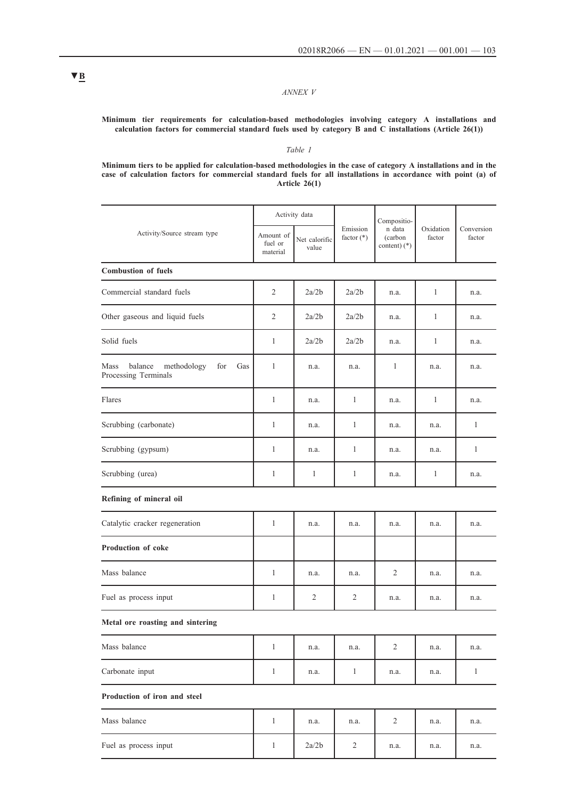## *ANNEX V*

## **Minimum tier requirements for calculation-based methodologies involving category A installations and calculation factors for commercial standard fuels used by category B and C installations (Article 26(1))**

## *Table 1*

**Minimum tiers to be applied for calculation-based methodologies in the case of category A installations and in the case of calculation factors for commercial standard fuels for all installations in accordance with point (a) of Article 26(1)**

|                                                                   | Activity data                    |                        |                          | Compositio-                       |                     |                      |
|-------------------------------------------------------------------|----------------------------------|------------------------|--------------------------|-----------------------------------|---------------------|----------------------|
| Activity/Source stream type                                       | Amount of<br>fuel or<br>material | Net calorific<br>value | Emission<br>factor $(*)$ | n data<br>(carbon<br>content) (*) | Oxidation<br>factor | Conversion<br>factor |
| <b>Combustion of fuels</b>                                        |                                  |                        |                          |                                   |                     |                      |
| Commercial standard fuels                                         | $\overline{2}$                   | 2a/2b                  | 2a/2b                    | n.a.                              | $\mathbf{1}$        | n.a.                 |
| Other gaseous and liquid fuels                                    | 2                                | 2a/2b                  | 2a/2b                    | n.a.                              | $\mathbf{1}$        | n.a.                 |
| Solid fuels                                                       | 1                                | 2a/2b                  | 2a/2b                    | n.a.                              | 1                   | n.a.                 |
| Mass<br>balance methodology<br>for<br>Gas<br>Processing Terminals | 1                                | n.a.                   | n.a.                     | $\mathbf{1}$                      | n.a.                | n.a.                 |
| Flares                                                            | 1                                | n.a.                   | 1                        | n.a.                              | $\mathbf{1}$        | n.a.                 |
| Scrubbing (carbonate)                                             | 1                                | n.a.                   | $\mathbf{1}$             | n.a.                              | n.a.                | $\mathbf{1}$         |
| Scrubbing (gypsum)                                                | $\mathbf{1}$                     | n.a.                   | $\mathbf{1}$             | n.a.                              | n.a.                | $\mathbf{1}$         |
| Scrubbing (urea)                                                  | 1                                | $\mathbf{1}$           | $\mathbf{1}$             | n.a.                              | $\mathbf{1}$        | n.a.                 |
| Refining of mineral oil                                           |                                  |                        |                          |                                   |                     |                      |
| Catalytic cracker regeneration                                    | 1                                | n.a.                   | n.a.                     | n.a.                              | n.a.                | n.a.                 |
| Production of coke                                                |                                  |                        |                          |                                   |                     |                      |
| Mass balance                                                      | $\mathbf{1}$                     | n.a.                   | n.a.                     | 2                                 | n.a.                | n.a.                 |
| Fuel as process input                                             | 1                                | 2                      | 2                        | n.a.                              | n.a.                | n.a.                 |
| Metal ore roasting and sintering                                  |                                  |                        |                          |                                   |                     |                      |
| Mass balance                                                      | $\mathbf{1}$                     | n.a.                   | n.a.                     | $\overline{2}$                    | n.a.                | n.a.                 |
| Carbonate input                                                   | $\mathbf{1}$                     | n.a.                   | $\mathbf{1}$             | n.a.                              | n.a.                | $\mathbf{1}$         |
| Production of iron and steel                                      |                                  |                        |                          |                                   |                     |                      |
| Mass balance                                                      | $\mathbf{1}$                     | n.a.                   | n.a.                     | $\overline{2}$                    | n.a.                | n.a.                 |
| Fuel as process input                                             | $\mathbf{1}$                     | 2a/2b                  | $\sqrt{2}$               | n.a.                              | n.a.                | n.a.                 |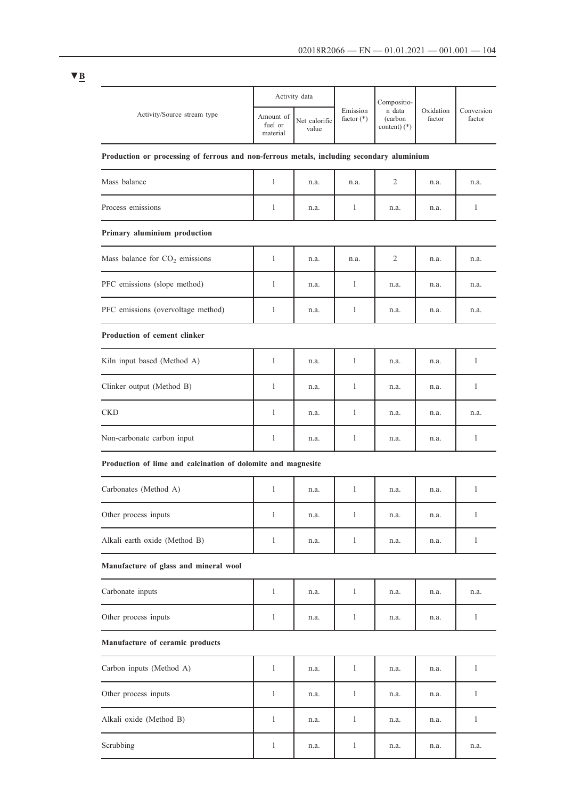|                                                                                           | Activity data                    |                        |                          | Compositio-                         |                     |                      |
|-------------------------------------------------------------------------------------------|----------------------------------|------------------------|--------------------------|-------------------------------------|---------------------|----------------------|
| Activity/Source stream type                                                               | Amount of<br>fuel or<br>material | Net calorific<br>value | Emission<br>factor $(*)$ | n data<br>(carbon<br>content) $(*)$ | Oxidation<br>factor | Conversion<br>factor |
| Production or processing of ferrous and non-ferrous metals, including secondary aluminium |                                  |                        |                          |                                     |                     |                      |
| Mass balance                                                                              | 1                                | n.a.                   | n.a.                     | 2                                   | n.a.                | n.a.                 |
| Process emissions                                                                         | 1                                | n.a.                   | 1                        | n.a.                                | n.a.                | 1                    |
| Primary aluminium production                                                              |                                  |                        |                          |                                     |                     |                      |
| Mass balance for $CO2$ emissions                                                          | 1                                | n.a.                   | n.a.                     | 2                                   | n.a.                | n.a.                 |
| PFC emissions (slope method)                                                              | 1                                | n.a.                   | 1                        | n.a.                                | n.a.                | n.a.                 |
| PFC emissions (overvoltage method)                                                        | 1                                | n.a.                   | 1                        | n.a.                                | n.a.                | n.a.                 |
| <b>Production of cement clinker</b>                                                       |                                  |                        |                          |                                     |                     |                      |
| Kiln input based (Method A)                                                               | 1                                | n.a.                   | 1                        | n.a.                                | n.a.                | 1                    |
| Clinker output (Method B)                                                                 | 1                                | n.a.                   | 1                        | n.a.                                | n.a.                | 1                    |
| <b>CKD</b>                                                                                | 1                                | n.a.                   | 1                        | n.a.                                | n.a.                | n.a.                 |
| Non-carbonate carbon input                                                                | $\mathbf{1}$                     | n.a.                   | 1                        | n.a.                                | n.a.                | $\mathbf{1}$         |
| Production of lime and calcination of dolomite and magnesite                              |                                  |                        |                          |                                     |                     |                      |
| Carbonates (Method A)                                                                     | 1                                | n.a.                   | 1                        | n.a.                                | n.a.                | $\mathbf{1}$         |
| Other process inputs                                                                      | 1                                | n.a.                   | 1                        | n.a.                                | n.a.                | $\mathbf{1}$         |
| Alkali earth oxide (Method B)                                                             | $\mathbf{1}$                     | n.a.                   | 1                        | n.a.                                | n.a.                | 1                    |
| Manufacture of glass and mineral wool                                                     |                                  |                        |                          |                                     |                     |                      |
| Carbonate inputs                                                                          | $\mathbf{1}$                     | n.a.                   | $\mathbf{1}$             | n.a.                                | n.a.                | n.a.                 |
| Other process inputs                                                                      | 1                                | n.a.                   | 1                        | n.a.                                | n.a.                | $\mathbf{1}$         |
| Manufacture of ceramic products                                                           |                                  |                        |                          |                                     |                     |                      |
| Carbon inputs (Method A)                                                                  | 1                                | n.a.                   | 1                        | n.a.                                | n.a.                | 1                    |
| Other process inputs                                                                      | $\mathbf{1}$                     | n.a.                   | $\mathbf{1}$             | n.a.                                | n.a.                | $\mathbf{1}$         |
| Alkali oxide (Method B)                                                                   | $\mathbf{1}$                     | n.a.                   | 1                        | n.a.                                | n.a.                | 1                    |
| Scrubbing                                                                                 | 1                                | n.a.                   | 1                        | n.a.                                | n.a.                | n.a.                 |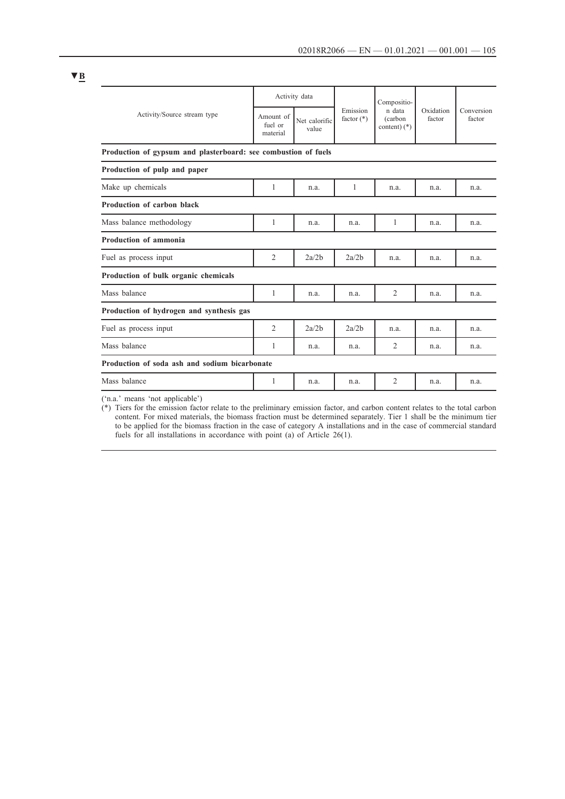|                                                                | Activity data                    |                        |                          | Compositio-                          |                     |                      |
|----------------------------------------------------------------|----------------------------------|------------------------|--------------------------|--------------------------------------|---------------------|----------------------|
| Activity/Source stream type                                    | Amount of<br>fuel or<br>material | Net calorific<br>value | Emission<br>factor $(*)$ | n data<br>(carbon)<br>content) $(*)$ | Oxidation<br>factor | Conversion<br>factor |
| Production of gypsum and plasterboard: see combustion of fuels |                                  |                        |                          |                                      |                     |                      |
| Production of pulp and paper                                   |                                  |                        |                          |                                      |                     |                      |
| Make up chemicals                                              | 1                                | n.a.                   | 1                        | n.a.                                 | n.a.                | n.a.                 |
| Production of carbon black                                     |                                  |                        |                          |                                      |                     |                      |
| Mass balance methodology                                       | 1                                | n.a.                   | n.a.                     | 1                                    | n.a.                | n.a.                 |
| Production of ammonia                                          |                                  |                        |                          |                                      |                     |                      |
| Fuel as process input                                          | $\overline{2}$                   | 2a/2b                  | 2a/2b                    | n.a.                                 | n.a.                | n.a.                 |
| Production of bulk organic chemicals                           |                                  |                        |                          |                                      |                     |                      |
| Mass balance                                                   | 1                                | n.a.                   | n.a.                     | 2                                    | n.a.                | n.a.                 |
| Production of hydrogen and synthesis gas                       |                                  |                        |                          |                                      |                     |                      |
| Fuel as process input                                          | $\mathfrak{D}$                   | 2a/2b                  | 2a/2b                    | n.a.                                 | n.a.                | n.a.                 |
| Mass balance                                                   | 1                                | n.a.                   | n.a.                     | 2                                    | n.a.                | n.a.                 |
| Production of soda ash and sodium bicarbonate                  |                                  |                        |                          |                                      |                     |                      |
| Mass balance                                                   | 1                                | n.a.                   | n.a.                     | 2                                    | n.a.                | n.a.                 |
|                                                                |                                  |                        |                          |                                      |                     |                      |

('n.a.' means 'not applicable')

(\*) Tiers for the emission factor relate to the preliminary emission factor, and carbon content relates to the total carbon content. For mixed materials, the biomass fraction must be determined separately. Tier 1 shall be the minimum tier to be applied for the biomass fraction in the case of category A installations and in the case of commercial standard fuels for all installations in accordance with point (a) of Article 26(1).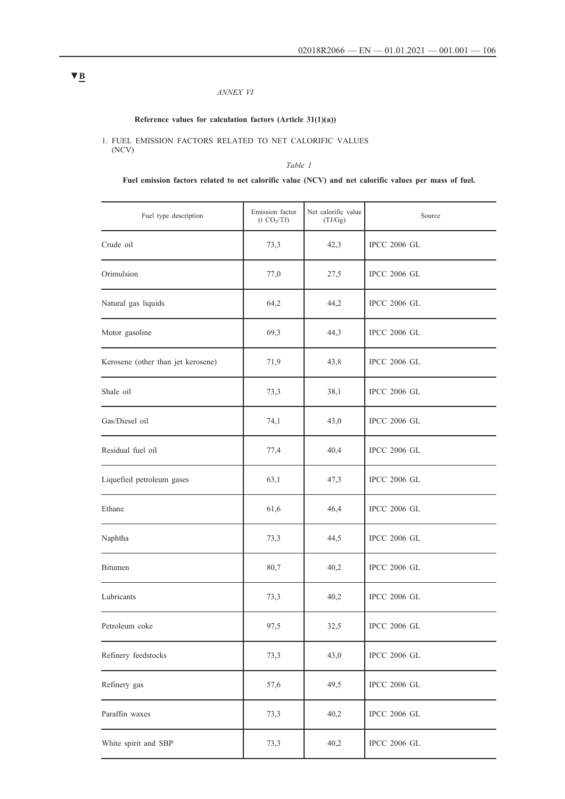## *ANNEX VI*

## **Reference values for calculation factors (Article 31(1)(a))**

1. FUEL EMISSION FACTORS RELATED TO NET CALORIFIC VALUES (NCV)

## *Table 1*

## **Fuel emission factors related to net calorific value (NCV) and net calorific values per mass of fuel.**

| Fuel type description              | Emission factor<br>(t CO <sub>2</sub> /TJ) | Net calorific value<br>(TJ/Gg) | Source              |
|------------------------------------|--------------------------------------------|--------------------------------|---------------------|
| Crude oil                          | 73,3                                       | 42,3                           | <b>IPCC 2006 GL</b> |
| Orimulsion                         | 77,0                                       | 27,5                           | <b>IPCC 2006 GL</b> |
| Natural gas liquids                | 64,2                                       | 44,2                           | <b>IPCC 2006 GL</b> |
| Motor gasoline                     | 69,3                                       | 44,3                           | <b>IPCC 2006 GL</b> |
| Kerosene (other than jet kerosene) | 71,9                                       | 43,8                           | <b>IPCC 2006 GL</b> |
| Shale oil                          | 73,3                                       | 38,1                           | <b>IPCC 2006 GL</b> |
| Gas/Diesel oil                     | 74,1                                       | 43,0                           | <b>IPCC 2006 GL</b> |
| Residual fuel oil                  | 77,4                                       | 40,4                           | <b>IPCC 2006 GL</b> |
| Liquefied petroleum gases          | 63,1                                       | 47,3                           | <b>IPCC 2006 GL</b> |
| Ethane                             | 61,6                                       | 46,4                           | <b>IPCC 2006 GL</b> |
| Naphtha                            | 73,3                                       | 44,5                           | <b>IPCC 2006 GL</b> |
| Bitumen                            | 80,7                                       | 40,2                           | <b>IPCC 2006 GL</b> |
| Lubricants                         | 73,3                                       | 40,2                           | <b>IPCC 2006 GL</b> |
| Petroleum coke                     | 97,5                                       | 32,5                           | <b>IPCC 2006 GL</b> |
| Refinery feedstocks                | 73,3                                       | 43,0                           | <b>IPCC 2006 GL</b> |
| Refinery gas                       | 57,6                                       | 49,5                           | IPCC 2006 GL        |
| Paraffin waxes                     | 73,3                                       | 40,2                           | <b>IPCC 2006 GL</b> |
| White spirit and SBP               | 73,3                                       | 40,2                           | <b>IPCC 2006 GL</b> |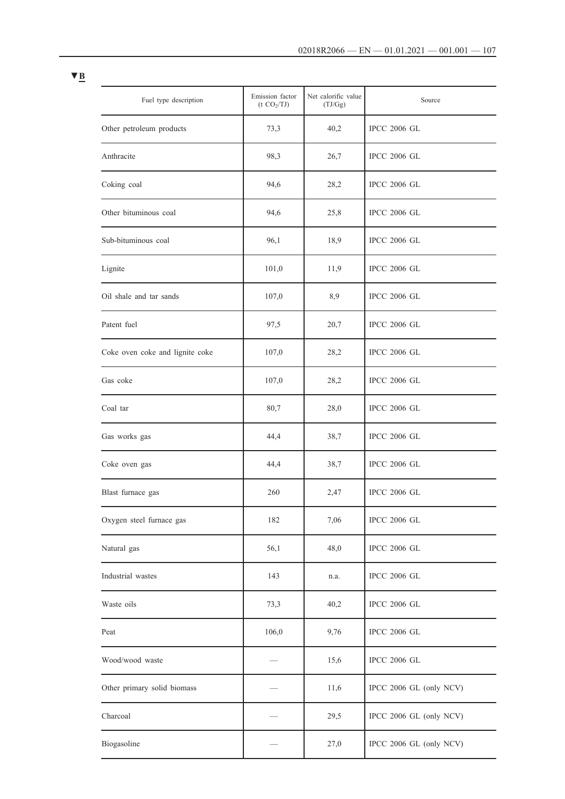| Fuel type description           | Emission factor<br>(t CO <sub>2</sub> /TJ) | Net calorific value<br>(TJ/Gg) | Source                  |
|---------------------------------|--------------------------------------------|--------------------------------|-------------------------|
| Other petroleum products        | 73,3                                       | 40,2                           | <b>IPCC 2006 GL</b>     |
| Anthracite                      | 98,3                                       | 26,7                           | <b>IPCC 2006 GL</b>     |
| Coking coal                     | 94,6                                       | 28,2                           | <b>IPCC 2006 GL</b>     |
| Other bituminous coal           | 94,6                                       | 25,8                           | <b>IPCC 2006 GL</b>     |
| Sub-bituminous coal             | 96,1                                       | 18,9                           | <b>IPCC 2006 GL</b>     |
| Lignite                         | 101,0                                      | 11,9                           | <b>IPCC 2006 GL</b>     |
| Oil shale and tar sands         | 107,0                                      | 8,9                            | <b>IPCC 2006 GL</b>     |
| Patent fuel                     | 97,5                                       | 20,7                           | <b>IPCC 2006 GL</b>     |
| Coke oven coke and lignite coke | 107,0                                      | 28,2                           | <b>IPCC 2006 GL</b>     |
| Gas coke                        | 107,0                                      | 28,2                           | <b>IPCC 2006 GL</b>     |
| Coal tar                        | 80,7                                       | 28,0                           | <b>IPCC 2006 GL</b>     |
| Gas works gas                   | 44,4                                       | 38,7                           | <b>IPCC 2006 GL</b>     |
| Coke oven gas                   | 44,4                                       | 38,7                           | <b>IPCC 2006 GL</b>     |
| Blast furnace gas               | 260                                        | 2,47                           | <b>IPCC 2006 GL</b>     |
| Oxygen steel furnace gas        | 182                                        | 7,06                           | <b>IPCC 2006 GL</b>     |
| Natural gas                     | 56,1                                       | 48,0                           | <b>IPCC 2006 GL</b>     |
| Industrial wastes               | 143                                        | n.a.                           | <b>IPCC 2006 GL</b>     |
| Waste oils                      | 73,3                                       | 40,2                           | <b>IPCC 2006 GL</b>     |
| Peat                            | 106,0                                      | 9,76                           | <b>IPCC 2006 GL</b>     |
| Wood/wood waste                 |                                            | 15,6                           | <b>IPCC 2006 GL</b>     |
| Other primary solid biomass     |                                            | 11,6                           | IPCC 2006 GL (only NCV) |
| Charcoal                        |                                            | 29,5                           | IPCC 2006 GL (only NCV) |
| Biogasoline                     |                                            | 27,0                           | IPCC 2006 GL (only NCV) |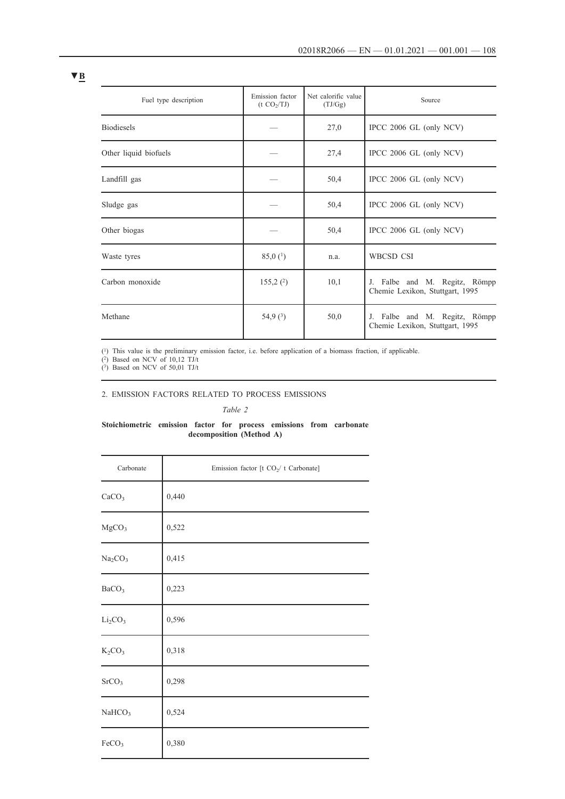| Fuel type description | Emission factor<br>(t CO <sub>2</sub> /TJ) | Net calorific value<br>(TJ/Gg) | Source                                                           |
|-----------------------|--------------------------------------------|--------------------------------|------------------------------------------------------------------|
| <b>Biodiesels</b>     |                                            | 27,0                           | IPCC 2006 GL (only NCV)                                          |
| Other liquid biofuels |                                            | 27,4                           | IPCC 2006 GL (only NCV)                                          |
| Landfill gas          |                                            | 50,4                           | IPCC 2006 GL (only NCV)                                          |
| Sludge gas            |                                            | 50,4                           | IPCC 2006 GL (only NCV)                                          |
| Other biogas          |                                            | 50,4                           | IPCC $2006$ GL (only NCV)                                        |
| Waste tyres           | $85,0$ ( <sup>1</sup> )                    | n.a.                           | WBCSD CSI                                                        |
| Carbon monoxide       | 155,2(2)                                   | 10,1                           | J. Falbe and M. Regitz, Römpp<br>Chemie Lexikon, Stuttgart, 1995 |
| Methane               | 54,9 $(3)$                                 | 50,0                           | J. Falbe and M. Regitz, Römpp<br>Chemie Lexikon, Stuttgart, 1995 |

(1) This value is the preliminary emission factor, i.e. before application of a biomass fraction, if applicable.

(2) Based on NCV of 10,12 TJ/t

 $(3)$  Based on NCV of 50,01 TJ/t

## 2. EMISSION FACTORS RELATED TO PROCESS EMISSIONS

*Table 2*

## **Stoichiometric emission factor for process emissions from carbonate decomposition (Method A)**

| Carbonate                       | Emission factor [t CO <sub>2</sub> /t Carbonate] |
|---------------------------------|--------------------------------------------------|
| CaCO <sub>3</sub>               | 0,440                                            |
| MgCO <sub>3</sub>               | 0,522                                            |
| Na <sub>2</sub> CO <sub>3</sub> | 0,415                                            |
| BaCO <sub>3</sub>               | 0,223                                            |
| Li <sub>2</sub> CO <sub>3</sub> | 0,596                                            |
| $K_2CO_3$                       | 0,318                                            |
| SrCO <sub>3</sub>               | 0,298                                            |
| NaHCO <sub>3</sub>              | 0,524                                            |
| FeCO <sub>3</sub>               | 0,380                                            |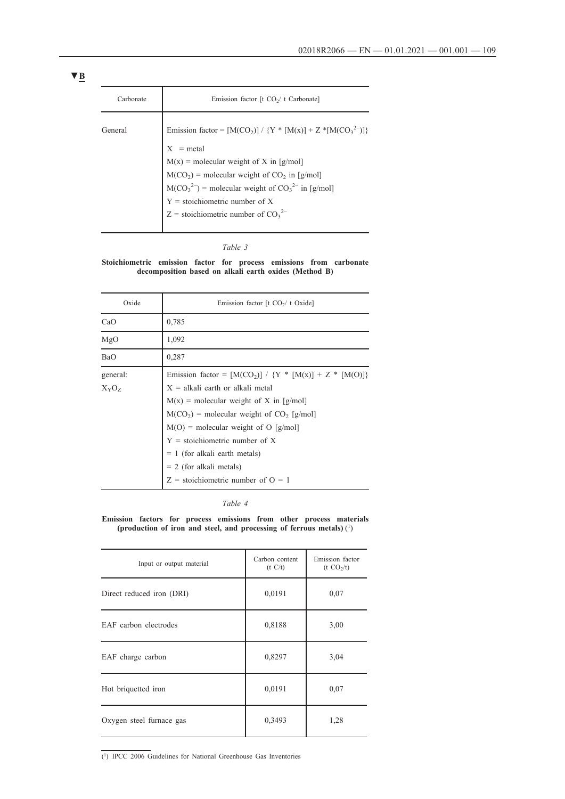| Carbonate | Emission factor [t $CO2/t$ Carbonate]                                                   |
|-----------|-----------------------------------------------------------------------------------------|
| General   | Emission factor = $[M(CO_2)] / {Y * [M(x)] + Z * [M(CO_3^{2-})]}$<br>$X = \text{metal}$ |
|           |                                                                                         |
|           | $M(x)$ = molecular weight of X in [g/mol]                                               |
|           | $M(CO2)$ = molecular weight of $CO2$ in [g/mol]                                         |
|           | $M(CO_3^2)$ = molecular weight of $CO_3^2$ in [g/mol]                                   |
|           | $Y = stoichiometric number of X$                                                        |
|           | Z = stoichiometric number of $CO_3^2$ <sup>-</sup>                                      |
|           |                                                                                         |

### *Table 3*

**Stoichiometric emission factor for process emissions from carbonate decomposition based on alkali earth oxides (Method B)**

| Oxide                    | Emission factor [t $CO2/t$ Oxide]                                                                                                                                                                                                                                                                                                                                                              |
|--------------------------|------------------------------------------------------------------------------------------------------------------------------------------------------------------------------------------------------------------------------------------------------------------------------------------------------------------------------------------------------------------------------------------------|
| CaO                      | 0,785                                                                                                                                                                                                                                                                                                                                                                                          |
| MgO                      | 1,092                                                                                                                                                                                                                                                                                                                                                                                          |
| BaO                      | 0,287                                                                                                                                                                                                                                                                                                                                                                                          |
| general:<br>$X_{Y}O_{Z}$ | Emission factor = $[M(CO_2)] / {Y * [M(x)] + Z * [M(O)]}$<br>$X = alkali$ earth or alkali metal<br>$M(x)$ = molecular weight of X in [g/mol]<br>$M(CO2)$ = molecular weight of CO <sub>2</sub> [g/mol]<br>$M(O)$ = molecular weight of O [g/mol]<br>$Y = stoichiometric number of X$<br>$= 1$ (for alkali earth metals)<br>$= 2$ (for alkali metals)<br>$Z =$ stoichiometric number of $Q = 1$ |

### *Table 4*

### **Emission factors for process emissions from other process materials (production of iron and steel, and processing of ferrous metals)** (1)

| Input or output material  | Carbon content<br>(t C/t) | Emission factor<br>(t CO <sub>2</sub> /t) |
|---------------------------|---------------------------|-------------------------------------------|
| Direct reduced iron (DRI) | 0,0191                    | 0,07                                      |
| EAF carbon electrodes     | 0,8188                    | 3,00                                      |
| EAF charge carbon         | 0,8297                    | 3,04                                      |
| Hot briquetted iron       | 0,0191                    | 0,07                                      |
| Oxygen steel furnace gas  | 0,3493                    | 1,28                                      |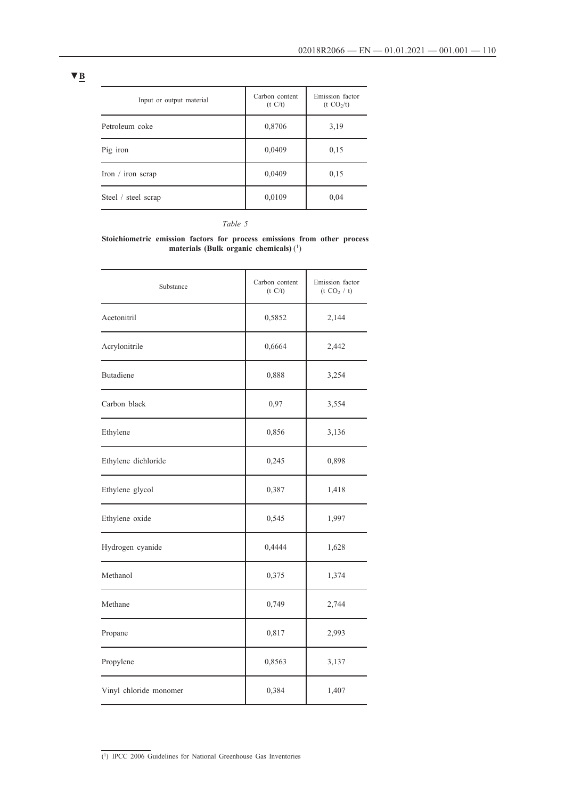| Input or output material | Carbon content<br>(t C/t) | Emission factor<br>(t CO <sub>2</sub> /t) |
|--------------------------|---------------------------|-------------------------------------------|
| Petroleum coke           | 0,8706                    | 3,19                                      |
| Pig iron                 | 0,0409                    | 0,15                                      |
| Iron $/$ iron scrap      | 0,0409                    | 0,15                                      |
| Steel / steel scrap      | 0,0109                    | 0,04                                      |

### *Table 5*

#### **Stoichiometric emission factors for process emissions from other process materials (Bulk organic chemicals)** (1)

| Substance              | Carbon content<br>(t C/t) | Emission factor<br>(t CO <sub>2</sub> / t) |
|------------------------|---------------------------|--------------------------------------------|
| Acetonitril            | 0,5852                    | 2,144                                      |
| Acrylonitrile          | 0,6664                    | 2,442                                      |
| Butadiene              | 0,888                     | 3,254                                      |
| Carbon black           | 0,97                      | 3,554                                      |
| Ethylene               | 0,856                     | 3,136                                      |
| Ethylene dichloride    | 0,245                     | 0,898                                      |
| Ethylene glycol        | 0,387                     | 1,418                                      |
| Ethylene oxide         | 0,545                     | 1,997                                      |
| Hydrogen cyanide       | 0,4444                    | 1,628                                      |
| Methanol               | 0,375                     | 1,374                                      |
| Methane                | 0,749                     | 2,744                                      |
| Propane                | 0,817                     | 2,993                                      |
| Propylene              | 0,8563                    | 3,137                                      |
| Vinyl chloride monomer | 0,384                     | 1,407                                      |

 $(1)$  IPCC 2006 Guidelines for National Greenhouse Gas Inventories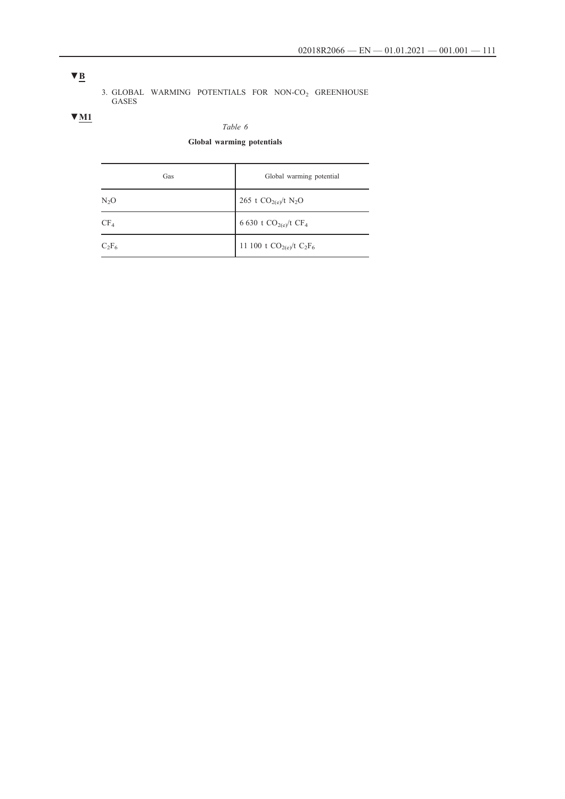**▼B**

### 3. GLOBAL WARMING POTENTIALS FOR NON-CO<sub>2</sub> GREENHOUSE GASES

## **▼M1**

### *Table 6*

## **Global warming potentials**

| Gas      | Global warming potential             |
|----------|--------------------------------------|
| $N_2O$   | 265 t $CO_{2(e)}/t$ N <sub>2</sub> O |
| $CF_4$   | 6 630 t $CO_{2(e)}$ /t $CF_4$        |
| $C_2F_6$ | 11 100 t $CO_{2(e)}$ /t $C_2F_6$     |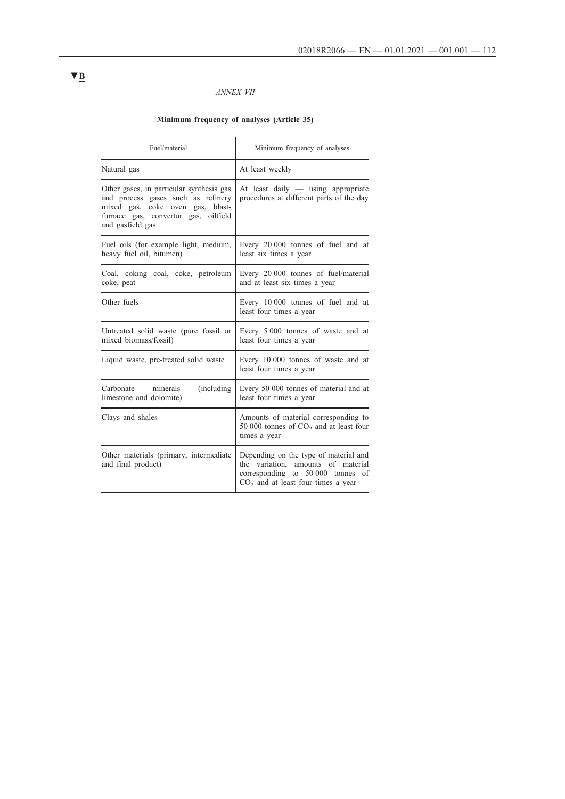### *ANNEX VII*

### **Minimum frequency of analyses (Article 35)**

| Fuel/material                                                                                                                                                                  | Minimum frequency of analyses                                                                                                                               |  |
|--------------------------------------------------------------------------------------------------------------------------------------------------------------------------------|-------------------------------------------------------------------------------------------------------------------------------------------------------------|--|
| Natural gas                                                                                                                                                                    | At least weekly                                                                                                                                             |  |
| Other gases, in particular synthesis gas<br>and process gases such as refinery<br>mixed gas, coke oven gas, blast-<br>furnace gas, convertor gas, oilfield<br>and gasfield gas | At least daily $-$ using appropriate<br>procedures at different parts of the day                                                                            |  |
| Fuel oils (for example light, medium,<br>heavy fuel oil, bitumen)                                                                                                              | Every 20 000 tonnes of fuel and at<br>least six times a year                                                                                                |  |
| Coal, coking coal, coke, petroleum<br>coke, peat                                                                                                                               | Every 20 000 tonnes of fuel/material<br>and at least six times a year                                                                                       |  |
| Other fuels                                                                                                                                                                    | Every 10 000 tonnes of fuel and at<br>least four times a year                                                                                               |  |
| Untreated solid waste (pure fossil or<br>mixed biomass/fossil)                                                                                                                 | Every 5 000 tonnes of waste and at<br>least four times a year                                                                                               |  |
| Liquid waste, pre-treated solid waste                                                                                                                                          | Every 10 000 tonnes of waste and at<br>least four times a year                                                                                              |  |
| Carbonate minerals<br>(including)<br>limestone and dolomite)                                                                                                                   | Every 50 000 tonnes of material and at<br>least four times a year                                                                                           |  |
| Clays and shales                                                                                                                                                               | Amounts of material corresponding to<br>50 000 tonnes of $CO2$ and at least four<br>times a year                                                            |  |
| Other materials (primary, intermediate<br>and final product)                                                                                                                   | Depending on the type of material and<br>the variation, amounts of material<br>corresponding to 50 000 tonnes<br>of<br>$CO2$ and at least four times a year |  |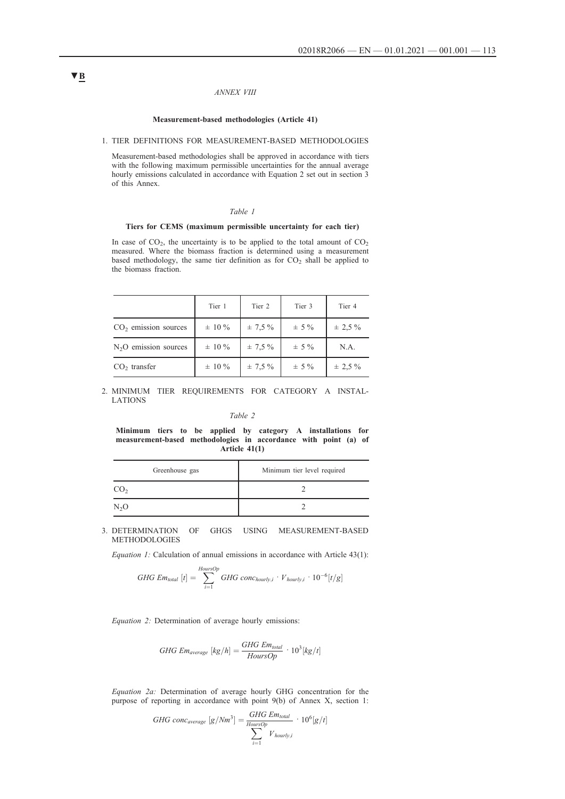#### *ANNEX VIII*

#### **Measurement-based methodologies (Article 41)**

#### 1. TIER DEFINITIONS FOR MEASUREMENT-BASED METHODOLOGIES

Measurement-based methodologies shall be approved in accordance with tiers with the following maximum permissible uncertainties for the annual average hourly emissions calculated in accordance with Equation 2 set out in section 3 of this Annex.

#### *Table 1*

### **Tiers for CEMS (maximum permissible uncertainty for each tier)**

In case of  $CO<sub>2</sub>$ , the uncertainty is to be applied to the total amount of  $CO<sub>2</sub>$ measured. Where the biomass fraction is determined using a measurement based methodology, the same tier definition as for  $CO<sub>2</sub>$  shall be applied to the biomass fraction.

|                        | Tier 1      | Tier 2       | Tier 3    | Tier 4      |
|------------------------|-------------|--------------|-----------|-------------|
| $CO2$ emission sources | $\pm 10 \%$ | $\pm$ 7.5 %  | $\pm$ 5 % | $\pm$ 2.5 % |
| $N2O$ emission sources | $\pm 10 \%$ | $\pm$ 7.5 %  | $\pm$ 5 % | N.A.        |
| $CO2$ transfer         | $\pm 10 \%$ | $\pm 7.5 \%$ | $\pm$ 5 % | $\pm$ 2.5 % |

#### 2. MINIMUM TIER REQUIREMENTS FOR CATEGORY A INSTAL-LATIONS

#### *Table 2*

**Minimum tiers to be applied by category A installations for measurement-based methodologies in accordance with point (a) of Article 41(1)**

| Greenhouse gas  | Minimum tier level required |
|-----------------|-----------------------------|
| CO <sub>2</sub> |                             |
| $N_2O$          |                             |

3. DETERMINATION OF GHGS USING MEASUREMENT-BASED METHODOLOGIES

*Equation 1:* Calculation of annual emissions in accordance with Article 43(1):

$$
GHG \text{ } Em_{total} \text{ } [t] = \sum_{i=1}^{HoursOp} GHG \text{ } conc_{hourly,i} \cdot V_{hourly,i} \cdot 10^{-6} [t/g]
$$

*Equation 2:* Determination of average hourly emissions:

$$
GHG \text{ } Em_{average} \text{ } [kg/h] = \frac{GHG \text{ } Em_{total}}{HoursOp} \cdot 10^3 [kg/t]
$$

*Equation 2a:* Determination of average hourly GHG concentration for the purpose of reporting in accordance with point 9(b) of Annex X, section 1:

GHG conc<sub>average</sub> 
$$
[g/Nm^3] = \frac{GHG \text{ Emtotal}}{H_{\text{ours}Op}} \cdot 10^6 [g/t]
$$
  

$$
\sum_{i=1}^{H \text{ Com.}} V_{\text{hourly},i}
$$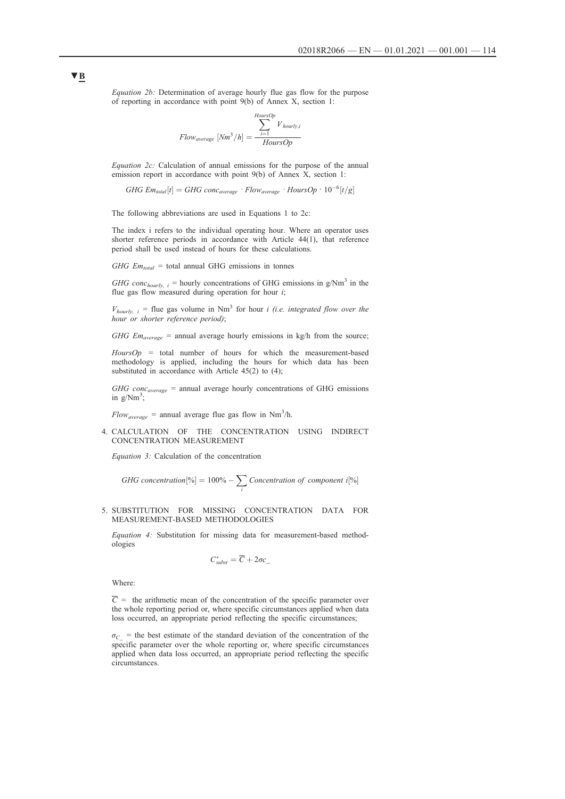*Equation 2b:* Determination of average hourly flue gas flow for the purpose of reporting in accordance with point 9(b) of Annex X, section 1:

$$
Flow_{average} [Nm^3/h] = \frac{\sum_{i=1}^{HoursOp} V_{hourly,i}}{HoursOp}
$$

*Equation 2c:* Calculation of annual emissions for the purpose of the annual emission report in accordance with point 9(b) of Annex X, section 1:

*GHG*  $Em_{total}[t] = GHG$   $conc_{average} \cdot Flow_{average} \cdot How_{average} \cdot How_{S}$ 

The following abbreviations are used in Equations 1 to 2c:

The index i refers to the individual operating hour. Where an operator uses shorter reference periods in accordance with Article 44(1), that reference period shall be used instead of hours for these calculations.

*GHG Em<sub>total</sub>* = total annual GHG emissions in tonnes

*GHG conc<sub>hourly, i* = hourly concentrations of GHG emissions in  $g/Nm<sup>3</sup>$  in the</sub> flue gas flow measured during operation for hour *i*;

 $V_{hourly, i}$  = flue gas volume in Nm<sup>3</sup> for hour *i (i.e. integrated flow over the hour or shorter reference period)*;

*GHG Em<sub>average</sub>* = annual average hourly emissions in kg/h from the source;

*HoursOp =* total number of hours for which the measurement-based methodology is applied, including the hours for which data has been substituted in accordance with Article 45(2) to (4);

*GHG concaverage =* annual average hourly concentrations of GHG emissions in  $g/Nm^3$ ;

 $Flow_{average}$  = annual average flue gas flow in Nm<sup>3</sup>/h.

4. CALCULATION OF THE CONCENTRATION USING INDIRECT CONCENTRATION MEASUREMENT

*Equation 3:* Calculation of the concentration

GHG concentration[%] = 
$$
100\% - \sum_{i}
$$
 concentration of component i[%]

5. SUBSTITUTION FOR MISSING CONCENTRATION DATA FOR MEASUREMENT-BASED METHODOLOGIES

*Equation 4:* Substitution for missing data for measurement-based methodologies

$$
C^*_{\text{subst}} = \overline{C} + 2\sigma c
$$

Where:

 $\overline{C}$  = the arithmetic mean of the concentration of the specific parameter over the whole reporting period or, where specific circumstances applied when data loss occurred, an appropriate period reflecting the specific circumstances;

 $\sigma_C$  = the best estimate of the standard deviation of the concentration of the specific parameter over the whole reporting or, where specific circumstances applied when data loss occurred, an appropriate period reflecting the specific circumstances.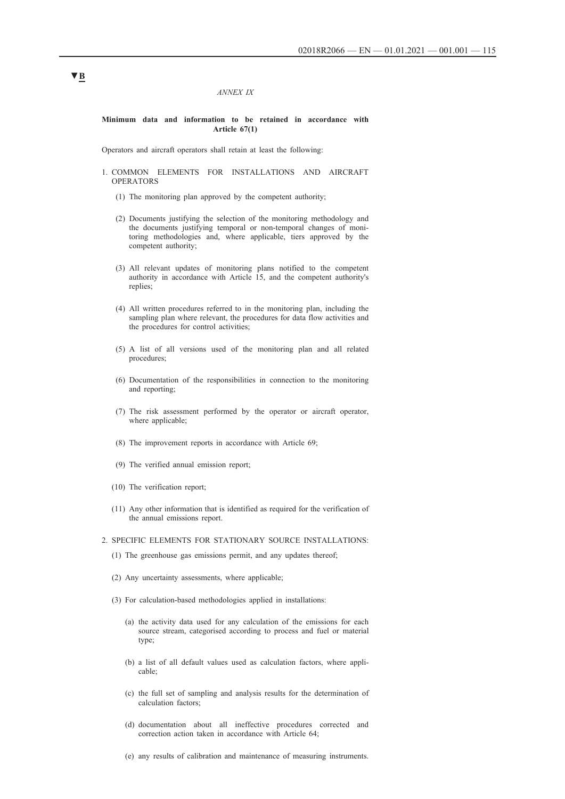#### *ANNEX IX*

### **Minimum data and information to be retained in accordance with Article 67(1)**

Operators and aircraft operators shall retain at least the following:

- 1. COMMON ELEMENTS FOR INSTALLATIONS AND AIRCRAFT OPERATORS
	- (1) The monitoring plan approved by the competent authority;
	- (2) Documents justifying the selection of the monitoring methodology and the documents justifying temporal or non-temporal changes of monitoring methodologies and, where applicable, tiers approved by the competent authority;
	- (3) All relevant updates of monitoring plans notified to the competent authority in accordance with Article 15, and the competent authority's replies;
	- (4) All written procedures referred to in the monitoring plan, including the sampling plan where relevant, the procedures for data flow activities and the procedures for control activities;
	- (5) A list of all versions used of the monitoring plan and all related procedures;
	- (6) Documentation of the responsibilities in connection to the monitoring and reporting;
	- (7) The risk assessment performed by the operator or aircraft operator, where applicable;
	- (8) The improvement reports in accordance with Article 69;
	- (9) The verified annual emission report;
	- (10) The verification report;
	- (11) Any other information that is identified as required for the verification of the annual emissions report.

#### 2. SPECIFIC ELEMENTS FOR STATIONARY SOURCE INSTALLATIONS:

- (1) The greenhouse gas emissions permit, and any updates thereof;
- (2) Any uncertainty assessments, where applicable;
- (3) For calculation-based methodologies applied in installations:
	- (a) the activity data used for any calculation of the emissions for each source stream, categorised according to process and fuel or material type;
	- (b) a list of all default values used as calculation factors, where applicable;
	- (c) the full set of sampling and analysis results for the determination of calculation factors;
	- (d) documentation about all ineffective procedures corrected and correction action taken in accordance with Article 64;
	- (e) any results of calibration and maintenance of measuring instruments.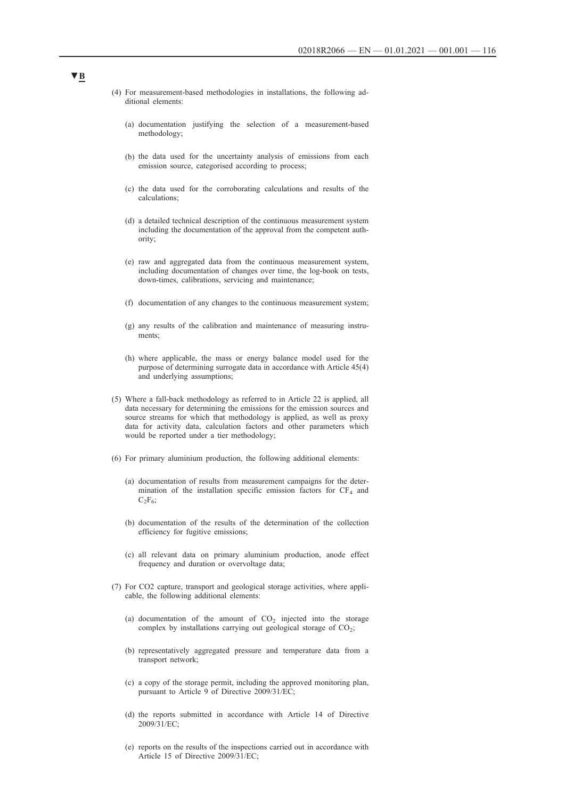- (4) For measurement-based methodologies in installations, the following additional elements:
	- (a) documentation justifying the selection of a measurement-based methodology;
	- (b) the data used for the uncertainty analysis of emissions from each emission source, categorised according to process;
	- (c) the data used for the corroborating calculations and results of the calculations;
	- (d) a detailed technical description of the continuous measurement system including the documentation of the approval from the competent authority;
	- (e) raw and aggregated data from the continuous measurement system, including documentation of changes over time, the log-book on tests, down-times, calibrations, servicing and maintenance;
	- (f) documentation of any changes to the continuous measurement system;
	- (g) any results of the calibration and maintenance of measuring instruments;
	- (h) where applicable, the mass or energy balance model used for the purpose of determining surrogate data in accordance with Article 45(4) and underlying assumptions;
- (5) Where a fall-back methodology as referred to in Article 22 is applied, all data necessary for determining the emissions for the emission sources and source streams for which that methodology is applied, as well as proxy data for activity data, calculation factors and other parameters which would be reported under a tier methodology;
- (6) For primary aluminium production, the following additional elements:
	- (a) documentation of results from measurement campaigns for the determination of the installation specific emission factors for  $CF_4$  and  $C_2F_6$ ;
	- (b) documentation of the results of the determination of the collection efficiency for fugitive emissions;
	- (c) all relevant data on primary aluminium production, anode effect frequency and duration or overvoltage data;
- (7) For CO2 capture, transport and geological storage activities, where applicable, the following additional elements:
	- (a) documentation of the amount of  $CO<sub>2</sub>$  injected into the storage complex by installations carrying out geological storage of  $CO<sub>2</sub>$ ;
	- (b) representatively aggregated pressure and temperature data from a transport network;
	- (c) a copy of the storage permit, including the approved monitoring plan, pursuant to Article 9 of Directive 2009/31/EC;
	- (d) the reports submitted in accordance with Article 14 of Directive 2009/31/EC;
	- (e) reports on the results of the inspections carried out in accordance with Article 15 of Directive 2009/31/EC;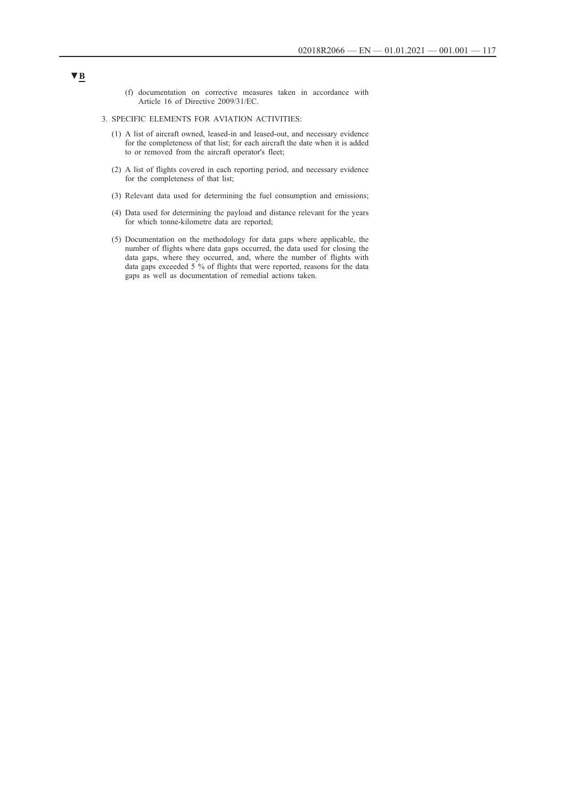(f) documentation on corrective measures taken in accordance with Article 16 of Directive 2009/31/EC.

#### 3. SPECIFIC ELEMENTS FOR AVIATION ACTIVITIES:

- (1) A list of aircraft owned, leased-in and leased-out, and necessary evidence for the completeness of that list; for each aircraft the date when it is added to or removed from the aircraft operator's fleet;
- (2) A list of flights covered in each reporting period, and necessary evidence for the completeness of that list;
- (3) Relevant data used for determining the fuel consumption and emissions;
- (4) Data used for determining the payload and distance relevant for the years for which tonne-kilometre data are reported;
- (5) Documentation on the methodology for data gaps where applicable, the number of flights where data gaps occurred, the data used for closing the data gaps, where they occurred, and, where the number of flights with data gaps exceeded 5 % of flights that were reported, reasons for the data gaps as well as documentation of remedial actions taken.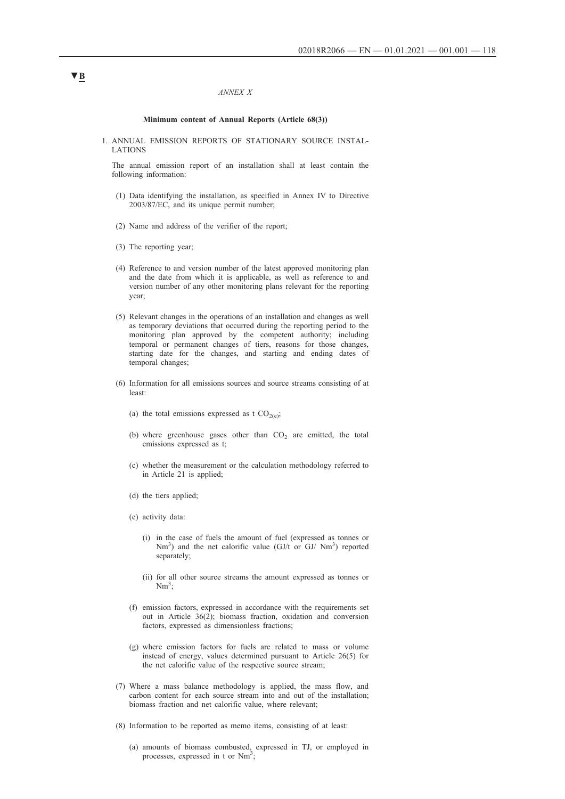#### *ANNEX X*

#### **Minimum content of Annual Reports (Article 68(3))**

1. ANNUAL EMISSION REPORTS OF STATIONARY SOURCE INSTAL-LATIONS

The annual emission report of an installation shall at least contain the following information:

- (1) Data identifying the installation, as specified in Annex IV to Directive 2003/87/EC, and its unique permit number;
- (2) Name and address of the verifier of the report;
- (3) The reporting year;
- (4) Reference to and version number of the latest approved monitoring plan and the date from which it is applicable, as well as reference to and version number of any other monitoring plans relevant for the reporting year;
- (5) Relevant changes in the operations of an installation and changes as well as temporary deviations that occurred during the reporting period to the monitoring plan approved by the competent authority; including temporal or permanent changes of tiers, reasons for those changes, starting date for the changes, and starting and ending dates of temporal changes;
- (6) Information for all emissions sources and source streams consisting of at least:
	- (a) the total emissions expressed as t  $CO<sub>2(e)</sub>$ ;
	- (b) where greenhouse gases other than  $CO<sub>2</sub>$  are emitted, the total emissions expressed as t;
	- (c) whether the measurement or the calculation methodology referred to in Article 21 is applied;
	- (d) the tiers applied;
	- (e) activity data:
		- (i) in the case of fuels the amount of fuel (expressed as tonnes or  $Nm^3$ ) and the net calorific value (GJ/t or GJ/  $Nm^3$ ) reported separately;
		- (ii) for all other source streams the amount expressed as tonnes or  $Nm^3$ ;
	- (f) emission factors, expressed in accordance with the requirements set out in Article 36(2); biomass fraction, oxidation and conversion factors, expressed as dimensionless fractions;
	- (g) where emission factors for fuels are related to mass or volume instead of energy, values determined pursuant to Article 26(5) for the net calorific value of the respective source stream;
- (7) Where a mass balance methodology is applied, the mass flow, and carbon content for each source stream into and out of the installation; biomass fraction and net calorific value, where relevant;
- (8) Information to be reported as memo items, consisting of at least:
	- (a) amounts of biomass combusted, expressed in TJ, or employed in processes, expressed in t or  $Nm^3$ ;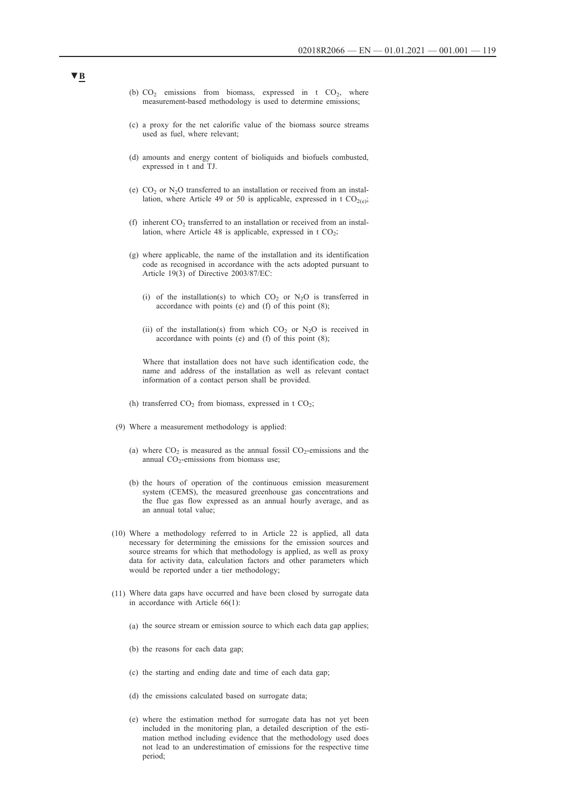- (b)  $CO<sub>2</sub>$  emissions from biomass, expressed in t  $CO<sub>2</sub>$ , where measurement-based methodology is used to determine emissions;
- (c) a proxy for the net calorific value of the biomass source streams used as fuel, where relevant;
- (d) amounts and energy content of bioliquids and biofuels combusted, expressed in t and TJ.
- (e)  $CO<sub>2</sub>$  or N<sub>2</sub>O transferred to an installation or received from an installation, where Article 49 or 50 is applicable, expressed in t  $CO_{2(e)}$ ;
- (f) inherent  $CO<sub>2</sub>$  transferred to an installation or received from an installation, where Article 48 is applicable, expressed in  $t CO<sub>2</sub>$ ;
- (g) where applicable, the name of the installation and its identification code as recognised in accordance with the acts adopted pursuant to Article 19(3) of Directive 2003/87/EC:
	- (i) of the installation(s) to which  $CO<sub>2</sub>$  or N<sub>2</sub>O is transferred in accordance with points (e) and (f) of this point (8);
	- (ii) of the installation(s) from which  $CO<sub>2</sub>$  or  $N<sub>2</sub>O$  is received in accordance with points (e) and (f) of this point (8);

Where that installation does not have such identification code, the name and address of the installation as well as relevant contact information of a contact person shall be provided.

- (h) transferred  $CO<sub>2</sub>$  from biomass, expressed in t  $CO<sub>2</sub>$ ;
- (9) Where a measurement methodology is applied:
	- (a) where  $CO_2$  is measured as the annual fossil  $CO_2$ -emissions and the annual  $CO_2$ -emissions from biomass use;
	- (b) the hours of operation of the continuous emission measurement system (CEMS), the measured greenhouse gas concentrations and the flue gas flow expressed as an annual hourly average, and as an annual total value;
- (10) Where a methodology referred to in Article 22 is applied, all data necessary for determining the emissions for the emission sources and source streams for which that methodology is applied, as well as proxy data for activity data, calculation factors and other parameters which would be reported under a tier methodology;
- (11) Where data gaps have occurred and have been closed by surrogate data in accordance with Article 66(1):
	- (a) the source stream or emission source to which each data gap applies;
	- (b) the reasons for each data gap;
	- (c) the starting and ending date and time of each data gap;
	- (d) the emissions calculated based on surrogate data;
	- (e) where the estimation method for surrogate data has not yet been included in the monitoring plan, a detailed description of the estimation method including evidence that the methodology used does not lead to an underestimation of emissions for the respective time period;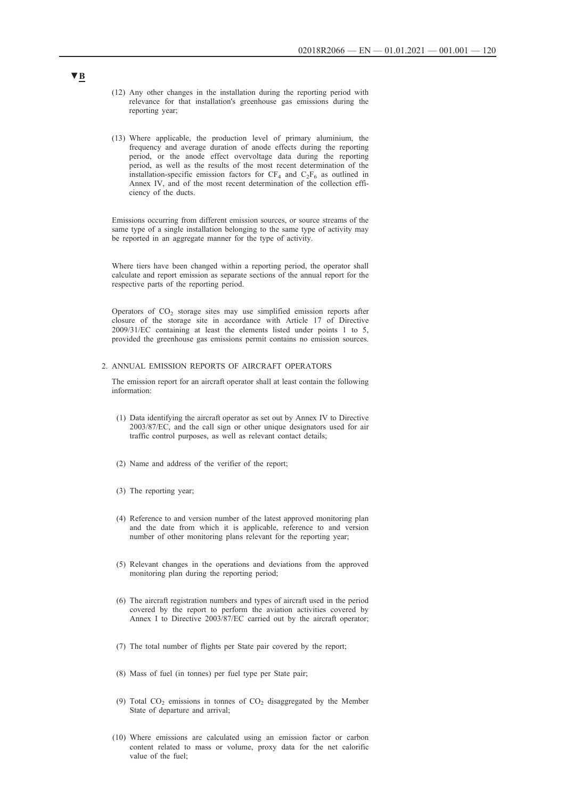- (12) Any other changes in the installation during the reporting period with relevance for that installation's greenhouse gas emissions during the reporting year;
- (13) Where applicable, the production level of primary aluminium, the frequency and average duration of anode effects during the reporting period, or the anode effect overvoltage data during the reporting period, as well as the results of the most recent determination of the installation-specific emission factors for  $CF_4$  and  $C_2F_6$  as outlined in Annex IV, and of the most recent determination of the collection efficiency of the ducts.

Emissions occurring from different emission sources, or source streams of the same type of a single installation belonging to the same type of activity may be reported in an aggregate manner for the type of activity.

Where tiers have been changed within a reporting period, the operator shall calculate and report emission as separate sections of the annual report for the respective parts of the reporting period.

Operators of  $CO<sub>2</sub>$  storage sites may use simplified emission reports after closure of the storage site in accordance with Article 17 of Directive 2009/31/EC containing at least the elements listed under points 1 to 5, provided the greenhouse gas emissions permit contains no emission sources.

#### 2. ANNUAL EMISSION REPORTS OF AIRCRAFT OPERATORS

The emission report for an aircraft operator shall at least contain the following information:

- (1) Data identifying the aircraft operator as set out by Annex IV to Directive 2003/87/EC, and the call sign or other unique designators used for air traffic control purposes, as well as relevant contact details;
- (2) Name and address of the verifier of the report;
- (3) The reporting year;
- (4) Reference to and version number of the latest approved monitoring plan and the date from which it is applicable, reference to and version number of other monitoring plans relevant for the reporting year;
- (5) Relevant changes in the operations and deviations from the approved monitoring plan during the reporting period;
- (6) The aircraft registration numbers and types of aircraft used in the period covered by the report to perform the aviation activities covered by Annex I to Directive 2003/87/EC carried out by the aircraft operator;
- (7) The total number of flights per State pair covered by the report;
- (8) Mass of fuel (in tonnes) per fuel type per State pair;
- (9) Total  $CO<sub>2</sub>$  emissions in tonnes of  $CO<sub>2</sub>$  disaggregated by the Member State of departure and arrival;
- (10) Where emissions are calculated using an emission factor or carbon content related to mass or volume, proxy data for the net calorific value of the fuel;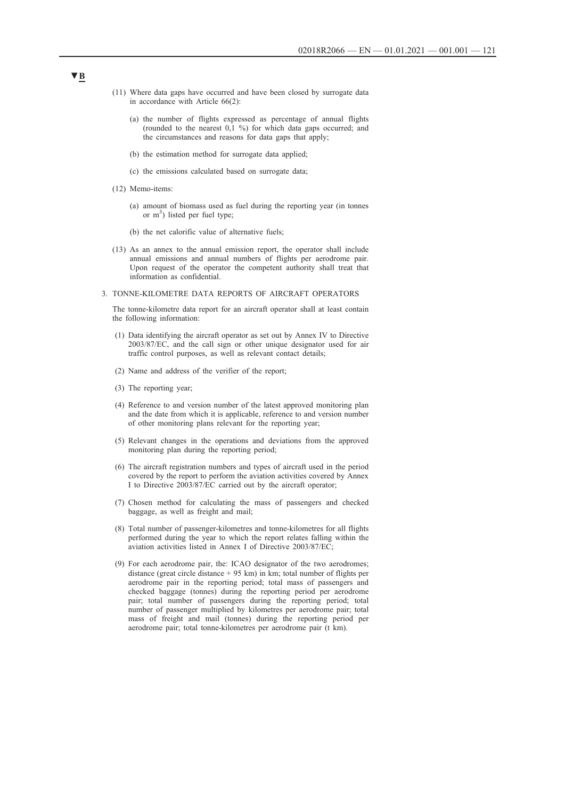- (11) Where data gaps have occurred and have been closed by surrogate data in accordance with Article 66(2):
	- (a) the number of flights expressed as percentage of annual flights (rounded to the nearest 0,1 %) for which data gaps occurred; and the circumstances and reasons for data gaps that apply;
	- (b) the estimation method for surrogate data applied;
	- (c) the emissions calculated based on surrogate data;
- (12) Memo-items:
	- (a) amount of biomass used as fuel during the reporting year (in tonnes or  $m<sup>3</sup>$ ) listed per fuel type;
	- (b) the net calorific value of alternative fuels;
- (13) As an annex to the annual emission report, the operator shall include annual emissions and annual numbers of flights per aerodrome pair. Upon request of the operator the competent authority shall treat that information as confidential.
- 3. TONNE-KILOMETRE DATA REPORTS OF AIRCRAFT OPERATORS

The tonne-kilometre data report for an aircraft operator shall at least contain the following information:

- (1) Data identifying the aircraft operator as set out by Annex IV to Directive 2003/87/EC, and the call sign or other unique designator used for air traffic control purposes, as well as relevant contact details;
- (2) Name and address of the verifier of the report;
- (3) The reporting year;
- (4) Reference to and version number of the latest approved monitoring plan and the date from which it is applicable, reference to and version number of other monitoring plans relevant for the reporting year;
- (5) Relevant changes in the operations and deviations from the approved monitoring plan during the reporting period;
- (6) The aircraft registration numbers and types of aircraft used in the period covered by the report to perform the aviation activities covered by Annex I to Directive 2003/87/EC carried out by the aircraft operator;
- (7) Chosen method for calculating the mass of passengers and checked baggage, as well as freight and mail;
- (8) Total number of passenger-kilometres and tonne-kilometres for all flights performed during the year to which the report relates falling within the aviation activities listed in Annex I of Directive 2003/87/EC;
- (9) For each aerodrome pair, the: ICAO designator of the two aerodromes; distance (great circle distance  $+ 95$  km) in km; total number of flights per aerodrome pair in the reporting period; total mass of passengers and checked baggage (tonnes) during the reporting period per aerodrome pair; total number of passengers during the reporting period; total number of passenger multiplied by kilometres per aerodrome pair; total mass of freight and mail (tonnes) during the reporting period per aerodrome pair; total tonne-kilometres per aerodrome pair (t km).